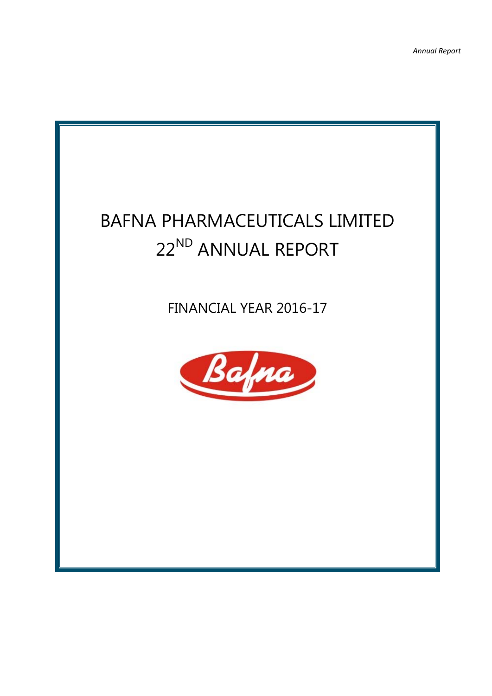# BAFNA PHARMACEUTICALS LIMITED 22<sup>ND</sup> ANNUAL REPORT

FINANCIAL YEAR 2016-17

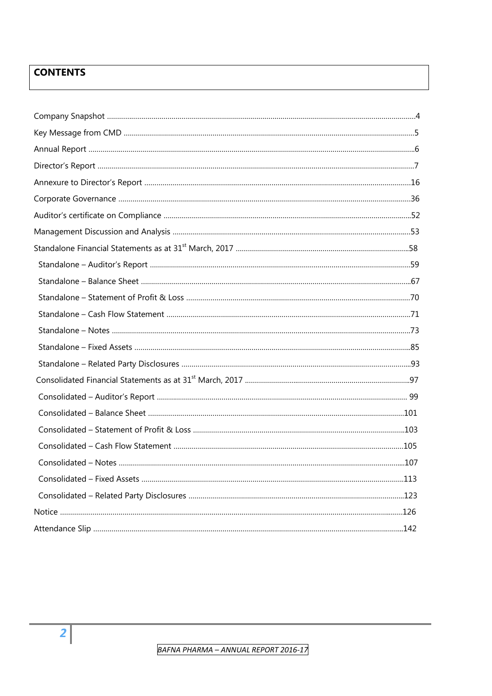## **CONTENTS**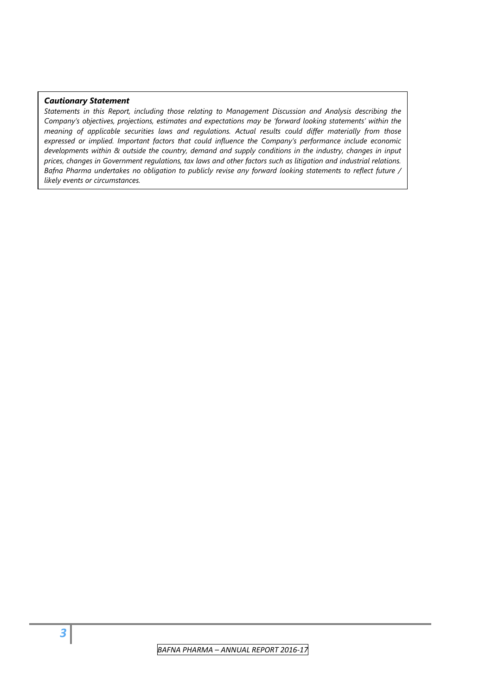#### *Cautionary Statement*

*Statements in this Report, including those relating to Management Discussion and Analysis describing the Company's objectives, projections, estimates and expectations may be 'forward looking statements' within the meaning of applicable securities laws and regulations. Actual results could differ materially from those expressed or implied. Important factors that could influence the Company's performance include economic developments within & outside the country, demand and supply conditions in the industry, changes in input prices, changes in Government regulations, tax laws and other factors such as litigation and industrial relations. Bafna Pharma undertakes no obligation to publicly revise any forward looking statements to reflect future / likely events or circumstances.*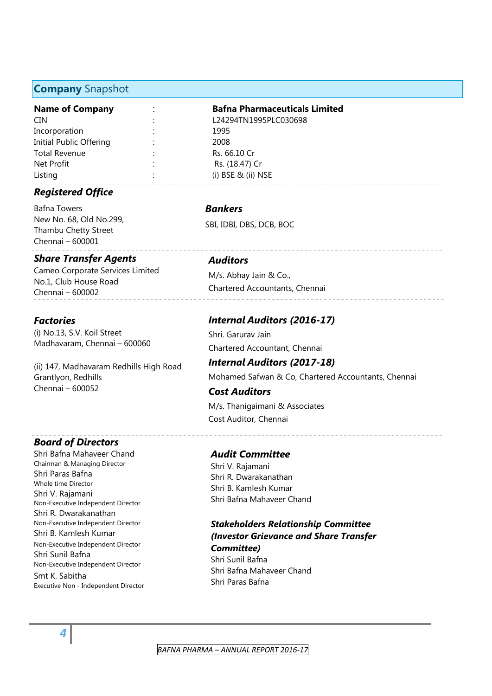#### **Company** Snapshot

CIN : L24294TN1995PLC030698 Incorporation : 1995 Initial Public Offering : 2008 Total Revenue : Total Revenue : Rs. 66.10 Cr Net Profit is a contract of the Rs. (18.47) Cr Listing : (i) BSE & (ii) NSE

### *Registered Office*

Bafna Towers New No. 68, Old No.299, Thambu Chetty Street Chennai – 600001

#### *Share Transfer Agents*

Cameo Corporate Services Limited No.1, Club House Road Chennai – 600002

#### *Factories*

(i) No.13, S.V. Koil Street Madhavaram, Chennai – 600060

(ii) 147, Madhavaram Redhills High Road Grantlyon, Redhills Chennai – 600052

#### *Board of Directors*

Shri Bafna Mahaveer Chand Chairman & Managing Director Shri Paras Bafna Whole time Director Shri V. Rajamani Non-Executive Independent Director Shri R. Dwarakanathan Non-Executive Independent Director Shri B. Kamlesh Kumar Non-Executive Independent Director Shri Sunil Bafna Non-Executive Independent Director Smt K. Sabitha Executive Non - Independent Director

#### **Name of Company** : **Bafna Pharmaceuticals Limited**

#### *Bankers*

SBI, IDBI, DBS, DCB, BOC

#### *Auditors*

M/s. Abhay Jain & Co., Chartered Accountants, Chennai

#### *Internal Auditors (2016-17)*

Shri. Garurav Jain Chartered Accountant, Chennai

## *Internal Auditors (2017-18)*

Mohamed Safwan & Co, Chartered Accountants, Chennai

## *Cost Auditors*  M/s. Thanigaimani & Associates

Cost Auditor, Chennai

#### *Audit Committee*

Shri V. Rajamani Shri R. Dwarakanathan Shri B. Kamlesh Kumar Shri Bafna Mahaveer Chand

#### *Stakeholders Relationship Committee (Investor Grievance and Share Transfer Committee)* Shri Sunil Bafna Shri Bafna Mahaveer Chand Shri Paras Bafna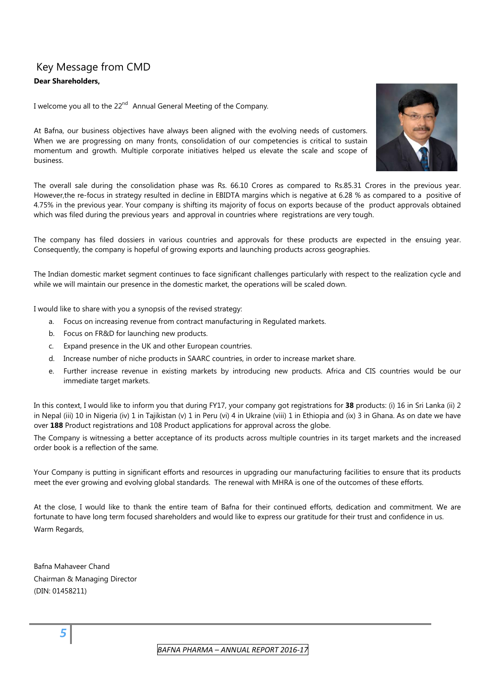## Key Message from CMD **Dear Shareholders,**

I welcome you all to the 22<sup>nd</sup> Annual General Meeting of the Company.

At Bafna, our business objectives have always been aligned with the evolving needs of customers. When we are progressing on many fronts, consolidation of our competencies is critical to sustain momentum and growth. Multiple corporate initiatives helped us elevate the scale and scope of business.

The overall sale during the consolidation phase was Rs. 66.10 Crores as compared to Rs.85.31 Crores in the previous year. However,the re-focus in strategy resulted in decline in EBIDTA margins which is negative at 6.28 % as compared to a positive of 4.75% in the previous year. Your company is shifting its majority of focus on exports because of the product approvals obtained which was filed during the previous years and approval in countries where registrations are very tough.

The company has filed dossiers in various countries and approvals for these products are expected in the ensuing year. Consequently, the company is hopeful of growing exports and launching products across geographies.

The Indian domestic market segment continues to face significant challenges particularly with respect to the realization cycle and while we will maintain our presence in the domestic market, the operations will be scaled down.

I would like to share with you a synopsis of the revised strategy:

- a. Focus on increasing revenue from contract manufacturing in Regulated markets.
- b. Focus on FR&D for launching new products.
- c. Expand presence in the UK and other European countries.
- d. Increase number of niche products in SAARC countries, in order to increase market share.
- e. Further increase revenue in existing markets by introducing new products. Africa and CIS countries would be our immediate target markets.

In this context, I would like to inform you that during FY17, your company got registrations for **38** products: (i) 16 in Sri Lanka (ii) 2 in Nepal (iii) 10 in Nigeria (iv) 1 in Tajikistan (v) 1 in Peru (vi) 4 in Ukraine (viii) 1 in Ethiopia and (ix) 3 in Ghana. As on date we have over **188** Product registrations and 108 Product applications for approval across the globe.

The Company is witnessing a better acceptance of its products across multiple countries in its target markets and the increased order book is a reflection of the same.

Your Company is putting in significant efforts and resources in upgrading our manufacturing facilities to ensure that its products meet the ever growing and evolving global standards. The renewal with MHRA is one of the outcomes of these efforts.

At the close, I would like to thank the entire team of Bafna for their continued efforts, dedication and commitment. We are fortunate to have long term focused shareholders and would like to express our gratitude for their trust and confidence in us. Warm Regards,

Bafna Mahaveer Chand Chairman & Managing Director (DIN: 01458211)

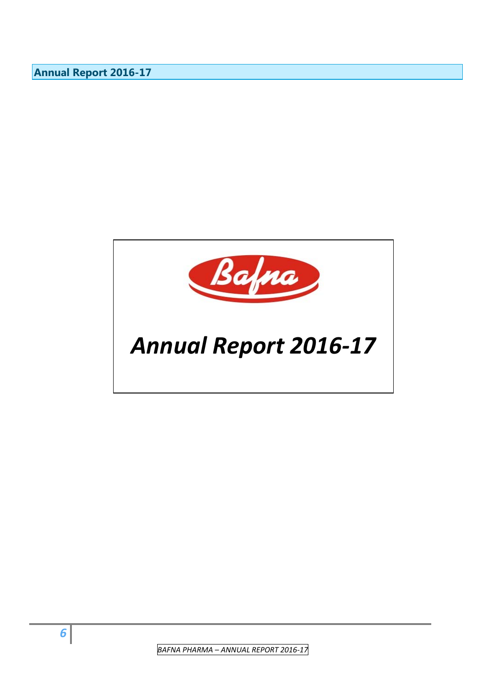**Annual Report 2016-17** 

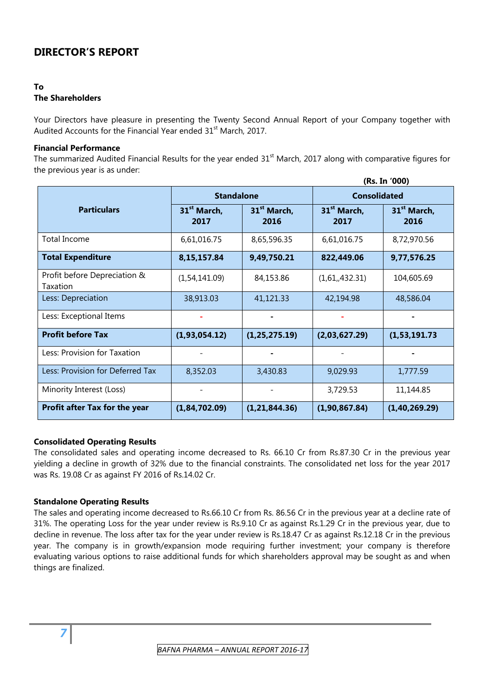## **DIRECTOR'S REPORT**

#### **To The Shareholders**

Your Directors have pleasure in presenting the Twenty Second Annual Report of your Company together with Audited Accounts for the Financial Year ended 31<sup>st</sup> March, 2017.

#### **Financial Performance**

The summarized Audited Financial Results for the year ended  $31<sup>st</sup>$  March, 2017 along with comparative figures for the previous year is as under:

|                                          |                                 |                                 |                                 | (Rs. In '000)                   |  |  |
|------------------------------------------|---------------------------------|---------------------------------|---------------------------------|---------------------------------|--|--|
|                                          | <b>Standalone</b>               |                                 |                                 | <b>Consolidated</b>             |  |  |
| <b>Particulars</b>                       | 31 <sup>st</sup> March,<br>2017 | 31 <sup>st</sup> March,<br>2016 | 31 <sup>st</sup> March,<br>2017 | 31 <sup>st</sup> March,<br>2016 |  |  |
| <b>Total Income</b>                      | 6,61,016.75                     | 8,65,596.35                     | 6,61,016.75                     | 8,72,970.56                     |  |  |
| <b>Total Expenditure</b>                 | 8,15,157.84                     | 9,49,750.21                     | 822,449.06                      | 9,77,576.25                     |  |  |
| Profit before Depreciation &<br>Taxation | (1,54,141.09)                   | 84,153.86                       | (1,61,432.31)                   | 104,605.69                      |  |  |
| Less: Depreciation                       | 38,913.03                       | 41,121.33<br>42,194.98          |                                 | 48,586.04                       |  |  |
| Less: Exceptional Items                  |                                 |                                 |                                 |                                 |  |  |
| <b>Profit before Tax</b>                 | (1,93,054.12)                   | (1, 25, 275.19)                 | (2,03,627.29)                   | (1,53,191.73)                   |  |  |
| Less: Provision for Taxation             |                                 |                                 |                                 |                                 |  |  |
| Less: Provision for Deferred Tax         | 8,352.03                        | 9,029.93<br>3,430.83            |                                 | 1,777.59                        |  |  |
| Minority Interest (Loss)                 |                                 |                                 | 3,729.53                        | 11,144.85                       |  |  |
| Profit after Tax for the year            | (1,84,702.09)                   | (1, 21, 844.36)                 | (1,90,867.84)                   | (1, 40, 269.29)                 |  |  |

#### **Consolidated Operating Results**

The consolidated sales and operating income decreased to Rs. 66.10 Cr from Rs.87.30 Cr in the previous year yielding a decline in growth of 32% due to the financial constraints. The consolidated net loss for the year 2017 was Rs. 19.08 Cr as against FY 2016 of Rs.14.02 Cr.

#### **Standalone Operating Results**

*7*

The sales and operating income decreased to Rs.66.10 Cr from Rs. 86.56 Cr in the previous year at a decline rate of 31%. The operating Loss for the year under review is Rs.9.10 Cr as against Rs.1.29 Cr in the previous year, due to decline in revenue. The loss after tax for the year under review is Rs.18.47 Cr as against Rs.12.18 Cr in the previous year. The company is in growth/expansion mode requiring further investment; your company is therefore evaluating various options to raise additional funds for which shareholders approval may be sought as and when things are finalized.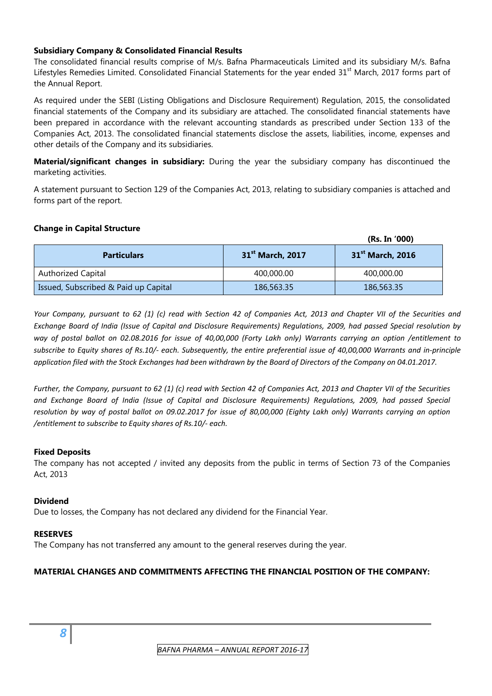#### **Subsidiary Company & Consolidated Financial Results**

The consolidated financial results comprise of M/s. Bafna Pharmaceuticals Limited and its subsidiary M/s. Bafna Lifestyles Remedies Limited. Consolidated Financial Statements for the year ended 31<sup>st</sup> March, 2017 forms part of the Annual Report.

As required under the SEBI (Listing Obligations and Disclosure Requirement) Regulation, 2015, the consolidated financial statements of the Company and its subsidiary are attached. The consolidated financial statements have been prepared in accordance with the relevant accounting standards as prescribed under Section 133 of the Companies Act, 2013. The consolidated financial statements disclose the assets, liabilities, income, expenses and other details of the Company and its subsidiaries.

**Material/significant changes in subsidiary:** During the year the subsidiary company has discontinued the marketing activities.

A statement pursuant to Section 129 of the Companies Act, 2013, relating to subsidiary companies is attached and forms part of the report.

#### **Change in Capital Structure**

|                                      |                              | (Rs. In '000)                |
|--------------------------------------|------------------------------|------------------------------|
| <b>Particulars</b>                   | 31 <sup>st</sup> March, 2017 | 31 <sup>st</sup> March, 2016 |
| <b>Authorized Capital</b>            | 400,000.00                   | 400,000.00                   |
| Issued, Subscribed & Paid up Capital | 186,563.35                   | 186,563.35                   |

Your Company, pursuant to 62 (1) (c) read with Section 42 of Companies Act, 2013 and Chapter VII of the Securities and Exchange Board of India (Issue of Capital and Disclosure Requirements) Regulations, 2009, had passed Special resolution by way of postal ballot on 02.08.2016 for issue of 40,00,000 (Forty Lakh only) Warrants carrying an option /entitlement to subscribe to Equity shares of Rs.10/- each. Subsequently, the entire preferential issue of 40,00,000 Warrants and in-principle application filed with the Stock Exchanges had been withdrawn by the Board of Directors of the Company on 04.01.2017.

Further, the Company, pursuant to 62 (1) (c) read with Section 42 of Companies Act, 2013 and Chapter VII of the Securities *and Exchange Board of India (Issue of Capital and Disclosure Requirements) Regulations, 2009, had passed Special* resolution by way of postal ballot on 09.02.2017 for issue of 80,00,000 (Eighty Lakh only) Warrants carrying an option */entitlement to subscribe to Equity shares of Rs.10/‐ each.*

#### **Fixed Deposits**

The company has not accepted / invited any deposits from the public in terms of Section 73 of the Companies Act, 2013

#### **Dividend**

Due to losses, the Company has not declared any dividend for the Financial Year.

#### **RESERVES**

The Company has not transferred any amount to the general reserves during the year.

#### **MATERIAL CHANGES AND COMMITMENTS AFFECTING THE FINANCIAL POSITION OF THE COMPANY:**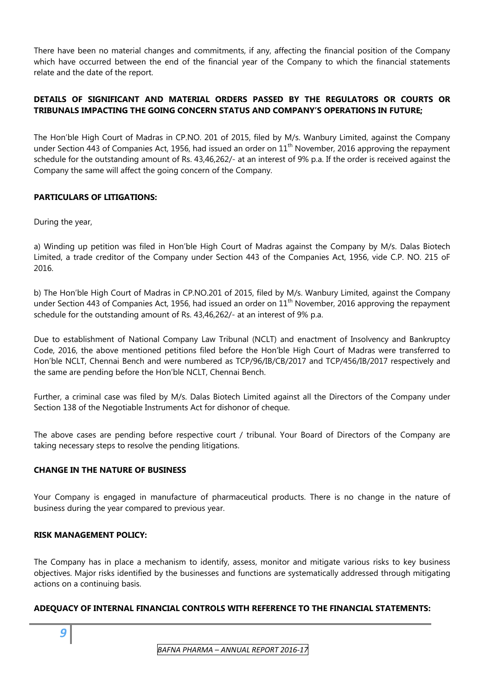There have been no material changes and commitments, if any, affecting the financial position of the Company which have occurred between the end of the financial year of the Company to which the financial statements relate and the date of the report.

#### **DETAILS OF SIGNIFICANT AND MATERIAL ORDERS PASSED BY THE REGULATORS OR COURTS OR TRIBUNALS IMPACTING THE GOING CONCERN STATUS AND COMPANY'S OPERATIONS IN FUTURE;**

The Hon'ble High Court of Madras in CP.NO. 201 of 2015, filed by M/s. Wanbury Limited, against the Company under Section 443 of Companies Act, 1956, had issued an order on  $11<sup>th</sup>$  November, 2016 approving the repayment schedule for the outstanding amount of Rs. 43,46,262/- at an interest of 9% p.a. If the order is received against the Company the same will affect the going concern of the Company.

#### **PARTICULARS OF LITIGATIONS:**

During the year,

a) Winding up petition was filed in Hon'ble High Court of Madras against the Company by M/s. Dalas Biotech Limited, a trade creditor of the Company under Section 443 of the Companies Act, 1956, vide C.P. NO. 215 oF 2016.

b) The Hon'ble High Court of Madras in CP.NO.201 of 2015, filed by M/s. Wanbury Limited, against the Company under Section 443 of Companies Act, 1956, had issued an order on  $11<sup>th</sup>$  November, 2016 approving the repayment schedule for the outstanding amount of Rs. 43,46,262/- at an interest of 9% p.a.

Due to establishment of National Company Law Tribunal (NCLT) and enactment of Insolvency and Bankruptcy Code, 2016, the above mentioned petitions filed before the Hon'ble High Court of Madras were transferred to Hon'ble NCLT, Chennai Bench and were numbered as TCP/96/IB/CB/2017 and TCP/456/IB/2017 respectively and the same are pending before the Hon'ble NCLT, Chennai Bench.

Further, a criminal case was filed by M/s. Dalas Biotech Limited against all the Directors of the Company under Section 138 of the Negotiable Instruments Act for dishonor of cheque.

The above cases are pending before respective court / tribunal. Your Board of Directors of the Company are taking necessary steps to resolve the pending litigations.

#### **CHANGE IN THE NATURE OF BUSINESS**

Your Company is engaged in manufacture of pharmaceutical products. There is no change in the nature of business during the year compared to previous year.

#### **RISK MANAGEMENT POLICY:**

*9*

The Company has in place a mechanism to identify, assess, monitor and mitigate various risks to key business objectives. Major risks identified by the businesses and functions are systematically addressed through mitigating actions on a continuing basis.

#### **ADEQUACY OF INTERNAL FINANCIAL CONTROLS WITH REFERENCE TO THE FINANCIAL STATEMENTS:**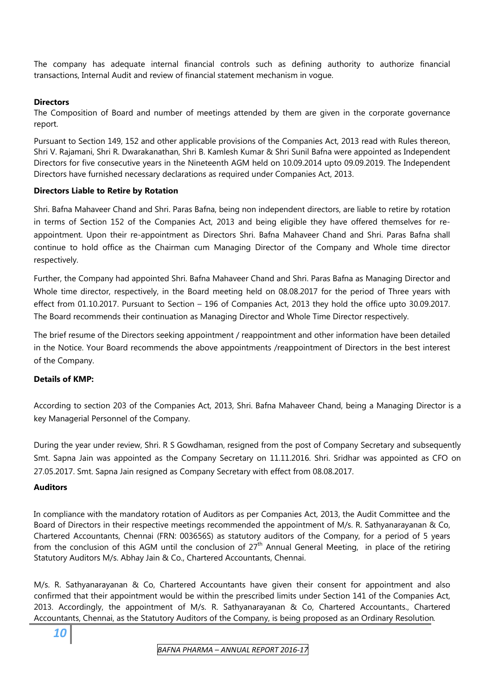The company has adequate internal financial controls such as defining authority to authorize financial transactions, Internal Audit and review of financial statement mechanism in vogue.

#### **Directors**

The Composition of Board and number of meetings attended by them are given in the corporate governance report.

Pursuant to Section 149, 152 and other applicable provisions of the Companies Act, 2013 read with Rules thereon, Shri V. Rajamani, Shri R. Dwarakanathan, Shri B. Kamlesh Kumar & Shri Sunil Bafna were appointed as Independent Directors for five consecutive years in the Nineteenth AGM held on 10.09.2014 upto 09.09.2019. The Independent Directors have furnished necessary declarations as required under Companies Act, 2013.

#### **Directors Liable to Retire by Rotation**

Shri. Bafna Mahaveer Chand and Shri. Paras Bafna, being non independent directors, are liable to retire by rotation in terms of Section 152 of the Companies Act, 2013 and being eligible they have offered themselves for reappointment. Upon their re-appointment as Directors Shri. Bafna Mahaveer Chand and Shri. Paras Bafna shall continue to hold office as the Chairman cum Managing Director of the Company and Whole time director respectively.

Further, the Company had appointed Shri. Bafna Mahaveer Chand and Shri. Paras Bafna as Managing Director and Whole time director, respectively, in the Board meeting held on 08.08.2017 for the period of Three years with effect from 01.10.2017. Pursuant to Section – 196 of Companies Act, 2013 they hold the office upto 30.09.2017. The Board recommends their continuation as Managing Director and Whole Time Director respectively.

The brief resume of the Directors seeking appointment / reappointment and other information have been detailed in the Notice. Your Board recommends the above appointments /reappointment of Directors in the best interest of the Company.

#### **Details of KMP:**

According to section 203 of the Companies Act, 2013, Shri. Bafna Mahaveer Chand, being a Managing Director is a key Managerial Personnel of the Company.

During the year under review, Shri. R S Gowdhaman, resigned from the post of Company Secretary and subsequently Smt. Sapna Jain was appointed as the Company Secretary on 11.11.2016. Shri. Sridhar was appointed as CFO on 27.05.2017. Smt. Sapna Jain resigned as Company Secretary with effect from 08.08.2017.

#### **Auditors**

In compliance with the mandatory rotation of Auditors as per Companies Act, 2013, the Audit Committee and the Board of Directors in their respective meetings recommended the appointment of M/s. R. Sathyanarayanan & Co, Chartered Accountants, Chennai (FRN: 003656S) as statutory auditors of the Company, for a period of 5 years from the conclusion of this AGM until the conclusion of  $27<sup>th</sup>$  Annual General Meeting, in place of the retiring Statutory Auditors M/s. Abhay Jain & Co., Chartered Accountants, Chennai.

M/s. R. Sathyanarayanan & Co, Chartered Accountants have given their consent for appointment and also confirmed that their appointment would be within the prescribed limits under Section 141 of the Companies Act, 2013. Accordingly, the appointment of M/s. R. Sathyanarayanan & Co, Chartered Accountants., Chartered Accountants, Chennai, as the Statutory Auditors of the Company, is being proposed as an Ordinary Resolution*.*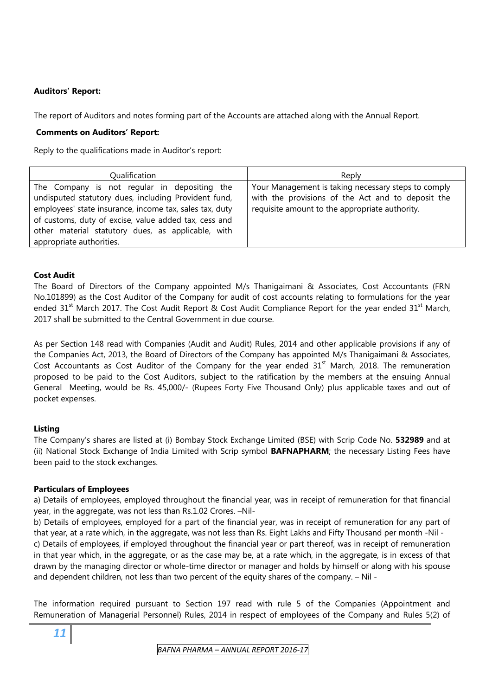#### **Auditors' Report:**

The report of Auditors and notes forming part of the Accounts are attached along with the Annual Report.

#### **Comments on Auditors' Report:**

Reply to the qualifications made in Auditor's report:

| Qualification                                                                                                                                                                                                                                                                  | Reply                                                                                                                                                      |
|--------------------------------------------------------------------------------------------------------------------------------------------------------------------------------------------------------------------------------------------------------------------------------|------------------------------------------------------------------------------------------------------------------------------------------------------------|
| The Company is not regular in depositing the<br>undisputed statutory dues, including Provident fund,<br>employees' state insurance, income tax, sales tax, duty<br>of customs, duty of excise, value added tax, cess and<br>other material statutory dues, as applicable, with | Your Management is taking necessary steps to comply<br>with the provisions of the Act and to deposit the<br>requisite amount to the appropriate authority. |
| appropriate authorities.                                                                                                                                                                                                                                                       |                                                                                                                                                            |

#### **Cost Audit**

The Board of Directors of the Company appointed M/s Thanigaimani & Associates, Cost Accountants (FRN No.101899) as the Cost Auditor of the Company for audit of cost accounts relating to formulations for the year ended 31<sup>st</sup> March 2017. The Cost Audit Report & Cost Audit Compliance Report for the year ended 31<sup>st</sup> March, 2017 shall be submitted to the Central Government in due course.

As per Section 148 read with Companies (Audit and Audit) Rules, 2014 and other applicable provisions if any of the Companies Act, 2013, the Board of Directors of the Company has appointed M/s Thanigaimani & Associates, Cost Accountants as Cost Auditor of the Company for the year ended  $31<sup>st</sup>$  March, 2018. The remuneration proposed to be paid to the Cost Auditors, subject to the ratification by the members at the ensuing Annual General Meeting, would be Rs. 45,000/- (Rupees Forty Five Thousand Only) plus applicable taxes and out of pocket expenses.

#### **Listing**

The Company's shares are listed at (i) Bombay Stock Exchange Limited (BSE) with Scrip Code No. **532989** and at (ii) National Stock Exchange of India Limited with Scrip symbol **BAFNAPHARM**; the necessary Listing Fees have been paid to the stock exchanges.

#### **Particulars of Employees**

a) Details of employees, employed throughout the financial year, was in receipt of remuneration for that financial year, in the aggregate, was not less than Rs.1.02 Crores. –Nil-

b) Details of employees, employed for a part of the financial year, was in receipt of remuneration for any part of that year, at a rate which, in the aggregate, was not less than Rs. Eight Lakhs and Fifty Thousand per month -Nil c) Details of employees, if employed throughout the financial year or part thereof, was in receipt of remuneration in that year which, in the aggregate, or as the case may be, at a rate which, in the aggregate, is in excess of that drawn by the managing director or whole-time director or manager and holds by himself or along with his spouse

The information required pursuant to Section 197 read with rule 5 of the Companies (Appointment and Remuneration of Managerial Personnel) Rules, 2014 in respect of employees of the Company and Rules 5(2) of

and dependent children, not less than two percent of the equity shares of the company. – Nil -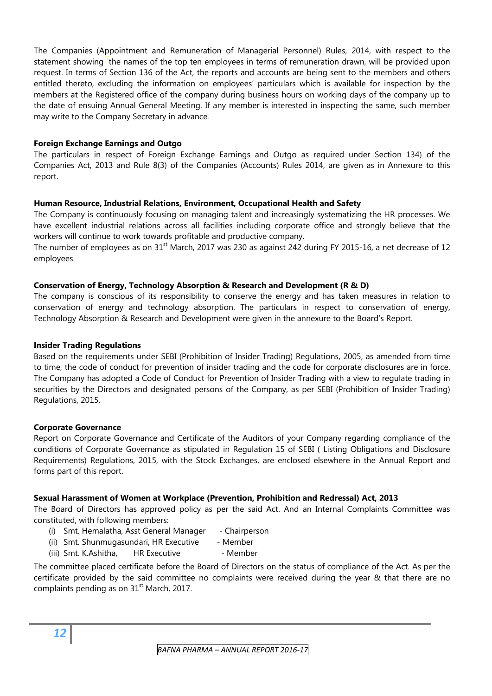The Companies (Appointment and Remuneration of Managerial Personnel) Rules, 2014, with respect to the statement showing  $\frac{7}{1}$ the names of the top ten employees in terms of remuneration drawn, will be provided upon request. In terms of Section 136 of the Act, the reports and accounts are being sent to the members and others entitled thereto, excluding the information on employees' particulars which is available for inspection by the members at the Registered office of the company during business hours on working days of the company up to the date of ensuing Annual General Meeting. If any member is interested in inspecting the same, such member may write to the Company Secretary in advance*.*

#### **Foreign Exchange Earnings and Outgo**

The particulars in respect of Foreign Exchange Earnings and Outgo as required under Section 134) of the Companies Act, 2013 and Rule 8(3) of the Companies (Accounts) Rules 2014, are given as in Annexure to this report.

#### **Human Resource, Industrial Relations, Environment, Occupational Health and Safety**

The Company is continuously focusing on managing talent and increasingly systematizing the HR processes. We have excellent industrial relations across all facilities including corporate office and strongly believe that the workers will continue to work towards profitable and productive company.

The number of employees as on 31<sup>st</sup> March, 2017 was 230 as against 242 during FY 2015-16, a net decrease of 12 employees.

#### **Conservation of Energy, Technology Absorption & Research and Development (R & D)**

The company is conscious of its responsibility to conserve the energy and has taken measures in relation to conservation of energy and technology absorption. The particulars in respect to conservation of energy, Technology Absorption & Research and Development were given in the annexure to the Board's Report.

#### **Insider Trading Regulations**

Based on the requirements under SEBI (Prohibition of Insider Trading) Regulations, 2005, as amended from time to time, the code of conduct for prevention of insider trading and the code for corporate disclosures are in force. The Company has adopted a Code of Conduct for Prevention of Insider Trading with a view to regulate trading in securities by the Directors and designated persons of the Company, as per SEBI (Prohibition of Insider Trading) Regulations, 2015.

#### **Corporate Governance**

Report on Corporate Governance and Certificate of the Auditors of your Company regarding compliance of the conditions of Corporate Governance as stipulated in Regulation 15 of SEBI ( Listing Obligations and Disclosure Requirements) Regulations, 2015, with the Stock Exchanges, are enclosed elsewhere in the Annual Report and forms part of this report.

#### **Sexual Harassment of Women at Workplace (Prevention, Prohibition and Redressal) Act, 2013**

The Board of Directors has approved policy as per the said Act. And an Internal Complaints Committee was constituted, with following members:

- (i) Smt. Hemalatha, Asst General Manager Chairperson
- (ii) Smt. Shunmugasundari, HR Executive Member
- (iii) Smt. K.Ashitha, HR Executive Member

The committee placed certificate before the Board of Directors on the status of compliance of the Act. As per the certificate provided by the said committee no complaints were received during the year & that there are no complaints pending as on  $31<sup>st</sup>$  March, 2017.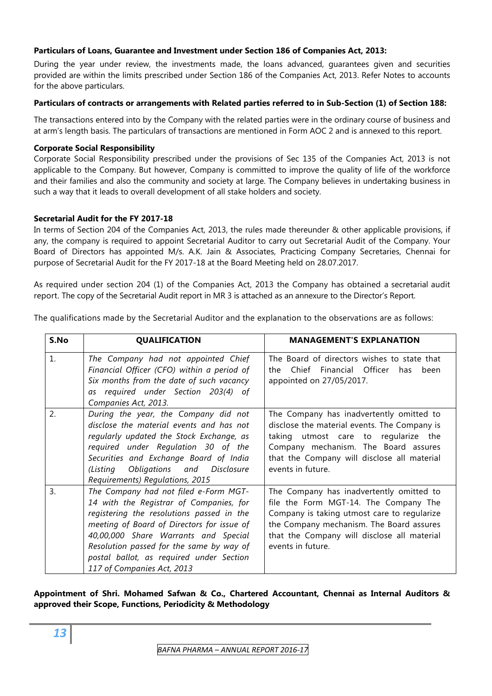#### **Particulars of Loans, Guarantee and Investment under Section 186 of Companies Act, 2013:**

During the year under review, the investments made, the loans advanced, guarantees given and securities provided are within the limits prescribed under Section 186 of the Companies Act, 2013. Refer Notes to accounts for the above particulars.

#### **Particulars of contracts or arrangements with Related parties referred to in Sub-Section (1) of Section 188:**

The transactions entered into by the Company with the related parties were in the ordinary course of business and at arm's length basis. The particulars of transactions are mentioned in Form AOC 2 and is annexed to this report.

#### **Corporate Social Responsibility**

Corporate Social Responsibility prescribed under the provisions of Sec 135 of the Companies Act, 2013 is not applicable to the Company. But however, Company is committed to improve the quality of life of the workforce and their families and also the community and society at large. The Company believes in undertaking business in such a way that it leads to overall development of all stake holders and society.

#### **Secretarial Audit for the FY 2017-18**

In terms of Section 204 of the Companies Act, 2013, the rules made thereunder & other applicable provisions, if any, the company is required to appoint Secretarial Auditor to carry out Secretarial Audit of the Company. Your Board of Directors has appointed M/s. A.K. Jain & Associates, Practicing Company Secretaries, Chennai for purpose of Secretarial Audit for the FY 2017-18 at the Board Meeting held on 28.07.2017.

As required under section 204 (1) of the Companies Act, 2013 the Company has obtained a secretarial audit report. The copy of the Secretarial Audit report in MR 3 is attached as an annexure to the Director's Report.

The qualifications made by the Secretarial Auditor and the explanation to the observations are as follows:

| S.No           | <b>QUALIFICATION</b>                                                                                                                                                                                                                                                                                                                      | <b>MANAGEMENT'S EXPLANATION</b>                                                                                                                                                                                                                  |
|----------------|-------------------------------------------------------------------------------------------------------------------------------------------------------------------------------------------------------------------------------------------------------------------------------------------------------------------------------------------|--------------------------------------------------------------------------------------------------------------------------------------------------------------------------------------------------------------------------------------------------|
| $\mathbf{1}$ . | The Company had not appointed Chief<br>Financial Officer (CFO) within a period of<br>Six months from the date of such vacancy<br>as required under Section 203(4) of<br>Companies Act, 2013.                                                                                                                                              | The Board of directors wishes to state that<br>Chief Financial Officer<br>the<br>has<br>been<br>appointed on 27/05/2017.                                                                                                                         |
| 2.             | During the year, the Company did not<br>disclose the material events and has not<br>regularly updated the Stock Exchange, as<br>required under Regulation 30 of the<br>Securities and Exchange Board of India<br>(Listing Obligations and Disclosure<br>Requirements) Regulations, 2015                                                   | The Company has inadvertently omitted to<br>disclose the material events. The Company is<br>taking utmost care to regularize the<br>Company mechanism. The Board assures<br>that the Company will disclose all material<br>events in future.     |
| 3.             | The Company had not filed e-Form MGT-<br>14 with the Registrar of Companies, for<br>registering the resolutions passed in the<br>meeting of Board of Directors for issue of<br>40,00,000 Share Warrants and Special<br>Resolution passed for the same by way of<br>postal ballot, as required under Section<br>117 of Companies Act, 2013 | The Company has inadvertently omitted to<br>file the Form MGT-14. The Company The<br>Company is taking utmost care to regularize<br>the Company mechanism. The Board assures<br>that the Company will disclose all material<br>events in future. |

#### **Appointment of Shri. Mohamed Safwan & Co., Chartered Accountant, Chennai as Internal Auditors & approved their Scope, Functions, Periodicity & Methodology**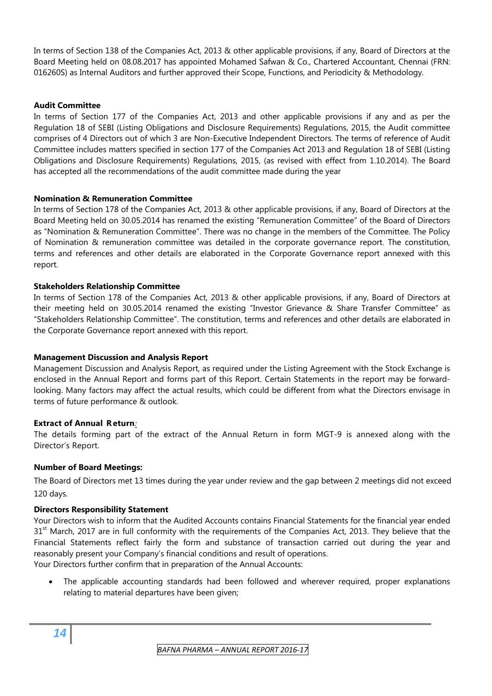In terms of Section 138 of the Companies Act, 2013 & other applicable provisions, if any, Board of Directors at the Board Meeting held on 08.08.2017 has appointed Mohamed Safwan & Co., Chartered Accountant, Chennai (FRN: 016260S) as Internal Auditors and further approved their Scope, Functions, and Periodicity & Methodology.

#### **Audit Committee**

In terms of Section 177 of the Companies Act, 2013 and other applicable provisions if any and as per the Regulation 18 of SEBI (Listing Obligations and Disclosure Requirements) Regulations, 2015, the Audit committee comprises of 4 Directors out of which 3 are Non-Executive Independent Directors. The terms of reference of Audit Committee includes matters specified in section 177 of the Companies Act 2013 and Regulation 18 of SEBI (Listing Obligations and Disclosure Requirements) Regulations, 2015, (as revised with effect from 1.10.2014). The Board has accepted all the recommendations of the audit committee made during the year

#### **Nomination & Remuneration Committee**

In terms of Section 178 of the Companies Act, 2013 & other applicable provisions, if any, Board of Directors at the Board Meeting held on 30.05.2014 has renamed the existing "Remuneration Committee" of the Board of Directors as "Nomination & Remuneration Committee". There was no change in the members of the Committee. The Policy of Nomination & remuneration committee was detailed in the corporate governance report. The constitution, terms and references and other details are elaborated in the Corporate Governance report annexed with this report.

#### **Stakeholders Relationship Committee**

In terms of Section 178 of the Companies Act, 2013 & other applicable provisions, if any, Board of Directors at their meeting held on 30.05.2014 renamed the existing "Investor Grievance & Share Transfer Committee" as "Stakeholders Relationship Committee". The constitution, terms and references and other details are elaborated in the Corporate Governance report annexed with this report.

#### **Management Discussion and Analysis Report**

Management Discussion and Analysis Report, as required under the Listing Agreement with the Stock Exchange is enclosed in the Annual Report and forms part of this Report. Certain Statements in the report may be forwardlooking. Many factors may affect the actual results, which could be different from what the Directors envisage in terms of future performance & outlook.

#### **Extract of Annual R eturn***:*

The details forming part of the extract of the Annual Return in form MGT-9 is annexed along with the Director's Report.

#### **Number of Board Meetings:**

The Board of Directors met 13 times during the year under review and the gap between 2 meetings did not exceed 120 days.

#### **Directors Responsibility Statement**

Your Directors wish to inform that the Audited Accounts contains Financial Statements for the financial year ended 31<sup>st</sup> March, 2017 are in full conformity with the requirements of the Companies Act, 2013. They believe that the Financial Statements reflect fairly the form and substance of transaction carried out during the year and reasonably present your Company's financial conditions and result of operations.

Your Directors further confirm that in preparation of the Annual Accounts:

• The applicable accounting standards had been followed and wherever required, proper explanations relating to material departures have been given;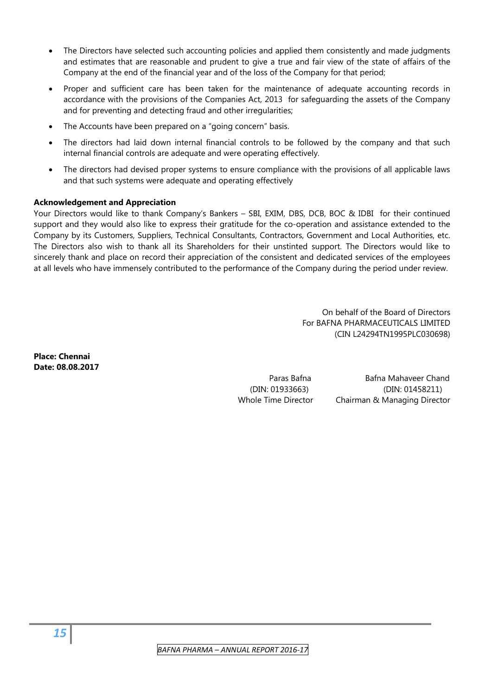- The Directors have selected such accounting policies and applied them consistently and made judgments and estimates that are reasonable and prudent to give a true and fair view of the state of affairs of the Company at the end of the financial year and of the loss of the Company for that period;
- Proper and sufficient care has been taken for the maintenance of adequate accounting records in accordance with the provisions of the Companies Act, 2013 for safeguarding the assets of the Company and for preventing and detecting fraud and other irregularities;
- The Accounts have been prepared on a "going concern" basis.
- The directors had laid down internal financial controls to be followed by the company and that such internal financial controls are adequate and were operating effectively.
- The directors had devised proper systems to ensure compliance with the provisions of all applicable laws and that such systems were adequate and operating effectively

#### **Acknowledgement and Appreciation**

Your Directors would like to thank Company's Bankers – SBI, EXIM, DBS, DCB, BOC & IDBI for their continued support and they would also like to express their gratitude for the co-operation and assistance extended to the Company by its Customers, Suppliers, Technical Consultants, Contractors, Government and Local Authorities, etc. The Directors also wish to thank all its Shareholders for their unstinted support. The Directors would like to sincerely thank and place on record their appreciation of the consistent and dedicated services of the employees at all levels who have immensely contributed to the performance of the Company during the period under review.

> On behalf of the Board of Directors For BAFNA PHARMACEUTICALS LIMITED (CIN L24294TN1995PLC030698)

**Place: Chennai Date: 08.08.2017**

 Paras Bafna Bafna Mahaveer Chand (DIN: 01933663) (DIN: 01458211) Whole Time Director Chairman & Managing Director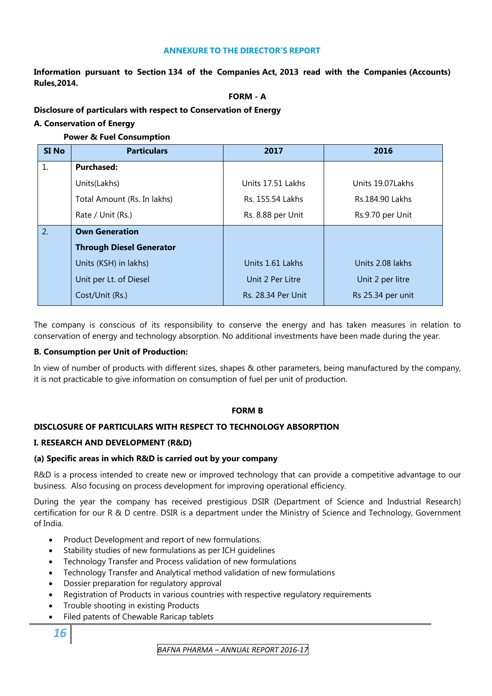#### **ANNEXURE TO THE DIRECTOR'S REPORT**

**Information pursuant to Section 134 of the Companies Act, 2013 read with the Companies (Accounts) Rules,2014.** 

#### **FORM - A**

#### **Disclosure of particulars with respect to Conservation of Energy**

#### **A. Conservation of Energy**

#### **Power & Fuel Consumption**

| <b>SI No</b> | <b>Particulars</b>              | 2017                      | 2016              |
|--------------|---------------------------------|---------------------------|-------------------|
| 1.           | <b>Purchased:</b>               |                           |                   |
|              | Units(Lakhs)                    | Units 17.51 Lakhs         | Units 19.07 Lakhs |
|              | Total Amount (Rs. In lakhs)     | Rs. 155.54 Lakhs          | Rs.184.90 Lakhs   |
|              | Rate / Unit (Rs.)               | Rs. 8.88 per Unit         | Rs.9.70 per Unit  |
| 2.           | <b>Own Generation</b>           |                           |                   |
|              | <b>Through Diesel Generator</b> |                           |                   |
|              | Units (KSH) in lakhs)           | Units 1.61 Lakhs          | Units 2.08 lakhs  |
|              | Unit per Lt. of Diesel          | Unit 2 Per Litre          | Unit 2 per litre  |
|              | Cost/Unit (Rs.)                 | <b>Rs. 28.34 Per Unit</b> | Rs 25.34 per unit |

The company is conscious of its responsibility to conserve the energy and has taken measures in relation to conservation of energy and technology absorption. No additional investments have been made during the year.

#### **B. Consumption per Unit of Production:**

In view of number of products with different sizes, shapes & other parameters, being manufactured by the company, it is not practicable to give information on consumption of fuel per unit of production.

#### **FORM B**

#### **DISCLOSURE OF PARTICULARS WITH RESPECT TO TECHNOLOGY ABSORPTION**

#### **I. RESEARCH AND DEVELOPMENT (R&D)**

#### **(a) Specific areas in which R&D is carried out by your company**

R&D is a process intended to create new or improved technology that can provide a competitive advantage to our business. Also focusing on process development for improving operational efficiency.

During the year the company has received prestigious DSIR (Department of Science and Industrial Research) certification for our R & D centre. DSIR is a department under the Ministry of Science and Technology, Government of India.

- Product Development and report of new formulations.
- Stability studies of new formulations as per ICH quidelines
- Technology Transfer and Process validation of new formulations
- Technology Transfer and Analytical method validation of new formulations
- Dossier preparation for regulatory approval
- Registration of Products in various countries with respective regulatory requirements
- Trouble shooting in existing Products
- Filed patents of Chewable Raricap tablets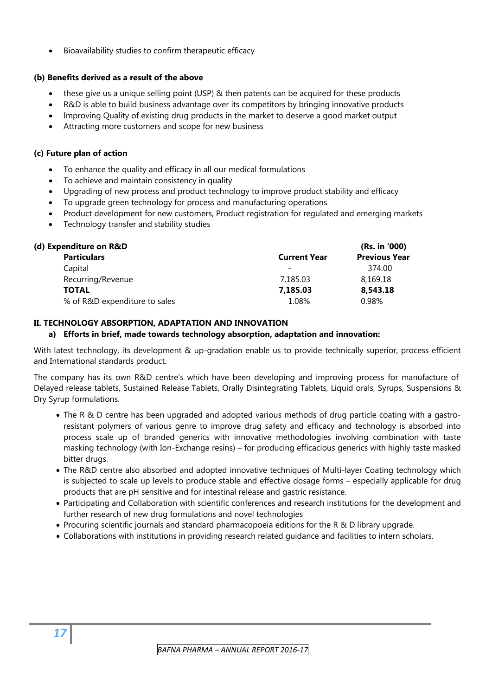• Bioavailability studies to confirm therapeutic efficacy

#### **(b) Benefits derived as a result of the above**

- these give us a unique selling point (USP) & then patents can be acquired for these products
- R&D is able to build business advantage over its competitors by bringing innovative products
- Improving Quality of existing drug products in the market to deserve a good market output
- Attracting more customers and scope for new business

#### **(c) Future plan of action**

- To enhance the quality and efficacy in all our medical formulations
- To achieve and maintain consistency in quality
- Upgrading of new process and product technology to improve product stability and efficacy
- To upgrade green technology for process and manufacturing operations
- Product development for new customers, Product registration for regulated and emerging markets
- Technology transfer and stability studies

| (d) Expenditure on R&D        |                          | (Rs. in '000)        |
|-------------------------------|--------------------------|----------------------|
| <b>Particulars</b>            | <b>Current Year</b>      | <b>Previous Year</b> |
| Capital                       | $\overline{\phantom{a}}$ | 374.00               |
| Recurring/Revenue             | 7,185.03                 | 8,169.18             |
| <b>TOTAL</b>                  | 7,185.03                 | 8,543.18             |
| % of R&D expenditure to sales | 1.08%                    | 0.98%                |

#### **II. TECHNOLOGY ABSORPTION, ADAPTATION AND INNOVATION**

#### **a) Efforts in brief, made towards technology absorption, adaptation and innovation:**

With latest technology, its development & up-gradation enable us to provide technically superior, process efficient and International standards product.

The company has its own R&D centre's which have been developing and improving process for manufacture of Delayed release tablets, Sustained Release Tablets, Orally Disintegrating Tablets, Liquid orals, Syrups, Suspensions & Dry Syrup formulations.

- The R & D centre has been upgraded and adopted various methods of drug particle coating with a gastroresistant polymers of various genre to improve drug safety and efficacy and technology is absorbed into process scale up of branded generics with innovative methodologies involving combination with taste masking technology (with Ion-Exchange resins) – for producing efficacious generics with highly taste masked bitter drugs.
- The R&D centre also absorbed and adopted innovative techniques of Multi-layer Coating technology which is subjected to scale up levels to produce stable and effective dosage forms – especially applicable for drug products that are pH sensitive and for intestinal release and gastric resistance.
- Participating and Collaboration with scientific conferences and research institutions for the development and further research of new drug formulations and novel technologies
- Procuring scientific journals and standard pharmacopoeia editions for the R & D library upgrade.
- Collaborations with institutions in providing research related guidance and facilities to intern scholars.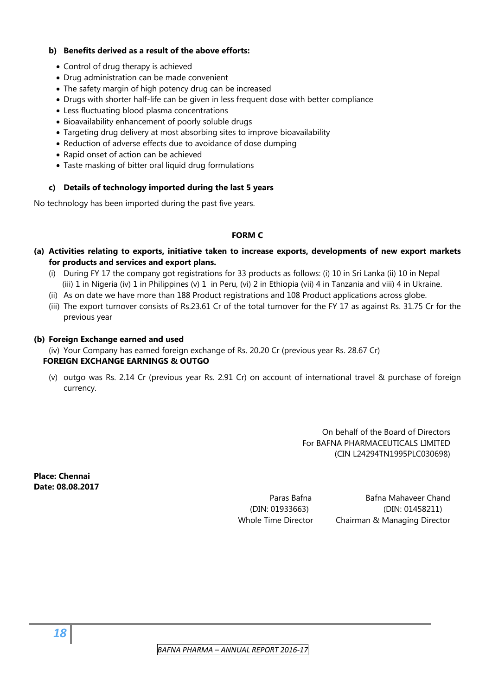#### **b) Benefits derived as a result of the above efforts:**

- Control of drug therapy is achieved
- Drug administration can be made convenient
- The safety margin of high potency drug can be increased
- Drugs with shorter half-life can be given in less frequent dose with better compliance
- Less fluctuating blood plasma concentrations
- Bioavailability enhancement of poorly soluble drugs
- Targeting drug delivery at most absorbing sites to improve bioavailability
- Reduction of adverse effects due to avoidance of dose dumping
- Rapid onset of action can be achieved
- Taste masking of bitter oral liquid drug formulations

#### **c) Details of technology imported during the last 5 years**

No technology has been imported during the past five years.

#### **FORM C**

- **(a) Activities relating to exports, initiative taken to increase exports, developments of new export markets for products and services and export plans.** 
	- (i) During FY 17 the company got registrations for 33 products as follows: (i) 10 in Sri Lanka (ii) 10 in Nepal (iii) 1 in Nigeria (iv) 1 in Philippines (v) 1 in Peru, (vi) 2 in Ethiopia (vii) 4 in Tanzania and viii) 4 in Ukraine.
	- (ii) As on date we have more than 188 Product registrations and 108 Product applications across globe.
	- (iii) The export turnover consists of Rs.23.61 Cr of the total turnover for the FY 17 as against Rs. 31.75 Cr for the previous year

#### **(b) Foreign Exchange earned and used**

(iv) Your Company has earned foreign exchange of Rs. 20.20 Cr (previous year Rs. 28.67 Cr)

#### **FOREIGN EXCHANGE EARNINGS & OUTGO**

(v) outgo was Rs. 2.14 Cr (previous year Rs. 2.91 Cr) on account of international travel & purchase of foreign currency.

> On behalf of the Board of Directors For BAFNA PHARMACEUTICALS LIMITED (CIN L24294TN1995PLC030698)

**Place: Chennai Date: 08.08.2017** 

 Paras Bafna Bafna Mahaveer Chand (DIN: 01933663) (DIN: 01458211) Whole Time Director Chairman & Managing Director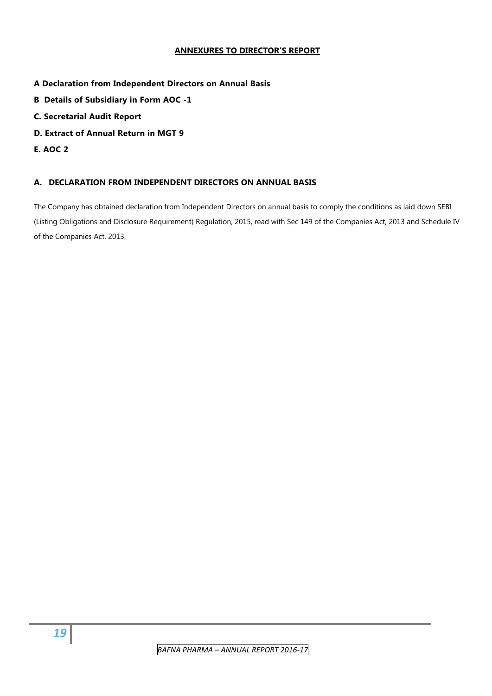#### **ANNEXURES TO DIRECTOR'S REPORT**

#### **A Declaration from Independent Directors on Annual Basis**

- **B Details of Subsidiary in Form AOC -1**
- **C. Secretarial Audit Report**
- **D. Extract of Annual Return in MGT 9**
- **E. AOC 2**

#### **A. DECLARATION FROM INDEPENDENT DIRECTORS ON ANNUAL BASIS**

The Company has obtained declaration from Independent Directors on annual basis to comply the conditions as laid down SEBI (Listing Obligations and Disclosure Requirement) Regulation, 2015, read with Sec 149 of the Companies Act, 2013 and Schedule IV of the Companies Act, 2013.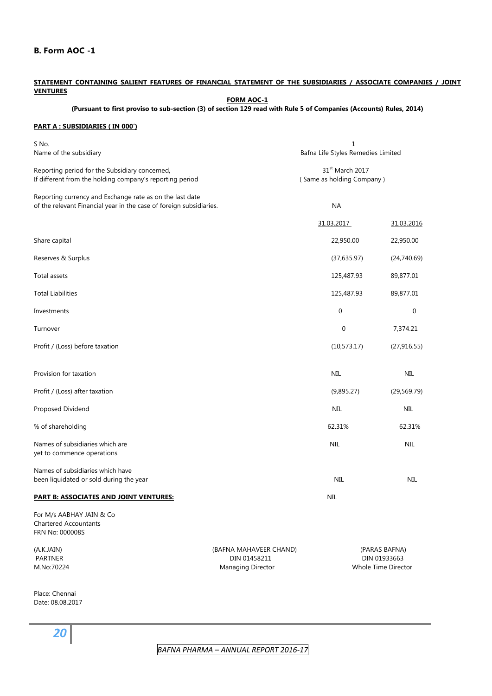#### **B. Form AOC -1**

#### **STATEMENT CONTAINING SALIENT FEATURES OF FINANCIAL STATEMENT OF THE SUBSIDIARIES / ASSOCIATE COMPANIES / JOINT VENTURES**

**FORM AOC-1**

#### **(Pursuant to first proviso to sub-section (3) of section 129 read with Rule 5 of Companies (Accounts) Rules, 2014)**

#### **PART A : SUBSIDIARIES ( IN 000')**

| S No.<br>Name of the subsidiary                                                                                                 | $1\,$<br>Bafna Life Styles Remedies Limited                 |              |                                                      |
|---------------------------------------------------------------------------------------------------------------------------------|-------------------------------------------------------------|--------------|------------------------------------------------------|
| Reporting period for the Subsidiary concerned,<br>If different from the holding company's reporting period                      | 31 <sup>st</sup> March 2017<br>(Same as holding Company)    |              |                                                      |
| Reporting currency and Exchange rate as on the last date<br>of the relevant Financial year in the case of foreign subsidiaries. |                                                             | NA           |                                                      |
|                                                                                                                                 |                                                             | 31.03.2017   | 31.03.2016                                           |
| Share capital                                                                                                                   |                                                             | 22,950.00    | 22,950.00                                            |
| Reserves & Surplus                                                                                                              |                                                             | (37,635.97)  | (24,740.69)                                          |
| Total assets                                                                                                                    |                                                             | 125,487.93   | 89,877.01                                            |
| <b>Total Liabilities</b>                                                                                                        |                                                             | 125,487.93   | 89,877.01                                            |
| Investments                                                                                                                     |                                                             | $\mathbf{0}$ | $\mathbf 0$                                          |
| Turnover                                                                                                                        |                                                             | $\mathbf 0$  | 7,374.21                                             |
| Profit / (Loss) before taxation                                                                                                 |                                                             | (10, 573.17) | (27, 916.55)                                         |
| Provision for taxation                                                                                                          |                                                             | <b>NIL</b>   | <b>NIL</b>                                           |
| Profit / (Loss) after taxation                                                                                                  |                                                             | (9,895.27)   | (29, 569.79)                                         |
| Proposed Dividend                                                                                                               |                                                             | <b>NIL</b>   | <b>NIL</b>                                           |
| % of shareholding                                                                                                               |                                                             | 62.31%       | 62.31%                                               |
| Names of subsidiaries which are<br>yet to commence operations                                                                   |                                                             | <b>NIL</b>   | <b>NIL</b>                                           |
| Names of subsidiaries which have<br>been liquidated or sold during the year                                                     |                                                             | <b>NIL</b>   | NIL                                                  |
| <b>PART B: ASSOCIATES AND JOINT VENTURES:</b>                                                                                   |                                                             | <b>NIL</b>   |                                                      |
| For M/s AABHAY JAIN & Co<br><b>Chartered Accountants</b><br>FRN No: 000008S                                                     |                                                             |              |                                                      |
| (A.K.JAIN)<br><b>PARTNER</b><br>M.No:70224                                                                                      | (BAFNA MAHAVEER CHAND)<br>DIN 01458211<br>Managing Director |              | (PARAS BAFNA)<br>DIN 01933663<br>Whole Time Director |

Place: Chennai Date: 08.08.2017

*20*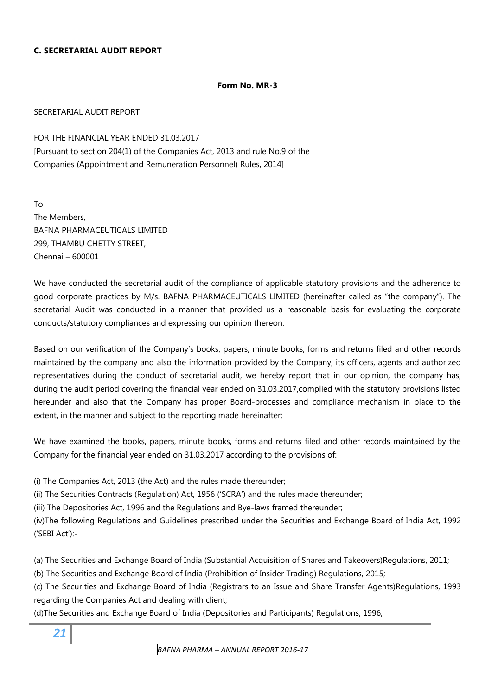#### **C. SECRETARIAL AUDIT REPORT**

#### **Form No. MR-3**

#### SECRETARIAL AUDIT REPORT

FOR THE FINANCIAL YEAR ENDED 31.03.2017 [Pursuant to section 204(1) of the Companies Act, 2013 and rule No.9 of the Companies (Appointment and Remuneration Personnel) Rules, 2014]

To The Members, BAFNA PHARMACEUTICALS LIMITED 299, THAMBU CHETTY STREET, Chennai – 600001

We have conducted the secretarial audit of the compliance of applicable statutory provisions and the adherence to good corporate practices by M/s. BAFNA PHARMACEUTICALS LIMITED (hereinafter called as "the company"). The secretarial Audit was conducted in a manner that provided us a reasonable basis for evaluating the corporate conducts/statutory compliances and expressing our opinion thereon.

Based on our verification of the Company's books, papers, minute books, forms and returns filed and other records maintained by the company and also the information provided by the Company, its officers, agents and authorized representatives during the conduct of secretarial audit, we hereby report that in our opinion, the company has, during the audit period covering the financial year ended on 31.03.2017,complied with the statutory provisions listed hereunder and also that the Company has proper Board-processes and compliance mechanism in place to the extent, in the manner and subject to the reporting made hereinafter:

We have examined the books, papers, minute books, forms and returns filed and other records maintained by the Company for the financial year ended on 31.03.2017 according to the provisions of:

(i) The Companies Act, 2013 (the Act) and the rules made thereunder;

(ii) The Securities Contracts (Regulation) Act, 1956 ('SCRA') and the rules made thereunder;

(iii) The Depositories Act, 1996 and the Regulations and Bye-laws framed thereunder;

(iv)The following Regulations and Guidelines prescribed under the Securities and Exchange Board of India Act, 1992 ('SEBI Act'):-

(a) The Securities and Exchange Board of India (Substantial Acquisition of Shares and Takeovers)Regulations, 2011;

(b) The Securities and Exchange Board of India (Prohibition of Insider Trading) Regulations, 2015;

(c) The Securities and Exchange Board of India (Registrars to an Issue and Share Transfer Agents)Regulations, 1993 regarding the Companies Act and dealing with client;

(d)The Securities and Exchange Board of India (Depositories and Participants) Regulations, 1996;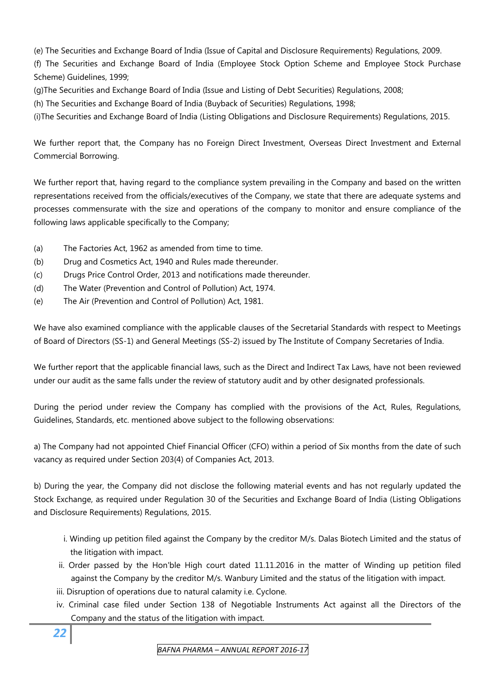(e) The Securities and Exchange Board of India (Issue of Capital and Disclosure Requirements) Regulations, 2009.

(f) The Securities and Exchange Board of India (Employee Stock Option Scheme and Employee Stock Purchase Scheme) Guidelines, 1999;

(g)The Securities and Exchange Board of India (Issue and Listing of Debt Securities) Regulations, 2008;

(h) The Securities and Exchange Board of India (Buyback of Securities) Regulations, 1998;

(i)The Securities and Exchange Board of India (Listing Obligations and Disclosure Requirements) Regulations, 2015.

We further report that, the Company has no Foreign Direct Investment, Overseas Direct Investment and External Commercial Borrowing.

We further report that, having regard to the compliance system prevailing in the Company and based on the written representations received from the officials/executives of the Company, we state that there are adequate systems and processes commensurate with the size and operations of the company to monitor and ensure compliance of the following laws applicable specifically to the Company;

- (a) The Factories Act, 1962 as amended from time to time.
- (b) Drug and Cosmetics Act, 1940 and Rules made thereunder.
- (c) Drugs Price Control Order, 2013 and notifications made thereunder.
- (d) The Water (Prevention and Control of Pollution) Act, 1974.
- (e) The Air (Prevention and Control of Pollution) Act, 1981.

We have also examined compliance with the applicable clauses of the Secretarial Standards with respect to Meetings of Board of Directors (SS-1) and General Meetings (SS-2) issued by The Institute of Company Secretaries of India.

We further report that the applicable financial laws, such as the Direct and Indirect Tax Laws, have not been reviewed under our audit as the same falls under the review of statutory audit and by other designated professionals.

During the period under review the Company has complied with the provisions of the Act, Rules, Regulations, Guidelines, Standards, etc. mentioned above subject to the following observations:

a) The Company had not appointed Chief Financial Officer (CFO) within a period of Six months from the date of such vacancy as required under Section 203(4) of Companies Act, 2013.

b) During the year, the Company did not disclose the following material events and has not regularly updated the Stock Exchange, as required under Regulation 30 of the Securities and Exchange Board of India (Listing Obligations and Disclosure Requirements) Regulations, 2015.

- i. Winding up petition filed against the Company by the creditor M/s. Dalas Biotech Limited and the status of the litigation with impact.
- ii. Order passed by the Hon'ble High court dated 11.11.2016 in the matter of Winding up petition filed against the Company by the creditor M/s. Wanbury Limited and the status of the litigation with impact.
- iii. Disruption of operations due to natural calamity i.e. Cyclone.
- iv. Criminal case filed under Section 138 of Negotiable Instruments Act against all the Directors of the Company and the status of the litigation with impact.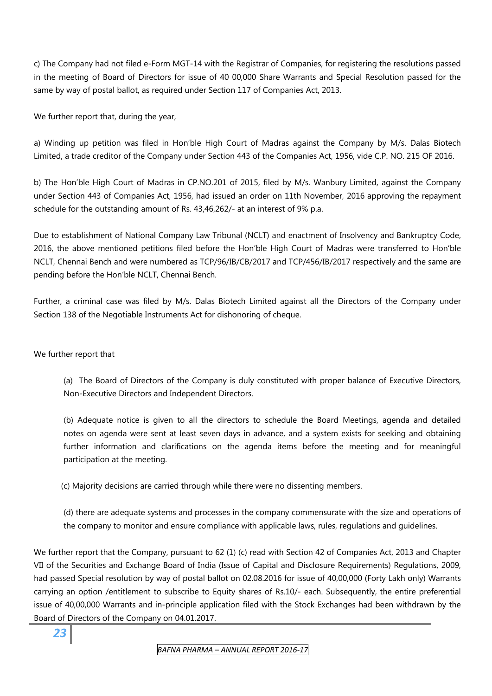c) The Company had not filed e-Form MGT-14 with the Registrar of Companies, for registering the resolutions passed in the meeting of Board of Directors for issue of 40 00,000 Share Warrants and Special Resolution passed for the same by way of postal ballot, as required under Section 117 of Companies Act, 2013.

We further report that, during the year,

a) Winding up petition was filed in Hon'ble High Court of Madras against the Company by M/s. Dalas Biotech Limited, a trade creditor of the Company under Section 443 of the Companies Act, 1956, vide C.P. NO. 215 OF 2016.

b) The Hon'ble High Court of Madras in CP.NO.201 of 2015, filed by M/s. Wanbury Limited, against the Company under Section 443 of Companies Act, 1956, had issued an order on 11th November, 2016 approving the repayment schedule for the outstanding amount of Rs. 43,46,262/- at an interest of 9% p.a.

Due to establishment of National Company Law Tribunal (NCLT) and enactment of Insolvency and Bankruptcy Code, 2016, the above mentioned petitions filed before the Hon'ble High Court of Madras were transferred to Hon'ble NCLT, Chennai Bench and were numbered as TCP/96/IB/CB/2017 and TCP/456/IB/2017 respectively and the same are pending before the Hon'ble NCLT, Chennai Bench.

Further, a criminal case was filed by M/s. Dalas Biotech Limited against all the Directors of the Company under Section 138 of the Negotiable Instruments Act for dishonoring of cheque.

#### We further report that

 (a) The Board of Directors of the Company is duly constituted with proper balance of Executive Directors, Non-Executive Directors and Independent Directors.

 (b) Adequate notice is given to all the directors to schedule the Board Meetings, agenda and detailed notes on agenda were sent at least seven days in advance, and a system exists for seeking and obtaining further information and clarifications on the agenda items before the meeting and for meaningful participation at the meeting.

(c) Majority decisions are carried through while there were no dissenting members.

 (d) there are adequate systems and processes in the company commensurate with the size and operations of the company to monitor and ensure compliance with applicable laws, rules, regulations and guidelines.

We further report that the Company, pursuant to 62 (1) (c) read with Section 42 of Companies Act, 2013 and Chapter VII of the Securities and Exchange Board of India (Issue of Capital and Disclosure Requirements) Regulations, 2009, had passed Special resolution by way of postal ballot on 02.08.2016 for issue of 40,00,000 (Forty Lakh only) Warrants carrying an option /entitlement to subscribe to Equity shares of Rs.10/- each. Subsequently, the entire preferential issue of 40,00,000 Warrants and in-principle application filed with the Stock Exchanges had been withdrawn by the Board of Directors of the Company on 04.01.2017.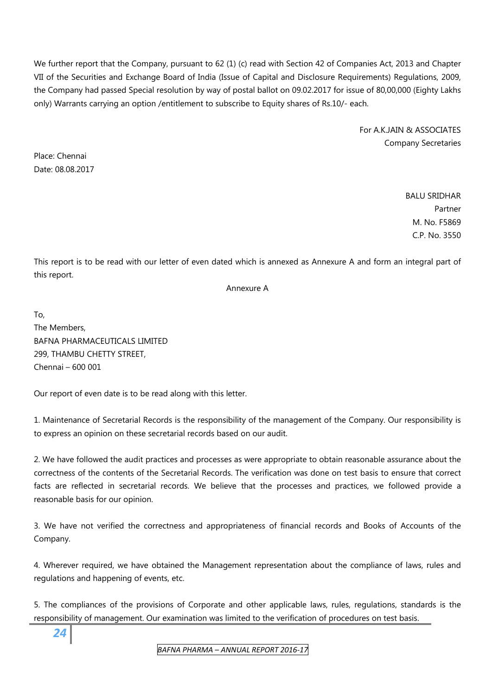We further report that the Company, pursuant to 62 (1) (c) read with Section 42 of Companies Act, 2013 and Chapter VII of the Securities and Exchange Board of India (Issue of Capital and Disclosure Requirements) Regulations, 2009, the Company had passed Special resolution by way of postal ballot on 09.02.2017 for issue of 80,00,000 (Eighty Lakhs only) Warrants carrying an option /entitlement to subscribe to Equity shares of Rs.10/- each.

> For A.K.JAIN & ASSOCIATES Company Secretaries

Place: Chennai Date: 08.08.2017

> BALU SRIDHAR Partner M. No. F5869 C.P. No. 3550

This report is to be read with our letter of even dated which is annexed as Annexure A and form an integral part of this report.

Annexure A

To, The Members, BAFNA PHARMACEUTICALS LIMITED 299, THAMBU CHETTY STREET, Chennai – 600 001

Our report of even date is to be read along with this letter.

1. Maintenance of Secretarial Records is the responsibility of the management of the Company. Our responsibility is to express an opinion on these secretarial records based on our audit.

2. We have followed the audit practices and processes as were appropriate to obtain reasonable assurance about the correctness of the contents of the Secretarial Records. The verification was done on test basis to ensure that correct facts are reflected in secretarial records. We believe that the processes and practices, we followed provide a reasonable basis for our opinion.

3. We have not verified the correctness and appropriateness of financial records and Books of Accounts of the Company.

4. Wherever required, we have obtained the Management representation about the compliance of laws, rules and regulations and happening of events, etc.

5. The compliances of the provisions of Corporate and other applicable laws, rules, regulations, standards is the responsibility of management. Our examination was limited to the verification of procedures on test basis.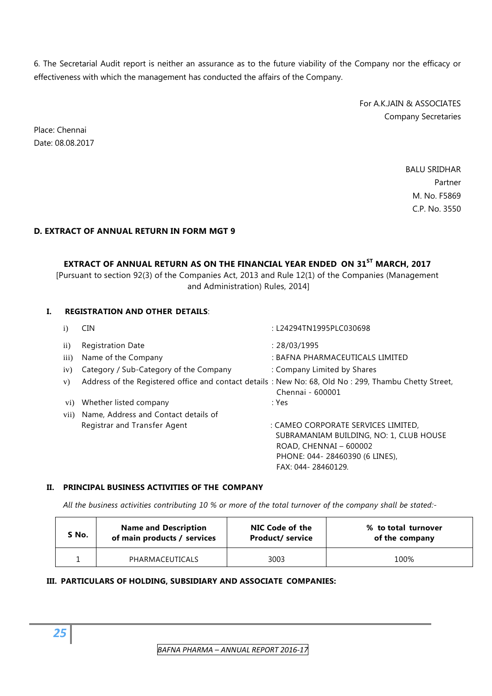6. The Secretarial Audit report is neither an assurance as to the future viability of the Company nor the efficacy or effectiveness with which the management has conducted the affairs of the Company.

> For A.K.JAIN & ASSOCIATES Company Secretaries

Place: Chennai Date: 08.08.2017

> BALU SRIDHAR Partner M. No. F5869 C.P. No. 3550

#### **D. EXTRACT OF ANNUAL RETURN IN FORM MGT 9**

## **EXTRACT OF ANNUAL RETURN AS ON THE FINANCIAL YEAR ENDED ON 31ST MARCH, 2017**

[Pursuant to section 92(3) of the Companies Act, 2013 and Rule 12(1) of the Companies (Management and Administration) Rules, 2014]

#### **I. REGISTRATION AND OTHER DETAILS**:

| $\bf i)$           | <b>CIN</b>                                                                                             | : L24294TN1995PLC030698                 |
|--------------------|--------------------------------------------------------------------------------------------------------|-----------------------------------------|
| $\mathbf{ii}$      | <b>Registration Date</b>                                                                               | : 28/03/1995                            |
| $\overline{iii}$ ) | Name of the Company                                                                                    | : BAFNA PHARMACEUTICALS LIMITED         |
| iv)                | Category / Sub-Category of the Company                                                                 | : Company Limited by Shares             |
| V)                 | Address of the Registered office and contact details : New No: 68, Old No : 299, Thambu Chetty Street, | Chennai - 600001                        |
| V(1)               | Whether listed company                                                                                 | : Yes                                   |
| vii)               | Name, Address and Contact details of                                                                   |                                         |
|                    | Registrar and Transfer Agent                                                                           | : CAMEO CORPORATE SERVICES LIMITED,     |
|                    |                                                                                                        | SUBRAMANIAM BUILDING, NO: 1, CLUB HOUSE |
|                    |                                                                                                        | ROAD, CHENNAI - 600002                  |
|                    |                                                                                                        | PHONE: 044-28460390 (6 LINES),          |
|                    |                                                                                                        | FAX: 044-28460129.                      |

#### **II. PRINCIPAL BUSINESS ACTIVITIES OF THE COMPANY**

*All the business activities contributing 10 % or more of the total turnover of the company shall be stated:-* 

| S No. | <b>Name and Description</b> | NIC Code of the         | % to total turnover |
|-------|-----------------------------|-------------------------|---------------------|
|       | of main products / services | <b>Product/ service</b> | of the company      |
|       | PHARMACEUTICALS             | 3003                    | 100%                |

#### **III. PARTICULARS OF HOLDING, SUBSIDIARY AND ASSOCIATE COMPANIES:**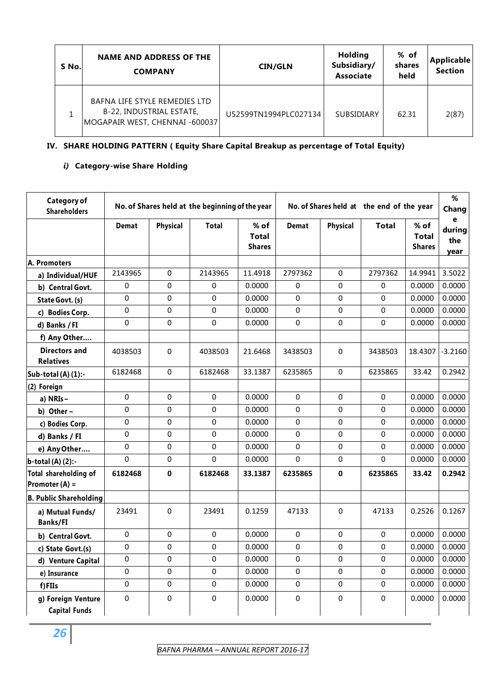| S No. | <b>NAME AND ADDRESS OF THE</b><br><b>COMPANY</b>                                            | <b>CIN/GLN</b>        | <b>Holding</b><br>Subsidiary/<br><b>Associate</b> | % of<br>shares<br>held | <b>Applicable</b><br><b>Section</b> |
|-------|---------------------------------------------------------------------------------------------|-----------------------|---------------------------------------------------|------------------------|-------------------------------------|
|       | BAFNA LIFE STYLE REMEDIES LTD<br>B-22, INDUSTRIAL ESTATE,<br>MOGAPAIR WEST, CHENNAI -600037 | U52599TN1994PLC027134 | <b>SUBSIDIARY</b>                                 | 62.31                  | 2(87)                               |

## **IV. SHARE HOLDING PATTERN ( Equity Share Capital Breakup as percentage of Total Equity)**

#### *i)* **Category-wise Share Holding**

| Category of<br><b>Shareholders</b>       | No. of Shares held at the beginning of the year |                 | No. of Shares held at the end of the year |                                       |              |                 | %<br>Chang   |                                       |                            |
|------------------------------------------|-------------------------------------------------|-----------------|-------------------------------------------|---------------------------------------|--------------|-----------------|--------------|---------------------------------------|----------------------------|
|                                          | <b>Demat</b>                                    | <b>Physical</b> | <b>Total</b>                              | % of<br><b>Total</b><br><b>Shares</b> | <b>Demat</b> | <b>Physical</b> | <b>Total</b> | % of<br><b>Total</b><br><b>Shares</b> | e<br>during<br>the<br>year |
| A. Promoters                             |                                                 |                 |                                           |                                       |              |                 |              |                                       |                            |
| a) Individual/HUF                        | 2143965                                         | 0               | 2143965                                   | 11.4918                               | 2797362      | 0               | 2797362      | 14.9941                               | 3.5022                     |
| b) Central Govt.                         | 0                                               | 0               | 0                                         | 0.0000                                | 0            | 0               | 0            | 0.0000                                | 0.0000                     |
| State Govt. (s)                          | 0                                               | 0               | 0                                         | 0.0000                                | 0            | 0               | 0            | 0.0000                                | 0.0000                     |
| c) Bodies Corp.                          | 0                                               | 0               | 0                                         | 0.0000                                | 0            | 0               | 0            | 0.0000                                | 0.0000                     |
| d) Banks / FI                            | $\Omega$                                        | 0               | 0                                         | 0.0000                                | 0            | 0               | 0            | 0.0000                                | 0.0000                     |
| f) Any Other                             |                                                 |                 |                                           |                                       |              |                 |              |                                       |                            |
| <b>Directors and</b><br><b>Relatives</b> | 4038503                                         | 0               | 4038503                                   | 21.6468                               | 3438503      | 0               | 3438503      | 18.4307                               | $-3.2160$                  |
| Sub-total (A) (1):-                      | 6182468                                         | 0               | 6182468                                   | 33.1387                               | 6235865      | 0               | 6235865      | 33.42                                 | 0.2942                     |
| (2) Foreign                              |                                                 |                 |                                           |                                       |              |                 |              |                                       |                            |
| a) NRIs-                                 | 0                                               | 0               | 0                                         | 0.0000                                | $\Omega$     | 0               | 0            | 0.0000                                | 0.0000                     |
| b) Other-                                | $\Omega$                                        | 0               | 0                                         | 0.0000                                | 0            | 0               | 0            | 0.0000                                | 0.0000                     |
| c) Bodies Corp.                          | 0                                               | 0               | 0                                         | 0.0000                                | 0            | 0               | 0            | 0.0000                                | 0.0000                     |
| d) Banks / FI                            | 0                                               | 0               | 0                                         | 0.0000                                | 0            | 0               | 0            | 0.0000                                | 0.0000                     |
| e) Any Other                             | 0                                               | 0               | 0                                         | 0.0000                                | $\pmb{0}$    | 0               | 0            | 0.0000                                | 0.0000                     |
| $\mathbf{b}\text{-}$ total (A) (2):-     | $\Omega$                                        | 0               | 0                                         | 0.0000                                | 0            | 0               | 0            | 0.0000                                | 0.0000                     |
| Total shareholding of<br>Promoter (A) =  | 6182468                                         | 0               | 6182468                                   | 33.1387                               | 6235865      | 0               | 6235865      | 33.42                                 | 0.2942                     |
| <b>B. Public Shareholding</b>            |                                                 |                 |                                           |                                       |              |                 |              |                                       |                            |
| a) Mutual Funds/<br><b>Banks/FI</b>      | 23491                                           | 0               | 23491                                     | 0.1259                                | 47133        | 0               | 47133        | 0.2526                                | 0.1267                     |
| b) Central Govt.                         | 0                                               | 0               | 0                                         | 0.0000                                | 0            | 0               | 0            | 0.0000                                | 0.0000                     |
| c) State Govt.(s)                        | $\Omega$                                        | 0               | 0                                         | 0.0000                                | 0            | 0               | 0            | 0.0000                                | 0.0000                     |
| d) Venture Capital                       | 0                                               | 0               | 0                                         | 0.0000                                | 0            | 0               | 0            | 0.0000                                | 0.0000                     |
| e) Insurance                             | 0                                               | 0               | 0                                         | 0.0000                                | $\pmb{0}$    | 0               | 0            | 0.0000                                | 0.0000                     |
| f)FIIs                                   | $\Omega$                                        | 0               | 0                                         | 0.0000                                | 0            | 0               | 0            | 0.0000                                | 0.0000                     |
| g) Foreign Venture                       | $\Omega$                                        | 0               | 0                                         | 0.0000                                | $\pmb{0}$    | $\Omega$        | 0            | 0.0000                                | 0.0000                     |
| <b>Capital Funds</b>                     |                                                 |                 |                                           |                                       |              |                 |              |                                       |                            |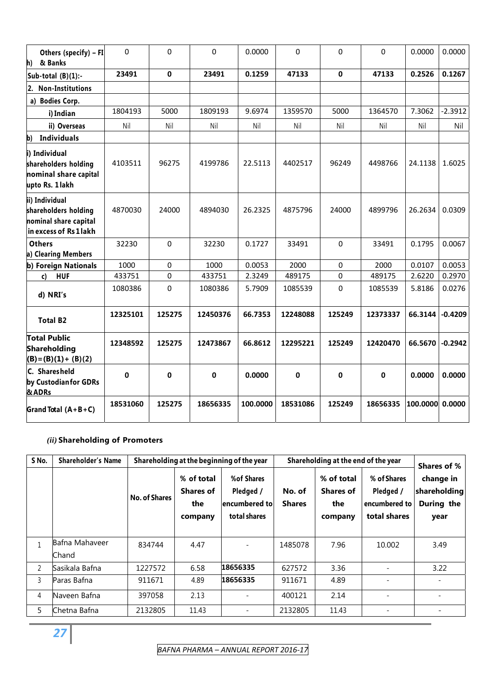| Others (specify) - FI<br>& Banks<br>h)                                                    | 0        | 0      | 0        | 0.0000   | 0           | $\Omega$ | $\Omega$    | 0.0000   | 0.0000    |
|-------------------------------------------------------------------------------------------|----------|--------|----------|----------|-------------|----------|-------------|----------|-----------|
| Sub-total $(B)(1)$ :-                                                                     | 23491    | 0      | 23491    | 0.1259   | 47133       | 0        | 47133       | 0.2526   | 0.1267    |
| <b>Non-Institutions</b><br>2.                                                             |          |        |          |          |             |          |             |          |           |
| a) Bodies Corp.                                                                           |          |        |          |          |             |          |             |          |           |
| i) Indian                                                                                 | 1804193  | 5000   | 1809193  | 9.6974   | 1359570     | 5000     | 1364570     | 7.3062   | $-2.3912$ |
| ii) Overseas                                                                              | Nil      | Nil    | Nil      | Nil      | Nil         | Nil      | Nil         | Nil      | Nil       |
| <b>Individuals</b><br>b)                                                                  |          |        |          |          |             |          |             |          |           |
| i) Individual<br>shareholders holding<br>nominal share capital<br>upto Rs. 1 lakh         | 4103511  | 96275  | 4199786  | 22.5113  | 4402517     | 96249    | 4498766     | 24.1138  | 1.6025    |
| ii) Individual<br>shareholders holding<br>nominal share capital<br>in excess of Rs 1 lakh | 4870030  | 24000  | 4894030  | 26.2325  | 4875796     | 24000    | 4899796     | 26.2634  | 0.0309    |
| <b>Others</b>                                                                             | 32230    | 0      | 32230    | 0.1727   | 33491       | 0        | 33491       | 0.1795   | 0.0067    |
| a) Clearing Members                                                                       |          |        |          |          |             |          |             |          |           |
| b) Foreign Nationals                                                                      | 1000     | 0      | 1000     | 0.0053   | 2000        | 0        | 2000        | 0.0107   | 0.0053    |
| <b>HUF</b><br>c)                                                                          | 433751   | 0      | 433751   | 2.3249   | 489175      | 0        | 489175      | 2.6220   | 0.2970    |
| d) NRI's                                                                                  | 1080386  | 0      | 1080386  | 5.7909   | 1085539     | 0        | 1085539     | 5.8186   | 0.0276    |
| <b>Total B2</b>                                                                           | 12325101 | 125275 | 12450376 | 66.7353  | 12248088    | 125249   | 12373337    | 66.3144  | $-0.4209$ |
| <b>Total Public</b><br>Shareholding<br>$(B) = (B)(1) + (B)(2)$                            | 12348592 | 125275 | 12473867 | 66.8612  | 12295221    | 125249   | 12420470    | 66.5670  | $-0.2942$ |
| C. Sharesheld<br>by Custodian for GDRs<br>& ADRs                                          | 0        | 0      | 0        | 0.0000   | $\mathbf 0$ | 0        | $\mathbf 0$ | 0.0000   | 0.0000    |
| Grand Total $(A + B + C)$                                                                 | 18531060 | 125275 | 18656335 | 100.0000 | 18531086    | 125249   | 18656335    | 100.0000 | 0.0000    |

#### *(ii)* **Shareholding of Promoters**

| S No.        | <b>Shareholder's Name</b> |                      |                                                  | Shareholding at the beginning of the year                |                         | Shareholding at the end of the year              |                                                           | Shares of %                                     |
|--------------|---------------------------|----------------------|--------------------------------------------------|----------------------------------------------------------|-------------------------|--------------------------------------------------|-----------------------------------------------------------|-------------------------------------------------|
|              |                           | <b>No. of Shares</b> | % of total<br><b>Shares of</b><br>the<br>company | %of Shares<br>Pledged /<br>encumbered to<br>total shares | No. of<br><b>Shares</b> | % of total<br><b>Shares of</b><br>the<br>company | % of Shares<br>Pledged /<br>encumbered to<br>total shares | change in<br>shareholding<br>During the<br>year |
| $\mathbf{1}$ | Bafna Mahaveer<br>Chand   | 834744               | 4.47                                             |                                                          | 1485078                 | 7.96                                             | 10.002                                                    | 3.49                                            |
| 2            | Sasikala Bafna            | 1227572              | 6.58                                             | 18656335                                                 | 627572                  | 3.36                                             |                                                           | 3.22                                            |
| 3            | Paras Bafna               | 911671               | 4.89                                             | 18656335                                                 | 911671                  | 4.89                                             |                                                           |                                                 |
| 4            | Naveen Bafna              | 397058               | 2.13                                             |                                                          | 400121                  | 2.14                                             | ÷,                                                        |                                                 |
| 5.           | Chetna Bafna              | 2132805              | 11.43                                            | -                                                        | 2132805                 | 11.43                                            | ۰                                                         | $\qquad \qquad$                                 |

*27*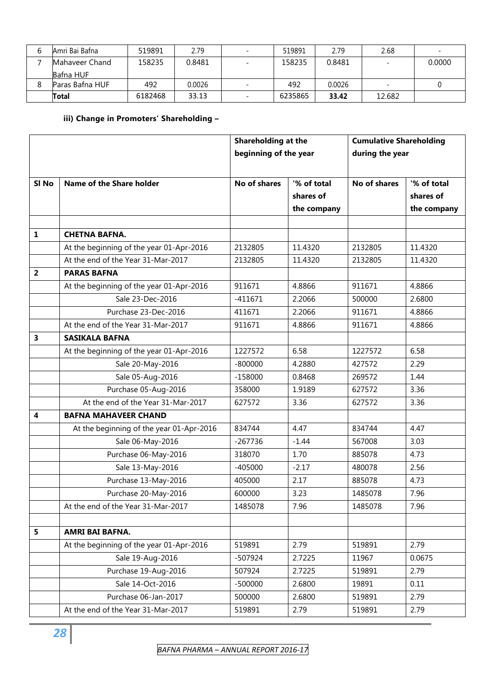| 6 | Amri Bai Bafna         | 519891  | 2.79   | $\overline{\phantom{0}}$ | 519891  | 2.79   | 2.68                     | $\overline{\phantom{0}}$ |
|---|------------------------|---------|--------|--------------------------|---------|--------|--------------------------|--------------------------|
|   | <b>IMahaveer Chand</b> | 158235  | 0.8481 | $\overline{\phantom{a}}$ | 158235  | 0.8481 | $\overline{\phantom{0}}$ | 0.0000                   |
|   | Bafna HUF              |         |        |                          |         |        |                          |                          |
| 8 | Paras Bafna HUF        | 492     | 0.0026 |                          | 492     | 0.0026 |                          |                          |
|   | Total                  | 6182468 | 33.13  | $\overline{\phantom{0}}$ | 6235865 | 33.42  | 12.682                   |                          |

#### **iii) Change in Promoters' Shareholding –**

|                         |                                          | Shareholding at the   |             | <b>Cumulative Shareholding</b> |             |
|-------------------------|------------------------------------------|-----------------------|-------------|--------------------------------|-------------|
|                         |                                          | beginning of the year |             | during the year                |             |
|                         |                                          |                       |             |                                |             |
| SI <sub>No</sub>        | Name of the Share holder                 | No of shares          | '% of total | No of shares                   | '% of total |
|                         |                                          |                       | shares of   |                                | shares of   |
|                         |                                          |                       | the company |                                | the company |
|                         |                                          |                       |             |                                |             |
| $\mathbf{1}$            | <b>CHETNA BAFNA.</b>                     |                       |             |                                |             |
|                         | At the beginning of the year 01-Apr-2016 | 2132805               | 11.4320     | 2132805                        | 11.4320     |
|                         | At the end of the Year 31-Mar-2017       | 2132805               | 11.4320     | 2132805                        | 11.4320     |
| $\overline{2}$          | <b>PARAS BAFNA</b>                       |                       |             |                                |             |
|                         | At the beginning of the year 01-Apr-2016 | 911671                | 4.8866      | 911671                         | 4.8866      |
|                         | Sale 23-Dec-2016                         | $-411671$             | 2.2066      | 500000                         | 2.6800      |
|                         | Purchase 23-Dec-2016                     | 411671                | 2.2066      | 911671                         | 4.8866      |
|                         | At the end of the Year 31-Mar-2017       | 911671                | 4.8866      | 911671                         | 4.8866      |
| 3                       | <b>SASIKALA BAFNA</b>                    |                       |             |                                |             |
|                         | At the beginning of the year 01-Apr-2016 | 1227572               | 6.58        | 1227572                        | 6.58        |
|                         | Sale 20-May-2016                         | $-800000$             | 4.2880      | 427572                         | 2.29        |
|                         | Sale 05-Aug-2016                         | $-158000$             | 0.8468      | 269572                         | 1.44        |
|                         | Purchase 05-Aug-2016                     | 358000                | 1.9189      | 627572                         | 3.36        |
|                         | At the end of the Year 31-Mar-2017       | 627572                | 3.36        | 627572                         | 3.36        |
| $\overline{\mathbf{4}}$ | <b>BAFNA MAHAVEER CHAND</b>              |                       |             |                                |             |
|                         | At the beginning of the year 01-Apr-2016 | 834744                | 4.47        | 834744                         | 4.47        |
|                         | Sale 06-May-2016                         | $-267736$             | $-1.44$     | 567008                         | 3.03        |
|                         | Purchase 06-May-2016                     | 318070                | 1.70        | 885078                         | 4.73        |
|                         | Sale 13-May-2016                         | $-405000$             | $-2.17$     | 480078                         | 2.56        |
|                         | Purchase 13-May-2016                     | 405000                | 2.17        | 885078                         | 4.73        |
|                         | Purchase 20-May-2016                     | 600000                | 3.23        | 1485078                        | 7.96        |
|                         | At the end of the Year 31-Mar-2017       | 1485078               | 7.96        | 1485078                        | 7.96        |
|                         |                                          |                       |             |                                |             |
| 5                       | AMRI BAI BAFNA.                          |                       |             |                                |             |
|                         | At the beginning of the year 01-Apr-2016 | 519891                | 2.79        | 519891                         | 2.79        |
|                         | Sale 19-Aug-2016                         | $-507924$             | 2.7225      | 11967                          | 0.0675      |
|                         | Purchase 19-Aug-2016                     | 507924                | 2.7225      | 519891                         | 2.79        |
|                         | Sale 14-Oct-2016                         | $-500000$             | 2.6800      | 19891                          | 0.11        |
|                         | Purchase 06-Jan-2017                     | 500000                | 2.6800      | 519891                         | 2.79        |
|                         | At the end of the Year 31-Mar-2017       | 519891                | 2.79        | 519891                         | 2.79        |

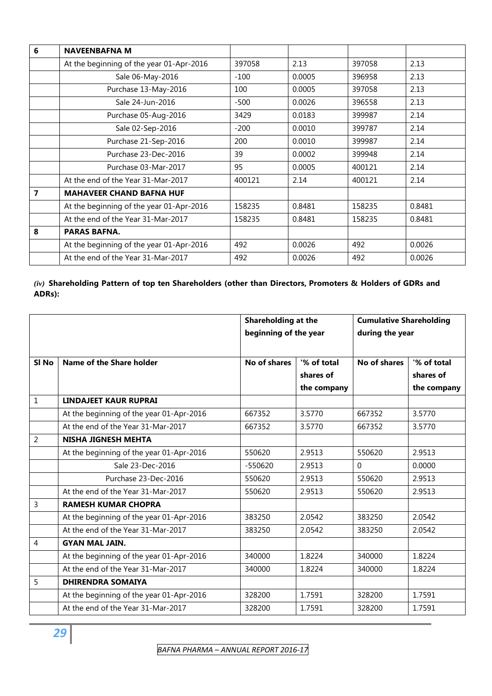| 6 | <b>NAVEENBAFNA M</b>                     |        |        |        |        |
|---|------------------------------------------|--------|--------|--------|--------|
|   | At the beginning of the year 01-Apr-2016 | 397058 | 2.13   | 397058 | 2.13   |
|   | Sale 06-May-2016                         | $-100$ | 0.0005 | 396958 | 2.13   |
|   | Purchase 13-May-2016                     | 100    | 0.0005 | 397058 | 2.13   |
|   | Sale 24-Jun-2016                         | $-500$ | 0.0026 | 396558 | 2.13   |
|   | Purchase 05-Aug-2016                     | 3429   | 0.0183 | 399987 | 2.14   |
|   | Sale 02-Sep-2016                         | $-200$ | 0.0010 | 399787 | 2.14   |
|   | Purchase 21-Sep-2016                     | 200    | 0.0010 | 399987 | 2.14   |
|   | Purchase 23-Dec-2016                     | 39     | 0.0002 | 399948 | 2.14   |
|   | Purchase 03-Mar-2017                     | 95     | 0.0005 | 400121 | 2.14   |
|   | At the end of the Year 31-Mar-2017       | 400121 | 2.14   | 400121 | 2.14   |
| 7 | <b>MAHAVEER CHAND BAFNA HUF</b>          |        |        |        |        |
|   | At the beginning of the year 01-Apr-2016 | 158235 | 0.8481 | 158235 | 0.8481 |
|   | At the end of the Year 31-Mar-2017       | 158235 | 0.8481 | 158235 | 0.8481 |
| 8 | <b>PARAS BAFNA.</b>                      |        |        |        |        |
|   | At the beginning of the year 01-Apr-2016 | 492    | 0.0026 | 492    | 0.0026 |
|   | At the end of the Year 31-Mar-2017       | 492    | 0.0026 | 492    | 0.0026 |

#### *(iv)* **Shareholding Pattern of top ten Shareholders (other than Directors, Promoters & Holders of GDRs and ADRs):**

|                |                                          | <b>Shareholding at the</b> |             | <b>Cumulative Shareholding</b> |             |
|----------------|------------------------------------------|----------------------------|-------------|--------------------------------|-------------|
|                |                                          | beginning of the year      |             | during the year                |             |
|                |                                          |                            |             |                                |             |
| SI No          | Name of the Share holder                 | No of shares               | '% of total | No of shares                   | '% of total |
|                |                                          |                            | shares of   |                                | shares of   |
|                |                                          |                            | the company |                                | the company |
| 1              | <b>LINDAJEET KAUR RUPRAI</b>             |                            |             |                                |             |
|                | At the beginning of the year 01-Apr-2016 | 667352                     | 3.5770      | 667352                         | 3.5770      |
|                | At the end of the Year 31-Mar-2017       | 667352                     | 3.5770      | 667352                         | 3.5770      |
| $\overline{2}$ | NISHA JIGNESH MEHTA                      |                            |             |                                |             |
|                | At the beginning of the year 01-Apr-2016 | 550620                     | 2.9513      | 550620                         | 2.9513      |
|                | Sale 23-Dec-2016                         | $-550620$                  | 2.9513      | $\Omega$                       | 0.0000      |
|                | Purchase 23-Dec-2016                     | 550620                     | 2.9513      | 550620                         | 2.9513      |
|                | At the end of the Year 31-Mar-2017       | 550620                     | 2.9513      | 550620                         | 2.9513      |
| 3              | <b>RAMESH KUMAR CHOPRA</b>               |                            |             |                                |             |
|                | At the beginning of the year 01-Apr-2016 | 383250                     | 2.0542      | 383250                         | 2.0542      |
|                | At the end of the Year 31-Mar-2017       | 383250                     | 2.0542      | 383250                         | 2.0542      |
| $\overline{4}$ | <b>GYAN MAL JAIN.</b>                    |                            |             |                                |             |
|                | At the beginning of the year 01-Apr-2016 | 340000                     | 1.8224      | 340000                         | 1.8224      |
|                | At the end of the Year 31-Mar-2017       | 340000                     | 1.8224      | 340000                         | 1.8224      |
| 5              | <b>DHIRENDRA SOMAIYA</b>                 |                            |             |                                |             |
|                | At the beginning of the year 01-Apr-2016 | 328200                     | 1.7591      | 328200                         | 1.7591      |
|                | At the end of the Year 31-Mar-2017       | 328200                     | 1.7591      | 328200                         | 1.7591      |

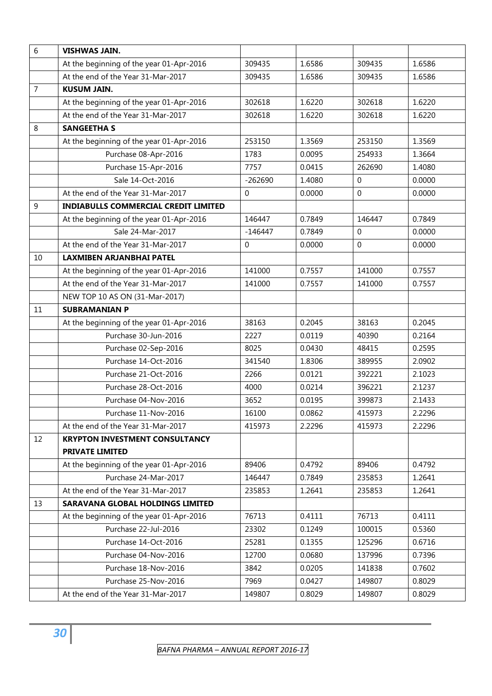| $6\phantom{1}6$ | <b>VISHWAS JAIN.</b>                        |             |        |                  |        |
|-----------------|---------------------------------------------|-------------|--------|------------------|--------|
|                 | At the beginning of the year 01-Apr-2016    | 309435      | 1.6586 | 309435           | 1.6586 |
|                 | At the end of the Year 31-Mar-2017          | 309435      | 1.6586 | 309435           | 1.6586 |
| $\overline{7}$  | <b>KUSUM JAIN.</b>                          |             |        |                  |        |
|                 | At the beginning of the year 01-Apr-2016    | 302618      | 1.6220 | 302618           | 1.6220 |
|                 | At the end of the Year 31-Mar-2017          | 302618      | 1.6220 | 302618           | 1.6220 |
| $\,8\,$         | <b>SANGEETHA S</b>                          |             |        |                  |        |
|                 | At the beginning of the year 01-Apr-2016    | 253150      | 1.3569 | 253150           | 1.3569 |
|                 | Purchase 08-Apr-2016                        | 1783        | 0.0095 | 254933           | 1.3664 |
|                 | Purchase 15-Apr-2016                        | 7757        | 0.0415 | 262690           | 1.4080 |
|                 | Sale 14-Oct-2016                            | $-262690$   | 1.4080 | $\Omega$         | 0.0000 |
|                 | At the end of the Year 31-Mar-2017          | 0           | 0.0000 | $\boldsymbol{0}$ | 0.0000 |
| 9               | <b>INDIABULLS COMMERCIAL CREDIT LIMITED</b> |             |        |                  |        |
|                 | At the beginning of the year 01-Apr-2016    | 146447      | 0.7849 | 146447           | 0.7849 |
|                 | Sale 24-Mar-2017                            | $-146447$   | 0.7849 | $\mathbf 0$      | 0.0000 |
|                 | At the end of the Year 31-Mar-2017          | $\mathbf 0$ | 0.0000 | $\mathbf 0$      | 0.0000 |
| 10              | <b>LAXMIBEN ARJANBHAI PATEL</b>             |             |        |                  |        |
|                 | At the beginning of the year 01-Apr-2016    | 141000      | 0.7557 | 141000           | 0.7557 |
|                 | At the end of the Year 31-Mar-2017          | 141000      | 0.7557 | 141000           | 0.7557 |
|                 | NEW TOP 10 AS ON (31-Mar-2017)              |             |        |                  |        |
| 11              | <b>SUBRAMANIAN P</b>                        |             |        |                  |        |
|                 | At the beginning of the year 01-Apr-2016    | 38163       | 0.2045 | 38163            | 0.2045 |
|                 | Purchase 30-Jun-2016                        | 2227        | 0.0119 | 40390            | 0.2164 |
|                 | Purchase 02-Sep-2016                        | 8025        | 0.0430 | 48415            | 0.2595 |
|                 | Purchase 14-Oct-2016                        | 341540      | 1.8306 | 389955           | 2.0902 |
|                 | Purchase 21-Oct-2016                        | 2266        | 0.0121 | 392221           | 2.1023 |
|                 | Purchase 28-Oct-2016                        | 4000        | 0.0214 | 396221           | 2.1237 |
|                 | Purchase 04-Nov-2016                        | 3652        | 0.0195 | 399873           | 2.1433 |
|                 | Purchase 11-Nov-2016                        | 16100       | 0.0862 | 415973           | 2.2296 |
|                 | At the end of the Year 31-Mar-2017          | 415973      | 2.2296 | 415973           | 2.2296 |
| 12              | <b>KRYPTON INVESTMENT CONSULTANCY</b>       |             |        |                  |        |
|                 | <b>PRIVATE LIMITED</b>                      |             |        |                  |        |
|                 | At the beginning of the year 01-Apr-2016    | 89406       | 0.4792 | 89406            | 0.4792 |
|                 | Purchase 24-Mar-2017                        | 146447      | 0.7849 | 235853           | 1.2641 |
|                 | At the end of the Year 31-Mar-2017          | 235853      | 1.2641 | 235853           | 1.2641 |
| 13              | SARAVANA GLOBAL HOLDINGS LIMITED            |             |        |                  |        |
|                 | At the beginning of the year 01-Apr-2016    | 76713       | 0.4111 | 76713            | 0.4111 |
|                 | Purchase 22-Jul-2016                        | 23302       | 0.1249 | 100015           | 0.5360 |
|                 | Purchase 14-Oct-2016                        | 25281       | 0.1355 | 125296           | 0.6716 |
|                 | Purchase 04-Nov-2016                        | 12700       | 0.0680 | 137996           | 0.7396 |
|                 | Purchase 18-Nov-2016                        | 3842        | 0.0205 | 141838           | 0.7602 |
|                 | Purchase 25-Nov-2016                        | 7969        | 0.0427 | 149807           | 0.8029 |
|                 | At the end of the Year 31-Mar-2017          | 149807      | 0.8029 | 149807           | 0.8029 |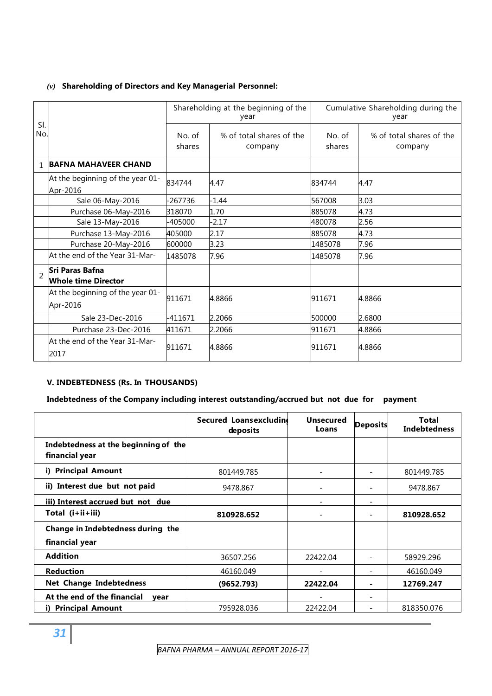#### *(v)* **Shareholding of Directors and Key Managerial Personnel:**

|                          |                                               | Shareholding at the beginning of the<br>year |                                     | Cumulative Shareholding during the<br>year |                                     |  |
|--------------------------|-----------------------------------------------|----------------------------------------------|-------------------------------------|--------------------------------------------|-------------------------------------|--|
| SI.<br>No.               |                                               | No. of<br>shares                             | % of total shares of the<br>company | No. of<br>shares                           | % of total shares of the<br>company |  |
| 1                        | <b>BAFNA MAHAVEER CHAND</b>                   |                                              |                                     |                                            |                                     |  |
|                          | At the beginning of the year 01-<br>Apr-2016  | 834744                                       | 4.47                                | 834744                                     | 4.47                                |  |
|                          | Sale 06-May-2016                              | 267736                                       | $-1.44$                             | 567008                                     | 3.03                                |  |
|                          | Purchase 06-May-2016                          | 318070                                       | 1.70                                | 885078                                     | 4.73                                |  |
|                          | Sale 13-May-2016                              | -405000                                      | $-2.17$                             | 480078                                     | 2.56                                |  |
|                          | Purchase 13-May-2016                          | 405000                                       | 2.17                                | 885078                                     | 4.73                                |  |
|                          | Purchase 20-May-2016                          | 600000                                       | 3.23                                | 1485078                                    | 7.96                                |  |
|                          | At the end of the Year 31-Mar-                | 1485078                                      | 7.96                                | 1485078                                    | 7.96                                |  |
| $\overline{\phantom{a}}$ | Sri Paras Bafna<br><b>Whole time Director</b> |                                              |                                     |                                            |                                     |  |
|                          | At the beginning of the year 01-<br>Apr-2016  | 911671                                       | 4.8866                              | 911671                                     | 4.8866                              |  |
|                          | Sale 23-Dec-2016                              | $-411671$                                    | 2.2066                              | 500000                                     | 2.6800                              |  |
|                          | Purchase 23-Dec-2016                          | 411671                                       | 2.2066                              | 911671                                     | 4.8866                              |  |
|                          | At the end of the Year 31-Mar-<br>2017        | 911671                                       | 4.8866                              | 911671                                     | 4.8866                              |  |

#### **V. INDEBTEDNESS (Rs. In THOUSANDS)**

#### **Indebtedness of the Company including interest outstanding/accrued but not due for payment**

|                                                        | Secured Loansexcluding<br>deposits | <b>Unsecured</b><br>Loans | <b>Deposits</b>          | Total<br><b>Indebtedness</b> |
|--------------------------------------------------------|------------------------------------|---------------------------|--------------------------|------------------------------|
| Indebtedness at the beginning of the<br>financial year |                                    |                           |                          |                              |
| i) Principal Amount                                    | 801449.785                         |                           |                          | 801449.785                   |
| ii) Interest due but not paid                          | 9478.867                           |                           |                          | 9478.867                     |
| iii) Interest accrued but not due                      |                                    | -                         | $\overline{\phantom{a}}$ |                              |
| Total (i+ii+iii)                                       | 810928.652                         |                           |                          | 810928.652                   |
| Change in Indebtedness during the                      |                                    |                           |                          |                              |
| financial year                                         |                                    |                           |                          |                              |
| <b>Addition</b>                                        | 36507.256                          | 22422.04                  |                          | 58929.296                    |
| <b>Reduction</b>                                       | 46160.049                          |                           |                          | 46160.049                    |
| <b>Net Change Indebtedness</b>                         | (9652.793)                         | 22422.04                  |                          | 12769.247                    |
| At the end of the financial<br>vear                    |                                    |                           | $\equiv$                 |                              |
| <b>Principal Amount</b><br>i).                         | 795928.036                         | 22422.04                  |                          | 818350.076                   |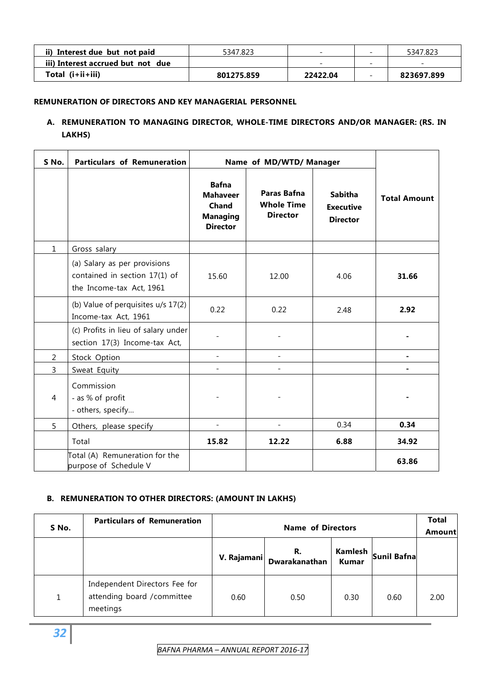| Interest due but not paid         | 5347.823   | -                        | 5347.823                 |
|-----------------------------------|------------|--------------------------|--------------------------|
| iii) Interest accrued but not due |            | $\overline{\phantom{0}}$ | $\overline{\phantom{0}}$ |
| Total $(i+ii+iii)$                | 801275.859 | 22422.04                 | 823697.899               |

#### **REMUNERATION OF DIRECTORS AND KEY MANAGERIAL PERSONNEL**

#### **A. REMUNERATION TO MANAGING DIRECTOR, WHOLE-TIME DIRECTORS AND/OR MANAGER: (RS. IN LAKHS)**

| S No.        | <b>Particulars of Remuneration</b>                                                        |                                                                                | Name of MD/WTD/ Manager                             |                                                       |                     |
|--------------|-------------------------------------------------------------------------------------------|--------------------------------------------------------------------------------|-----------------------------------------------------|-------------------------------------------------------|---------------------|
|              |                                                                                           | <b>Bafna</b><br><b>Mahaveer</b><br>Chand<br><b>Managing</b><br><b>Director</b> | Paras Bafna<br><b>Whole Time</b><br><b>Director</b> | <b>Sabitha</b><br><b>Executive</b><br><b>Director</b> | <b>Total Amount</b> |
| $\mathbf{1}$ | Gross salary                                                                              |                                                                                |                                                     |                                                       |                     |
|              | (a) Salary as per provisions<br>contained in section 17(1) of<br>the Income-tax Act, 1961 | 15.60                                                                          | 12.00                                               | 4.06                                                  | 31.66               |
|              | (b) Value of perquisites u/s 17(2)<br>Income-tax Act, 1961                                | 0.22                                                                           | 0.22                                                | 2.48                                                  | 2.92                |
|              | (c) Profits in lieu of salary under<br>section 17(3) Income-tax Act,                      |                                                                                |                                                     |                                                       |                     |
| 2            | Stock Option                                                                              |                                                                                | $\blacksquare$                                      |                                                       | -                   |
| 3            | Sweat Equity                                                                              |                                                                                |                                                     |                                                       |                     |
| 4            | Commission<br>- as % of profit<br>- others, specify                                       |                                                                                |                                                     |                                                       |                     |
| 5            | Others, please specify                                                                    |                                                                                | $\overline{\phantom{a}}$                            | 0.34                                                  | 0.34                |
|              | Total                                                                                     | 15.82                                                                          | 12.22                                               | 6.88                                                  | 34.92               |
|              | Total (A) Remuneration for the<br>purpose of Schedule V                                   |                                                                                |                                                     |                                                       | 63.86               |

#### **B. REMUNERATION TO OTHER DIRECTORS: (AMOUNT IN LAKHS)**

| S No. | <b>Particulars of Remuneration</b>                                       |             | <b>Name of Directors</b> |              |                          |      |  |
|-------|--------------------------------------------------------------------------|-------------|--------------------------|--------------|--------------------------|------|--|
|       |                                                                          | V. Rajamani | R.<br>Dwarakanathan      | <b>Kumar</b> | Kamlesh  <br>Sunil Bafna |      |  |
| 1     | Independent Directors Fee for<br>attending board / committee<br>meetings | 0.60        | 0.50                     | 0.30         | 0.60                     | 2.00 |  |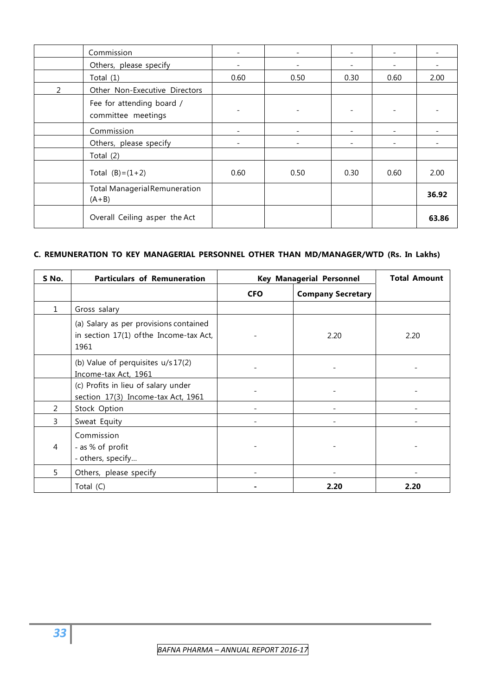|   | Commission                                      |      | ۰                        |      |      |       |
|---|-------------------------------------------------|------|--------------------------|------|------|-------|
|   | Others, please specify                          |      | -                        |      |      |       |
|   | Total $(1)$                                     | 0.60 | 0.50                     | 0.30 | 0.60 | 2.00  |
| 2 | Other Non-Executive Directors                   |      |                          |      |      |       |
|   | Fee for attending board /<br>committee meetings |      | $\overline{\phantom{a}}$ |      |      |       |
|   | Commission                                      |      | -                        |      |      |       |
|   | Others, please specify                          |      | -                        |      |      |       |
|   | Total $(2)$                                     |      |                          |      |      |       |
|   | Total $(B)=(1+2)$                               | 0.60 | 0.50                     | 0.30 | 0.60 | 2.00  |
|   | <b>Total Managerial Remuneration</b><br>$(A+B)$ |      |                          |      |      | 36.92 |
|   | Overall Ceiling asper the Act                   |      |                          |      |      | 63.86 |

#### **C. REMUNERATION TO KEY MANAGERIAL PERSONNEL OTHER THAN MD/MANAGER/WTD (Rs. In Lakhs)**

| S No.        | <b>Particulars of Remuneration</b>                                                        | <b>Key Managerial Personnel</b> | <b>Total Amount</b>      |      |
|--------------|-------------------------------------------------------------------------------------------|---------------------------------|--------------------------|------|
|              |                                                                                           | <b>CFO</b>                      | <b>Company Secretary</b> |      |
| $\mathbf{1}$ | Gross salary                                                                              |                                 |                          |      |
|              | (a) Salary as per provisions contained<br>in section 17(1) of the Income-tax Act,<br>1961 |                                 | 2.20                     | 2.20 |
|              | (b) Value of perquisites u/s 17(2)<br>Income-tax Act, 1961                                |                                 |                          |      |
|              | (c) Profits in lieu of salary under<br>section 17(3) Income-tax Act, 1961                 |                                 |                          |      |
| 2            | Stock Option                                                                              |                                 |                          |      |
| 3            | Sweat Equity                                                                              |                                 |                          |      |
| 4            | Commission<br>- as % of profit<br>- others, specify                                       |                                 |                          |      |
| 5.           | Others, please specify                                                                    |                                 |                          |      |
|              | Total (C)                                                                                 |                                 | 2.20                     | 2.20 |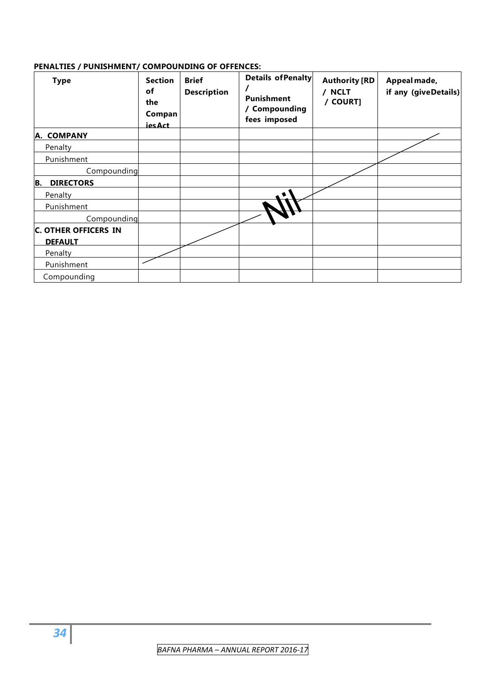#### **PENALTIES / PUNISHMENT/ COMPOUNDING OF OFFENCES:**

| <b>Type</b>                                   | <b>Section</b><br>of<br>the<br>Compan<br><b>iesAct</b> | <b>Brief</b><br><b>Description</b> | Details of Penalty<br><b>Punishment</b><br>Compounding<br>fees imposed | <b>Authority [RD</b><br>/ NCLT<br>/ COURT] | Appeal made,<br>if any (giveDetails) |
|-----------------------------------------------|--------------------------------------------------------|------------------------------------|------------------------------------------------------------------------|--------------------------------------------|--------------------------------------|
| A. COMPANY                                    |                                                        |                                    |                                                                        |                                            |                                      |
| Penalty                                       |                                                        |                                    |                                                                        |                                            |                                      |
| Punishment                                    |                                                        |                                    |                                                                        |                                            |                                      |
| Compounding                                   |                                                        |                                    |                                                                        |                                            |                                      |
| <b>DIRECTORS</b><br>B.                        |                                                        |                                    |                                                                        |                                            |                                      |
| Penalty                                       |                                                        |                                    |                                                                        |                                            |                                      |
| Punishment                                    |                                                        |                                    |                                                                        |                                            |                                      |
| Compounding                                   |                                                        |                                    |                                                                        |                                            |                                      |
| <b>C. OTHER OFFICERS IN</b><br><b>DEFAULT</b> |                                                        |                                    |                                                                        |                                            |                                      |
| Penalty                                       |                                                        |                                    |                                                                        |                                            |                                      |
| Punishment                                    |                                                        |                                    |                                                                        |                                            |                                      |
| Compounding                                   |                                                        |                                    |                                                                        |                                            |                                      |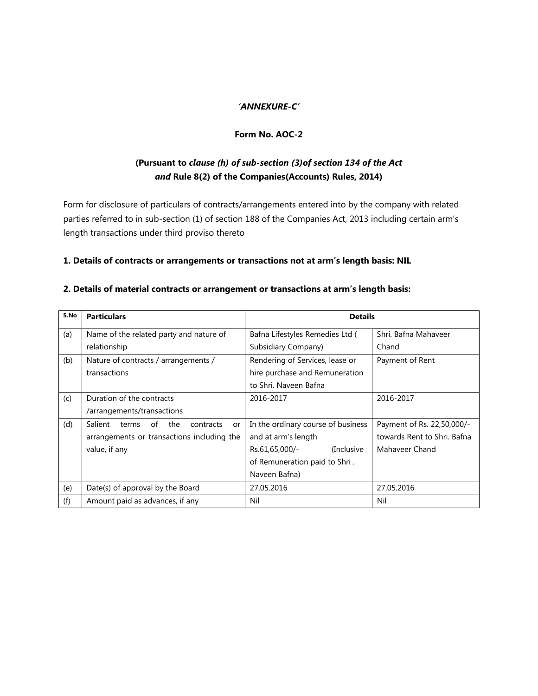#### *'ANNEXURE-C'*

#### **Form No. AOC-2**

## **(Pursuant to** *clause (h) of sub-section (3)of section 134 of the Act and* **Rule 8(2) of the Companies(Accounts) Rules, 2014)**

Form for disclosure of particulars of contracts/arrangements entered into by the company with related parties referred to in sub-section (1) of section 188 of the Companies Act, 2013 including certain arm's length transactions under third proviso thereto

#### **1. Details of contracts or arrangements or transactions not at arm's length basis: NIL**

| S.No | <b>Particulars</b>                               | <b>Details</b>                     |                             |  |
|------|--------------------------------------------------|------------------------------------|-----------------------------|--|
| (a)  | Name of the related party and nature of          | Bafna Lifestyles Remedies Ltd (    | Shri. Bafna Mahaveer        |  |
|      | relationship                                     | Subsidiary Company)                | Chand                       |  |
| (b)  | Nature of contracts / arrangements /             | Rendering of Services, lease or    | Payment of Rent             |  |
|      | transactions                                     | hire purchase and Remuneration     |                             |  |
|      |                                                  | to Shri. Naveen Bafna              |                             |  |
| (c)  | Duration of the contracts                        | 2016-2017                          | 2016-2017                   |  |
|      | /arrangements/transactions                       |                                    |                             |  |
| (d)  | Salient<br>of<br>the<br>terms<br>contracts<br>or | In the ordinary course of business | Payment of Rs. 22,50,000/-  |  |
|      | arrangements or transactions including the       | and at arm's length                | towards Rent to Shri. Bafna |  |
|      | value, if any                                    | Rs.61,65,000/-<br>(Inclusive)      | Mahaveer Chand              |  |
|      |                                                  | of Remuneration paid to Shri.      |                             |  |
|      |                                                  | Naveen Bafna)                      |                             |  |
| (e)  | Date(s) of approval by the Board                 | 27.05.2016                         | 27.05.2016                  |  |
| (f)  | Amount paid as advances, if any                  | Nil                                | Nil                         |  |

#### **2. Details of material contracts or arrangement or transactions at arm's length basis:**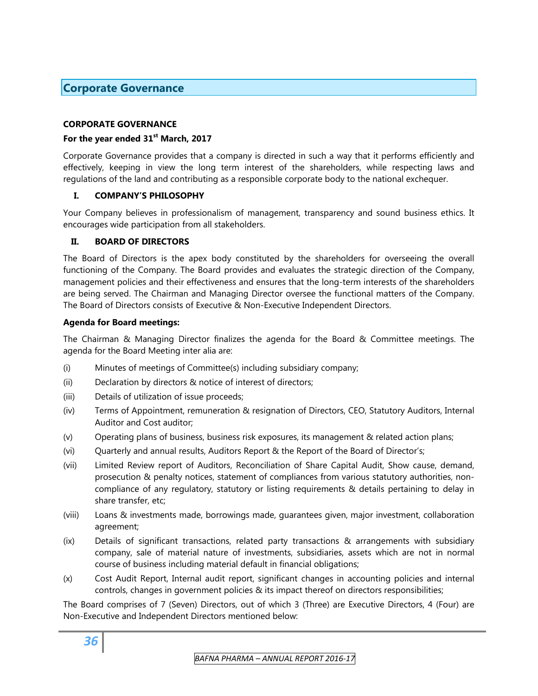## **Corporate Governance**

#### **CORPORATE GOVERNANCE**

#### **For the year ended 31st March, 2017**

Corporate Governance provides that a company is directed in such a way that it performs efficiently and effectively, keeping in view the long term interest of the shareholders, while respecting laws and regulations of the land and contributing as a responsible corporate body to the national exchequer.

#### **I. COMPANY'S PHILOSOPHY**

Your Company believes in professionalism of management, transparency and sound business ethics. It encourages wide participation from all stakeholders.

#### **II. BOARD OF DIRECTORS**

The Board of Directors is the apex body constituted by the shareholders for overseeing the overall functioning of the Company. The Board provides and evaluates the strategic direction of the Company, management policies and their effectiveness and ensures that the long-term interests of the shareholders are being served. The Chairman and Managing Director oversee the functional matters of the Company. The Board of Directors consists of Executive & Non-Executive Independent Directors.

#### **Agenda for Board meetings:**

The Chairman & Managing Director finalizes the agenda for the Board & Committee meetings. The agenda for the Board Meeting inter alia are:

- (i) Minutes of meetings of Committee(s) including subsidiary company;
- (ii) Declaration by directors & notice of interest of directors;
- (iii) Details of utilization of issue proceeds;
- (iv) Terms of Appointment, remuneration & resignation of Directors, CEO, Statutory Auditors, Internal Auditor and Cost auditor;
- (v) Operating plans of business, business risk exposures, its management & related action plans;
- (vi) Quarterly and annual results, Auditors Report & the Report of the Board of Director's;
- (vii) Limited Review report of Auditors, Reconciliation of Share Capital Audit, Show cause, demand, prosecution & penalty notices, statement of compliances from various statutory authorities, noncompliance of any regulatory, statutory or listing requirements & details pertaining to delay in share transfer, etc;
- (viii) Loans & investments made, borrowings made, guarantees given, major investment, collaboration agreement;
- (ix) Details of significant transactions, related party transactions & arrangements with subsidiary company, sale of material nature of investments, subsidiaries, assets which are not in normal course of business including material default in financial obligations;
- (x) Cost Audit Report, Internal audit report, significant changes in accounting policies and internal controls, changes in government policies & its impact thereof on directors responsibilities;

The Board comprises of 7 (Seven) Directors, out of which 3 (Three) are Executive Directors, 4 (Four) are Non-Executive and Independent Directors mentioned below: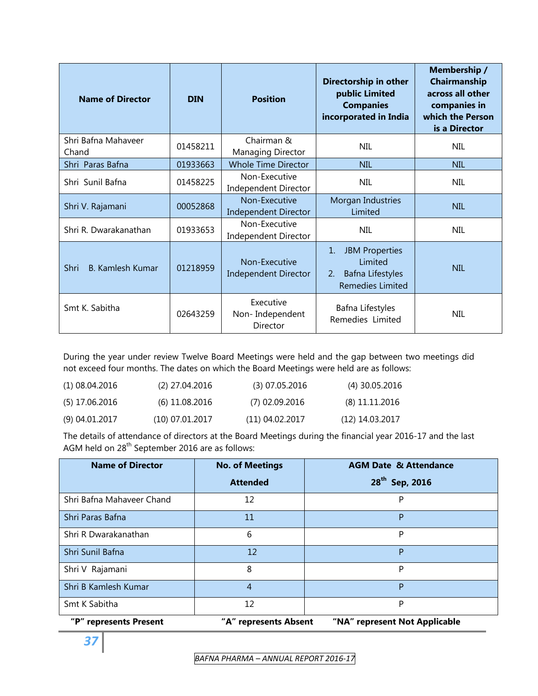| <b>Name of Director</b>      | <b>DIN</b> | <b>Position</b>                              | <b>Membership</b> /<br>Directorship in other<br>Chairmanship<br>public Limited<br>across all other<br><b>Companies</b><br>companies in<br>which the Person<br>incorporated in India<br>is a Director |            |
|------------------------------|------------|----------------------------------------------|------------------------------------------------------------------------------------------------------------------------------------------------------------------------------------------------------|------------|
| Shri Bafna Mahaveer<br>Chand | 01458211   | Chairman &<br>Managing Director              | <b>NIL</b>                                                                                                                                                                                           | <b>NIL</b> |
| Shri Paras Bafna             | 01933663   | <b>Whole Time Director</b>                   | <b>NIL</b>                                                                                                                                                                                           | <b>NIL</b> |
| Shri Sunil Bafna             | 01458225   | Non-Executive<br>Independent Director        | <b>NIL</b>                                                                                                                                                                                           | <b>NIL</b> |
| Shri V. Rajamani             | 00052868   | Non-Executive<br><b>Independent Director</b> | Morgan Industries<br>Limited                                                                                                                                                                         | <b>NIL</b> |
| Shri R. Dwarakanathan        | 01933653   | Non-Executive<br>Independent Director        | <b>NIL</b>                                                                                                                                                                                           | NIL        |
| Shri<br>B. Kamlesh Kumar     | 01218959   | Non-Executive<br>Independent Director        | <b>JBM Properties</b><br>1.<br>Limited<br>Bafna Lifestyles<br>2.<br><b>Remedies Limited</b>                                                                                                          | <b>NIL</b> |
| Smt K. Sabitha               | 02643259   | Executive<br>Non-Independent<br>Director     | Bafna Lifestyles<br>Remedies Limited                                                                                                                                                                 | <b>NIL</b> |

During the year under review Twelve Board Meetings were held and the gap between two meetings did not exceed four months. The dates on which the Board Meetings were held are as follows:

| (1) 08.04.2016   | $(2)$ 27.04.2016  | $(3)$ 07.05.2016 | $(4)$ 30.05.2016 |
|------------------|-------------------|------------------|------------------|
| (5) 17.06.2016   | $(6)$ 11.08.2016  | (7) 02.09.2016   | $(8)$ 11.11.2016 |
| $(9)$ 04.01.2017 | $(10)$ 07.01.2017 | (11) 04.02.2017  | (12) 14.03.2017  |

The details of attendance of directors at the Board Meetings during the financial year 2016-17 and the last AGM held on 28<sup>th</sup> September 2016 are as follows:

| <b>Name of Director</b>   | <b>No. of Meetings</b> | <b>AGM Date &amp; Attendance</b> |
|---------------------------|------------------------|----------------------------------|
|                           | <b>Attended</b>        | 28 <sup>th</sup> Sep, 2016       |
| Shri Bafna Mahaveer Chand | 12                     | P                                |
| Shri Paras Bafna          | 11                     | P                                |
| Shri R Dwarakanathan      | 6                      | P                                |
| Shri Sunil Bafna          | 12                     | P                                |
| Shri V Rajamani           | 8                      | P                                |
| Shri B Kamlesh Kumar      | $\overline{4}$         | P                                |
| Smt K Sabitha             | 12                     | P                                |
| "P" represents Present    | "A" represents Absent  | "NA" represent Not Applicable    |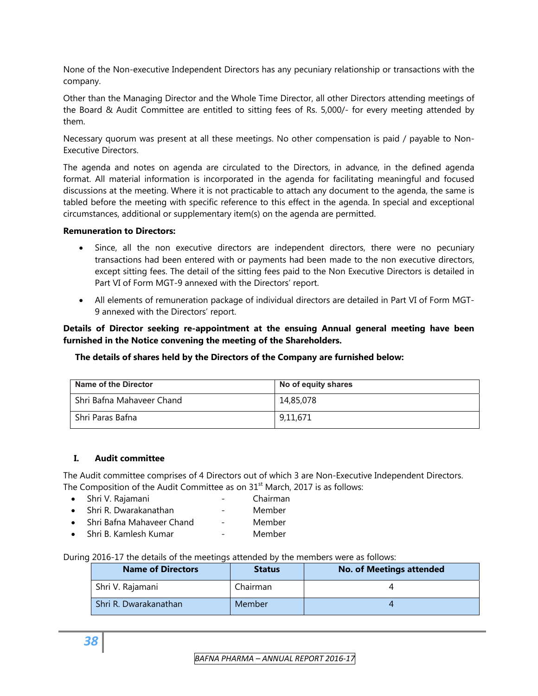None of the Non-executive Independent Directors has any pecuniary relationship or transactions with the company.

Other than the Managing Director and the Whole Time Director, all other Directors attending meetings of the Board & Audit Committee are entitled to sitting fees of Rs. 5,000/- for every meeting attended by them.

Necessary quorum was present at all these meetings. No other compensation is paid / payable to Non-Executive Directors.

The agenda and notes on agenda are circulated to the Directors, in advance, in the defined agenda format. All material information is incorporated in the agenda for facilitating meaningful and focused discussions at the meeting. Where it is not practicable to attach any document to the agenda, the same is tabled before the meeting with specific reference to this effect in the agenda. In special and exceptional circumstances, additional or supplementary item(s) on the agenda are permitted.

#### **Remuneration to Directors:**

- Since, all the non executive directors are independent directors, there were no pecuniary transactions had been entered with or payments had been made to the non executive directors, except sitting fees. The detail of the sitting fees paid to the Non Executive Directors is detailed in Part VI of Form MGT-9 annexed with the Directors' report.
- All elements of remuneration package of individual directors are detailed in Part VI of Form MGT-9 annexed with the Directors' report.

#### **Details of Director seeking re-appointment at the ensuing Annual general meeting have been furnished in the Notice convening the meeting of the Shareholders.**

#### **The details of shares held by the Directors of the Company are furnished below:**

| Name of the Director      | No of equity shares |
|---------------------------|---------------------|
| Shri Bafna Mahaveer Chand | 14,85,078           |
| Shri Paras Bafna          | 9,11,671            |

#### **I. Audit committee**

The Audit committee comprises of 4 Directors out of which 3 are Non-Executive Independent Directors. The Composition of the Audit Committee as on  $31<sup>st</sup>$  March, 2017 is as follows:

- Shri V. Rajamani Chairman
- Shri R. Dwarakanathan Member
- Shri Bafna Mahaveer Chand Member
- Shri B. Kamlesh Kumar Member

#### During 2016-17 the details of the meetings attended by the members were as follows:

| <b>Name of Directors</b> | <b>Status</b> | No. of Meetings attended |
|--------------------------|---------------|--------------------------|
| Shri V. Rajamani         | Chairman      |                          |
| Shri R. Dwarakanathan    | Member        |                          |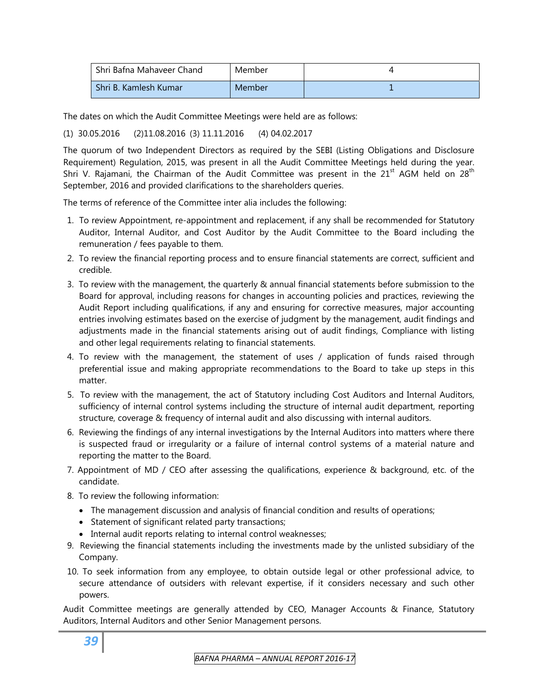| Shri Bafna Mahaveer Chand | Member |  |
|---------------------------|--------|--|
| Shri B. Kamlesh Kumar     | Member |  |

The dates on which the Audit Committee Meetings were held are as follows:

(1) 30.05.2016 (2)11.08.2016 (3) 11.11.2016 (4) 04.02.2017

The quorum of two Independent Directors as required by the SEBI (Listing Obligations and Disclosure Requirement) Regulation, 2015, was present in all the Audit Committee Meetings held during the year. Shri V. Rajamani, the Chairman of the Audit Committee was present in the  $21^{st}$  AGM held on  $28^{th}$ September, 2016 and provided clarifications to the shareholders queries.

The terms of reference of the Committee inter alia includes the following:

- 1. To review Appointment, re-appointment and replacement, if any shall be recommended for Statutory Auditor, Internal Auditor, and Cost Auditor by the Audit Committee to the Board including the remuneration / fees payable to them.
- 2. To review the financial reporting process and to ensure financial statements are correct, sufficient and credible.
- 3. To review with the management, the quarterly & annual financial statements before submission to the Board for approval, including reasons for changes in accounting policies and practices, reviewing the Audit Report including qualifications, if any and ensuring for corrective measures, major accounting entries involving estimates based on the exercise of judgment by the management, audit findings and adjustments made in the financial statements arising out of audit findings, Compliance with listing and other legal requirements relating to financial statements.
- 4. To review with the management, the statement of uses / application of funds raised through preferential issue and making appropriate recommendations to the Board to take up steps in this matter.
- 5. To review with the management, the act of Statutory including Cost Auditors and Internal Auditors, sufficiency of internal control systems including the structure of internal audit department, reporting structure, coverage & frequency of internal audit and also discussing with internal auditors.
- 6. Reviewing the findings of any internal investigations by the Internal Auditors into matters where there is suspected fraud or irregularity or a failure of internal control systems of a material nature and reporting the matter to the Board.
- 7. Appointment of MD / CEO after assessing the qualifications, experience & background, etc. of the candidate.
- 8. To review the following information:
	- The management discussion and analysis of financial condition and results of operations;
	- Statement of significant related party transactions;
	- Internal audit reports relating to internal control weaknesses;
- 9. Reviewing the financial statements including the investments made by the unlisted subsidiary of the Company.
- 10. To seek information from any employee, to obtain outside legal or other professional advice, to secure attendance of outsiders with relevant expertise, if it considers necessary and such other powers.

Audit Committee meetings are generally attended by CEO, Manager Accounts & Finance, Statutory Auditors, Internal Auditors and other Senior Management persons.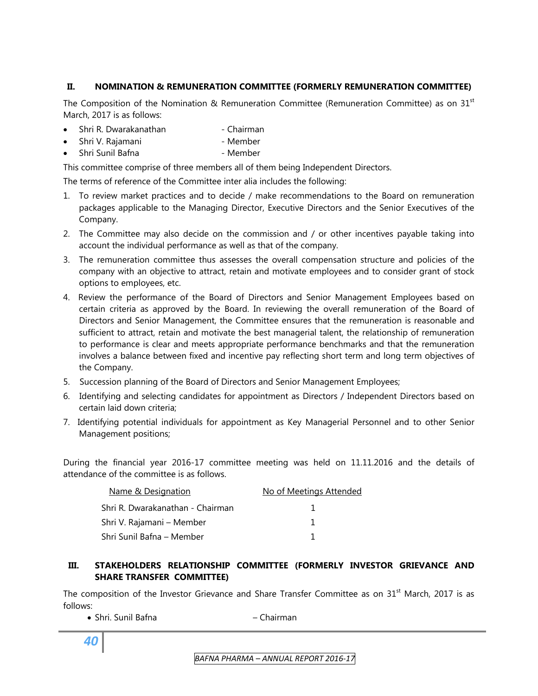## **II. NOMINATION & REMUNERATION COMMITTEE (FORMERLY REMUNERATION COMMITTEE)**

The Composition of the Nomination & Remuneration Committee (Remuneration Committee) as on 31 $^{\rm st}$ March, 2017 is as follows:

- Shri R. Dwarakanathan Chairman
- Shri V. Rajamani Member
- Shri Sunil Bafna Member

This committee comprise of three members all of them being Independent Directors.

The terms of reference of the Committee inter alia includes the following:

- 1. To review market practices and to decide / make recommendations to the Board on remuneration packages applicable to the Managing Director, Executive Directors and the Senior Executives of the Company.
- 2. The Committee may also decide on the commission and / or other incentives payable taking into account the individual performance as well as that of the company.
- 3. The remuneration committee thus assesses the overall compensation structure and policies of the company with an objective to attract, retain and motivate employees and to consider grant of stock options to employees, etc.
- 4. Review the performance of the Board of Directors and Senior Management Employees based on certain criteria as approved by the Board. In reviewing the overall remuneration of the Board of Directors and Senior Management, the Committee ensures that the remuneration is reasonable and sufficient to attract, retain and motivate the best managerial talent, the relationship of remuneration to performance is clear and meets appropriate performance benchmarks and that the remuneration involves a balance between fixed and incentive pay reflecting short term and long term objectives of the Company.
- 5. Succession planning of the Board of Directors and Senior Management Employees;
- 6. Identifying and selecting candidates for appointment as Directors / Independent Directors based on certain laid down criteria;
- 7. Identifying potential individuals for appointment as Key Managerial Personnel and to other Senior Management positions;

During the financial year 2016-17 committee meeting was held on 11.11.2016 and the details of attendance of the committee is as follows.

| Name & Designation               | No of Meetings Attended |
|----------------------------------|-------------------------|
| Shri R. Dwarakanathan - Chairman |                         |
| Shri V. Rajamani – Member        |                         |
| Shri Sunil Bafna - Member        |                         |

## **III. STAKEHOLDERS RELATIONSHIP COMMITTEE (FORMERLY INVESTOR GRIEVANCE AND SHARE TRANSFER COMMITTEE)**

The composition of the Investor Grievance and Share Transfer Committee as on 31<sup>st</sup> March, 2017 is as follows:

• Shri. Sunil Bafna – Chairman

*40*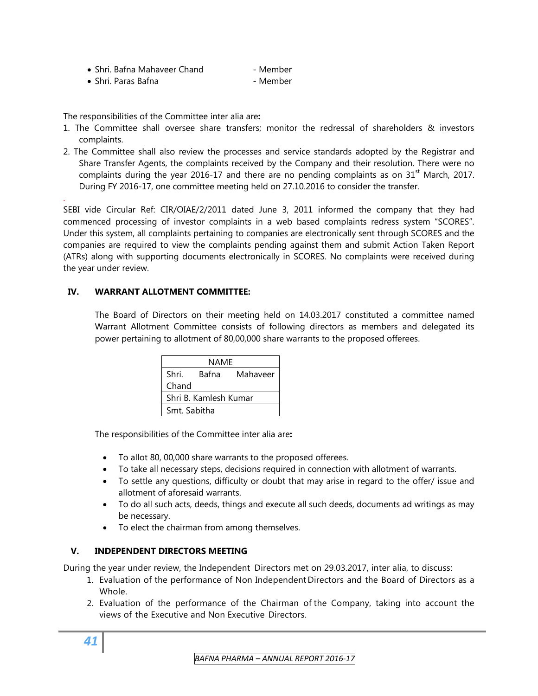| • Shri. Bafna Mahaveer Chand<br>- Member |  |
|------------------------------------------|--|
|------------------------------------------|--|

• Shri. Paras Bafna - Member

The responsibilities of the Committee inter alia are**:** 

- 1. The Committee shall oversee share transfers; monitor the redressal of shareholders & investors complaints.
- 2. The Committee shall also review the processes and service standards adopted by the Registrar and Share Transfer Agents, the complaints received by the Company and their resolution. There were no complaints during the year 2016-17 and there are no pending complaints as on  $31<sup>st</sup>$  March, 2017. During FY 2016-17, one committee meeting held on 27.10.2016 to consider the transfer.

SEBI vide Circular Ref: CIR/OIAE/2/2011 dated June 3, 2011 informed the company that they had commenced processing of investor complaints in a web based complaints redress system "SCORES". Under this system, all complaints pertaining to companies are electronically sent through SCORES and the companies are required to view the complaints pending against them and submit Action Taken Report (ATRs) along with supporting documents electronically in SCORES. No complaints were received during the year under review.

## **IV. WARRANT ALLOTMENT COMMITTEE:**

.

The Board of Directors on their meeting held on 14.03.2017 constituted a committee named Warrant Allotment Committee consists of following directors as members and delegated its power pertaining to allotment of 80,00,000 share warrants to the proposed offerees.

| NAME                  |       |          |  |  |  |  |
|-----------------------|-------|----------|--|--|--|--|
| Shri.                 | Bafna | Mahaveer |  |  |  |  |
| Chand                 |       |          |  |  |  |  |
| Shri B. Kamlesh Kumar |       |          |  |  |  |  |
| Smt. Sabitha          |       |          |  |  |  |  |

The responsibilities of the Committee inter alia are**:** 

- To allot 80, 00,000 share warrants to the proposed offerees.
- To take all necessary steps, decisions required in connection with allotment of warrants.
- To settle any questions, difficulty or doubt that may arise in regard to the offer/ issue and allotment of aforesaid warrants.
- To do all such acts, deeds, things and execute all such deeds, documents ad writings as may be necessary.
- To elect the chairman from among themselves.

## **V. INDEPENDENT DIRECTORS MEETING**

During the year under review, the Independent Directors met on 29.03.2017, inter alia, to discuss:

- 1. Evaluation of the performance of Non Independent Directors and the Board of Directors as a Whole.
- 2. Evaluation of the performance of the Chairman of the Company, taking into account the views of the Executive and Non Executive Directors.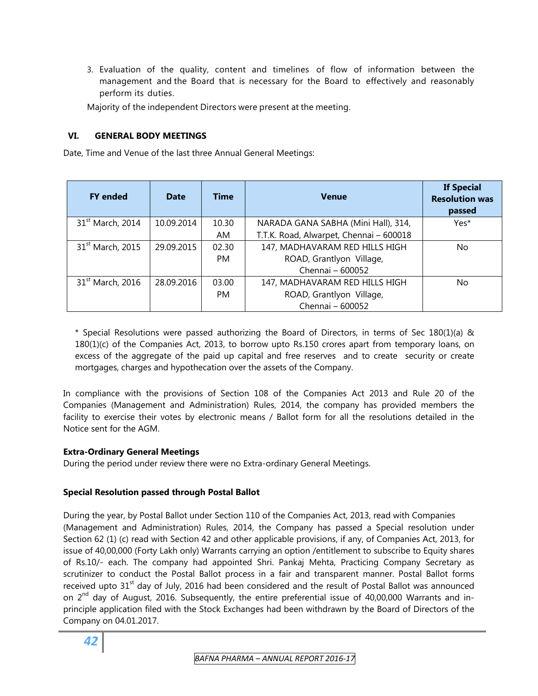3. Evaluation of the quality, content and timelines of flow of information between the management and the Board that is necessary for the Board to effectively and reasonably perform its duties.

Majority of the independent Directors were present at the meeting.

#### **VI. GENERAL BODY MEETINGS**

Date, Time and Venue of the last three Annual General Meetings:

| <b>FY</b> ended              | <b>Date</b> | <b>Time</b> | <b>Venue</b>                            | <b>If Special</b><br><b>Resolution was</b><br>passed |
|------------------------------|-------------|-------------|-----------------------------------------|------------------------------------------------------|
| 31 <sup>st</sup> March, 2014 | 10.09.2014  | 10.30       | NARADA GANA SABHA (Mini Hall), 314,     | Yes*                                                 |
|                              |             | AM.         | T.T.K. Road, Alwarpet, Chennai - 600018 |                                                      |
| 31 <sup>st</sup> March, 2015 | 29.09.2015  | 02.30       | 147, MADHAVARAM RED HILLS HIGH          | No.                                                  |
|                              |             | <b>PM</b>   | ROAD, Grantlyon Village,                |                                                      |
|                              |             |             | Chennai - 600052                        |                                                      |
| 31 <sup>st</sup> March, 2016 | 28.09.2016  | 03.00       | 147, MADHAVARAM RED HILLS HIGH          | No.                                                  |
|                              |             | <b>PM</b>   | ROAD, Grantlyon Village,                |                                                      |
|                              |             |             | Chennai - 600052                        |                                                      |

\* Special Resolutions were passed authorizing the Board of Directors, in terms of Sec 180(1)(a) & 180(1)(c) of the Companies Act, 2013, to borrow upto Rs.150 crores apart from temporary loans, on excess of the aggregate of the paid up capital and free reserves and to create security or create mortgages, charges and hypothecation over the assets of the Company.

In compliance with the provisions of Section 108 of the Companies Act 2013 and Rule 20 of the Companies (Management and Administration) Rules, 2014, the company has provided members the facility to exercise their votes by electronic means / Ballot form for all the resolutions detailed in the Notice sent for the AGM.

#### **Extra-Ordinary General Meetings**

During the period under review there were no Extra-ordinary General Meetings.

#### **Special Resolution passed through Postal Ballot**

During the year, by Postal Ballot under Section 110 of the Companies Act, 2013, read with Companies (Management and Administration) Rules, 2014, the Company has passed a Special resolution under Section 62 (1) (c) read with Section 42 and other applicable provisions, if any, of Companies Act, 2013, for issue of 40,00,000 (Forty Lakh only) Warrants carrying an option /entitlement to subscribe to Equity shares of Rs.10/- each. The company had appointed Shri. Pankaj Mehta, Practicing Company Secretary as scrutinizer to conduct the Postal Ballot process in a fair and transparent manner. Postal Ballot forms received upto 31<sup>st</sup> day of July, 2016 had been considered and the result of Postal Ballot was announced on  $2^{nd}$  day of August, 2016. Subsequently, the entire preferential issue of 40,00,000 Warrants and inprinciple application filed with the Stock Exchanges had been withdrawn by the Board of Directors of the Company on 04.01.2017.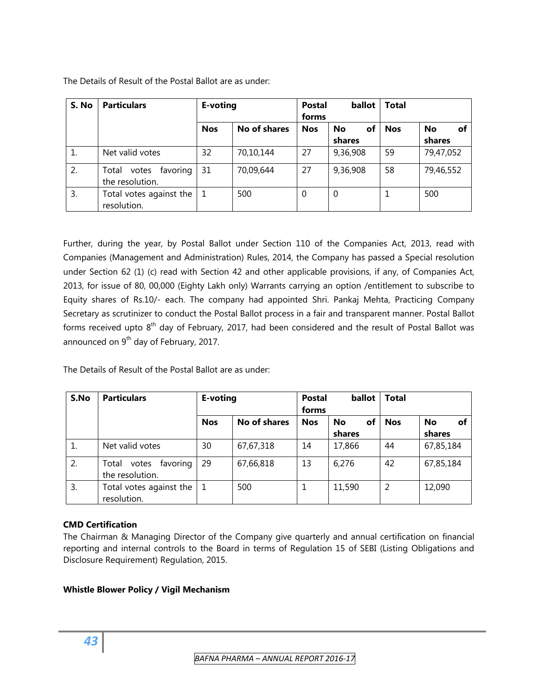| S. No | <b>Particulars</b>                            | E-voting   |              | <b>Postal</b><br>forms | ballot                    | <b>Total</b> |                    |
|-------|-----------------------------------------------|------------|--------------|------------------------|---------------------------|--------------|--------------------|
|       |                                               | <b>Nos</b> | No of shares | <b>Nos</b>             | of<br><b>No</b><br>shares | <b>Nos</b>   | No<br>of<br>shares |
|       | Net valid votes                               | 32         | 70,10,144    | 27                     | 9,36,908                  | 59           | 79,47,052          |
| 2.    | favoring<br>Total<br>votes<br>the resolution. | 31         | 70,09,644    | 27                     | 9,36,908                  | 58           | 79,46,552          |
| 3.    | Total votes against the<br>resolution.        |            | 500          | 0                      | $\theta$                  | 1            | 500                |

The Details of Result of the Postal Ballot are as under:

Further, during the year, by Postal Ballot under Section 110 of the Companies Act, 2013, read with Companies (Management and Administration) Rules, 2014, the Company has passed a Special resolution under Section 62 (1) (c) read with Section 42 and other applicable provisions, if any, of Companies Act, 2013, for issue of 80, 00,000 (Eighty Lakh only) Warrants carrying an option /entitlement to subscribe to Equity shares of Rs.10/- each. The company had appointed Shri. Pankaj Mehta, Practicing Company Secretary as scrutinizer to conduct the Postal Ballot process in a fair and transparent manner. Postal Ballot forms received upto 8<sup>th</sup> day of February, 2017, had been considered and the result of Postal Ballot was announced on  $9<sup>th</sup>$  day of February, 2017.

The Details of Result of the Postal Ballot are as under:

| S.No | <b>Particulars</b>                            | E-voting   |              | <b>Postal</b><br>forms | ballot                    | <b>Total</b> |                    |
|------|-----------------------------------------------|------------|--------------|------------------------|---------------------------|--------------|--------------------|
|      |                                               | <b>Nos</b> | No of shares | <b>Nos</b>             | <b>No</b><br>оf<br>shares | <b>Nos</b>   | No<br>оf<br>shares |
|      | Net valid votes                               | 30         | 67,67,318    | 14                     | 17,866                    | 44           | 67,85,184          |
| 2.   | favoring<br>Total<br>votes<br>the resolution. | 29         | 67,66,818    | 13                     | 6,276                     | 42           | 67,85,184          |
| 3.   | Total votes against the<br>resolution.        |            | 500          |                        | 11,590                    | 2            | 12,090             |

## **CMD Certification**

The Chairman & Managing Director of the Company give quarterly and annual certification on financial reporting and internal controls to the Board in terms of Regulation 15 of SEBI (Listing Obligations and Disclosure Requirement) Regulation, 2015.

## **Whistle Blower Policy / Vigil Mechanism**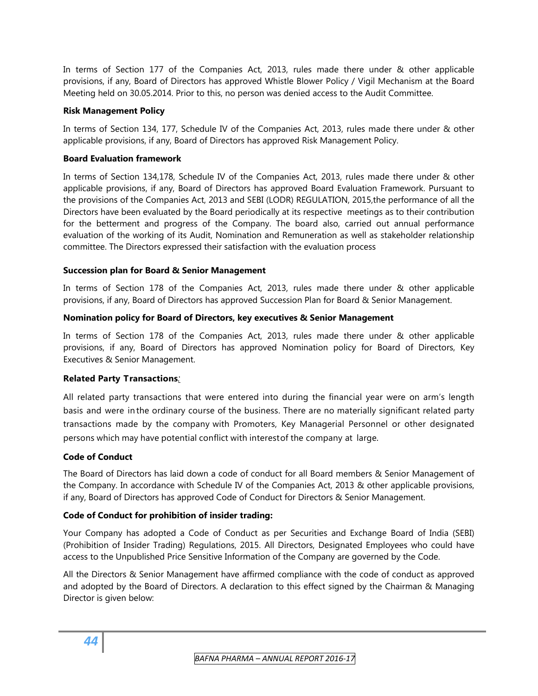In terms of Section 177 of the Companies Act, 2013, rules made there under & other applicable provisions, if any, Board of Directors has approved Whistle Blower Policy / Vigil Mechanism at the Board Meeting held on 30.05.2014. Prior to this, no person was denied access to the Audit Committee.

## **Risk Management Policy**

In terms of Section 134, 177, Schedule IV of the Companies Act, 2013, rules made there under & other applicable provisions, if any, Board of Directors has approved Risk Management Policy.

## **Board Evaluation framework**

In terms of Section 134,178, Schedule IV of the Companies Act, 2013, rules made there under & other applicable provisions, if any, Board of Directors has approved Board Evaluation Framework. Pursuant to the provisions of the Companies Act, 2013 and SEBI (LODR) REGULATION, 2015,the performance of all the Directors have been evaluated by the Board periodically at its respective meetings as to their contribution for the betterment and progress of the Company. The board also, carried out annual performance evaluation of the working of its Audit, Nomination and Remuneration as well as stakeholder relationship committee. The Directors expressed their satisfaction with the evaluation process

## **Succession plan for Board & Senior Management**

In terms of Section 178 of the Companies Act, 2013, rules made there under & other applicable provisions, if any, Board of Directors has approved Succession Plan for Board & Senior Management.

## **Nomination policy for Board of Directors, key executives & Senior Management**

In terms of Section 178 of the Companies Act, 2013, rules made there under & other applicable provisions, if any, Board of Directors has approved Nomination policy for Board of Directors, Key Executives & Senior Management.

## **Related Party Transactions***:*

All related party transactions that were entered into during the financial year were on arm's length basis and were in the ordinary course of the business. There are no materially significant related party transactions made by the company with Promoters, Key Managerial Personnel or other designated persons which may have potential conflict with interest of the company at large*.*

## **Code of Conduct**

The Board of Directors has laid down a code of conduct for all Board members & Senior Management of the Company. In accordance with Schedule IV of the Companies Act, 2013 & other applicable provisions, if any, Board of Directors has approved Code of Conduct for Directors & Senior Management.

## **Code of Conduct for prohibition of insider trading:**

Your Company has adopted a Code of Conduct as per Securities and Exchange Board of India (SEBI) (Prohibition of Insider Trading) Regulations, 2015. All Directors, Designated Employees who could have access to the Unpublished Price Sensitive Information of the Company are governed by the Code.

All the Directors & Senior Management have affirmed compliance with the code of conduct as approved and adopted by the Board of Directors. A declaration to this effect signed by the Chairman & Managing Director is given below: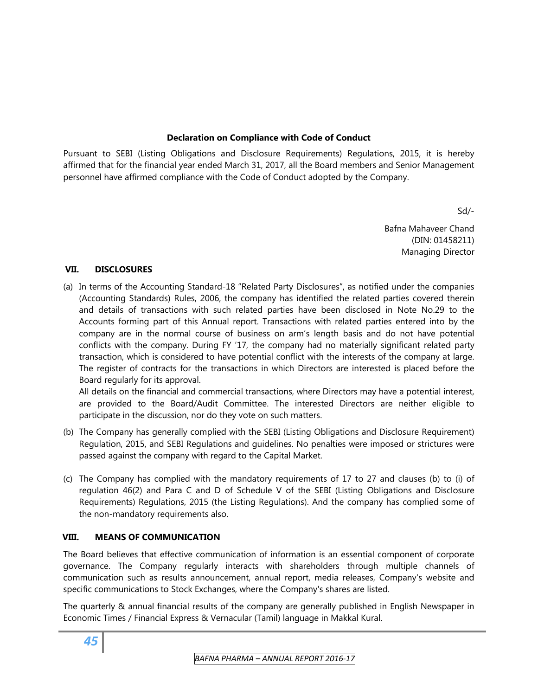## **Declaration on Compliance with Code of Conduct**

Pursuant to SEBI (Listing Obligations and Disclosure Requirements) Regulations, 2015, it is hereby affirmed that for the financial year ended March 31, 2017, all the Board members and Senior Management personnel have affirmed compliance with the Code of Conduct adopted by the Company.

Sd/-

Bafna Mahaveer Chand (DIN: 01458211) Managing Director

#### **VII. DISCLOSURES**

(a) In terms of the Accounting Standard-18 "Related Party Disclosures", as notified under the companies (Accounting Standards) Rules, 2006, the company has identified the related parties covered therein and details of transactions with such related parties have been disclosed in Note No.29 to the Accounts forming part of this Annual report. Transactions with related parties entered into by the company are in the normal course of business on arm's length basis and do not have potential conflicts with the company. During FY '17, the company had no materially significant related party transaction, which is considered to have potential conflict with the interests of the company at large. The register of contracts for the transactions in which Directors are interested is placed before the Board regularly for its approval.

All details on the financial and commercial transactions, where Directors may have a potential interest, are provided to the Board/Audit Committee. The interested Directors are neither eligible to participate in the discussion, nor do they vote on such matters.

- (b) The Company has generally complied with the SEBI (Listing Obligations and Disclosure Requirement) Regulation, 2015, and SEBI Regulations and guidelines. No penalties were imposed or strictures were passed against the company with regard to the Capital Market.
- (c) The Company has complied with the mandatory requirements of 17 to 27 and clauses (b) to (i) of regulation 46(2) and Para C and D of Schedule V of the SEBI (Listing Obligations and Disclosure Requirements) Regulations, 2015 (the Listing Regulations). And the company has complied some of the non-mandatory requirements also.

## **VIII. MEANS OF COMMUNICATION**

The Board believes that effective communication of information is an essential component of corporate governance. The Company regularly interacts with shareholders through multiple channels of communication such as results announcement, annual report, media releases, Company's website and specific communications to Stock Exchanges, where the Company's shares are listed.

The quarterly & annual financial results of the company are generally published in English Newspaper in Economic Times / Financial Express & Vernacular (Tamil) language in Makkal Kural.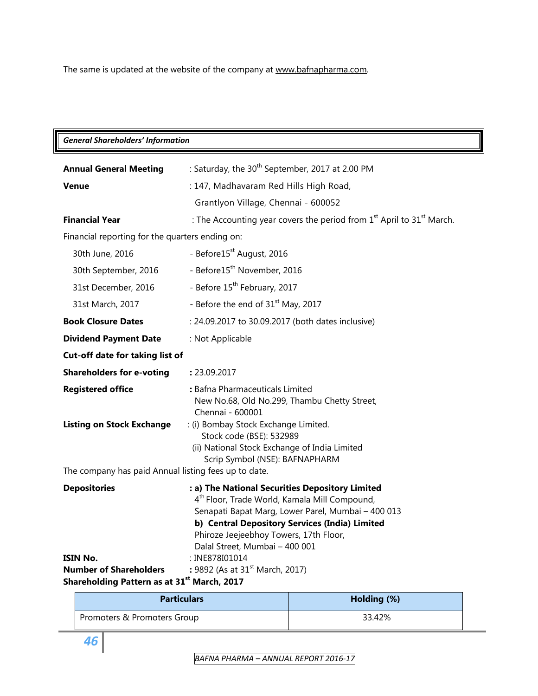The same is updated at the website of the company at [www.bafnapharma.com.](http://www.bafnapharma.com/)

## *General Shareholders' Information*

| <b>Annual General Meeting</b>                                                | : Saturday, the 30 <sup>th</sup> September, 2017 at 2.00 PM                                                                                                                                                                                                                                                        |
|------------------------------------------------------------------------------|--------------------------------------------------------------------------------------------------------------------------------------------------------------------------------------------------------------------------------------------------------------------------------------------------------------------|
| <b>Venue</b>                                                                 | : 147, Madhavaram Red Hills High Road,                                                                                                                                                                                                                                                                             |
|                                                                              | Grantlyon Village, Chennai - 600052                                                                                                                                                                                                                                                                                |
| <b>Financial Year</b>                                                        | : The Accounting year covers the period from $1st$ April to $31st$ March.                                                                                                                                                                                                                                          |
| Financial reporting for the quarters ending on:                              |                                                                                                                                                                                                                                                                                                                    |
| 30th June, 2016                                                              | - Before15 <sup>st</sup> August, 2016                                                                                                                                                                                                                                                                              |
| 30th September, 2016                                                         | - Before15 <sup>th</sup> November, 2016                                                                                                                                                                                                                                                                            |
| 31st December, 2016                                                          | - Before 15 <sup>th</sup> February, 2017                                                                                                                                                                                                                                                                           |
| 31st March, 2017                                                             | - Before the end of 31 <sup>st</sup> May, 2017                                                                                                                                                                                                                                                                     |
| <b>Book Closure Dates</b>                                                    | : 24.09.2017 to 30.09.2017 (both dates inclusive)                                                                                                                                                                                                                                                                  |
| <b>Dividend Payment Date</b>                                                 | : Not Applicable                                                                                                                                                                                                                                                                                                   |
| Cut-off date for taking list of                                              |                                                                                                                                                                                                                                                                                                                    |
| <b>Shareholders for e-voting</b>                                             | : 23.09.2017                                                                                                                                                                                                                                                                                                       |
| <b>Registered office</b>                                                     | : Bafna Pharmaceuticals Limited<br>New No.68, Old No.299, Thambu Chetty Street,<br>Chennai - 600001                                                                                                                                                                                                                |
| <b>Listing on Stock Exchange</b>                                             | : (i) Bombay Stock Exchange Limited.<br>Stock code (BSE): 532989<br>(ii) National Stock Exchange of India Limited<br>Scrip Symbol (NSE): BAFNAPHARM                                                                                                                                                                |
| The company has paid Annual listing fees up to date.                         |                                                                                                                                                                                                                                                                                                                    |
| <b>Depositories</b><br>ISIN No.                                              | : a) The National Securities Depository Limited<br>4 <sup>th</sup> Floor, Trade World, Kamala Mill Compound,<br>Senapati Bapat Marg, Lower Parel, Mumbai - 400 013<br>b) Central Depository Services (India) Limited<br>Phiroze Jeejeebhoy Towers, 17th Floor,<br>Dalal Street, Mumbai - 400 001<br>: INE878I01014 |
| <b>Number of Shareholders</b><br>Shareholding Pattern as at 31st March, 2017 | : 9892 (As at 31 <sup>st</sup> March, 2017)                                                                                                                                                                                                                                                                        |

| <b>Particulars</b>          | Holding (%) |  |  |
|-----------------------------|-------------|--|--|
| Promoters & Promoters Group | 33.42%      |  |  |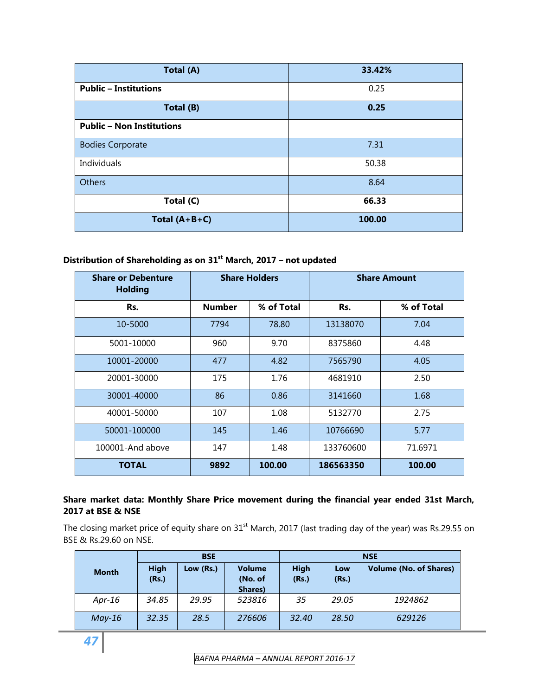| Total (A)                        | 33.42% |  |  |  |  |
|----------------------------------|--------|--|--|--|--|
| <b>Public - Institutions</b>     | 0.25   |  |  |  |  |
| Total (B)                        | 0.25   |  |  |  |  |
| <b>Public - Non Institutions</b> |        |  |  |  |  |
| <b>Bodies Corporate</b>          | 7.31   |  |  |  |  |
| Individuals                      | 50.38  |  |  |  |  |
| <b>Others</b>                    | 8.64   |  |  |  |  |
| Total (C)                        | 66.33  |  |  |  |  |
| Total $(A+B+C)$                  | 100.00 |  |  |  |  |

# **Distribution of Shareholding as on 31st March, 2017 – not updated**

| <b>Share or Debenture</b><br><b>Holding</b> | <b>Share Holders</b> |            | <b>Share Amount</b> |            |  |
|---------------------------------------------|----------------------|------------|---------------------|------------|--|
| Rs.                                         | <b>Number</b>        | % of Total | Rs.                 | % of Total |  |
| 10-5000                                     | 7794                 | 78.80      | 13138070            | 7.04       |  |
| 5001-10000                                  | 960                  | 9.70       | 8375860             | 4.48       |  |
| 10001-20000                                 | 477                  | 4.82       | 7565790             | 4.05       |  |
| 20001-30000                                 | 175                  | 1.76       | 4681910             | 2.50       |  |
| 30001-40000                                 | 86                   | 0.86       | 3141660             | 1.68       |  |
| 40001-50000                                 | 107                  | 1.08       | 5132770             | 2.75       |  |
| 50001-100000                                | 145                  | 1.46       | 10766690            | 5.77       |  |
| 100001-And above                            | 1.48<br>147          |            | 133760600           | 71.6971    |  |
| <b>TOTAL</b>                                | 9892                 | 100.00     | 186563350           | 100.00     |  |

## **Share market data: Monthly Share Price movement during the financial year ended 31st March, 2017 at BSE & NSE**

The closing market price of equity share on 31<sup>st</sup> March, 2017 (last trading day of the year) was Rs.29.55 on BSE & Rs.29.60 on NSE.

|              | <b>BSE</b>           |           |                                     | <b>NSE</b>           |              |                               |  |
|--------------|----------------------|-----------|-------------------------------------|----------------------|--------------|-------------------------------|--|
| <b>Month</b> | <b>High</b><br>(Rs.) | Low (Rs.) | <b>Volume</b><br>(No. of<br>Shares) | <b>High</b><br>(Rs.) | Low<br>(Rs.) | <b>Volume (No. of Shares)</b> |  |
| Apr-16       | 34.85                | 29.95     | 523816                              | 35                   | 29.05        | 1924862                       |  |
| $May-16$     | 32.35                | 28.5      | 276606                              | 32.40                | 28.50        | 629126                        |  |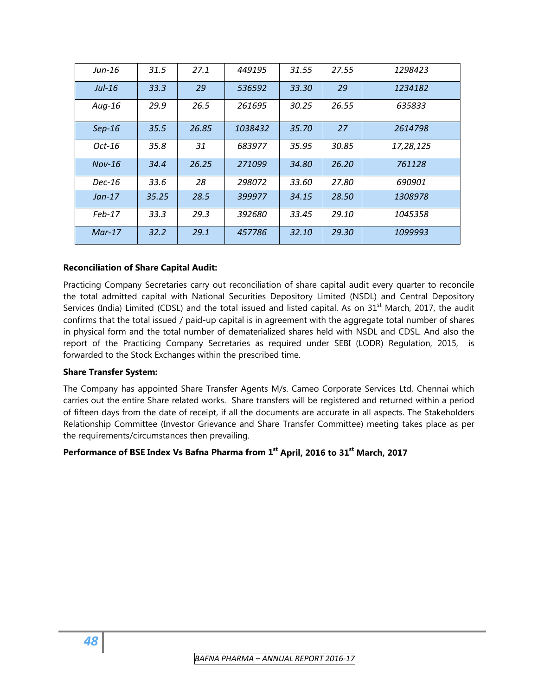| Jun-16   | 31.5  | 27.1  | 449195  | 31.55 | 27.55 | 1298423   |
|----------|-------|-------|---------|-------|-------|-----------|
| $Jul-16$ | 33.3  | 29    | 536592  | 33.30 | 29    | 1234182   |
| $Aug-16$ | 29.9  | 26.5  | 261695  | 30.25 | 26.55 | 635833    |
| $Sep-16$ | 35.5  | 26.85 | 1038432 | 35.70 | 27    | 2614798   |
| $Oct-16$ | 35.8  | 31    | 683977  | 35.95 | 30.85 | 17,28,125 |
| $Nov-16$ | 34.4  | 26.25 | 271099  | 34.80 | 26.20 | 761128    |
| $Dec-16$ | 33.6  | 28    | 298072  | 33.60 | 27.80 | 690901    |
| $Jan-17$ | 35.25 | 28.5  | 399977  | 34.15 | 28.50 | 1308978   |
| $Feb-17$ | 33.3  | 29.3  | 392680  | 33.45 | 29.10 | 1045358   |
| $Mar-17$ | 32.2  | 29.1  | 457786  | 32.10 | 29.30 | 1099993   |

#### **Reconciliation of Share Capital Audit:**

Practicing Company Secretaries carry out reconciliation of share capital audit every quarter to reconcile the total admitted capital with National Securities Depository Limited (NSDL) and Central Depository Services (India) Limited (CDSL) and the total issued and listed capital. As on 31<sup>st</sup> March, 2017, the audit confirms that the total issued / paid-up capital is in agreement with the aggregate total number of shares in physical form and the total number of dematerialized shares held with NSDL and CDSL. And also the report of the Practicing Company Secretaries as required under SEBI (LODR) Regulation, 2015, is forwarded to the Stock Exchanges within the prescribed time.

#### **Share Transfer System:**

The Company has appointed Share Transfer Agents M/s. Cameo Corporate Services Ltd, Chennai which carries out the entire Share related works. Share transfers will be registered and returned within a period of fifteen days from the date of receipt, if all the documents are accurate in all aspects. The Stakeholders Relationship Committee (Investor Grievance and Share Transfer Committee) meeting takes place as per the requirements/circumstances then prevailing.

#### **Performance of BSE Index Vs Bafna Pharma from 1st April, 2016 to 31st March, 2017**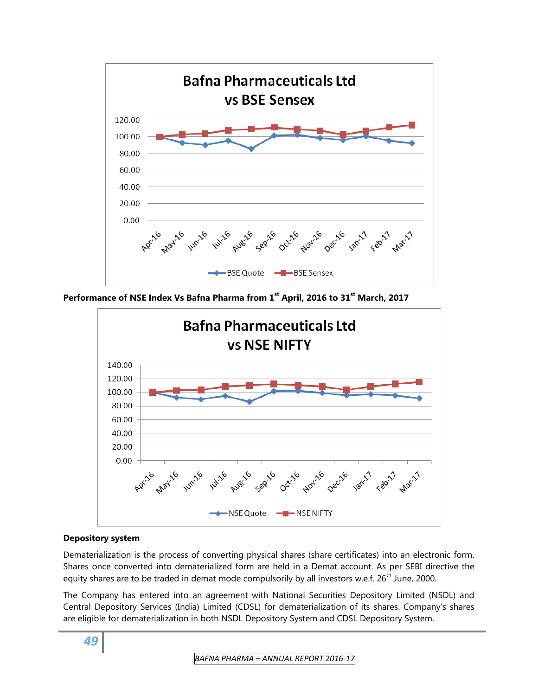

**Performance of NSE Index Vs Bafna Pharma from 1st April, 2016 to 31st March, 2017** 



#### **Depository system**

Dematerialization is the process of converting physical shares (share certificates) into an electronic form. Shares once converted into dematerialized form are held in a Demat account. As per SEBI directive the equity shares are to be traded in demat mode compulsorily by all investors w.e.f. 26<sup>th</sup> June, 2000.

The Company has entered into an agreement with National Securities Depository Limited (NSDL) and Central Depository Services (India) Limited (CDSL) for dematerialization of its shares. Company's shares are eligible for dematerialization in both NSDL Depository System and CDSL Depository System.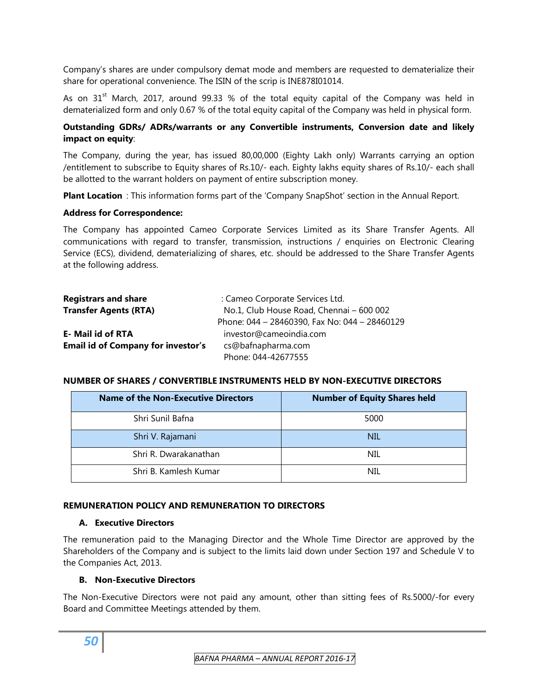Company's shares are under compulsory demat mode and members are requested to dematerialize their share for operational convenience. The ISIN of the scrip is INE878I01014.

As on  $31<sup>st</sup>$  March, 2017, around 99.33 % of the total equity capital of the Company was held in dematerialized form and only 0.67 % of the total equity capital of the Company was held in physical form.

### **Outstanding GDRs/ ADRs/warrants or any Convertible instruments, Conversion date and likely impact on equity**:

The Company, during the year, has issued 80,00,000 (Eighty Lakh only) Warrants carrying an option /entitlement to subscribe to Equity shares of Rs.10/- each. Eighty lakhs equity shares of Rs.10/- each shall be allotted to the warrant holders on payment of entire subscription money.

**Plant Location** : This information forms part of the 'Company SnapShot' section in the Annual Report.

#### **Address for Correspondence:**

The Company has appointed Cameo Corporate Services Limited as its Share Transfer Agents. All communications with regard to transfer, transmission, instructions / enquiries on Electronic Clearing Service (ECS), dividend, dematerializing of shares, etc. should be addressed to the Share Transfer Agents at the following address.

| <b>Registrars and share</b>               | : Cameo Corporate Services Ltd.               |
|-------------------------------------------|-----------------------------------------------|
| <b>Transfer Agents (RTA)</b>              | No.1, Club House Road, Chennai - 600 002      |
|                                           | Phone: 044 - 28460390, Fax No: 044 - 28460129 |
| <b>E- Mail id of RTA</b>                  | investor@cameoindia.com                       |
| <b>Email id of Company for investor's</b> | cs@bafnapharma.com                            |
|                                           | Phone: 044-42677555                           |

#### **NUMBER OF SHARES / CONVERTIBLE INSTRUMENTS HELD BY NON-EXECUTIVE DIRECTORS**

| <b>Name of the Non-Executive Directors</b> | <b>Number of Equity Shares held</b> |
|--------------------------------------------|-------------------------------------|
| Shri Sunil Bafna                           | 5000                                |
| Shri V. Rajamani                           | <b>NIL</b>                          |
| Shri R. Dwarakanathan                      | <b>NIL</b>                          |
| Shri B. Kamlesh Kumar                      | NIL.                                |

#### **REMUNERATION POLICY AND REMUNERATION TO DIRECTORS**

#### **A. Executive Directors**

The remuneration paid to the Managing Director and the Whole Time Director are approved by the Shareholders of the Company and is subject to the limits laid down under Section 197 and Schedule V to the Companies Act, 2013.

#### **B. Non-Executive Directors**

The Non-Executive Directors were not paid any amount, other than sitting fees of Rs.5000/-for every Board and Committee Meetings attended by them.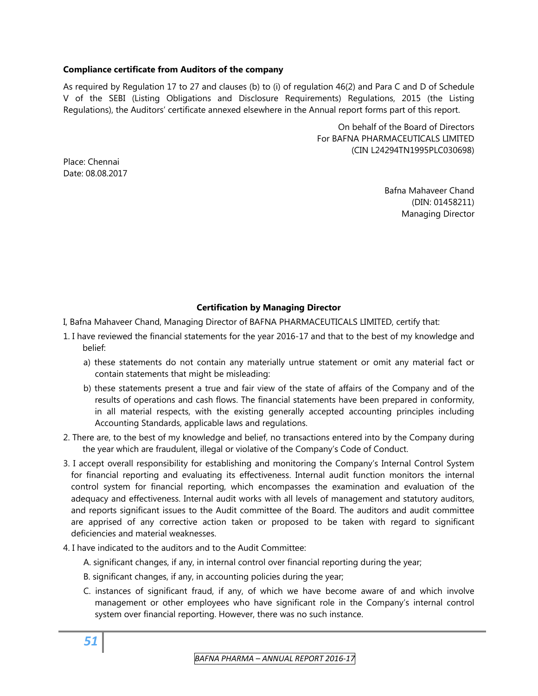#### **Compliance certificate from Auditors of the company**

As required by Regulation 17 to 27 and clauses (b) to (i) of regulation 46(2) and Para C and D of Schedule V of the SEBI (Listing Obligations and Disclosure Requirements) Regulations, 2015 (the Listing Regulations), the Auditors' certificate annexed elsewhere in the Annual report forms part of this report.

> On behalf of the Board of Directors For BAFNA PHARMACEUTICALS LIMITED (CIN L24294TN1995PLC030698)

Place: Chennai Date: 08.08.2017

> Bafna Mahaveer Chand (DIN: 01458211) Managing Director

## **Certification by Managing Director**

- I, Bafna Mahaveer Chand, Managing Director of BAFNA PHARMACEUTICALS LIMITED, certify that:
- 1. I have reviewed the financial statements for the year 2016-17 and that to the best of my knowledge and belief:
	- a) these statements do not contain any materially untrue statement or omit any material fact or contain statements that might be misleading:
	- b) these statements present a true and fair view of the state of affairs of the Company and of the results of operations and cash flows. The financial statements have been prepared in conformity, in all material respects, with the existing generally accepted accounting principles including Accounting Standards, applicable laws and regulations.
- 2. There are, to the best of my knowledge and belief, no transactions entered into by the Company during the year which are fraudulent, illegal or violative of the Company's Code of Conduct.
- 3. I accept overall responsibility for establishing and monitoring the Company's Internal Control System for financial reporting and evaluating its effectiveness. Internal audit function monitors the internal control system for financial reporting, which encompasses the examination and evaluation of the adequacy and effectiveness. Internal audit works with all levels of management and statutory auditors, and reports significant issues to the Audit committee of the Board. The auditors and audit committee are apprised of any corrective action taken or proposed to be taken with regard to significant deficiencies and material weaknesses.
- 4. I have indicated to the auditors and to the Audit Committee:
	- A. significant changes, if any, in internal control over financial reporting during the year;
	- B. significant changes, if any, in accounting policies during the year;
	- C. instances of significant fraud, if any, of which we have become aware of and which involve management or other employees who have significant role in the Company's internal control system over financial reporting. However, there was no such instance.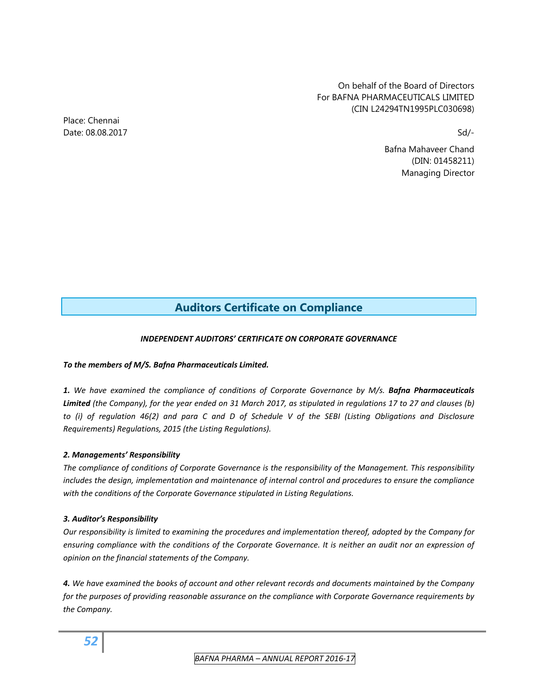On behalf of the Board of Directors For BAFNA PHARMACEUTICALS LIMITED (CIN L24294TN1995PLC030698)

Bafna Mahaveer Chand (DIN: 01458211) Managing Director

# **Auditors Certificate on Compliance**

#### *INDEPENDENT AUDITORS' CERTIFICATE ON CORPORATE GOVERNANCE*

#### *To the members of M/S. Bafna Pharmaceuticals Limited.*

*1. We have examined the compliance of conditions of Corporate Governance by M/s. Bafna Pharmaceuticals* Limited (the Company), for the year ended on 31 March 2017, as stipulated in regulations 17 to 27 and clauses (b) to (i) of requlation 46(2) and para C and D of Schedule V of the SEBI (Listing Obligations and Disclosure *Requirements) Regulations, 2015 (the Listing Regulations).* 

#### *2. Managements' Responsibility*

*The compliance of conditions of Corporate Governance is the responsibility of the Management. This responsibility includes the design, implementation and maintenance of internal control and procedures to ensure the compliance with the conditions of the Corporate Governance stipulated in Listing Regulations.* 

#### *3. Auditor's Responsibility*

*Our responsibility is limited to examining the procedures and implementation thereof, adopted by the Company for* ensuring compliance with the conditions of the Corporate Governance. It is neither an audit nor an expression of *opinion on the financial statements of the Company.* 

4. We have examined the books of account and other relevant records and documents maintained by the Company *for the purposes of providing reasonable assurance on the compliance with Corporate Governance requirements by the Company.* 

Place: Chennai Date: 08.08.2017 Sd/-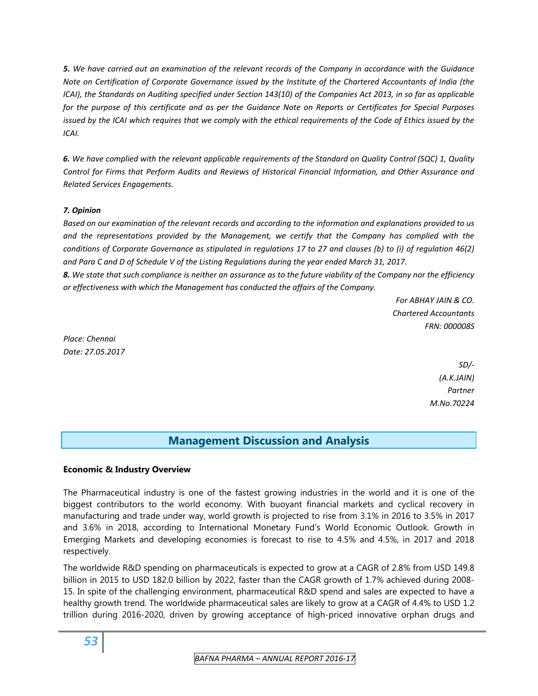5. We have carried out an examination of the relevant records of the Company in accordance with the Guidance Note on Certification of Corporate Governance issued by the Institute of the Chartered Accountants of India (the ICAI), the Standards on Auditing specified under Section 143(10) of the Companies Act 2013, in so far as applicable for the purpose of this certificate and as per the Guidance Note on Reports or Certificates for Special Purposes issued by the ICAI which requires that we comply with the ethical requirements of the Code of Ethics issued by the *ICAI.*

6. We have complied with the relevant applicable requirements of the Standard on Quality Control (SQC) 1, Quality *Control for Firms that Perform Audits and Reviews of Historical Financial Information, and Other Assurance and Related Services Engagements.* 

## *7. Opinion*

Based on our examination of the relevant records and according to the information and explanations provided to us *and the representations provided by the Management, we certify that the Company has complied with the* conditions of Corporate Governance as stipulated in regulations 17 to 27 and clauses (b) to (i) of regulation 46(2) and Para C and D of Schedule V of the Listing Regulations during the year ended March 31, 2017.

8. We state that such compliance is neither an assurance as to the future viability of the Company nor the efficiency *or effectiveness with which the Management has conducted the affairs of the Company.*

> *For ABHAY JAIN & CO. Chartered Accountants FRN: 000008S*

*Place: Chennai Date: 27.05.2017*

> *SD/‐ (A.K.JAIN) Partner M.No.70224*

## **Management Discussion and Analysis**

## **Economic & Industry Overview**

The Pharmaceutical industry is one of the fastest growing industries in the world and it is one of the biggest contributors to the world economy. With buoyant financial markets and cyclical recovery in manufacturing and trade under way, world growth is projected to rise from 3.1% in 2016 to 3.5% in 2017 and 3.6% in 2018, according to International Monetary Fund's World Economic Outlook. Growth in Emerging Markets and developing economies is forecast to rise to 4.5% and 4.5%, in 2017 and 2018 respectively.

The worldwide R&D spending on pharmaceuticals is expected to grow at a CAGR of 2.8% from USD 149.8 billion in 2015 to USD 182.0 billion by 2022, faster than the CAGR growth of 1.7% achieved during 2008- 15. In spite of the challenging environment, pharmaceutical R&D spend and sales are expected to have a healthy growth trend. The worldwide pharmaceutical sales are likely to grow at a CAGR of 4.4% to USD 1.2 trillion during 2016-2020, driven by growing acceptance of high-priced innovative orphan drugs and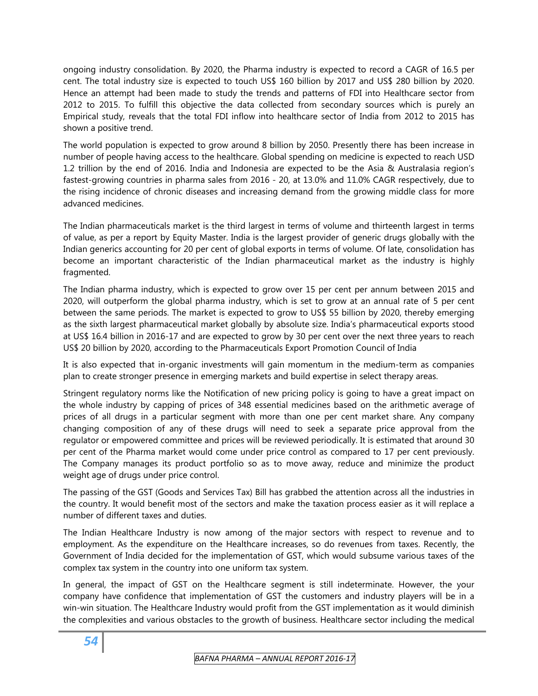ongoing industry consolidation. By 2020, the Pharma industry is expected to record a CAGR of 16.5 per cent. The total industry size is expected to touch US\$ 160 billion by 2017 and US\$ 280 billion by 2020. Hence an attempt had been made to study the trends and patterns of FDI into Healthcare sector from 2012 to 2015. To fulfill this objective the data collected from secondary sources which is purely an Empirical study, reveals that the total FDI inflow into healthcare sector of India from 2012 to 2015 has shown a positive trend.

The world population is expected to grow around 8 billion by 2050. Presently there has been increase in number of people having access to the healthcare. Global spending on medicine is expected to reach USD 1.2 trillion by the end of 2016. India and Indonesia are expected to be the Asia & Australasia region's fastest-growing countries in pharma sales from 2016 - 20, at 13.0% and 11.0% CAGR respectively, due to the rising incidence of chronic diseases and increasing demand from the growing middle class for more advanced medicines.

The Indian pharmaceuticals market is the third largest in terms of volume and thirteenth largest in terms of value, as per a report by Equity Master. India is the largest provider of generic drugs globally with the Indian generics accounting for 20 per cent of global exports in terms of volume. Of late, consolidation has become an important characteristic of the Indian pharmaceutical market as the industry is highly fragmented.

The Indian pharma industry, which is expected to grow over 15 per cent per annum between 2015 and 2020, will outperform the global pharma industry, which is set to grow at an annual rate of 5 per cent between the same periods. The market is expected to grow to US\$ 55 billion by 2020, thereby emerging as the sixth largest pharmaceutical market globally by absolute size. India's pharmaceutical exports stood at US\$ 16.4 billion in 2016-17 and are expected to grow by 30 per cent over the next three years to reach US\$ 20 billion by 2020, according to the Pharmaceuticals Export Promotion Council of India

It is also expected that in-organic investments will gain momentum in the medium-term as companies plan to create stronger presence in emerging markets and build expertise in select therapy areas.

Stringent regulatory norms like the Notification of new pricing policy is going to have a great impact on the whole industry by capping of prices of 348 essential medicines based on the arithmetic average of prices of all drugs in a particular segment with more than one per cent market share. Any company changing composition of any of these drugs will need to seek a separate price approval from the regulator or empowered committee and prices will be reviewed periodically. It is estimated that around 30 per cent of the Pharma market would come under price control as compared to 17 per cent previously. The Company manages its product portfolio so as to move away, reduce and minimize the product weight age of drugs under price control.

The passing of the [GST](http://cleartax.in/gst) (Goods and Services Tax) Bill has grabbed the attention across all the industries in the country. It would benefit most of the sectors and make the taxation process easier as it will replace a number of different taxes and duties.

The Indian Healthcare Industry is now among of the major sectors with respect to revenue and to employment. As the expenditure on the Healthcare increases, so do revenues from taxes. Recently, the Government of India decided for the implementation of GST, which would subsume various taxes of the complex tax system in the country into one uniform tax system.

In general, the impact of GST on the Healthcare segment is still indeterminate. However, the your company have confidence that implementation of GST the customers and industry players will be in a win-win situation. The Healthcare Industry would profit from the GST implementation as it would diminish the complexities and various obstacles to the growth of business. Healthcare sector including the medical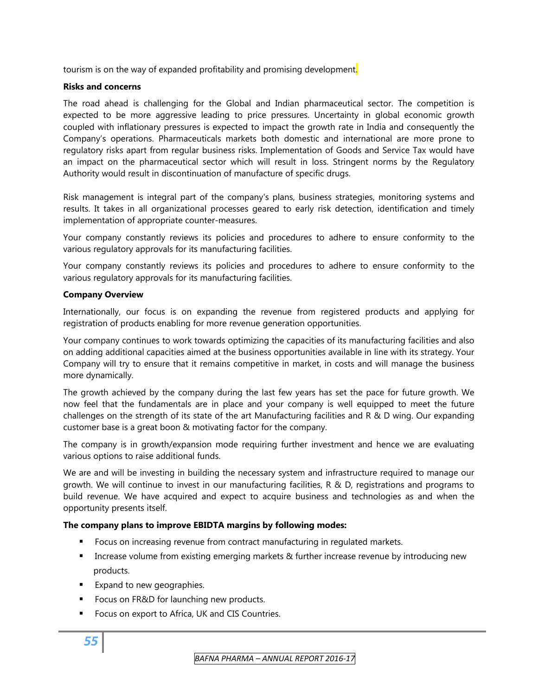tourism is on the way of expanded profitability and promising development.

#### **Risks and concerns**

The road ahead is challenging for the Global and Indian pharmaceutical sector. The competition is expected to be more aggressive leading to price pressures. Uncertainty in global economic growth coupled with inflationary pressures is expected to impact the growth rate in India and consequently the Company's operations. Pharmaceuticals markets both domestic and international are more prone to regulatory risks apart from regular business risks. Implementation of Goods and Service Tax would have an impact on the pharmaceutical sector which will result in loss. Stringent norms by the Regulatory Authority would result in discontinuation of manufacture of specific drugs.

Risk management is integral part of the company's plans, business strategies, monitoring systems and results. It takes in all organizational processes geared to early risk detection, identification and timely implementation of appropriate counter-measures.

Your company constantly reviews its policies and procedures to adhere to ensure conformity to the various regulatory approvals for its manufacturing facilities.

Your company constantly reviews its policies and procedures to adhere to ensure conformity to the various regulatory approvals for its manufacturing facilities.

#### **Company Overview**

Internationally, our focus is on expanding the revenue from registered products and applying for registration of products enabling for more revenue generation opportunities.

Your company continues to work towards optimizing the capacities of its manufacturing facilities and also on adding additional capacities aimed at the business opportunities available in line with its strategy. Your Company will try to ensure that it remains competitive in market, in costs and will manage the business more dynamically.

The growth achieved by the company during the last few years has set the pace for future growth. We now feel that the fundamentals are in place and your company is well equipped to meet the future challenges on the strength of its state of the art Manufacturing facilities and R & D wing. Our expanding customer base is a great boon & motivating factor for the company.

The company is in growth/expansion mode requiring further investment and hence we are evaluating various options to raise additional funds.

We are and will be investing in building the necessary system and infrastructure required to manage our growth. We will continue to invest in our manufacturing facilities, R & D, registrations and programs to build revenue. We have acquired and expect to acquire business and technologies as and when the opportunity presents itself.

## **The company plans to improve EBIDTA margins by following modes:**

- Focus on increasing revenue from contract manufacturing in regulated markets.
- **IFM** Increase volume from existing emerging markets & further increase revenue by introducing new products.
- **Expand to new geographies.**
- **FIMILE:** Focus on FR&D for launching new products.
- **FICULT** Focus on export to Africa, UK and CIS Countries.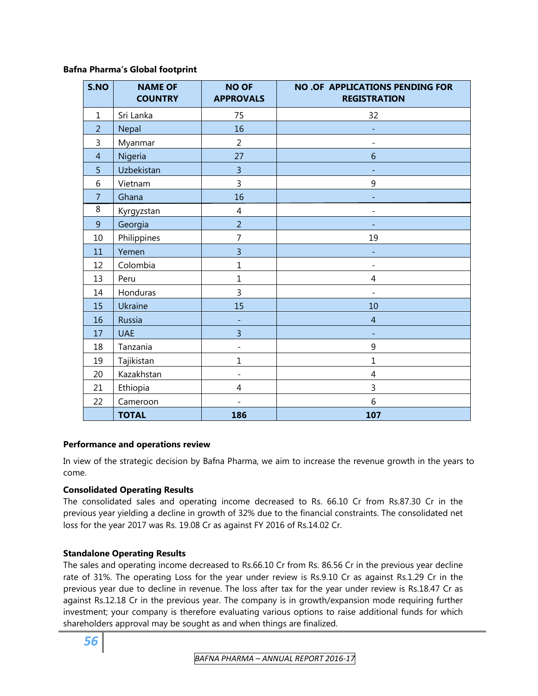#### **Bafna Pharma's Global footprint**

| S.NO           | <b>NAME OF</b><br><b>COUNTRY</b> | <b>NO OF</b><br><b>APPROVALS</b> | <b>NO.OF APPLICATIONS PENDING FOR</b><br><b>REGISTRATION</b> |
|----------------|----------------------------------|----------------------------------|--------------------------------------------------------------|
| $\mathbf{1}$   | Sri Lanka                        | 75                               | 32                                                           |
| $\overline{2}$ | Nepal                            | 16                               |                                                              |
| 3              | Myanmar                          | $\overline{2}$                   |                                                              |
| $\overline{4}$ | Nigeria                          | 27                               | 6                                                            |
| 5              | Uzbekistan                       | $\overline{\mathbf{3}}$          |                                                              |
| 6              | Vietnam                          | 3                                | 9                                                            |
| $\overline{7}$ | Ghana                            | 16                               |                                                              |
| 8              | Kyrgyzstan                       | $\overline{4}$                   | $\overline{a}$                                               |
| 9              | Georgia                          | $\overline{2}$                   |                                                              |
| 10             | Philippines                      | $\overline{7}$                   | 19                                                           |
| 11             | Yemen                            | $\overline{3}$                   |                                                              |
| 12             | Colombia                         | $\mathbf{1}$                     | $\overline{\phantom{0}}$                                     |
| 13             | Peru                             | $\mathbf{1}$                     | 4                                                            |
| 14             | Honduras                         | $\overline{3}$                   | $\overline{\phantom{0}}$                                     |
| 15             | Ukraine                          | 15                               | 10                                                           |
| 16             | Russia                           | ÷                                | $\overline{4}$                                               |
| 17             | <b>UAE</b>                       | $\overline{3}$                   | ÷,                                                           |
| 18             | Tanzania                         | $\qquad \qquad \blacksquare$     | 9                                                            |
| 19             | Tajikistan                       | $\mathbf{1}$                     | $\mathbf{1}$                                                 |
| 20             | Kazakhstan                       | $\overline{\phantom{0}}$         | $\overline{4}$                                               |
| 21             | Ethiopia                         | 4                                | 3                                                            |
| 22             | Cameroon                         | $\overline{a}$                   | 6                                                            |
|                | <b>TOTAL</b>                     | 186                              | 107                                                          |

## **Performance and operations review**

In view of the strategic decision by Bafna Pharma, we aim to increase the revenue growth in the years to come.

## **Consolidated Operating Results**

The consolidated sales and operating income decreased to Rs. 66.10 Cr from Rs.87.30 Cr in the previous year yielding a decline in growth of 32% due to the financial constraints. The consolidated net loss for the year 2017 was Rs. 19.08 Cr as against FY 2016 of Rs.14.02 Cr.

## **Standalone Operating Results**

The sales and operating income decreased to Rs.66.10 Cr from Rs. 86.56 Cr in the previous year decline rate of 31%. The operating Loss for the year under review is Rs.9.10 Cr as against Rs.1.29 Cr in the previous year due to decline in revenue. The loss after tax for the year under review is Rs.18.47 Cr as against Rs.12.18 Cr in the previous year. The company is in growth/expansion mode requiring further investment; your company is therefore evaluating various options to raise additional funds for which shareholders approval may be sought as and when things are finalized.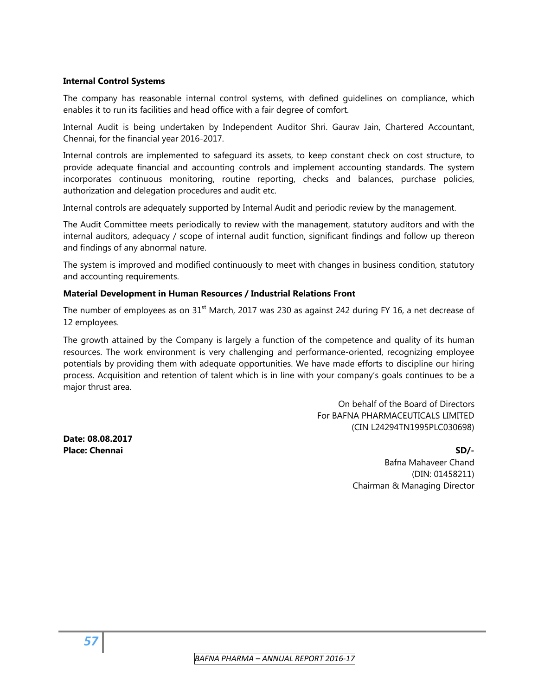#### **Internal Control Systems**

The company has reasonable internal control systems, with defined guidelines on compliance, which enables it to run its facilities and head office with a fair degree of comfort.

Internal Audit is being undertaken by Independent Auditor Shri. Gaurav Jain, Chartered Accountant, Chennai, for the financial year 2016-2017.

Internal controls are implemented to safeguard its assets, to keep constant check on cost structure, to provide adequate financial and accounting controls and implement accounting standards. The system incorporates continuous monitoring, routine reporting, checks and balances, purchase policies, authorization and delegation procedures and audit etc.

Internal controls are adequately supported by Internal Audit and periodic review by the management.

The Audit Committee meets periodically to review with the management, statutory auditors and with the internal auditors, adequacy / scope of internal audit function, significant findings and follow up thereon and findings of any abnormal nature.

The system is improved and modified continuously to meet with changes in business condition, statutory and accounting requirements.

#### **Material Development in Human Resources / Industrial Relations Front**

The number of employees as on  $31<sup>st</sup>$  March, 2017 was 230 as against 242 during FY 16, a net decrease of 12 employees.

The growth attained by the Company is largely a function of the competence and quality of its human resources. The work environment is very challenging and performance-oriented, recognizing employee potentials by providing them with adequate opportunities. We have made efforts to discipline our hiring process. Acquisition and retention of talent which is in line with your company's goals continues to be a major thrust area.

> On behalf of the Board of Directors For BAFNA PHARMACEUTICALS LIMITED (CIN L24294TN1995PLC030698)

**Date: 08.08.2017 Place: Chennai SD/- SD/- SD/- SD/- SD/- SD/- SD/- SD/- SD/- SD/- SD/- SD/- SD/- SD/- SD/-**

 Bafna Mahaveer Chand (DIN: 01458211) Chairman & Managing Director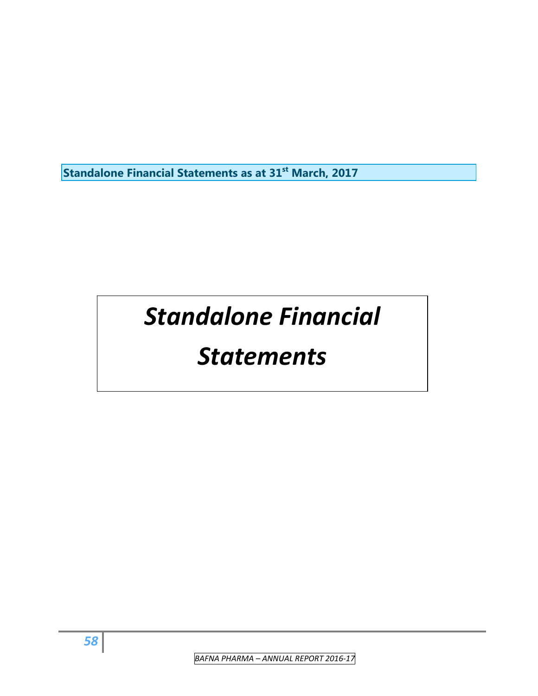**Standalone Financial Statements as at 31st March, 2017**

# *Standalone Financial*

# *Statements*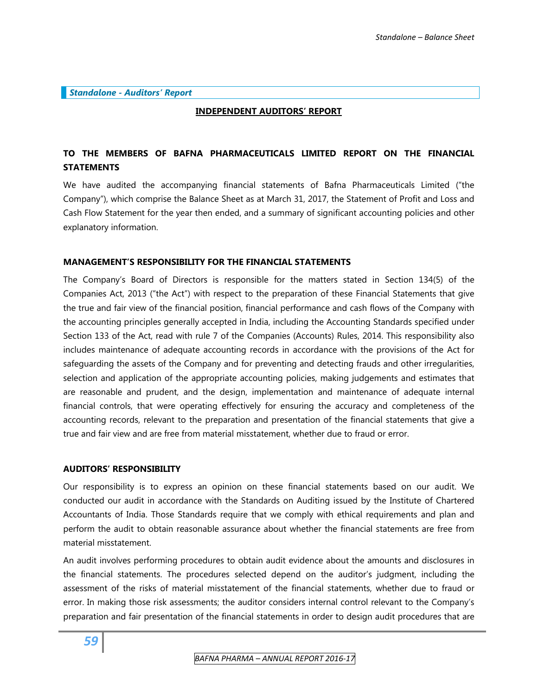#### *Standalone - Auditors' Report*

#### **INDEPENDENT AUDITORS' REPORT**

## **TO THE MEMBERS OF BAFNA PHARMACEUTICALS LIMITED REPORT ON THE FINANCIAL STATEMENTS**

We have audited the accompanying financial statements of Bafna Pharmaceuticals Limited ("the Company"), which comprise the Balance Sheet as at March 31, 2017, the Statement of Profit and Loss and Cash Flow Statement for the year then ended, and a summary of significant accounting policies and other explanatory information.

#### **MANAGEMENT'S RESPONSIBILITY FOR THE FINANCIAL STATEMENTS**

The Company's Board of Directors is responsible for the matters stated in Section 134(5) of the Companies Act, 2013 ("the Act") with respect to the preparation of these Financial Statements that give the true and fair view of the financial position, financial performance and cash flows of the Company with the accounting principles generally accepted in India, including the Accounting Standards specified under Section 133 of the Act, read with rule 7 of the Companies (Accounts) Rules, 2014. This responsibility also includes maintenance of adequate accounting records in accordance with the provisions of the Act for safeguarding the assets of the Company and for preventing and detecting frauds and other irregularities, selection and application of the appropriate accounting policies, making judgements and estimates that are reasonable and prudent, and the design, implementation and maintenance of adequate internal financial controls, that were operating effectively for ensuring the accuracy and completeness of the accounting records, relevant to the preparation and presentation of the financial statements that give a true and fair view and are free from material misstatement, whether due to fraud or error.

#### **AUDITORS' RESPONSIBILITY**

Our responsibility is to express an opinion on these financial statements based on our audit. We conducted our audit in accordance with the Standards on Auditing issued by the Institute of Chartered Accountants of India. Those Standards require that we comply with ethical requirements and plan and perform the audit to obtain reasonable assurance about whether the financial statements are free from material misstatement.

An audit involves performing procedures to obtain audit evidence about the amounts and disclosures in the financial statements. The procedures selected depend on the auditor's judgment, including the assessment of the risks of material misstatement of the financial statements, whether due to fraud or error. In making those risk assessments; the auditor considers internal control relevant to the Company's preparation and fair presentation of the financial statements in order to design audit procedures that are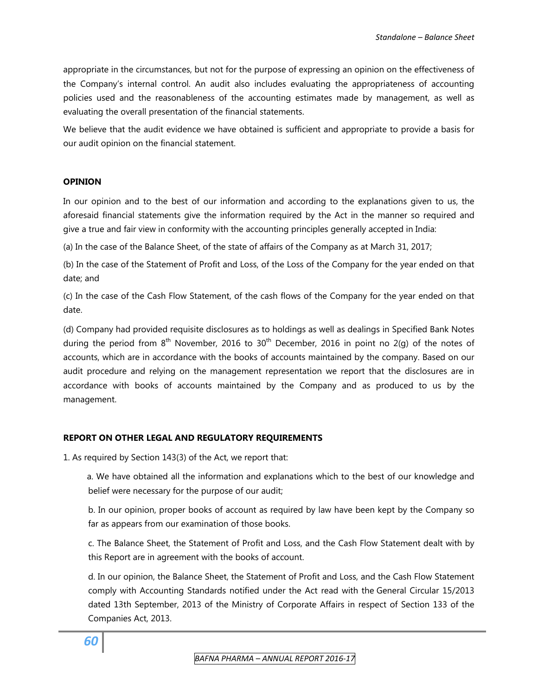appropriate in the circumstances, but not for the purpose of expressing an opinion on the effectiveness of the Company's internal control. An audit also includes evaluating the appropriateness of accounting policies used and the reasonableness of the accounting estimates made by management, as well as evaluating the overall presentation of the financial statements.

We believe that the audit evidence we have obtained is sufficient and appropriate to provide a basis for our audit opinion on the financial statement.

#### **OPINION**

In our opinion and to the best of our information and according to the explanations given to us, the aforesaid financial statements give the information required by the Act in the manner so required and give a true and fair view in conformity with the accounting principles generally accepted in India:

(a) In the case of the Balance Sheet, of the state of affairs of the Company as at March 31, 2017;

(b) In the case of the Statement of Profit and Loss, of the Loss of the Company for the year ended on that date; and

(c) In the case of the Cash Flow Statement, of the cash flows of the Company for the year ended on that date.

(d) Company had provided requisite disclosures as to holdings as well as dealings in Specified Bank Notes during the period from  $8<sup>th</sup>$  November, 2016 to 30<sup>th</sup> December, 2016 in point no 2(g) of the notes of accounts, which are in accordance with the books of accounts maintained by the company. Based on our audit procedure and relying on the management representation we report that the disclosures are in accordance with books of accounts maintained by the Company and as produced to us by the management.

## **REPORT ON OTHER LEGAL AND REGULATORY REQUIREMENTS**

1. As required by Section 143(3) of the Act, we report that:

a. We have obtained all the information and explanations which to the best of our knowledge and belief were necessary for the purpose of our audit;

b. In our opinion, proper books of account as required by law have been kept by the Company so far as appears from our examination of those books.

c. The Balance Sheet, the Statement of Profit and Loss, and the Cash Flow Statement dealt with by this Report are in agreement with the books of account.

d. In our opinion, the Balance Sheet, the Statement of Profit and Loss, and the Cash Flow Statement comply with Accounting Standards notified under the Act read with the General Circular 15/2013 dated 13th September, 2013 of the Ministry of Corporate Affairs in respect of Section 133 of the Companies Act, 2013.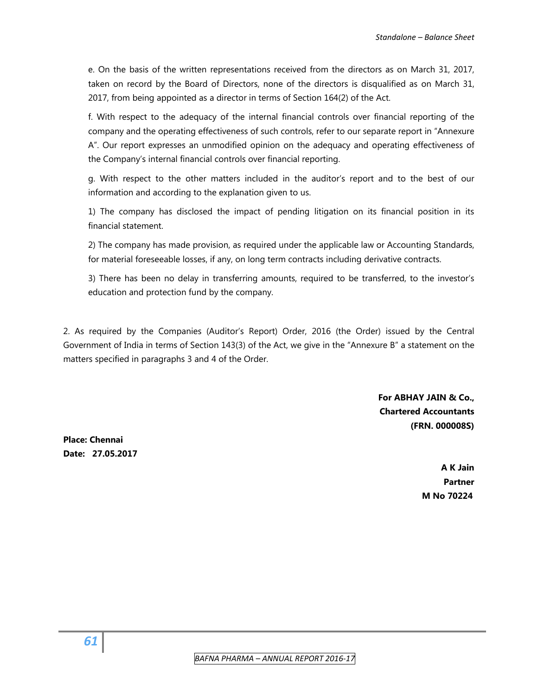e. On the basis of the written representations received from the directors as on March 31, 2017, taken on record by the Board of Directors, none of the directors is disqualified as on March 31, 2017, from being appointed as a director in terms of Section 164(2) of the Act.

f. With respect to the adequacy of the internal financial controls over financial reporting of the company and the operating effectiveness of such controls, refer to our separate report in "Annexure A". Our report expresses an unmodified opinion on the adequacy and operating effectiveness of the Company's internal financial controls over financial reporting.

g. With respect to the other matters included in the auditor's report and to the best of our information and according to the explanation given to us.

1) The company has disclosed the impact of pending litigation on its financial position in its financial statement.

2) The company has made provision, as required under the applicable law or Accounting Standards, for material foreseeable losses, if any, on long term contracts including derivative contracts.

3) There has been no delay in transferring amounts, required to be transferred, to the investor's education and protection fund by the company.

2. As required by the Companies (Auditor's Report) Order, 2016 (the Order) issued by the Central Government of India in terms of Section 143(3) of the Act, we give in the "Annexure B" a statement on the matters specified in paragraphs 3 and 4 of the Order.

> **For ABHAY JAIN & Co., Chartered Accountants (FRN. 000008S)**

**Place: Chennai Date: 27.05.2017** 

**A K Jain Partner M No 70224**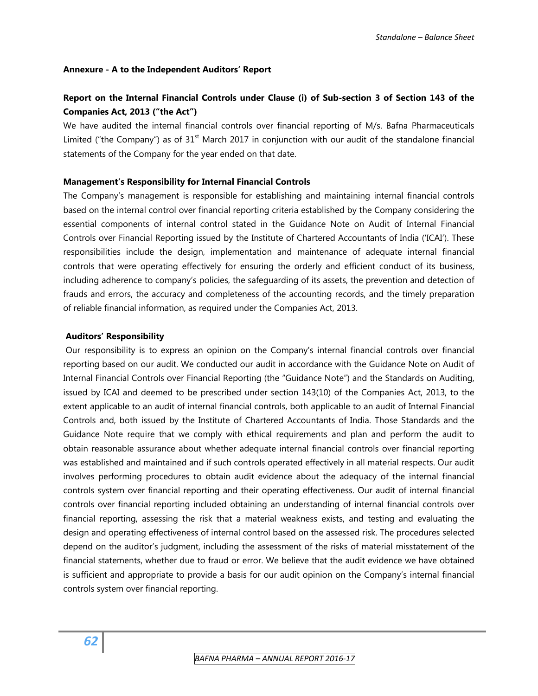#### **Annexure - A to the Independent Auditors' Report**

## **Report on the Internal Financial Controls under Clause (i) of Sub-section 3 of Section 143 of the Companies Act, 2013 ("the Act")**

We have audited the internal financial controls over financial reporting of M/s. Bafna Pharmaceuticals Limited ("the Company") as of  $31<sup>st</sup>$  March 2017 in conjunction with our audit of the standalone financial statements of the Company for the year ended on that date.

#### **Management's Responsibility for Internal Financial Controls**

The Company's management is responsible for establishing and maintaining internal financial controls based on the internal control over financial reporting criteria established by the Company considering the essential components of internal control stated in the Guidance Note on Audit of Internal Financial Controls over Financial Reporting issued by the Institute of Chartered Accountants of India ('ICAI'). These responsibilities include the design, implementation and maintenance of adequate internal financial controls that were operating effectively for ensuring the orderly and efficient conduct of its business, including adherence to company's policies, the safeguarding of its assets, the prevention and detection of frauds and errors, the accuracy and completeness of the accounting records, and the timely preparation of reliable financial information, as required under the Companies Act, 2013.

#### **Auditors' Responsibility**

 Our responsibility is to express an opinion on the Company's internal financial controls over financial reporting based on our audit. We conducted our audit in accordance with the Guidance Note on Audit of Internal Financial Controls over Financial Reporting (the "Guidance Note") and the Standards on Auditing, issued by ICAI and deemed to be prescribed under section 143(10) of the Companies Act, 2013, to the extent applicable to an audit of internal financial controls, both applicable to an audit of Internal Financial Controls and, both issued by the Institute of Chartered Accountants of India. Those Standards and the Guidance Note require that we comply with ethical requirements and plan and perform the audit to obtain reasonable assurance about whether adequate internal financial controls over financial reporting was established and maintained and if such controls operated effectively in all material respects. Our audit involves performing procedures to obtain audit evidence about the adequacy of the internal financial controls system over financial reporting and their operating effectiveness. Our audit of internal financial controls over financial reporting included obtaining an understanding of internal financial controls over financial reporting, assessing the risk that a material weakness exists, and testing and evaluating the design and operating effectiveness of internal control based on the assessed risk. The procedures selected depend on the auditor's judgment, including the assessment of the risks of material misstatement of the financial statements, whether due to fraud or error. We believe that the audit evidence we have obtained is sufficient and appropriate to provide a basis for our audit opinion on the Company's internal financial controls system over financial reporting.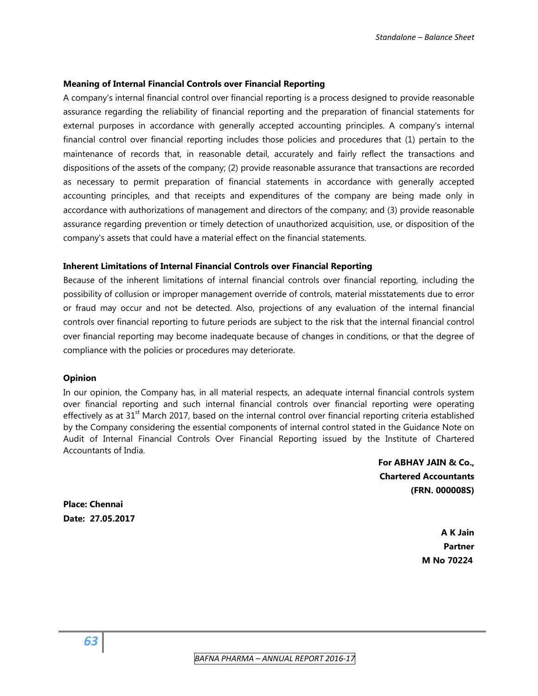#### **Meaning of Internal Financial Controls over Financial Reporting**

A company's internal financial control over financial reporting is a process designed to provide reasonable assurance regarding the reliability of financial reporting and the preparation of financial statements for external purposes in accordance with generally accepted accounting principles. A company's internal financial control over financial reporting includes those policies and procedures that (1) pertain to the maintenance of records that, in reasonable detail, accurately and fairly reflect the transactions and dispositions of the assets of the company; (2) provide reasonable assurance that transactions are recorded as necessary to permit preparation of financial statements in accordance with generally accepted accounting principles, and that receipts and expenditures of the company are being made only in accordance with authorizations of management and directors of the company; and (3) provide reasonable assurance regarding prevention or timely detection of unauthorized acquisition, use, or disposition of the company's assets that could have a material effect on the financial statements.

#### **Inherent Limitations of Internal Financial Controls over Financial Reporting**

Because of the inherent limitations of internal financial controls over financial reporting, including the possibility of collusion or improper management override of controls, material misstatements due to error or fraud may occur and not be detected. Also, projections of any evaluation of the internal financial controls over financial reporting to future periods are subject to the risk that the internal financial control over financial reporting may become inadequate because of changes in conditions, or that the degree of compliance with the policies or procedures may deteriorate.

#### **Opinion**

In our opinion, the Company has, in all material respects, an adequate internal financial controls system over financial reporting and such internal financial controls over financial reporting were operating effectively as at  $31<sup>st</sup>$  March 2017, based on the internal control over financial reporting criteria established by the Company considering the essential components of internal control stated in the Guidance Note on Audit of Internal Financial Controls Over Financial Reporting issued by the Institute of Chartered Accountants of India.

> **For ABHAY JAIN & Co., Chartered Accountants (FRN. 000008S)**

**Place: Chennai Date: 27.05.2017** 

> **A K Jain Partner M No 70224**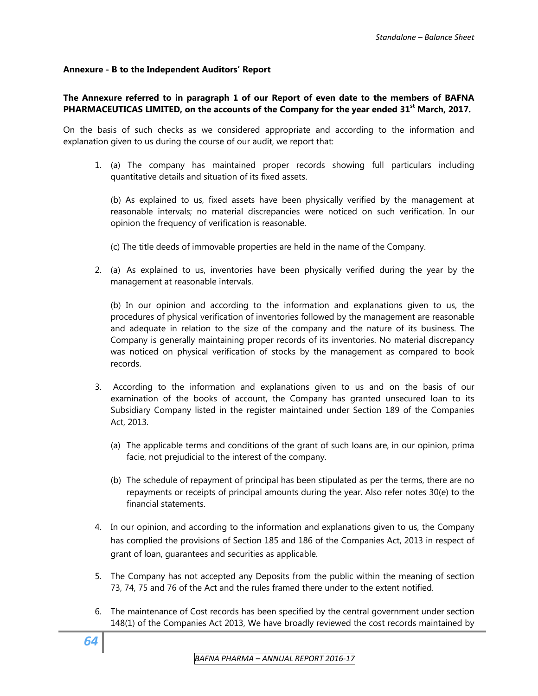#### **Annexure - B to the Independent Auditors' Report**

#### **The Annexure referred to in paragraph 1 of our Report of even date to the members of BAFNA PHARMACEUTICAS LIMITED, on the accounts of the Company for the year ended 31st March, 2017.**

On the basis of such checks as we considered appropriate and according to the information and explanation given to us during the course of our audit, we report that:

1. (a) The company has maintained proper records showing full particulars including quantitative details and situation of its fixed assets.

(b) As explained to us, fixed assets have been physically verified by the management at reasonable intervals; no material discrepancies were noticed on such verification. In our opinion the frequency of verification is reasonable.

(c) The title deeds of immovable properties are held in the name of the Company.

2. (a) As explained to us, inventories have been physically verified during the year by the management at reasonable intervals.

(b) In our opinion and according to the information and explanations given to us, the procedures of physical verification of inventories followed by the management are reasonable and adequate in relation to the size of the company and the nature of its business. The Company is generally maintaining proper records of its inventories. No material discrepancy was noticed on physical verification of stocks by the management as compared to book records.

- 3. According to the information and explanations given to us and on the basis of our examination of the books of account, the Company has granted unsecured loan to its Subsidiary Company listed in the register maintained under Section 189 of the Companies Act, 2013.
	- (a) The applicable terms and conditions of the grant of such loans are, in our opinion, prima facie, not prejudicial to the interest of the company.
	- (b) The schedule of repayment of principal has been stipulated as per the terms, there are no repayments or receipts of principal amounts during the year. Also refer notes 30(e) to the financial statements.
- 4. In our opinion, and according to the information and explanations given to us, the Company has complied the provisions of Section 185 and 186 of the Companies Act, 2013 in respect of grant of loan, guarantees and securities as applicable.
- 5. The Company has not accepted any Deposits from the public within the meaning of section 73, 74, 75 and 76 of the Act and the rules framed there under to the extent notified.
- 6. The maintenance of Cost records has been specified by the central government under section 148(1) of the Companies Act 2013, We have broadly reviewed the cost records maintained by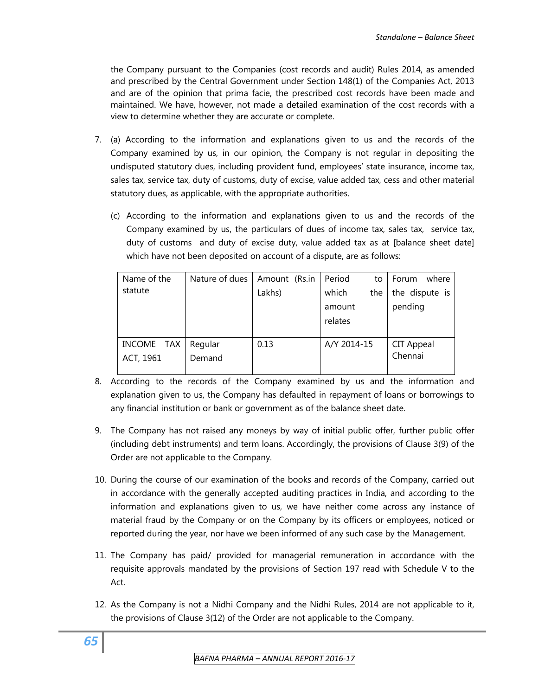the Company pursuant to the Companies (cost records and audit) Rules 2014, as amended and prescribed by the Central Government under Section 148(1) of the Companies Act, 2013 and are of the opinion that prima facie, the prescribed cost records have been made and maintained. We have, however, not made a detailed examination of the cost records with a view to determine whether they are accurate or complete.

- 7. (a) According to the information and explanations given to us and the records of the Company examined by us, in our opinion, the Company is not regular in depositing the undisputed statutory dues, including provident fund, employees' state insurance, income tax, sales tax, service tax, duty of customs, duty of excise, value added tax, cess and other material statutory dues, as applicable, with the appropriate authorities.
	- (c) According to the information and explanations given to us and the records of the Company examined by us, the particulars of dues of income tax, sales tax, service tax, duty of customs and duty of excise duty, value added tax as at [balance sheet date] which have not been deposited on account of a dispute, are as follows:

| Name of the   | Nature of dues | Amount (Rs.in | Period<br>to | Forum<br>where |
|---------------|----------------|---------------|--------------|----------------|
| statute       |                | Lakhs)        | which<br>the | the dispute is |
|               |                |               | amount       | pending        |
|               |                |               | relates      |                |
|               |                |               |              |                |
| INCOME<br>TAX | Regular        | 0.13          | A/Y 2014-15  | CIT Appeal     |
| ACT, 1961     | Demand         |               |              | Chennai        |
|               |                |               |              |                |

- 8. According to the records of the Company examined by us and the information and explanation given to us, the Company has defaulted in repayment of loans or borrowings to any financial institution or bank or government as of the balance sheet date.
- 9. The Company has not raised any moneys by way of initial public offer, further public offer (including debt instruments) and term loans. Accordingly, the provisions of Clause 3(9) of the Order are not applicable to the Company.
- 10. During the course of our examination of the books and records of the Company, carried out in accordance with the generally accepted auditing practices in India, and according to the information and explanations given to us, we have neither come across any instance of material fraud by the Company or on the Company by its officers or employees, noticed or reported during the year, nor have we been informed of any such case by the Management.
- 11. The Company has paid/ provided for managerial remuneration in accordance with the requisite approvals mandated by the provisions of Section 197 read with Schedule V to the Act.
- 12. As the Company is not a Nidhi Company and the Nidhi Rules, 2014 are not applicable to it, the provisions of Clause 3(12) of the Order are not applicable to the Company.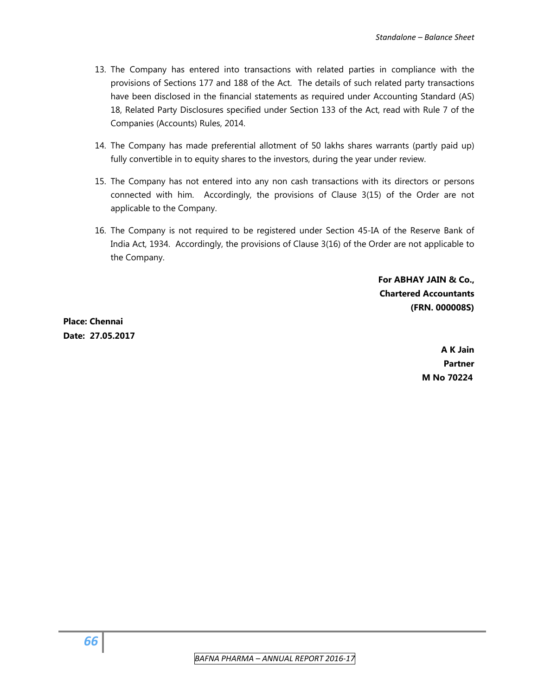- 13. The Company has entered into transactions with related parties in compliance with the provisions of Sections 177 and 188 of the Act. The details of such related party transactions have been disclosed in the financial statements as required under Accounting Standard (AS) 18, Related Party Disclosures specified under Section 133 of the Act, read with Rule 7 of the Companies (Accounts) Rules, 2014.
- 14. The Company has made preferential allotment of 50 lakhs shares warrants (partly paid up) fully convertible in to equity shares to the investors, during the year under review.
- 15. The Company has not entered into any non cash transactions with its directors or persons connected with him. Accordingly, the provisions of Clause 3(15) of the Order are not applicable to the Company.
- 16. The Company is not required to be registered under Section 45-IA of the Reserve Bank of India Act, 1934. Accordingly, the provisions of Clause 3(16) of the Order are not applicable to the Company.

 **For ABHAY JAIN & Co., Chartered Accountants (FRN. 000008S)** 

**Place: Chennai Date: 27.05.2017** 

> **A K Jain Partner M No 70224**

 *BAFNA PHARMA – ANNUAL REPORT 2016‐17*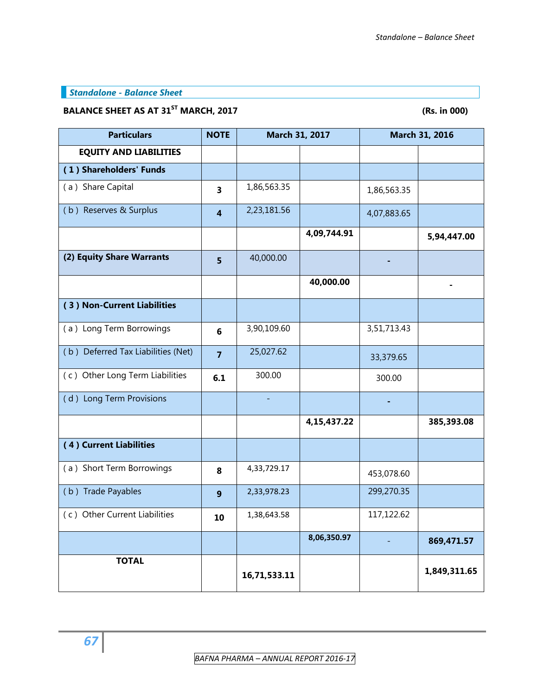## *Standalone - Balance Sheet*

# BALANCE SHEET AS AT 31<sup>ST</sup> MARCH, 2017 **1998 12017** (Rs. in 000)

| <b>Particulars</b>                 | <b>NOTE</b>      | March 31, 2017 |             | March 31, 2016 |              |
|------------------------------------|------------------|----------------|-------------|----------------|--------------|
| <b>EQUITY AND LIABILITIES</b>      |                  |                |             |                |              |
| (1) Shareholders' Funds            |                  |                |             |                |              |
| (a) Share Capital                  | 3                | 1,86,563.35    |             | 1,86,563.35    |              |
| (b) Reserves & Surplus             | 4                | 2,23,181.56    |             | 4,07,883.65    |              |
|                                    |                  |                | 4,09,744.91 |                | 5,94,447.00  |
| (2) Equity Share Warrants          | 5                | 40,000.00      |             |                |              |
|                                    |                  |                | 40,000.00   |                |              |
| (3) Non-Current Liabilities        |                  |                |             |                |              |
| (a) Long Term Borrowings           | 6                | 3,90,109.60    |             | 3,51,713.43    |              |
| (b) Deferred Tax Liabilities (Net) | $\overline{7}$   | 25,027.62      |             | 33,379.65      |              |
| (c) Other Long Term Liabilities    | 6.1              | 300.00         |             | 300.00         |              |
| (d) Long Term Provisions           |                  |                |             |                |              |
|                                    |                  |                | 4,15,437.22 |                | 385,393.08   |
| (4) Current Liabilities            |                  |                |             |                |              |
| (a) Short Term Borrowings          | 8                | 4,33,729.17    |             | 453,078.60     |              |
| (b) Trade Payables                 | $\boldsymbol{9}$ | 2,33,978.23    |             | 299,270.35     |              |
| (c) Other Current Liabilities      | 10               | 1,38,643.58    |             | 117,122.62     |              |
|                                    |                  |                | 8,06,350.97 |                | 869,471.57   |
| <b>TOTAL</b>                       |                  | 16,71,533.11   |             |                | 1,849,311.65 |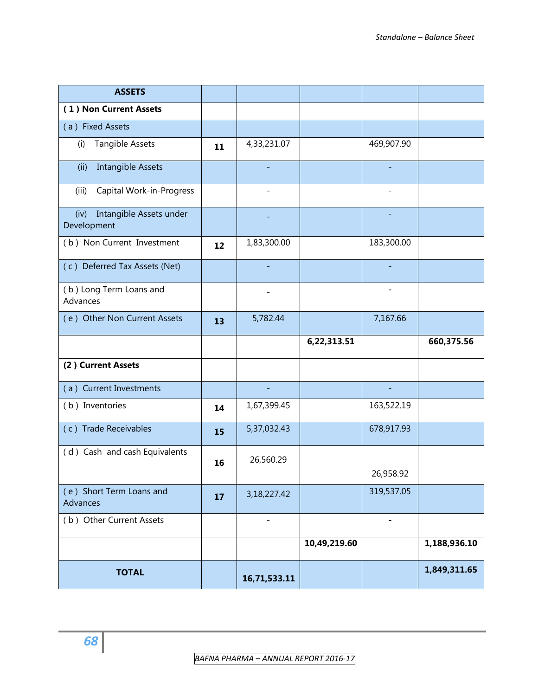| <b>ASSETS</b>                                  |    |                          |              |                   |              |
|------------------------------------------------|----|--------------------------|--------------|-------------------|--------------|
| (1) Non Current Assets                         |    |                          |              |                   |              |
| (a) Fixed Assets                               |    |                          |              |                   |              |
| Tangible Assets<br>(i)                         | 11 | 4,33,231.07              |              | 469,907.90        |              |
| <b>Intangible Assets</b><br>(ii)               |    |                          |              |                   |              |
| Capital Work-in-Progress<br>(iii)              |    |                          |              |                   |              |
| Intangible Assets under<br>(iv)<br>Development |    |                          |              |                   |              |
| (b) Non Current Investment                     | 12 | 1,83,300.00              |              | 183,300.00        |              |
| (c) Deferred Tax Assets (Net)                  |    |                          |              |                   |              |
| (b) Long Term Loans and<br>Advances            |    |                          |              | $\qquad \qquad -$ |              |
| (e) Other Non Current Assets                   | 13 | 5,782.44                 |              | 7,167.66          |              |
|                                                |    |                          | 6,22,313.51  |                   | 660,375.56   |
| (2) Current Assets                             |    |                          |              |                   |              |
| (a) Current Investments                        |    | $\overline{\phantom{a}}$ |              |                   |              |
| (b) Inventories                                | 14 | 1,67,399.45              |              | 163,522.19        |              |
| (c) Trade Receivables                          | 15 | 5,37,032.43              |              | 678,917.93        |              |
| (d) Cash and cash Equivalents                  | 16 | 26,560.29                |              | 26,958.92         |              |
| (e) Short Term Loans and<br>Advances           | 17 | 3,18,227.42              |              | 319,537.05        |              |
| (b) Other Current Assets                       |    |                          |              |                   |              |
|                                                |    |                          | 10,49,219.60 |                   | 1,188,936.10 |
| <b>TOTAL</b>                                   |    | 16,71,533.11             |              |                   | 1,849,311.65 |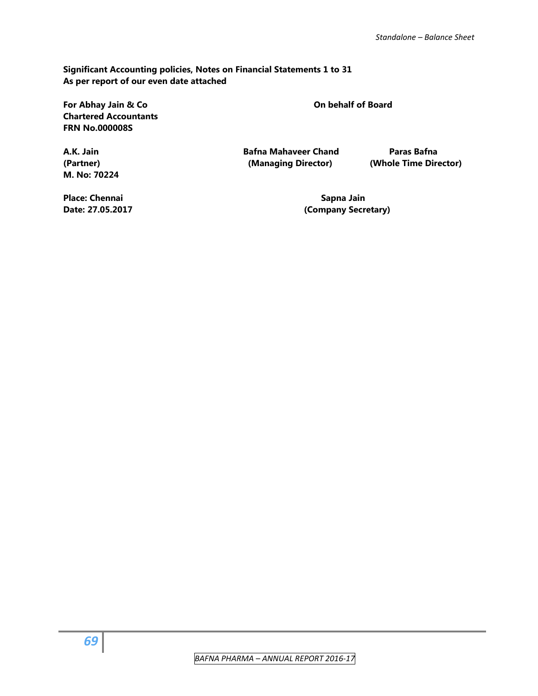**Significant Accounting policies, Notes on Financial Statements 1 to 31 As per report of our even date attached** 

For Abhay Jain & Co **Contract Contract Contract Contract Contract Contract Contract Contract Contract Contract Contract Contract Contract Contract Contract Contract Contract Contract Contract Contract Contract Contract Con Chartered Accountants FRN No.000008S** 

**M. No: 70224** 

**A.K. Jain Bafna Mahaveer Chand Paras Bafna (Partner) (Managing Director) (Whole Time Director)** 

**Place: Chennai Sapna Jain Chennai Sapna Jain** Sapna Jain

Date: 27.05.2017 **Date: 27.05.2017** (Company Secretary)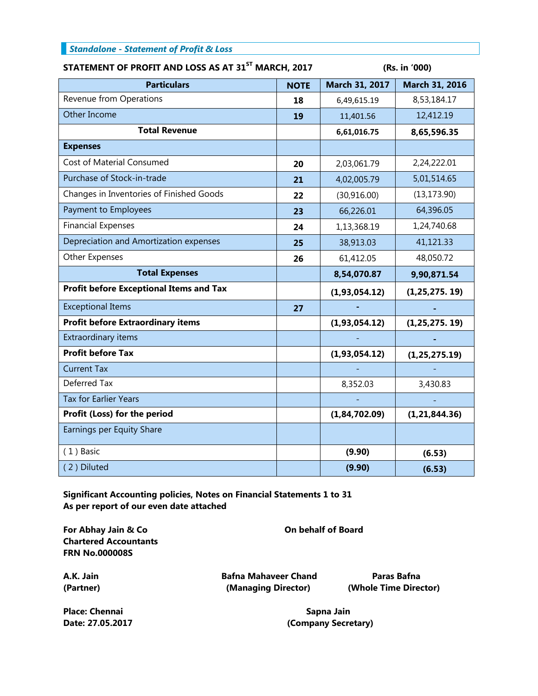| <b>Standalone - Statement of Profit &amp; Loss</b> |  |
|----------------------------------------------------|--|
|----------------------------------------------------|--|

## **STATEMENT OF PROFIT AND LOSS AS AT 31ST MARCH, 2017 (Rs. in '000)**

| <b>Particulars</b>                             | <b>NOTE</b> | March 31, 2017 | March 31, 2016   |  |
|------------------------------------------------|-------------|----------------|------------------|--|
| Revenue from Operations                        | 18          | 6,49,615.19    | 8,53,184.17      |  |
| Other Income                                   | 19          | 11,401.56      | 12,412.19        |  |
| <b>Total Revenue</b>                           |             | 6,61,016.75    | 8,65,596.35      |  |
| <b>Expenses</b>                                |             |                |                  |  |
| Cost of Material Consumed                      | 20          | 2,03,061.79    | 2,24,222.01      |  |
| Purchase of Stock-in-trade                     | 21          | 4,02,005.79    | 5,01,514.65      |  |
| Changes in Inventories of Finished Goods       | 22          | (30, 916.00)   | (13, 173.90)     |  |
| Payment to Employees                           | 23          | 66,226.01      | 64,396.05        |  |
| <b>Financial Expenses</b>                      | 24          | 1,13,368.19    | 1,24,740.68      |  |
| Depreciation and Amortization expenses         | 25          | 38,913.03      | 41,121.33        |  |
| Other Expenses                                 | 26          | 61,412.05      | 48,050.72        |  |
| <b>Total Expenses</b>                          |             | 8,54,070.87    | 9,90,871.54      |  |
| <b>Profit before Exceptional Items and Tax</b> |             | (1,93,054.12)  | (1, 25, 275, 19) |  |
| <b>Exceptional Items</b>                       | 27          |                |                  |  |
| <b>Profit before Extraordinary items</b>       |             | (1,93,054.12)  | (1, 25, 275, 19) |  |
| Extraordinary items                            |             |                |                  |  |
| <b>Profit before Tax</b>                       |             | (1,93,054.12)  | (1, 25, 275.19)  |  |
| <b>Current Tax</b>                             |             |                |                  |  |
| Deferred Tax                                   |             | 8,352.03       | 3,430.83         |  |
| <b>Tax for Earlier Years</b>                   |             |                |                  |  |
| Profit (Loss) for the period                   |             | (1,84,702.09)  | (1, 21, 844.36)  |  |
| Earnings per Equity Share                      |             |                |                  |  |
| $(1)$ Basic                                    |             | (9.90)         | (6.53)           |  |
| (2) Diluted                                    |             | (9.90)         | (6.53)           |  |

**Significant Accounting policies, Notes on Financial Statements 1 to 31 As per report of our even date attached** 

For Abhay Jain & Co **Constanting Constanting Constanting Constanting Constanting Constanting Constanting Constanting Constanting Constanting Constanting Constanting Constanting Constanting Constanting Constanting Constanti Chartered Accountants FRN No.000008S** 

**A.K. Jain Bafna Mahaveer Chand Paras Bafna** 

**(Partner) (Managing Director) (Whole Time Director)** 

**Place: Chennai Sapna Jain** Sapna Jain **Sapna Jain** 

**Date: 27.05.2017 (Company Secretary)**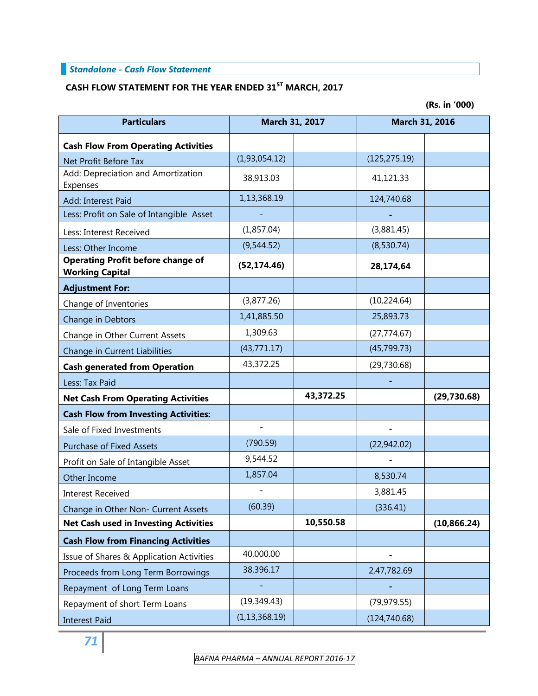## *Standalone - Cash Flow Statement*

# **CASH FLOW STATEMENT FOR THE YEAR ENDED 31ST MARCH, 2017**

**(Rs. in '000)** 

| <b>Particulars</b>                                                 | March 31, 2017  |           | March 31, 2016 |              |
|--------------------------------------------------------------------|-----------------|-----------|----------------|--------------|
| <b>Cash Flow From Operating Activities</b>                         |                 |           |                |              |
| Net Profit Before Tax                                              | (1,93,054.12)   |           | (125, 275.19)  |              |
| Add: Depreciation and Amortization                                 | 38,913.03       |           | 41,121.33      |              |
| Expenses                                                           | 1,13,368.19     |           |                |              |
| Add: Interest Paid                                                 |                 |           | 124,740.68     |              |
| Less: Profit on Sale of Intangible Asset                           |                 |           |                |              |
| Less: Interest Received                                            | (1,857.04)      |           | (3,881.45)     |              |
| Less: Other Income                                                 | (9,544.52)      |           | (8,530.74)     |              |
| <b>Operating Profit before change of</b><br><b>Working Capital</b> | (52, 174.46)    |           | 28,174,64      |              |
| <b>Adjustment For:</b>                                             |                 |           |                |              |
| Change of Inventories                                              | (3,877.26)      |           | (10, 224.64)   |              |
| Change in Debtors                                                  | 1,41,885.50     |           | 25,893.73      |              |
| Change in Other Current Assets                                     | 1,309.63        |           | (27, 774.67)   |              |
| Change in Current Liabilities                                      | (43, 771.17)    |           | (45,799.73)    |              |
| <b>Cash generated from Operation</b>                               | 43,372.25       |           | (29, 730.68)   |              |
| Less: Tax Paid                                                     |                 |           |                |              |
| <b>Net Cash From Operating Activities</b>                          |                 | 43,372.25 |                | (29, 730.68) |
| <b>Cash Flow from Investing Activities:</b>                        |                 |           |                |              |
| Sale of Fixed Investments                                          |                 |           |                |              |
| <b>Purchase of Fixed Assets</b>                                    | (790.59)        |           | (22, 942.02)   |              |
| Profit on Sale of Intangible Asset                                 | 9,544.52        |           |                |              |
| Other Income                                                       | 1,857.04        |           | 8,530.74       |              |
| <b>Interest Received</b>                                           |                 |           | 3,881.45       |              |
| Change in Other Non- Current Assets                                | (60.39)         |           | (336.41)       |              |
| <b>Net Cash used in Investing Activities</b>                       |                 | 10,550.58 |                | (10, 866.24) |
| <b>Cash Flow from Financing Activities</b>                         |                 |           |                |              |
| Issue of Shares & Application Activities                           | 40,000.00       |           |                |              |
| Proceeds from Long Term Borrowings                                 | 38,396.17       |           | 2,47,782.69    |              |
| Repayment of Long Term Loans                                       |                 |           |                |              |
| Repayment of short Term Loans                                      | (19, 349.43)    |           | (79, 979.55)   |              |
| <b>Interest Paid</b>                                               | (1, 13, 368.19) |           | (124, 740.68)  |              |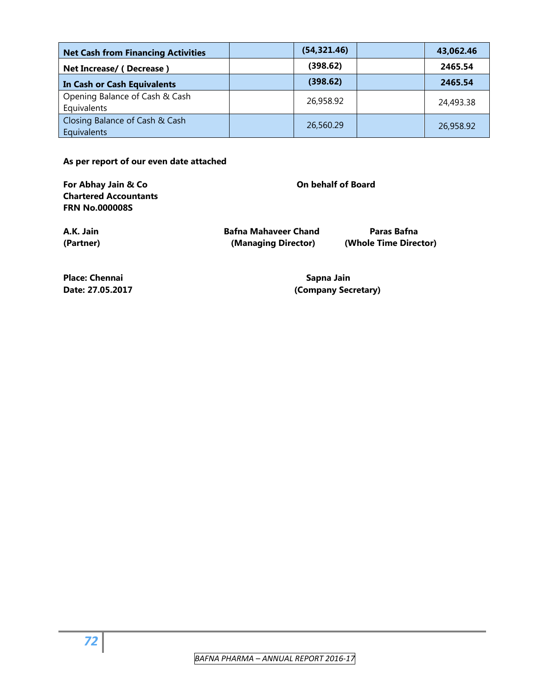| <b>Net Cash from Financing Activities</b>     | (54, 321.46) | 43,062.46 |
|-----------------------------------------------|--------------|-----------|
| Net Increase/ (Decrease)                      | (398.62)     | 2465.54   |
| <b>In Cash or Cash Equivalents</b>            | (398.62)     | 2465.54   |
| Opening Balance of Cash & Cash<br>Equivalents | 26,958.92    | 24,493.38 |
| Closing Balance of Cash & Cash<br>Equivalents | 26,560.29    | 26,958.92 |

**As per report of our even date attached** 

For Abhay Jain & Co **Construction Construction Construction** On behalf of Board **Chartered Accountants FRN No.000008S** 

**A.K. Jain Bafna Mahaveer Chand Paras Bafna (Partner) (Managing Director) (Whole Time Director)** 

Place: Chennai **Sapna Jain** Sapna Jain

**Date: 27.05.2017 (Company Secretary)**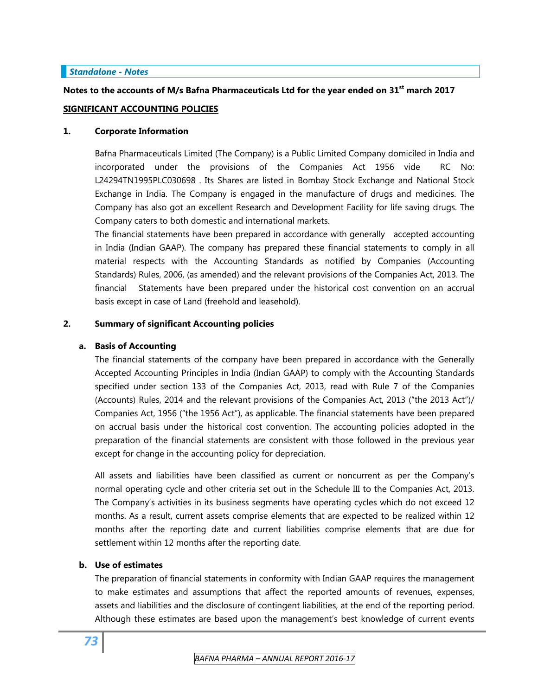# *Standalone - Notes*

# **Notes to the accounts of M/s Bafna Pharmaceuticals Ltd for the year ended on 31st march 2017 SIGNIFICANT ACCOUNTING POLICIES**

# **1. Corporate Information**

Bafna Pharmaceuticals Limited (The Company) is a Public Limited Company domiciled in India and incorporated under the provisions of the Companies Act 1956 vide RC No: L24294TN1995PLC030698 . Its Shares are listed in Bombay Stock Exchange and National Stock Exchange in India. The Company is engaged in the manufacture of drugs and medicines. The Company has also got an excellent Research and Development Facility for life saving drugs. The Company caters to both domestic and international markets.

The financial statements have been prepared in accordance with generally accepted accounting in India (Indian GAAP). The company has prepared these financial statements to comply in all material respects with the Accounting Standards as notified by Companies (Accounting Standards) Rules, 2006, (as amended) and the relevant provisions of the Companies Act, 2013. The financial Statements have been prepared under the historical cost convention on an accrual basis except in case of Land (freehold and leasehold).

# **2. Summary of significant Accounting policies**

# **a. Basis of Accounting**

The financial statements of the company have been prepared in accordance with the Generally Accepted Accounting Principles in India (Indian GAAP) to comply with the Accounting Standards specified under section 133 of the Companies Act, 2013, read with Rule 7 of the Companies (Accounts) Rules, 2014 and the relevant provisions of the Companies Act, 2013 ("the 2013 Act")/ Companies Act, 1956 ("the 1956 Act"), as applicable. The financial statements have been prepared on accrual basis under the historical cost convention. The accounting policies adopted in the preparation of the financial statements are consistent with those followed in the previous year except for change in the accounting policy for depreciation.

All assets and liabilities have been classified as current or noncurrent as per the Company's normal operating cycle and other criteria set out in the Schedule III to the Companies Act, 2013. The Company's activities in its business segments have operating cycles which do not exceed 12 months. As a result, current assets comprise elements that are expected to be realized within 12 months after the reporting date and current liabilities comprise elements that are due for settlement within 12 months after the reporting date.

# **b. Use of estimates**

The preparation of financial statements in conformity with Indian GAAP requires the management to make estimates and assumptions that affect the reported amounts of revenues, expenses, assets and liabilities and the disclosure of contingent liabilities, at the end of the reporting period. Although these estimates are based upon the management's best knowledge of current events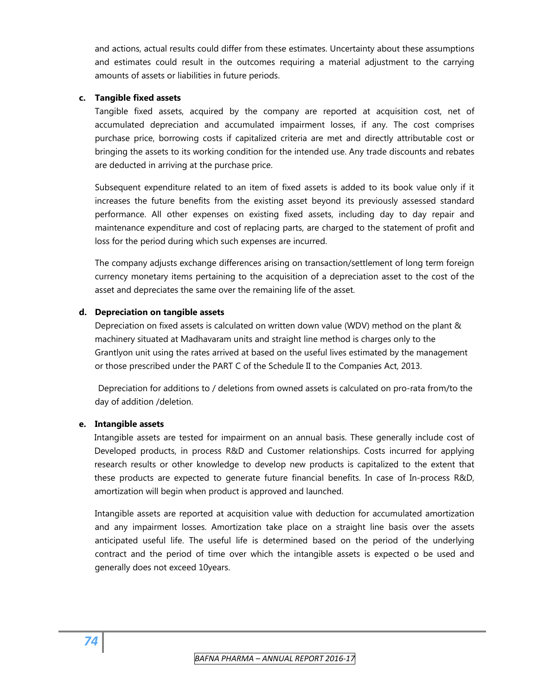and actions, actual results could differ from these estimates. Uncertainty about these assumptions and estimates could result in the outcomes requiring a material adjustment to the carrying amounts of assets or liabilities in future periods.

# **c. Tangible fixed assets**

Tangible fixed assets, acquired by the company are reported at acquisition cost, net of accumulated depreciation and accumulated impairment losses, if any. The cost comprises purchase price, borrowing costs if capitalized criteria are met and directly attributable cost or bringing the assets to its working condition for the intended use. Any trade discounts and rebates are deducted in arriving at the purchase price.

Subsequent expenditure related to an item of fixed assets is added to its book value only if it increases the future benefits from the existing asset beyond its previously assessed standard performance. All other expenses on existing fixed assets, including day to day repair and maintenance expenditure and cost of replacing parts, are charged to the statement of profit and loss for the period during which such expenses are incurred.

The company adjusts exchange differences arising on transaction/settlement of long term foreign currency monetary items pertaining to the acquisition of a depreciation asset to the cost of the asset and depreciates the same over the remaining life of the asset.

# **d. Depreciation on tangible assets**

Depreciation on fixed assets is calculated on written down value (WDV) method on the plant & machinery situated at Madhavaram units and straight line method is charges only to the Grantlyon unit using the rates arrived at based on the useful lives estimated by the management or those prescribed under the PART C of the Schedule II to the Companies Act, 2013.

Depreciation for additions to / deletions from owned assets is calculated on pro-rata from/to the day of addition /deletion.

# **e. Intangible assets**

Intangible assets are tested for impairment on an annual basis. These generally include cost of Developed products, in process R&D and Customer relationships. Costs incurred for applying research results or other knowledge to develop new products is capitalized to the extent that these products are expected to generate future financial benefits. In case of In-process R&D, amortization will begin when product is approved and launched.

Intangible assets are reported at acquisition value with deduction for accumulated amortization and any impairment losses. Amortization take place on a straight line basis over the assets anticipated useful life. The useful life is determined based on the period of the underlying contract and the period of time over which the intangible assets is expected o be used and generally does not exceed 10years.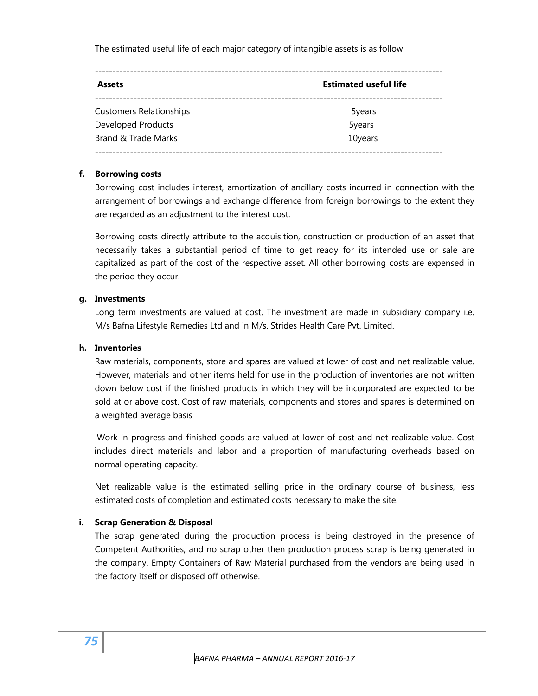The estimated useful life of each major category of intangible assets is as follow

| <b>Assets</b>                  | <b>Estimated useful life</b> |
|--------------------------------|------------------------------|
| <b>Customers Relationships</b> | 5years                       |
| <b>Developed Products</b>      | 5years                       |
| Brand & Trade Marks            | 10years                      |

# **f. Borrowing costs**

Borrowing cost includes interest, amortization of ancillary costs incurred in connection with the arrangement of borrowings and exchange difference from foreign borrowings to the extent they are regarded as an adjustment to the interest cost.

Borrowing costs directly attribute to the acquisition, construction or production of an asset that necessarily takes a substantial period of time to get ready for its intended use or sale are capitalized as part of the cost of the respective asset. All other borrowing costs are expensed in the period they occur.

# **g. Investments**

Long term investments are valued at cost. The investment are made in subsidiary company i.e. M/s Bafna Lifestyle Remedies Ltd and in M/s. Strides Health Care Pvt. Limited.

# **h. Inventories**

Raw materials, components, store and spares are valued at lower of cost and net realizable value. However, materials and other items held for use in the production of inventories are not written down below cost if the finished products in which they will be incorporated are expected to be sold at or above cost. Cost of raw materials, components and stores and spares is determined on a weighted average basis

 Work in progress and finished goods are valued at lower of cost and net realizable value. Cost includes direct materials and labor and a proportion of manufacturing overheads based on normal operating capacity.

Net realizable value is the estimated selling price in the ordinary course of business, less estimated costs of completion and estimated costs necessary to make the site.

# **i. Scrap Generation & Disposal**

The scrap generated during the production process is being destroyed in the presence of Competent Authorities, and no scrap other then production process scrap is being generated in the company. Empty Containers of Raw Material purchased from the vendors are being used in the factory itself or disposed off otherwise.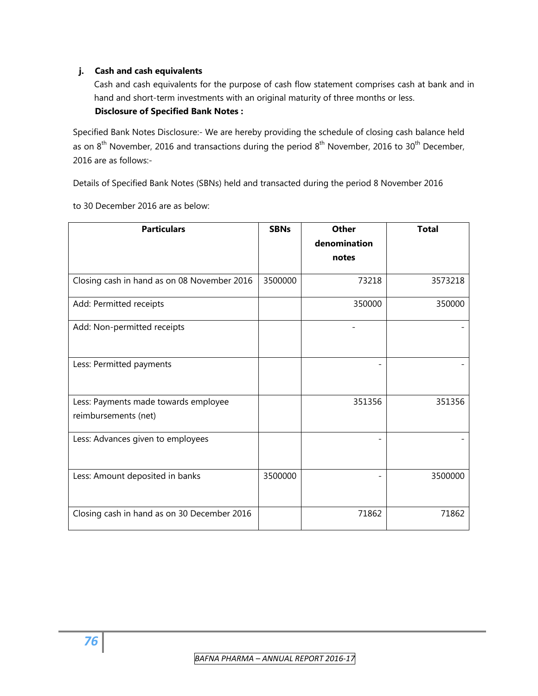# **j. Cash and cash equivalents**

Cash and cash equivalents for the purpose of cash flow statement comprises cash at bank and in hand and short-term investments with an original maturity of three months or less.

# **Disclosure of Specified Bank Notes :**

Specified Bank Notes Disclosure:- We are hereby providing the schedule of closing cash balance held as on 8<sup>th</sup> November, 2016 and transactions during the period 8<sup>th</sup> November, 2016 to 30<sup>th</sup> December, 2016 are as follows:-

Details of Specified Bank Notes (SBNs) held and transacted during the period 8 November 2016

to 30 December 2016 are as below:

| <b>Particulars</b>                                           | <b>SBNs</b> | <b>Other</b><br>denomination | <b>Total</b> |
|--------------------------------------------------------------|-------------|------------------------------|--------------|
|                                                              |             |                              |              |
|                                                              |             | notes                        |              |
| Closing cash in hand as on 08 November 2016                  | 3500000     | 73218                        | 3573218      |
| Add: Permitted receipts                                      |             | 350000                       | 350000       |
| Add: Non-permitted receipts                                  |             |                              |              |
| Less: Permitted payments                                     |             |                              |              |
| Less: Payments made towards employee<br>reimbursements (net) |             | 351356                       | 351356       |
| Less: Advances given to employees                            |             |                              |              |
| Less: Amount deposited in banks                              | 3500000     |                              | 3500000      |
| Closing cash in hand as on 30 December 2016                  |             | 71862                        | 71862        |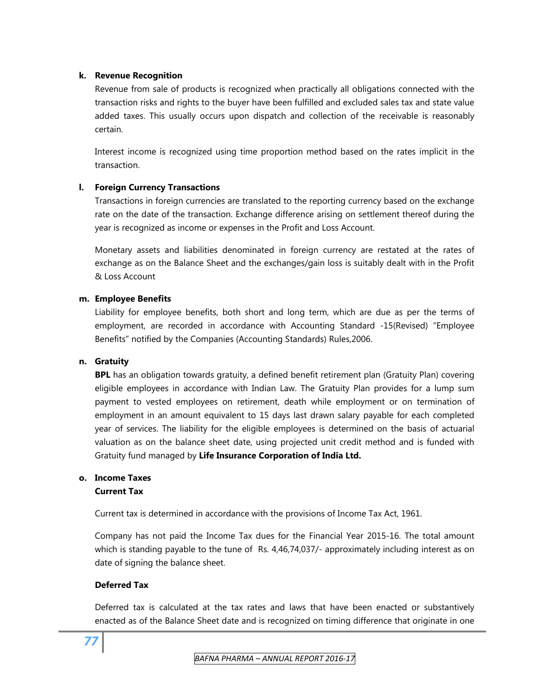# **k. Revenue Recognition**

Revenue from sale of products is recognized when practically all obligations connected with the transaction risks and rights to the buyer have been fulfilled and excluded sales tax and state value added taxes. This usually occurs upon dispatch and collection of the receivable is reasonably certain.

Interest income is recognized using time proportion method based on the rates implicit in the transaction.

# **l. Foreign Currency Transactions**

Transactions in foreign currencies are translated to the reporting currency based on the exchange rate on the date of the transaction. Exchange difference arising on settlement thereof during the year is recognized as income or expenses in the Profit and Loss Account.

Monetary assets and liabilities denominated in foreign currency are restated at the rates of exchange as on the Balance Sheet and the exchanges/gain loss is suitably dealt with in the Profit & Loss Account

# **m. Employee Benefits**

Liability for employee benefits, both short and long term, which are due as per the terms of employment, are recorded in accordance with Accounting Standard -15(Revised) "Employee Benefits" notified by the Companies (Accounting Standards) Rules,2006.

# **n. Gratuity**

**BPL** has an obligation towards gratuity, a defined benefit retirement plan (Gratuity Plan) covering eligible employees in accordance with Indian Law. The Gratuity Plan provides for a lump sum payment to vested employees on retirement, death while employment or on termination of employment in an amount equivalent to 15 days last drawn salary payable for each completed year of services. The liability for the eligible employees is determined on the basis of actuarial valuation as on the balance sheet date, using projected unit credit method and is funded with Gratuity fund managed by **Life Insurance Corporation of India Ltd.** 

# **o. Income Taxes Current Tax**

Current tax is determined in accordance with the provisions of Income Tax Act, 1961.

Company has not paid the Income Tax dues for the Financial Year 2015-16. The total amount which is standing payable to the tune of Rs. 4,46,74,037/- approximately including interest as on date of signing the balance sheet.

# **Deferred Tax**

Deferred tax is calculated at the tax rates and laws that have been enacted or substantively enacted as of the Balance Sheet date and is recognized on timing difference that originate in one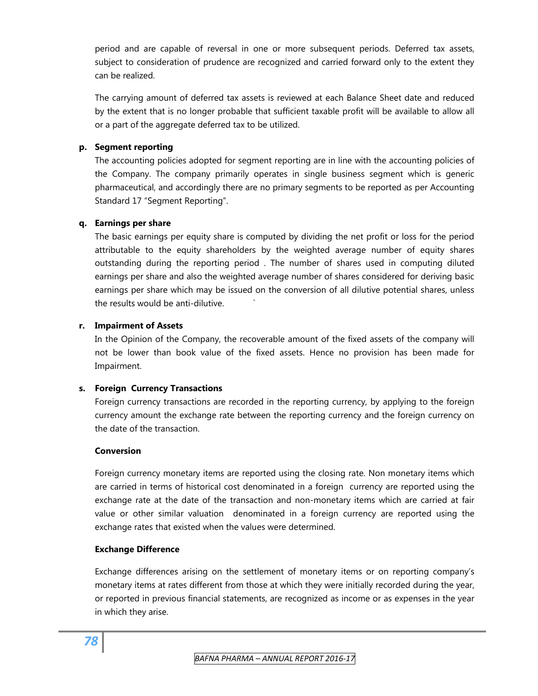period and are capable of reversal in one or more subsequent periods. Deferred tax assets, subject to consideration of prudence are recognized and carried forward only to the extent they can be realized.

The carrying amount of deferred tax assets is reviewed at each Balance Sheet date and reduced by the extent that is no longer probable that sufficient taxable profit will be available to allow all or a part of the aggregate deferred tax to be utilized.

# **p. Segment reporting**

The accounting policies adopted for segment reporting are in line with the accounting policies of the Company. The company primarily operates in single business segment which is generic pharmaceutical, and accordingly there are no primary segments to be reported as per Accounting Standard 17 "Segment Reporting".

# **q. Earnings per share**

The basic earnings per equity share is computed by dividing the net profit or loss for the period attributable to the equity shareholders by the weighted average number of equity shares outstanding during the reporting period . The number of shares used in computing diluted earnings per share and also the weighted average number of shares considered for deriving basic earnings per share which may be issued on the conversion of all dilutive potential shares, unless the results would be anti-dilutive. `

# **r. Impairment of Assets**

In the Opinion of the Company, the recoverable amount of the fixed assets of the company will not be lower than book value of the fixed assets. Hence no provision has been made for Impairment.

# **s. Foreign Currency Transactions**

Foreign currency transactions are recorded in the reporting currency, by applying to the foreign currency amount the exchange rate between the reporting currency and the foreign currency on the date of the transaction.

# **Conversion**

Foreign currency monetary items are reported using the closing rate. Non monetary items which are carried in terms of historical cost denominated in a foreign currency are reported using the exchange rate at the date of the transaction and non-monetary items which are carried at fair value or other similar valuation denominated in a foreign currency are reported using the exchange rates that existed when the values were determined.

# **Exchange Difference**

Exchange differences arising on the settlement of monetary items or on reporting company's monetary items at rates different from those at which they were initially recorded during the year, or reported in previous financial statements, are recognized as income or as expenses in the year in which they arise.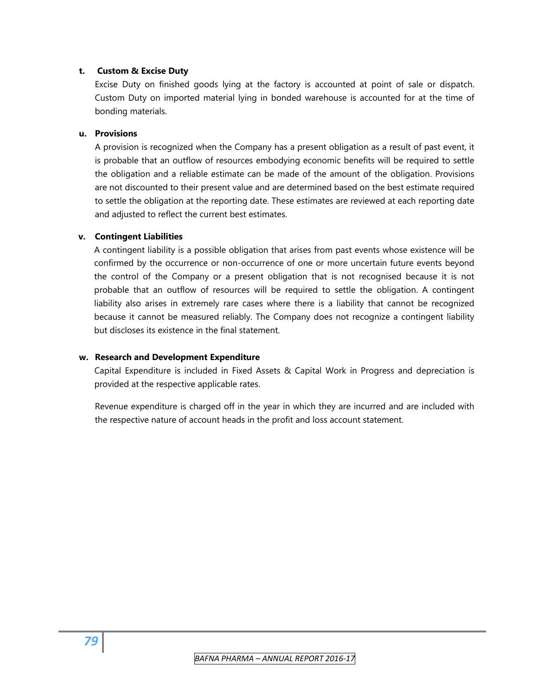# **t. Custom & Excise Duty**

Excise Duty on finished goods lying at the factory is accounted at point of sale or dispatch. Custom Duty on imported material lying in bonded warehouse is accounted for at the time of bonding materials.

# **u. Provisions**

A provision is recognized when the Company has a present obligation as a result of past event, it is probable that an outflow of resources embodying economic benefits will be required to settle the obligation and a reliable estimate can be made of the amount of the obligation. Provisions are not discounted to their present value and are determined based on the best estimate required to settle the obligation at the reporting date. These estimates are reviewed at each reporting date and adjusted to reflect the current best estimates.

# **v. Contingent Liabilities**

A contingent liability is a possible obligation that arises from past events whose existence will be confirmed by the occurrence or non-occurrence of one or more uncertain future events beyond the control of the Company or a present obligation that is not recognised because it is not probable that an outflow of resources will be required to settle the obligation. A contingent liability also arises in extremely rare cases where there is a liability that cannot be recognized because it cannot be measured reliably. The Company does not recognize a contingent liability but discloses its existence in the final statement.

# **w. Research and Development Expenditure**

Capital Expenditure is included in Fixed Assets & Capital Work in Progress and depreciation is provided at the respective applicable rates.

Revenue expenditure is charged off in the year in which they are incurred and are included with the respective nature of account heads in the profit and loss account statement.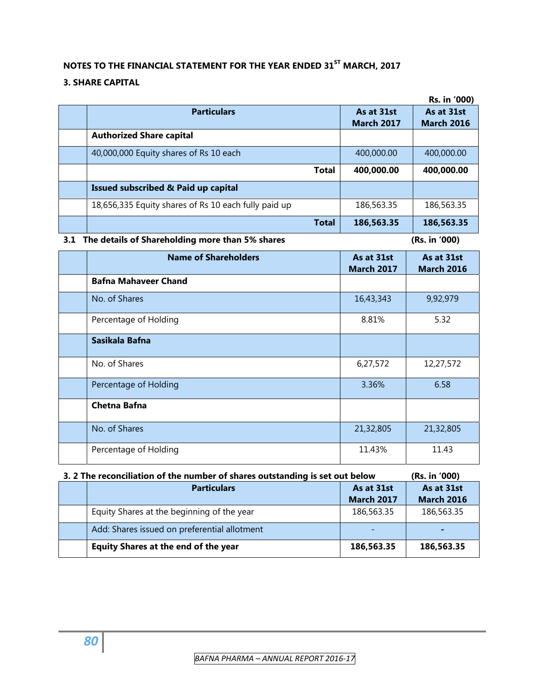# **NOTES TO THE FINANCIAL STATEMENT FOR THE YEAR ENDED 31ST MARCH, 2017**

# **3. SHARE CAPITAL**

|                                                      |                   | Rs. in '000)      |
|------------------------------------------------------|-------------------|-------------------|
| <b>Particulars</b>                                   | As at 31st        | As at 31st        |
|                                                      | <b>March 2017</b> | <b>March 2016</b> |
| <b>Authorized Share capital</b>                      |                   |                   |
| 40,000,000 Equity shares of Rs 10 each               | 400,000.00        | 400,000.00        |
| <b>Total</b>                                         | 400,000.00        | 400,000.00        |
| Issued subscribed & Paid up capital                  |                   |                   |
| 18,656,335 Equity shares of Rs 10 each fully paid up | 186,563.35        | 186,563.35        |
| <b>Total</b>                                         | 186,563.35        | 186,563.35        |

# **3.1 The details of Shareholding more than 5% shares (Rs. in '000)**

| <b>Name of Shareholders</b> | As at 31st        | As at 31st        |
|-----------------------------|-------------------|-------------------|
|                             | <b>March 2017</b> | <b>March 2016</b> |
| <b>Bafna Mahaveer Chand</b> |                   |                   |
| No. of Shares               | 16,43,343         | 9,92,979          |
| Percentage of Holding       | 8.81%             | 5.32              |
| Sasikala Bafna              |                   |                   |
| No. of Shares               | 6,27,572          | 12,27,572         |
| Percentage of Holding       | 3.36%             | 6.58              |
| <b>Chetna Bafna</b>         |                   |                   |
| No. of Shares               | 21,32,805         | 21,32,805         |
| Percentage of Holding       | 11.43%            | 11.43             |

# **3. 2 The reconciliation of the number of shares outstanding is set out below (Rs. in '000)**

| <b>Particulars</b>                           | As at 31st        | As at 31st        |
|----------------------------------------------|-------------------|-------------------|
|                                              | <b>March 2017</b> | <b>March 2016</b> |
| Equity Shares at the beginning of the year   | 186,563.35        | 186,563.35        |
| Add: Shares issued on preferential allotment |                   |                   |
| <b>Equity Shares at the end of the year</b>  | 186,563.35        | 186,563.35        |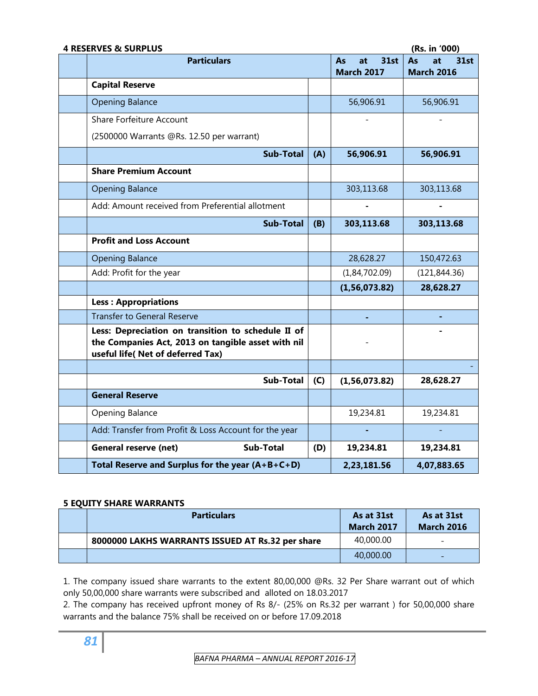| <b>4 RESERVES &amp; SURPLUS</b>                                                                                                               |     |                                              | (Rs. in '000)                         |
|-----------------------------------------------------------------------------------------------------------------------------------------------|-----|----------------------------------------------|---------------------------------------|
| <b>Particulars</b>                                                                                                                            |     | <b>31st</b><br>at<br>As<br><b>March 2017</b> | As<br>at<br>31st<br><b>March 2016</b> |
| <b>Capital Reserve</b>                                                                                                                        |     |                                              |                                       |
| <b>Opening Balance</b>                                                                                                                        |     | 56,906.91                                    | 56,906.91                             |
| Share Forfeiture Account                                                                                                                      |     |                                              |                                       |
| (2500000 Warrants @Rs. 12.50 per warrant)                                                                                                     |     |                                              |                                       |
| <b>Sub-Total</b>                                                                                                                              | (A) | 56,906.91                                    | 56,906.91                             |
| <b>Share Premium Account</b>                                                                                                                  |     |                                              |                                       |
| <b>Opening Balance</b>                                                                                                                        |     | 303,113.68                                   | 303,113.68                            |
| Add: Amount received from Preferential allotment                                                                                              |     |                                              |                                       |
| <b>Sub-Total</b>                                                                                                                              | (B) | 303,113.68                                   | 303,113.68                            |
| <b>Profit and Loss Account</b>                                                                                                                |     |                                              |                                       |
| <b>Opening Balance</b>                                                                                                                        |     | 28,628.27                                    | 150,472.63                            |
| Add: Profit for the year                                                                                                                      |     | (1,84,702.09)                                | (121, 844.36)                         |
|                                                                                                                                               |     | (1, 56, 073.82)                              | 28,628.27                             |
| <b>Less: Appropriations</b>                                                                                                                   |     |                                              |                                       |
| <b>Transfer to General Reserve</b>                                                                                                            |     |                                              |                                       |
| Less: Depreciation on transition to schedule II of<br>the Companies Act, 2013 on tangible asset with nil<br>useful life( Net of deferred Tax) |     |                                              |                                       |
|                                                                                                                                               |     |                                              |                                       |
| Sub-Total                                                                                                                                     | (C) | (1, 56, 073.82)                              | 28,628.27                             |
| <b>General Reserve</b>                                                                                                                        |     |                                              |                                       |
| Opening Balance                                                                                                                               |     | 19,234.81                                    | 19,234.81                             |
| Add: Transfer from Profit & Loss Account for the year                                                                                         |     |                                              |                                       |
| <b>General reserve (net)</b><br><b>Sub-Total</b>                                                                                              | (D) | 19,234.81                                    | 19,234.81                             |
| Total Reserve and Surplus for the year $(A+B+C+D)$                                                                                            |     | 2,23,181.56                                  | 4,07,883.65                           |

# **5 EQUITY SHARE WARRANTS**

| <b>Particulars</b>                               | As at 31st<br><b>March 2017</b> | As at 31st<br><b>March 2016</b> |
|--------------------------------------------------|---------------------------------|---------------------------------|
| 8000000 LAKHS WARRANTS ISSUED AT Rs.32 per share | 40,000.00                       | $\overline{\phantom{0}}$        |
|                                                  | 40,000.00                       | $\overline{\phantom{a}}$        |

1. The company issued share warrants to the extent 80,00,000 @Rs. 32 Per Share warrant out of which only 50,00,000 share warrants were subscribed and alloted on 18.03.2017

2. The company has received upfront money of Rs 8/- (25% on Rs.32 per warrant ) for 50,00,000 share warrants and the balance 75% shall be received on or before 17.09.2018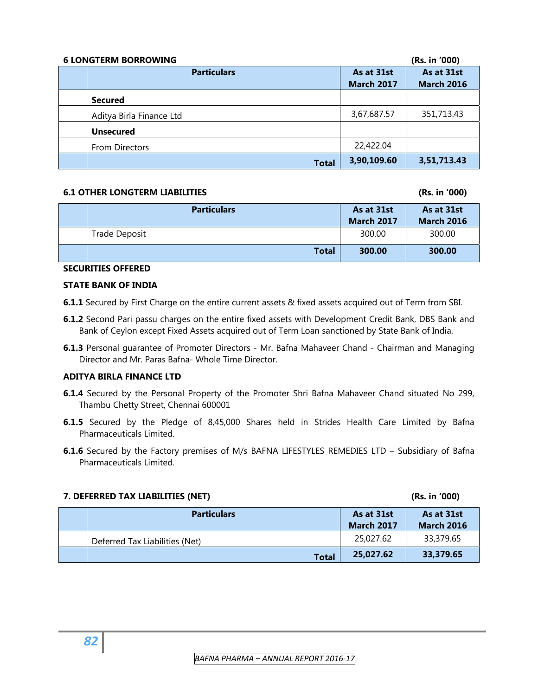| <b>6 LONGTERM BORROWING</b> |                   | (Rs. in '000)     |
|-----------------------------|-------------------|-------------------|
| <b>Particulars</b>          | As at 31st        | As at 31st        |
|                             | <b>March 2017</b> | <b>March 2016</b> |
| <b>Secured</b>              |                   |                   |
| Aditya Birla Finance Ltd    | 3,67,687.57       | 351,713.43        |
| <b>Unsecured</b>            |                   |                   |
| From Directors              | 22,422.04         |                   |
| <b>Total</b>                | 3,90,109.60       | 3,51,713.43       |

# **6.1 OTHER LONGTERM LIABILITIES (Rs. in '000)**

| <b>Particulars</b> | As at 31st<br><b>March 2017</b> | As at 31st<br><b>March 2016</b> |
|--------------------|---------------------------------|---------------------------------|
| Trade Deposit      | 300.00                          | 300.00                          |
| <b>Total</b>       | 300.00                          | 300.00                          |

# **SECURITIES OFFERED**

# **STATE BANK OF INDIA**

- **6.1.1** Secured by First Charge on the entire current assets & fixed assets acquired out of Term from SBI.
- **6.1.2** Second Pari passu charges on the entire fixed assets with Development Credit Bank, DBS Bank and Bank of Ceylon except Fixed Assets acquired out of Term Loan sanctioned by State Bank of India.
- **6.1.3** Personal guarantee of Promoter Directors Mr. Bafna Mahaveer Chand Chairman and Managing Director and Mr. Paras Bafna- Whole Time Director.

# **ADITYA BIRLA FINANCE LTD**

- **6.1.4** Secured by the Personal Property of the Promoter Shri Bafna Mahaveer Chand situated No 299, Thambu Chetty Street, Chennai 600001
- **6.1.5** Secured by the Pledge of 8,45,000 Shares held in Strides Health Care Limited by Bafna Pharmaceuticals Limited.
- **6.1.6** Secured by the Factory premises of M/s BAFNA LIFESTYLES REMEDIES LTD Subsidiary of Bafna Pharmaceuticals Limited.

| 7. DEFERRED TAX LIABILITIES (NET) |                                | (Rs. in '000)                   |                                 |
|-----------------------------------|--------------------------------|---------------------------------|---------------------------------|
|                                   | <b>Particulars</b>             | As at 31st<br><b>March 2017</b> | As at 31st<br><b>March 2016</b> |
|                                   | Deferred Tax Liabilities (Net) | 25,027.62                       | 33,379.65                       |
|                                   | <b>Total</b>                   | 25.027.62                       | 33,379.65                       |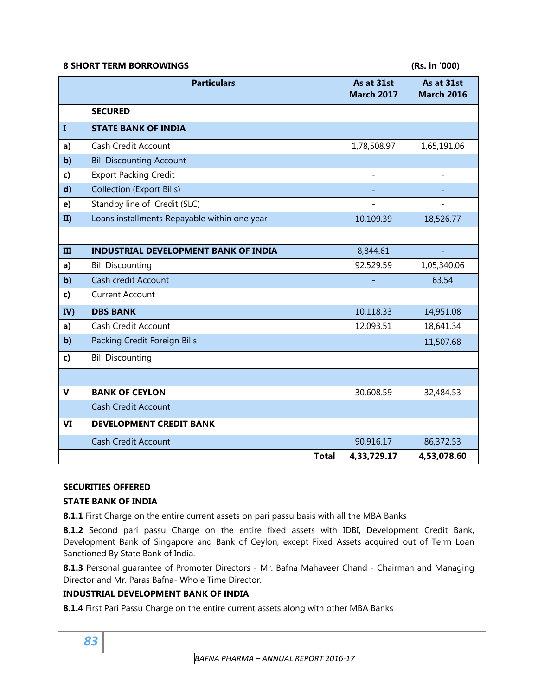# **8 SHORT TERM BORROWINGS (Rs. in '000)**

|              | <b>Particulars</b>                           | As at 31st<br><b>March 2017</b> | As at 31st<br><b>March 2016</b> |
|--------------|----------------------------------------------|---------------------------------|---------------------------------|
|              | <b>SECURED</b>                               |                                 |                                 |
| $\mathbf{I}$ | <b>STATE BANK OF INDIA</b>                   |                                 |                                 |
| a)           | Cash Credit Account                          | 1,78,508.97                     | 1,65,191.06                     |
| $b$          | <b>Bill Discounting Account</b>              |                                 |                                 |
| c)           | <b>Export Packing Credit</b>                 |                                 |                                 |
| $\mathbf{d}$ | <b>Collection (Export Bills)</b>             |                                 |                                 |
| e)           | Standby line of Credit (SLC)                 |                                 |                                 |
| II)          | Loans installments Repayable within one year | 10,109.39                       | 18,526.77                       |
|              |                                              |                                 |                                 |
| Ш            | <b>INDUSTRIAL DEVELOPMENT BANK OF INDIA</b>  | 8,844.61                        |                                 |
| a)           | <b>Bill Discounting</b>                      | 92,529.59                       | 1,05,340.06                     |
| $b$          | Cash credit Account                          |                                 | 63.54                           |
| c)           | <b>Current Account</b>                       |                                 |                                 |
| IV)          | <b>DBS BANK</b>                              | 10,118.33                       | 14,951.08                       |
| a)           | Cash Credit Account                          | 12,093.51                       | 18,641.34                       |
| $b$          | Packing Credit Foreign Bills                 |                                 | 11,507.68                       |
| $\mathbf{c}$ | <b>Bill Discounting</b>                      |                                 |                                 |
|              |                                              |                                 |                                 |
| $\mathbf v$  | <b>BANK OF CEYLON</b>                        | 30,608.59                       | 32,484.53                       |
|              | <b>Cash Credit Account</b>                   |                                 |                                 |
| VI           | <b>DEVELOPMENT CREDIT BANK</b>               |                                 |                                 |
|              | <b>Cash Credit Account</b>                   | 90,916.17                       | 86,372.53                       |
|              | <b>Total</b>                                 | 4,33,729.17                     | 4,53,078.60                     |

# **SECURITIES OFFERED**

# **STATE BANK OF INDIA**

**8.1.1** First Charge on the entire current assets on pari passu basis with all the MBA Banks

8.1.2 Second pari passu Charge on the entire fixed assets with IDBI, Development Credit Bank, Development Bank of Singapore and Bank of Ceylon, except Fixed Assets acquired out of Term Loan Sanctioned By State Bank of India.

**8.1.3** Personal guarantee of Promoter Directors - Mr. Bafna Mahaveer Chand - Chairman and Managing Director and Mr. Paras Bafna- Whole Time Director.

# **INDUSTRIAL DEVELOPMENT BANK OF INDIA**

**8.1.4** First Pari Passu Charge on the entire current assets along with other MBA Banks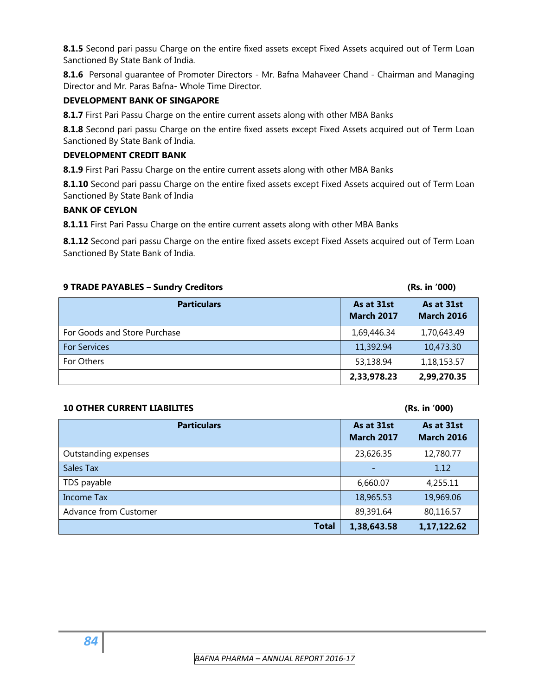**8.1.5** Second pari passu Charge on the entire fixed assets except Fixed Assets acquired out of Term Loan Sanctioned By State Bank of India.

**8.1.6** Personal guarantee of Promoter Directors - Mr. Bafna Mahaveer Chand - Chairman and Managing Director and Mr. Paras Bafna- Whole Time Director.

# **DEVELOPMENT BANK OF SINGAPORE**

**8.1.7** First Pari Passu Charge on the entire current assets along with other MBA Banks

**8.1.8** Second pari passu Charge on the entire fixed assets except Fixed Assets acquired out of Term Loan Sanctioned By State Bank of India.

# **DEVELOPMENT CREDIT BANK**

**8.1.9** First Pari Passu Charge on the entire current assets along with other MBA Banks

8.1.10 Second pari passu Charge on the entire fixed assets except Fixed Assets acquired out of Term Loan Sanctioned By State Bank of India

# **BANK OF CEYLON**

**8.1.11** First Pari Passu Charge on the entire current assets along with other MBA Banks

**8.1.12** Second pari passu Charge on the entire fixed assets except Fixed Assets acquired out of Term Loan Sanctioned By State Bank of India.

| 9 TRADE PAYABLES - Sundry Creditors | (Rs. in '000)                   |                                 |
|-------------------------------------|---------------------------------|---------------------------------|
| <b>Particulars</b>                  | As at 31st<br><b>March 2017</b> | As at 31st<br><b>March 2016</b> |
| For Goods and Store Purchase        | 1,69,446.34                     | 1,70,643.49                     |
| <b>For Services</b>                 | 11,392.94                       | 10,473.30                       |
| For Others                          | 53,138.94                       | 1,18,153.57                     |
|                                     | 2,33,978.23                     | 2,99,270.35                     |

# **10 OTHER CURRENT LIABILITES (Rs. in '000)**

| <b>Particulars</b>    | As at 31st<br><b>March 2017</b> | As at 31st<br><b>March 2016</b> |
|-----------------------|---------------------------------|---------------------------------|
| Outstanding expenses  | 23,626.35                       | 12,780.77                       |
| Sales Tax             |                                 | 1.12                            |
| TDS payable           | 6,660.07                        | 4,255.11                        |
| Income Tax            | 18,965.53                       | 19,969.06                       |
| Advance from Customer | 89,391.64                       | 80,116.57                       |
| <b>Total</b>          | 1,38,643.58                     | 1,17,122.62                     |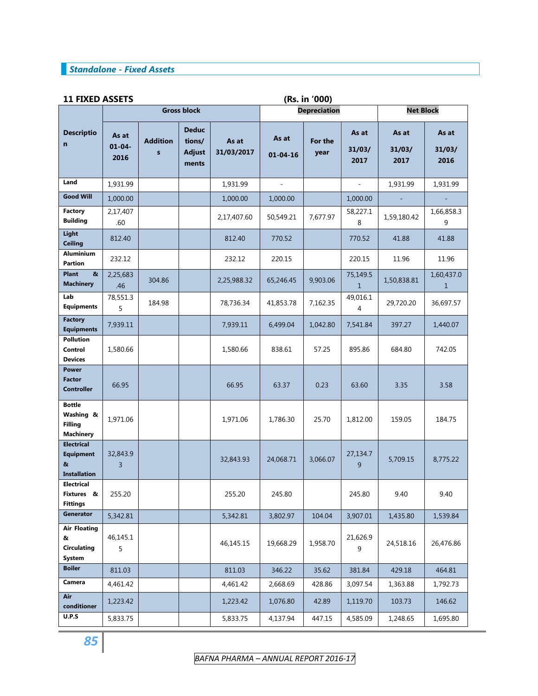# *Standalone - Fixed Assets*

# **11 FIXED ASSETS (Rs. in '000)**

|                                                                   |                              |                                 | <b>Gross block</b>                               |                     | (**** *** *** /<br><b>Depreciation</b> |                 | <b>Net Block</b>         |                         |                            |
|-------------------------------------------------------------------|------------------------------|---------------------------------|--------------------------------------------------|---------------------|----------------------------------------|-----------------|--------------------------|-------------------------|----------------------------|
| <b>Descriptio</b><br>$\mathbf n$                                  | As at<br>$01 - 04 -$<br>2016 | <b>Addition</b><br>$\mathbf{s}$ | <b>Deduc</b><br>tions/<br><b>Adjust</b><br>ments | As at<br>31/03/2017 | As at<br>$01 - 04 - 16$                | For the<br>year | As at<br>31/03/<br>2017  | As at<br>31/03/<br>2017 | As at<br>31/03/<br>2016    |
| Land                                                              | 1,931.99                     |                                 |                                                  | 1,931.99            | $\overline{\phantom{a}}$               |                 | $\overline{\phantom{a}}$ | 1,931.99                | 1,931.99                   |
| <b>Good Will</b>                                                  | 1,000.00                     |                                 |                                                  | 1,000.00            | 1,000.00                               |                 | 1,000.00                 |                         |                            |
| <b>Factory</b><br><b>Building</b>                                 | 2,17,407<br>.60              |                                 |                                                  | 2,17,407.60         | 50,549.21                              | 7,677.97        | 58,227.1<br>8            | 1,59,180.42             | 1,66,858.3<br>9            |
| Light<br><b>Ceiling</b>                                           | 812.40                       |                                 |                                                  | 812.40              | 770.52                                 |                 | 770.52                   | 41.88                   | 41.88                      |
| <b>Aluminium</b><br><b>Partion</b>                                | 232.12                       |                                 |                                                  | 232.12              | 220.15                                 |                 | 220.15                   | 11.96                   | 11.96                      |
| <b>Plant</b><br>&<br><b>Machinery</b>                             | 2,25,683<br>.46              | 304.86                          |                                                  | 2,25,988.32         | 65,246.45                              | 9,903.06        | 75,149.5<br>$\mathbf{1}$ | 1,50,838.81             | 1,60,437.0<br>$\mathbf{1}$ |
| Lab<br><b>Equipments</b>                                          | 78,551.3<br>5                | 184.98                          |                                                  | 78,736.34           | 41,853.78                              | 7,162.35        | 49,016.1<br>4            | 29,720.20               | 36,697.57                  |
| <b>Factory</b><br><b>Equipments</b>                               | 7,939.11                     |                                 |                                                  | 7,939.11            | 6,499.04                               | 1,042.80        | 7,541.84                 | 397.27                  | 1,440.07                   |
| <b>Pollution</b><br>Control<br><b>Devices</b>                     | 1,580.66                     |                                 |                                                  | 1,580.66            | 838.61                                 | 57.25           | 895.86                   | 684.80                  | 742.05                     |
| <b>Power</b><br><b>Factor</b><br><b>Controller</b>                | 66.95                        |                                 |                                                  | 66.95               | 63.37                                  | 0.23            | 63.60                    | 3.35                    | 3.58                       |
| <b>Bottle</b><br>Washing &<br><b>Filling</b><br><b>Machinery</b>  | 1,971.06                     |                                 |                                                  | 1,971.06            | 1,786.30                               | 25.70           | 1,812.00                 | 159.05                  | 184.75                     |
| <b>Electrical</b><br><b>Equipment</b><br>&<br><b>Installation</b> | 32,843.9<br>$\overline{3}$   |                                 |                                                  | 32,843.93           | 24,068.71                              | 3,066.07        | 27,134.7<br>9            | 5,709.15                | 8,775.22                   |
| <b>Electrical</b><br>Fixtures &<br><b>Fittings</b>                | 255.20                       |                                 |                                                  | 255.20              | 245.80                                 |                 | 245.80                   | 9.40                    | 9.40                       |
| Generator                                                         | 5,342.81                     |                                 |                                                  | 5,342.81            | 3,802.97                               | 104.04          | 3,907.01                 | 1,435.80                | 1,539.84                   |
| <b>Air Floating</b><br>&<br><b>Circulating</b><br><b>System</b>   | 46,145.1<br>5                |                                 |                                                  | 46,145.15           | 19,668.29                              | 1,958.70        | 21,626.9<br>9            | 24,518.16               | 26,476.86                  |
| <b>Boiler</b>                                                     | 811.03                       |                                 |                                                  | 811.03              | 346.22                                 | 35.62           | 381.84                   | 429.18                  | 464.81                     |
| Camera                                                            | 4,461.42                     |                                 |                                                  | 4,461.42            | 2,668.69                               | 428.86          | 3,097.54                 | 1,363.88                | 1,792.73                   |
| Air<br>conditioner                                                | 1,223.42                     |                                 |                                                  | 1,223.42            | 1,076.80                               | 42.89           | 1,119.70                 | 103.73                  | 146.62                     |
| U.P.S                                                             | 5,833.75                     |                                 |                                                  | 5,833.75            | 4,137.94                               | 447.15          | 4,585.09                 | 1,248.65                | 1,695.80                   |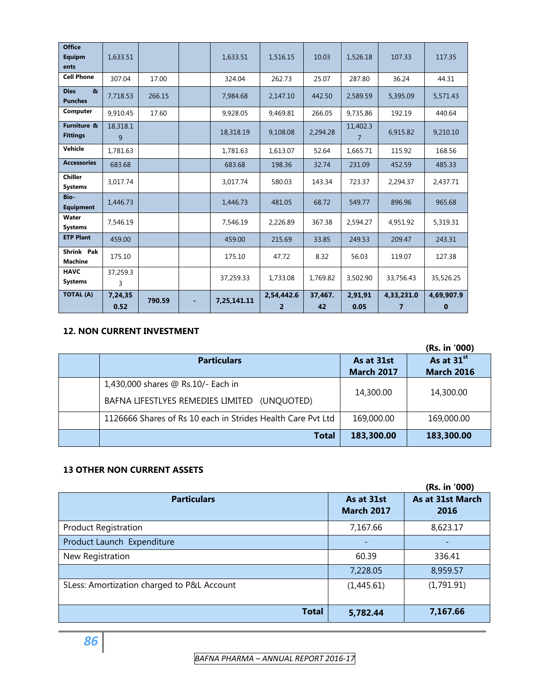| <b>Office</b><br>Equipm<br>ents               | 1,633.51        |        | 1,633.51    | 1.516.15                     | 10.03         | 1,526.18        | 107.33                       | 117.35                 |
|-----------------------------------------------|-----------------|--------|-------------|------------------------------|---------------|-----------------|------------------------------|------------------------|
| <b>Cell Phone</b>                             | 307.04          | 17.00  | 324.04      | 262.73                       | 25.07         | 287.80          | 36.24                        | 44.31                  |
| <b>Dies</b><br>$\mathbf{a}$<br><b>Punches</b> | 7,718.53        | 266.15 | 7,984.68    | 2.147.10                     | 442.50        | 2,589.59        | 5,395.09                     | 5,571.43               |
| Computer                                      | 9.910.45        | 17.60  | 9.928.05    | 9.469.81                     | 266.05        | 9.735.86        | 192.19                       | 440.64                 |
| Furniture &<br><b>Fittings</b>                | 18,318.1<br>9   |        | 18,318.19   | 9.108.08                     | 2,294.28      | 11,402.3<br>7   | 6.915.82                     | 9,210.10               |
| Vehicle                                       | 1,781.63        |        | 1,781.63    | 1,613.07                     | 52.64         | 1,665.71        | 115.92                       | 168.56                 |
| <b>Accessories</b>                            | 683.68          |        | 683.68      | 198.36                       | 32.74         | 231.09          | 452.59                       | 485.33                 |
| <b>Chiller</b><br><b>Systems</b>              | 3.017.74        |        | 3.017.74    | 580.03                       | 143.34        | 723.37          | 2.294.37                     | 2.437.71               |
| Bio-<br><b>Equipment</b>                      | 1.446.73        |        | 1.446.73    | 481.05                       | 68.72         | 549.77          | 896.96                       | 965.68                 |
| Water<br><b>Systems</b>                       | 7,546.19        |        | 7,546.19    | 2,226.89                     | 367.38        | 2.594.27        | 4,951.92                     | 5,319.31               |
| <b>ETP Plant</b>                              | 459.00          |        | 459.00      | 215.69                       | 33.85         | 249.53          | 209.47                       | 243.31                 |
| Shrink Pak<br><b>Machine</b>                  | 175.10          |        | 175.10      | 47.72                        | 8.32          | 56.03           | 119.07                       | 127.38                 |
| <b>HAVC</b><br><b>Systems</b>                 | 37,259.3<br>3   |        | 37,259.33   | 1.733.08                     | 1.769.82      | 3.502.90        | 33.756.43                    | 35,526.25              |
| <b>TOTAL (A)</b>                              | 7,24,35<br>0.52 | 790.59 | 7,25,141.11 | 2,54,442.6<br>$\overline{2}$ | 37.467.<br>42 | 2.91.91<br>0.05 | 4,33,231.0<br>$\overline{7}$ | 4,69,907.9<br>$\bf{0}$ |

# **12. NON CURRENT INVESTMENT**

|                                                             |                                 | (Rs. in '000)                               |
|-------------------------------------------------------------|---------------------------------|---------------------------------------------|
| <b>Particulars</b>                                          | As at 31st<br><b>March 2017</b> | As at 31 <sup>st</sup><br><b>March 2016</b> |
| 1,430,000 shares @ Rs.10/- Each in                          | 14,300.00                       | 14,300.00                                   |
| BAFNA LIFESTLYES REMEDIES LIMITED<br>(UNOUOTED)             |                                 |                                             |
| 1126666 Shares of Rs 10 each in Strides Health Care Pvt Ltd | 169,000.00                      | 169,000.00                                  |
| <b>Total</b>                                                | 183,300.00                      | 183,300.00                                  |

# **13 OTHER NON CURRENT ASSETS**

|                                            |                                 | (Rs. in '000)            |
|--------------------------------------------|---------------------------------|--------------------------|
| <b>Particulars</b>                         | As at 31st<br><b>March 2017</b> | As at 31st March<br>2016 |
| <b>Product Registration</b>                | 7,167.66                        | 8,623.17                 |
| Product Launch Expenditure                 |                                 |                          |
| New Registration                           | 60.39                           | 336.41                   |
|                                            | 7,228.05                        | 8,959.57                 |
| 5Less: Amortization charged to P&L Account | (1,445.61)                      | (1,791.91)               |
| <b>Total</b>                               | 5,782.44                        | 7,167.66                 |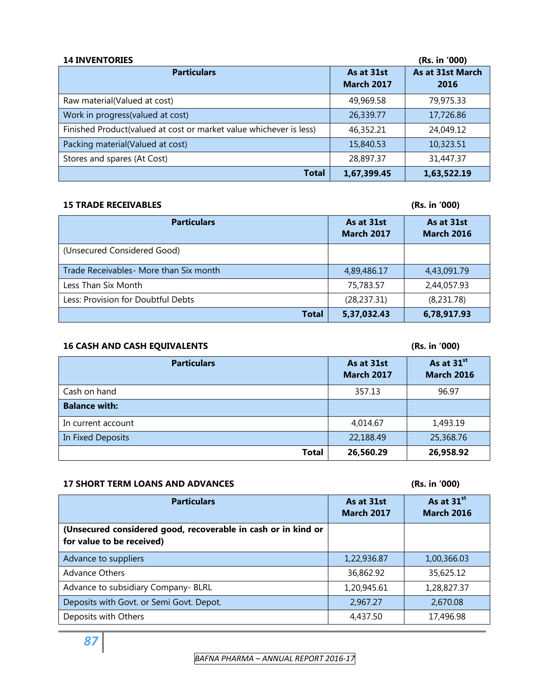| <b>14 INVENTORIES</b>                                              |                                 | (Rs. in '000)            |
|--------------------------------------------------------------------|---------------------------------|--------------------------|
| <b>Particulars</b>                                                 | As at 31st<br><b>March 2017</b> | As at 31st March<br>2016 |
| Raw material(Valued at cost)                                       | 49,969.58                       | 79,975.33                |
| Work in progress (valued at cost)                                  | 26,339.77                       | 17,726.86                |
| Finished Product(valued at cost or market value whichever is less) | 46,352.21                       | 24,049.12                |
| Packing material(Valued at cost)                                   | 15,840.53                       | 10,323.51                |
| Stores and spares (At Cost)                                        | 28,897.37                       | 31,447.37                |
| Total                                                              | 1,67,399.45                     | 1,63,522.19              |

# **15 TRADE RECEIVABLES (Rs. in '000)**

| <b>Particulars</b>                     | As at 31st<br><b>March 2017</b> | As at 31st<br><b>March 2016</b> |
|----------------------------------------|---------------------------------|---------------------------------|
| (Unsecured Considered Good)            |                                 |                                 |
| Trade Receivables- More than Six month | 4,89,486.17                     | 4,43,091.79                     |
| Less Than Six Month                    | 75,783.57                       | 2,44,057.93                     |
| Less: Provision for Doubtful Debts     | (28, 237.31)                    | (8,231.78)                      |
| Total                                  | 5,37,032.43                     | 6,78,917.93                     |

# **16 CASH AND CASH EQUIVALENTS (Rs. in '000)**

| <b>Particulars</b>   | As at 31st<br><b>March 2017</b> | As at 31 <sup>st</sup><br><b>March 2016</b> |
|----------------------|---------------------------------|---------------------------------------------|
| Cash on hand         | 357.13                          | 96.97                                       |
| <b>Balance with:</b> |                                 |                                             |
| In current account   | 4,014.67                        | 1,493.19                                    |
| In Fixed Deposits    | 22,188.49                       | 25,368.76                                   |
| <b>Total</b>         | 26,560.29                       | 26,958.92                                   |

# **17 SHORT TERM LOANS AND ADVANCES (Rs. in '000)**

| <b>Particulars</b>                                                                         | As at 31st<br><b>March 2017</b> | As at 31 <sup>st</sup><br><b>March 2016</b> |
|--------------------------------------------------------------------------------------------|---------------------------------|---------------------------------------------|
| (Unsecured considered good, recoverable in cash or in kind or<br>for value to be received) |                                 |                                             |
| Advance to suppliers                                                                       | 1,22,936.87                     | 1,00,366.03                                 |
| <b>Advance Others</b>                                                                      | 36,862.92                       | 35,625.12                                   |
| Advance to subsidiary Company- BLRL                                                        | 1,20,945.61                     | 1,28,827.37                                 |
| Deposits with Govt. or Semi Govt. Depot.                                                   | 2,967.27                        | 2,670.08                                    |
| Deposits with Others                                                                       | 4,437.50                        | 17,496.98                                   |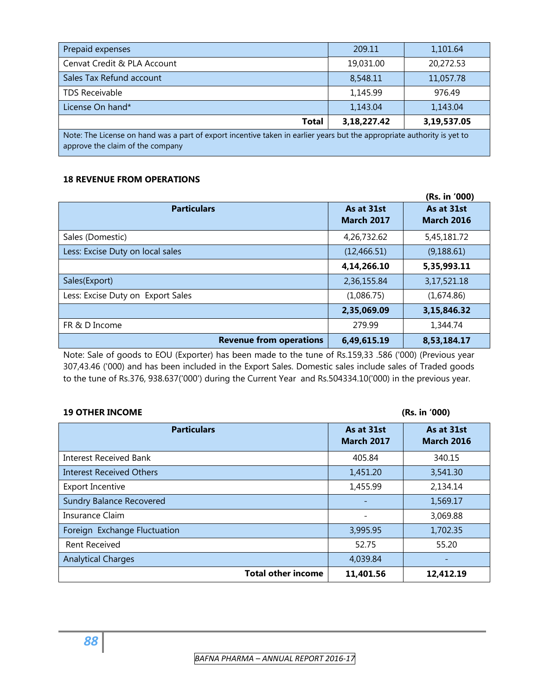| Prepaid expenses                                                                                                                                            | 209.11      | 1,101.64    |  |  |  |
|-------------------------------------------------------------------------------------------------------------------------------------------------------------|-------------|-------------|--|--|--|
| Cenvat Credit & PLA Account                                                                                                                                 | 19,031.00   | 20,272.53   |  |  |  |
| Sales Tax Refund account                                                                                                                                    | 8,548.11    | 11,057.78   |  |  |  |
| <b>TDS Receivable</b>                                                                                                                                       | 1,145.99    | 976.49      |  |  |  |
| License On hand*                                                                                                                                            | 1,143.04    | 1,143.04    |  |  |  |
| Total                                                                                                                                                       | 3,18,227.42 | 3,19,537.05 |  |  |  |
| Note: The License on hand was a part of export incentive taken in earlier years but the appropriate authority is yet to<br>approve the claim of the company |             |             |  |  |  |

# **18 REVENUE FROM OPERATIONS**

|                                   |                                 | (Rs. in '000)                   |
|-----------------------------------|---------------------------------|---------------------------------|
| <b>Particulars</b>                | As at 31st<br><b>March 2017</b> | As at 31st<br><b>March 2016</b> |
| Sales (Domestic)                  | 4,26,732.62                     | 5,45,181.72                     |
| Less: Excise Duty on local sales  | (12, 466.51)                    | (9, 188.61)                     |
|                                   | 4,14,266.10                     | 5,35,993.11                     |
| Sales(Export)                     | 2,36,155.84                     | 3,17,521.18                     |
| Less: Excise Duty on Export Sales | (1,086.75)                      | (1,674.86)                      |
|                                   | 2,35,069.09                     | 3,15,846.32                     |
| FR & D Income                     | 279.99                          | 1,344.74                        |
| <b>Revenue from operations</b>    | 6,49,615.19                     | 8,53,184.17                     |

Note: Sale of goods to EOU (Exporter) has been made to the tune of Rs.159,33 .586 ('000) (Previous year 307,43.46 ('000) and has been included in the Export Sales. Domestic sales include sales of Traded goods to the tune of Rs.376, 938.637('000') during the Current Year and Rs.504334.10('000) in the previous year.

# **19 OTHER INCOME (Rs. in '000)**

| <b>Particulars</b>              | As at 31st<br><b>March 2017</b> | As at 31st<br><b>March 2016</b> |
|---------------------------------|---------------------------------|---------------------------------|
| <b>Interest Received Bank</b>   | 405.84                          | 340.15                          |
| Interest Received Others        | 1,451.20                        | 3,541.30                        |
| <b>Export Incentive</b>         | 1,455.99                        | 2,134.14                        |
| <b>Sundry Balance Recovered</b> |                                 | 1,569.17                        |
| Insurance Claim                 |                                 | 3,069.88                        |
| Foreign Exchange Fluctuation    | 3,995.95                        | 1,702.35                        |
| <b>Rent Received</b>            | 52.75                           | 55.20                           |
| <b>Analytical Charges</b>       | 4,039.84                        |                                 |
| <b>Total other income</b>       | 11,401.56                       | 12,412.19                       |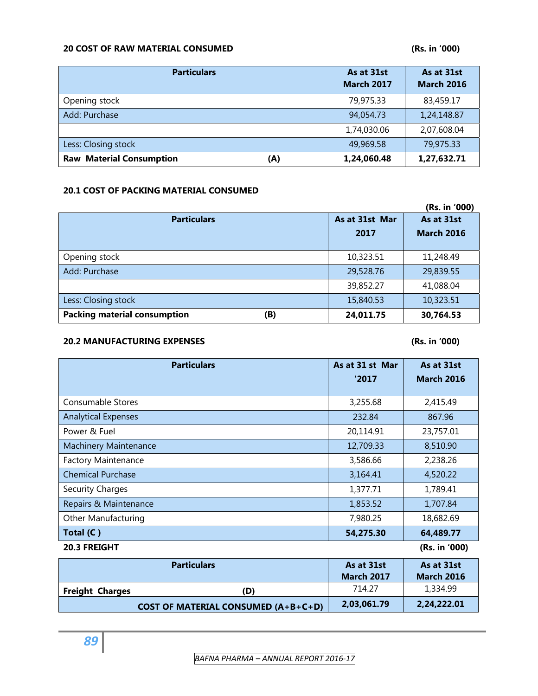# **20 COST OF RAW MATERIAL CONSUMED (Rs. in '000)**

| <b>Particulars</b>                     | As at 31st<br><b>March 2017</b> | As at 31st<br><b>March 2016</b> |
|----------------------------------------|---------------------------------|---------------------------------|
| Opening stock                          | 79,975.33                       | 83,459.17                       |
| Add: Purchase                          | 94,054.73                       | 1,24,148.87                     |
|                                        | 1,74,030.06                     | 2,07,608.04                     |
| Less: Closing stock                    | 49,969.58                       | 79,975.33                       |
| <b>Raw Material Consumption</b><br>(A) | 1,24,060.48                     | 1,27,632.71                     |

# **20.1 COST OF PACKING MATERIAL CONSUMED**

|                                            |                | (Rs. in '000)     |
|--------------------------------------------|----------------|-------------------|
| <b>Particulars</b>                         | As at 31st Mar | As at 31st        |
|                                            | 2017           | <b>March 2016</b> |
|                                            |                |                   |
| Opening stock                              | 10,323.51      | 11,248.49         |
| Add: Purchase                              | 29,528.76      | 29,839.55         |
|                                            | 39,852.27      | 41,088.04         |
| Less: Closing stock                        | 15,840.53      | 10,323.51         |
| <b>Packing material consumption</b><br>(B) | 24,011.75      | 30,764.53         |

# **20.2 MANUFACTURING EXPENSES (Rs. in '000)**

| <b>Particulars</b>                         | As at 31 st Mar   | As at 31st        |
|--------------------------------------------|-------------------|-------------------|
|                                            | '2017             | <b>March 2016</b> |
|                                            |                   |                   |
| Consumable Stores                          | 3,255.68          | 2,415.49          |
| <b>Analytical Expenses</b>                 | 232.84            | 867.96            |
| Power & Fuel                               | 20,114.91         | 23,757.01         |
| <b>Machinery Maintenance</b>               | 12,709.33         | 8,510.90          |
| <b>Factory Maintenance</b>                 | 3,586.66          | 2,238.26          |
| <b>Chemical Purchase</b>                   | 3,164.41          | 4,520.22          |
| Security Charges                           | 1,377.71          | 1,789.41          |
| Repairs & Maintenance                      | 1,853.52          | 1,707.84          |
| Other Manufacturing                        | 7,980.25          | 18,682.69         |
| Total (C)                                  | 54,275.30         | 64,489.77         |
| 20.3 FREIGHT                               |                   | (Rs. in '000)     |
| <b>Particulars</b>                         | As at 31st        | As at 31st        |
|                                            | <b>March 2017</b> | <b>March 2016</b> |
| <b>Freight Charges</b><br>(D)              | 714.27            | 1,334.99          |
| <b>COST OF MATERIAL CONSUMED (A+B+C+D)</b> | 2,03,061.79       | 2,24,222.01       |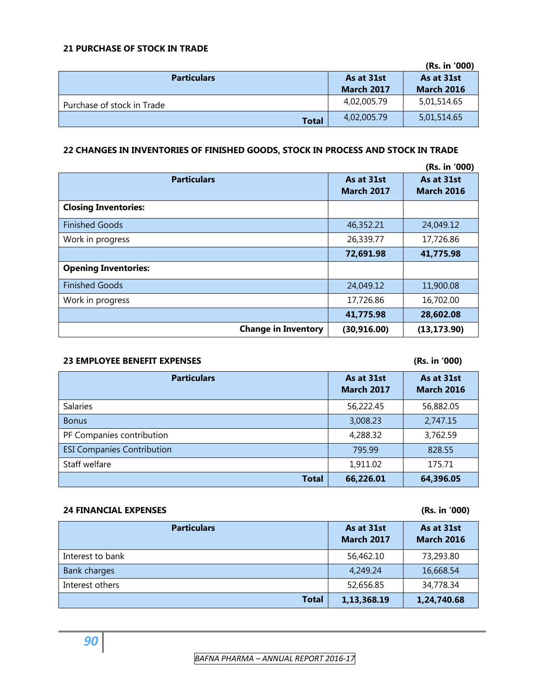# **21 PURCHASE OF STOCK IN TRADE**

|                            |                   | (Rs. in '000)     |
|----------------------------|-------------------|-------------------|
| <b>Particulars</b>         | As at 31st        | As at 31st        |
|                            | <b>March 2017</b> | <b>March 2016</b> |
| Purchase of stock in Trade | 4,02,005.79       | 5,01,514.65       |
| <b>Total</b>               | 4,02,005.79       | 5,01,514.65       |

# **22 CHANGES IN INVENTORIES OF FINISHED GOODS, STOCK IN PROCESS AND STOCK IN TRADE**

|                             |                   | (Rs. in '000)     |
|-----------------------------|-------------------|-------------------|
| <b>Particulars</b>          | As at 31st        | As at 31st        |
|                             | <b>March 2017</b> | <b>March 2016</b> |
| <b>Closing Inventories:</b> |                   |                   |
| <b>Finished Goods</b>       | 46,352.21         | 24,049.12         |
| Work in progress            | 26,339.77         | 17,726.86         |
|                             | 72,691.98         | 41,775.98         |
| <b>Opening Inventories:</b> |                   |                   |
| <b>Finished Goods</b>       | 24,049.12         | 11,900.08         |
| Work in progress            | 17,726.86         | 16,702.00         |
|                             | 41,775.98         | 28,602.08         |
| <b>Change in Inventory</b>  | (30, 916.00)      | (13, 173.90)      |

# **23 EMPLOYEE BENEFIT EXPENSES (Rs. in '000)**

| <b>Particulars</b>                | As at 31st<br><b>March 2017</b> | As at 31st<br><b>March 2016</b> |
|-----------------------------------|---------------------------------|---------------------------------|
| <b>Salaries</b>                   | 56,222.45                       | 56,882.05                       |
| <b>Bonus</b>                      | 3,008.23                        | 2,747.15                        |
| PF Companies contribution         | 4,288.32                        | 3,762.59                        |
| <b>ESI Companies Contribution</b> | 795.99                          | 828.55                          |
| Staff welfare                     | 1,911.02                        | 175.71                          |
| <b>Total</b>                      | 66,226.01                       | 64,396.05                       |

# **24 FINANCIAL EXPENSES (Rs. in '000)**

| <b>Particulars</b>  | As at 31st<br><b>March 2017</b> | As at 31st<br><b>March 2016</b> |
|---------------------|---------------------------------|---------------------------------|
| Interest to bank    | 56,462.10                       | 73,293.80                       |
| <b>Bank charges</b> | 4,249.24                        | 16,668.54                       |
| Interest others     | 52,656.85                       | 34,778.34                       |
| <b>Total</b>        | 1,13,368.19                     | 1,24,740.68                     |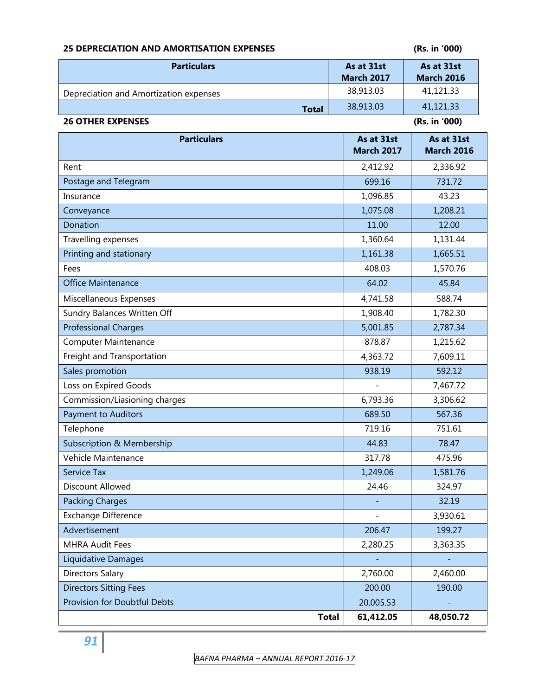# **25 DEPRECIATION AND AMORTISATION EXPENSES (Rs. in '000)**

| <b>Particulars</b>                     | As at 31st<br><b>March 2017</b> | As at 31st<br><b>March 2016</b> |
|----------------------------------------|---------------------------------|---------------------------------|
| Depreciation and Amortization expenses | 38,913.03                       | 41,121.33                       |
| <b>Total</b>                           | 38,913.03                       | 41,121.33                       |
| <b>26 OTHER EXPENSES</b>               |                                 | (Rs. in '000)                   |

| <b>Particulars</b>                  | As at 31st<br><b>March 2017</b> | As at 31st<br><b>March 2016</b> |
|-------------------------------------|---------------------------------|---------------------------------|
| Rent                                | 2,412.92                        | 2,336.92                        |
| Postage and Telegram                | 699.16                          | 731.72                          |
| Insurance                           | 1,096.85                        | 43.23                           |
| Conveyance                          | 1,075.08                        | 1,208.21                        |
| Donation                            | 11.00                           | 12.00                           |
| Travelling expenses                 | 1,360.64                        | 1,131.44                        |
| Printing and stationary             | 1,161.38                        | 1,665.51                        |
| Fees                                | 408.03                          | 1,570.76                        |
| Office Maintenance                  | 64.02                           | 45.84                           |
| Miscellaneous Expenses              | 4,741.58                        | 588.74                          |
| Sundry Balances Written Off         | 1,908.40                        | 1,782.30                        |
| <b>Professional Charges</b>         | 5,001.85                        | 2,787.34                        |
| Computer Maintenance                | 878.87                          | 1,215.62                        |
| Freight and Transportation          | 4,363.72                        | 7,609.11                        |
| Sales promotion                     | 938.19                          | 592.12                          |
| Loss on Expired Goods               |                                 | 7,467.72                        |
| Commission/Liasioning charges       | 6,793.36                        | 3,306.62                        |
| Payment to Auditors                 | 689.50                          | 567.36                          |
| Telephone                           | 719.16                          | 751.61                          |
| Subscription & Membership           | 44.83                           | 78.47                           |
| Vehicle Maintenance                 | 317.78                          | 475.96                          |
| <b>Service Tax</b>                  | 1,249.06                        | 1,581.76                        |
| <b>Discount Allowed</b>             | 24.46                           | 324.97                          |
| <b>Packing Charges</b>              |                                 | 32.19                           |
| Exchange Difference                 |                                 | 3,930.61                        |
| Advertisement                       | 206.47                          | 199.27                          |
| <b>MHRA Audit Fees</b>              | 2,280.25                        | 3,363.35                        |
| Liquidative Damages                 |                                 |                                 |
| <b>Directors Salary</b>             | 2,760.00                        | 2,460.00                        |
| <b>Directors Sitting Fees</b>       | 200.00                          | 190.00                          |
| <b>Provision for Doubtful Debts</b> | 20,005.53                       |                                 |
| <b>Total</b>                        | 61,412.05                       | 48,050.72                       |

*91*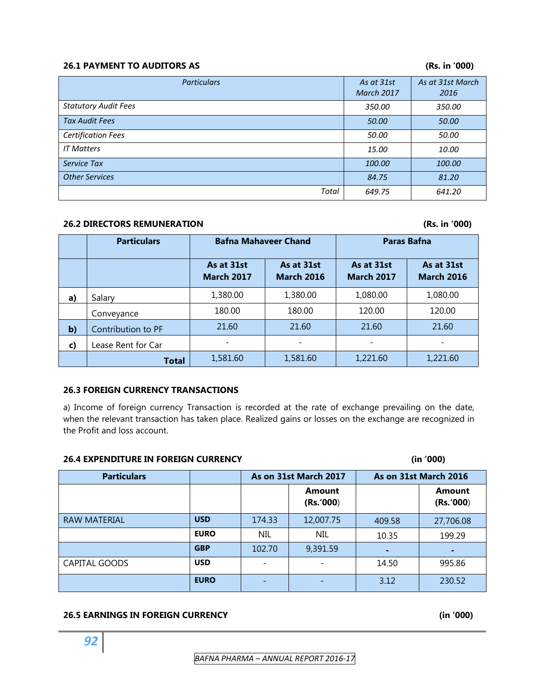# **26.1 PAYMENT TO AUDITORS AS (Rs. in '000)**

| <b>Particulars</b>          | As at 31st<br><b>March 2017</b> | As at 31st March<br>2016 |
|-----------------------------|---------------------------------|--------------------------|
| <b>Statutory Audit Fees</b> | 350.00                          | 350.00                   |
| <b>Tax Audit Fees</b>       | 50.00                           | 50.00                    |
| <b>Certification Fees</b>   | 50.00                           | 50.00                    |
| <b>IT Matters</b>           | 15.00                           | 10.00                    |
| <b>Service Tax</b>          | 100.00                          | 100.00                   |
| <b>Other Services</b>       | 84.75                           | 81.20                    |
| Total                       | 649.75                          | 641.20                   |

# **26.2 DIRECTORS REMUNERATION (Rs. in '000)**

|              | <b>Particulars</b> | <b>Bafna Mahaveer Chand</b>                                        |          | <b>Paras Bafna</b>              |                                 |
|--------------|--------------------|--------------------------------------------------------------------|----------|---------------------------------|---------------------------------|
|              |                    | As at 31st<br>As at 31st<br><b>March 2017</b><br><b>March 2016</b> |          | As at 31st<br><b>March 2017</b> | As at 31st<br><b>March 2016</b> |
| a)           | Salary             | 1,380.00                                                           | 1,380.00 | 1,080.00                        | 1,080.00                        |
|              | Conveyance         | 180.00                                                             | 180.00   | 120.00                          | 120.00                          |
| $\mathbf{b}$ | Contribution to PF | 21.60                                                              | 21.60    | 21.60                           | 21.60                           |
| C)           | Lease Rent for Car |                                                                    |          |                                 |                                 |
|              | <b>Total</b>       | 1,581.60                                                           | 1,581.60 | 1,221.60                        | 1,221.60                        |

# **26.3 FOREIGN CURRENCY TRANSACTIONS**

a) Income of foreign currency Transaction is recorded at the rate of exchange prevailing on the date, when the relevant transaction has taken place. Realized gains or losses on the exchange are recognized in the Profit and loss account.

# **26.4 EXPENDITURE IN FOREIGN CURRENCY (in '000)**

| <b>Particulars</b>   |             | As on 31st March 2017 |                            |        | As on 31st March 2016      |
|----------------------|-------------|-----------------------|----------------------------|--------|----------------------------|
|                      |             |                       | <b>Amount</b><br>(Rs.'000) |        | <b>Amount</b><br>(Rs. 000) |
| RAW MATERIAL         | <b>USD</b>  | 174.33                | 12,007.75                  | 409.58 | 27,706.08                  |
|                      | <b>EURO</b> | <b>NIL</b>            | <b>NIL</b>                 | 10.35  | 199.29                     |
|                      | <b>GBP</b>  | 102.70                | 9,391.59                   |        | ٠                          |
| <b>CAPITAL GOODS</b> | <b>USD</b>  |                       |                            | 14.50  | 995.86                     |
|                      | <b>EURO</b> |                       |                            | 3.12   | 230.52                     |

# **26.5 EARNINGS IN FOREIGN CURRENCY (in '000)**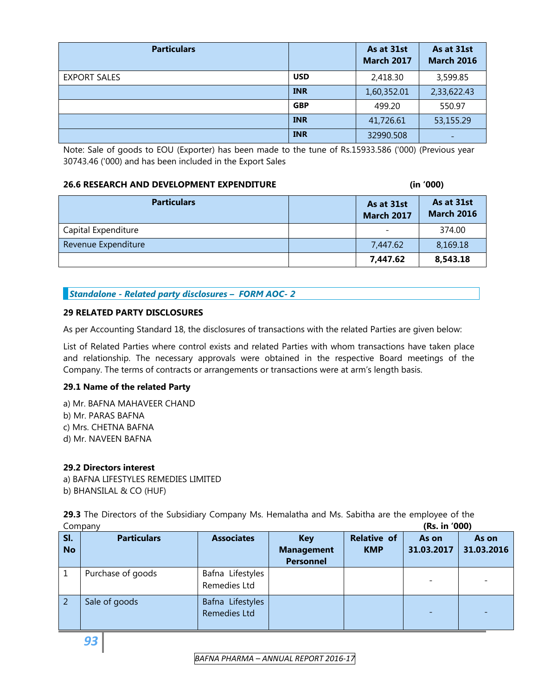| <b>Particulars</b>  |            | As at 31st<br><b>March 2017</b> | As at 31st<br><b>March 2016</b> |
|---------------------|------------|---------------------------------|---------------------------------|
| <b>EXPORT SALES</b> | <b>USD</b> | 2,418.30                        | 3,599.85                        |
|                     | <b>INR</b> | 1,60,352.01                     | 2,33,622.43                     |
|                     | <b>GBP</b> | 499.20                          | 550.97                          |
|                     | <b>INR</b> | 41,726.61                       | 53,155.29                       |
|                     | <b>INR</b> | 32990.508                       |                                 |

Note: Sale of goods to EOU (Exporter) has been made to the tune of Rs.15933.586 ('000) (Previous year 30743.46 ('000) and has been included in the Export Sales

# **26.6 RESEARCH AND DEVELOPMENT EXPENDITURE (in '000)**

| <b>Particulars</b>  | As at 31st<br><b>March 2017</b> | As at 31st<br><b>March 2016</b> |
|---------------------|---------------------------------|---------------------------------|
| Capital Expenditure |                                 | 374.00                          |
| Revenue Expenditure | 7,447.62                        | 8,169.18                        |
|                     | 7,447.62                        | 8,543.18                        |

# *Standalone - Related party disclosures – FORM AOC- 2*

# **29 RELATED PARTY DISCLOSURES**

As per Accounting Standard 18, the disclosures of transactions with the related Parties are given below:

List of Related Parties where control exists and related Parties with whom transactions have taken place and relationship. The necessary approvals were obtained in the respective Board meetings of the Company. The terms of contracts or arrangements or transactions were at arm's length basis.

# **29.1 Name of the related Party**

a) Mr. BAFNA MAHAVEER CHAND b) Mr. PARAS BAFNA c) Mrs. CHETNA BAFNA d) Mr. NAVEEN BAFNA

# **29.2 Directors interest**

a) BAFNA LIFESTYLES REMEDIES LIMITED b) BHANSILAL & CO (HUF)

**29.3** The Directors of the Subsidiary Company Ms. Hemalatha and Ms. Sabitha are the employee of the Company **(Rs. in '000)** 

|                | Company            |                                         |                   |                    | 113. HI VVVI |            |
|----------------|--------------------|-----------------------------------------|-------------------|--------------------|--------------|------------|
| SI.            | <b>Particulars</b> | <b>Associates</b>                       | <b>Key</b>        | <b>Relative of</b> | As on        | As on      |
| <b>No</b>      |                    |                                         | <b>Management</b> | <b>KMP</b>         | 31.03.2017   | 31.03.2016 |
|                |                    |                                         | <b>Personnel</b>  |                    |              |            |
|                | Purchase of goods  | Bafna Lifestyles<br>Remedies Ltd        |                   |                    |              |            |
| $\overline{2}$ | Sale of goods      | Bafna Lifestyles<br><b>Remedies Ltd</b> |                   |                    |              |            |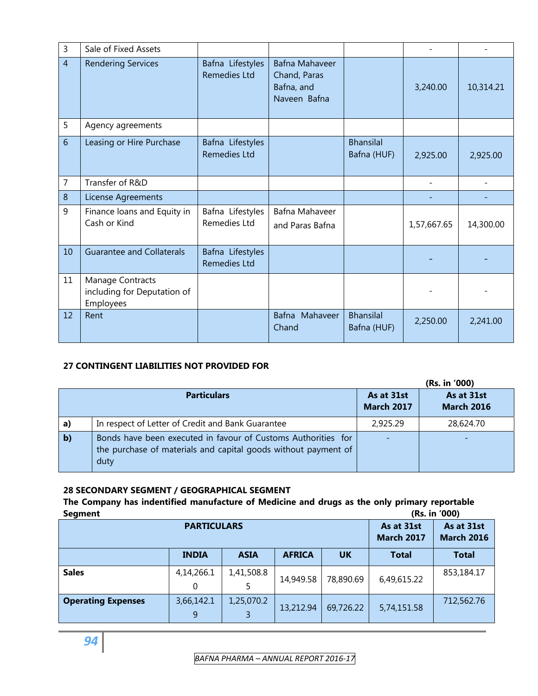| 3              | Sale of Fixed Assets                                         |                                         |                                                              |                                 |             |           |
|----------------|--------------------------------------------------------------|-----------------------------------------|--------------------------------------------------------------|---------------------------------|-------------|-----------|
| $\overline{4}$ | <b>Rendering Services</b>                                    | Bafna Lifestyles<br><b>Remedies Ltd</b> | Bafna Mahaveer<br>Chand, Paras<br>Bafna, and<br>Naveen Bafna |                                 | 3,240.00    | 10,314.21 |
| 5              | Agency agreements                                            |                                         |                                                              |                                 |             |           |
| 6              | Leasing or Hire Purchase                                     | Bafna Lifestyles<br><b>Remedies Ltd</b> |                                                              | <b>Bhansilal</b><br>Bafna (HUF) | 2,925.00    | 2,925.00  |
| $\overline{7}$ | Transfer of R&D                                              |                                         |                                                              |                                 |             |           |
| 8              | License Agreements                                           |                                         |                                                              |                                 |             |           |
| 9              | Finance loans and Equity in<br>Cash or Kind                  | Bafna Lifestyles<br>Remedies Ltd        | Bafna Mahaveer<br>and Paras Bafna                            |                                 | 1,57,667.65 | 14,300.00 |
| 10             | <b>Guarantee and Collaterals</b>                             | Bafna Lifestyles<br><b>Remedies Ltd</b> |                                                              |                                 |             |           |
| 11             | Manage Contracts<br>including for Deputation of<br>Employees |                                         |                                                              |                                 |             |           |
| 12             | Rent                                                         |                                         | Bafna Mahaveer<br>Chand                                      | <b>Bhansilal</b><br>Bafna (HUF) | 2,250.00    | 2,241.00  |

# **27 CONTINGENT LIABILITIES NOT PROVIDED FOR**

|              |                                                                                                                                         |                                 | (Rs. in '000)                   |
|--------------|-----------------------------------------------------------------------------------------------------------------------------------------|---------------------------------|---------------------------------|
|              | <b>Particulars</b>                                                                                                                      | As at 31st<br><b>March 2017</b> | As at 31st<br><b>March 2016</b> |
| a)           | In respect of Letter of Credit and Bank Guarantee                                                                                       | 2,925.29                        | 28,624.70                       |
| $\mathbf{b}$ | Bonds have been executed in favour of Customs Authorities for<br>the purchase of materials and capital goods without payment of<br>duty |                                 |                                 |

# **28 SECONDARY SEGMENT / GEOGRAPHICAL SEGMENT**

# **The Company has indentified manufacture of Medicine and drugs as the only primary reportable Segment (Rs. in '000)**

| segment                   |                                 |                                 |               |           |              | (113. HI VVV) |
|---------------------------|---------------------------------|---------------------------------|---------------|-----------|--------------|---------------|
|                           | As at 31st<br><b>March 2017</b> | As at 31st<br><b>March 2016</b> |               |           |              |               |
|                           | <b>INDIA</b>                    | <b>ASIA</b>                     | <b>AFRICA</b> | <b>UK</b> | <b>Total</b> | <b>Total</b>  |
| <b>Sales</b>              | 4,14,266.1<br>0                 | 1,41,508.8<br>5                 | 14,949.58     | 78,890.69 | 6,49,615.22  | 853,184.17    |
| <b>Operating Expenses</b> | 3,66,142.1<br>9                 | 1,25,070.2<br>3                 | 13,212.94     | 69,726.22 | 5,74,151.58  | 712,562.76    |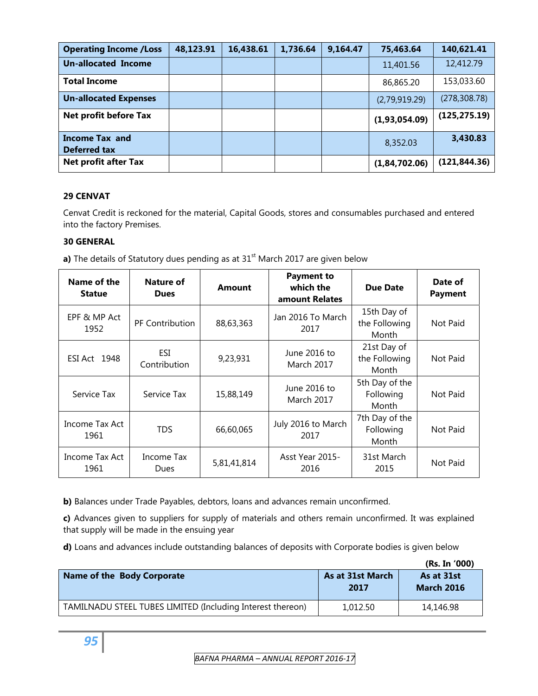| <b>Operating Income / Loss</b>               | 48,123.91 | 16,438.61 | 1,736.64 | 9,164.47 | 75,463.64     | 140,621.41    |
|----------------------------------------------|-----------|-----------|----------|----------|---------------|---------------|
| <b>Un-allocated Income</b>                   |           |           |          |          | 11,401.56     | 12,412.79     |
| <b>Total Income</b>                          |           |           |          |          | 86,865.20     | 153,033.60    |
| <b>Un-allocated Expenses</b>                 |           |           |          |          | (2,79,919.29) | (278, 308.78) |
| Net profit before Tax                        |           |           |          |          | (1,93,054.09) | (125, 275.19) |
| <b>Income Tax and</b><br><b>Deferred tax</b> |           |           |          |          | 8,352.03      | 3,430.83      |
| <b>Net profit after Tax</b>                  |           |           |          |          | (1,84,702.06) | (121, 844.36) |

# **29 CENVAT**

Cenvat Credit is reckoned for the material, Capital Goods, stores and consumables purchased and entered into the factory Premises.

# **30 GENERAL**

**a)** The details of Statutory dues pending as at 31<sup>st</sup> March 2017 are given below

| Name of the<br><b>Statue</b> | Nature of<br><b>Dues</b> | <b>Amount</b> | <b>Payment to</b><br>which the<br>amount Relates | <b>Due Date</b>                       | Date of<br><b>Payment</b> |
|------------------------------|--------------------------|---------------|--------------------------------------------------|---------------------------------------|---------------------------|
| EPF & MP Act<br>1952         | <b>PF Contribution</b>   | 88,63,363     | Jan 2016 To March<br>2017                        | 15th Day of<br>the Following<br>Month | Not Paid                  |
| <b>ESI Act 1948</b>          | ESI<br>Contribution      | 9,23,931      | June 2016 to<br><b>March 2017</b>                | 21st Day of<br>the Following<br>Month | Not Paid                  |
| Service Tax                  | Service Tax              | 15,88,149     | June 2016 to<br><b>March 2017</b>                | 5th Day of the<br>Following<br>Month  | Not Paid                  |
| Income Tax Act<br>1961       | <b>TDS</b>               | 66,60,065     | July 2016 to March<br>2017                       | 7th Day of the<br>Following<br>Month  | Not Paid                  |
| Income Tax Act<br>1961       | Income Tax<br>Dues       | 5,81,41,814   | Asst Year 2015-<br>2016                          | 31st March<br>2015                    | Not Paid                  |

**b)** Balances under Trade Payables, debtors, loans and advances remain unconfirmed.

**c)** Advances given to suppliers for supply of materials and others remain unconfirmed. It was explained that supply will be made in the ensuing year

**d)** Loans and advances include outstanding balances of deposits with Corporate bodies is given below

|                                                            |                                 | (Rs. In '000)                   |
|------------------------------------------------------------|---------------------------------|---------------------------------|
| Name of the Body Corporate                                 | <b>As at 31st March</b><br>2017 | As at 31st<br><b>March 2016</b> |
| TAMILNADU STEEL TUBES LIMITED (Including Interest thereon) | 1,012.50                        | 14,146.98                       |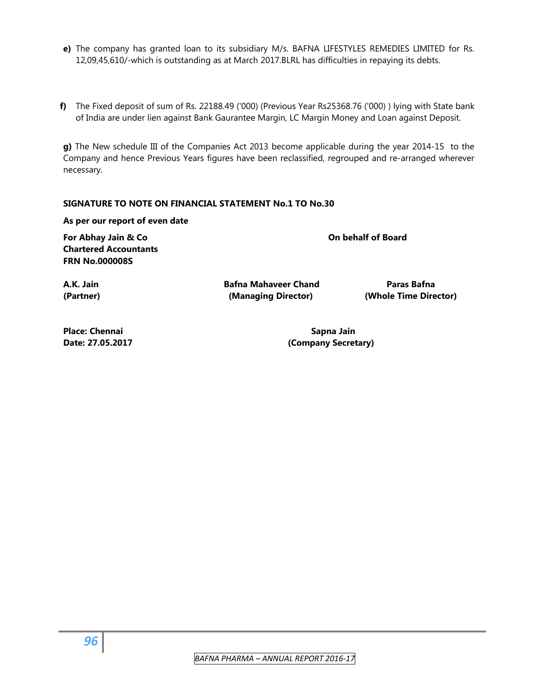- **e)** The company has granted loan to its subsidiary M/s. BAFNA LIFESTYLES REMEDIES LIMITED for Rs. 12,09,45,610/-which is outstanding as at March 2017.BLRL has difficulties in repaying its debts.
- **f)** The Fixed deposit of sum of Rs. 22188.49 ('000) (Previous Year Rs25368.76 ('000) ) lying with State bank of India are under lien against Bank Gaurantee Margin, LC Margin Money and Loan against Deposit.

**g)** The New schedule III of the Companies Act 2013 become applicable during the year 2014-15 to the Company and hence Previous Years figures have been reclassified, regrouped and re-arranged wherever necessary.

# **SIGNATURE TO NOTE ON FINANCIAL STATEMENT No.1 TO No.30**

### **As per our report of even date**

**For Abhay Jain & Co On behalf of Board Chartered Accountants FRN No.000008S** 

**A.K. Jain Bafna Mahaveer Chand Paras Bafna** 

**(Partner) (Managing Director) (Whole Time Director)** 

**Place: Chennai Sapna Jain** Sapna Jain

**Date: 27.05.2017 (Company Secretary)**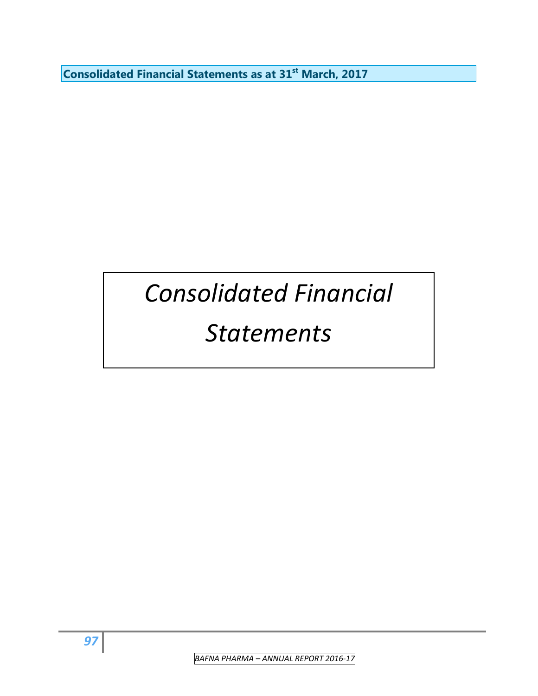**Consolidated Financial Statements as at 31st March, 2017** 

# *Consolidated Financial*

# *Statements*

 *BAFNA PHARMA – ANNUAL REPORT 2016‐17*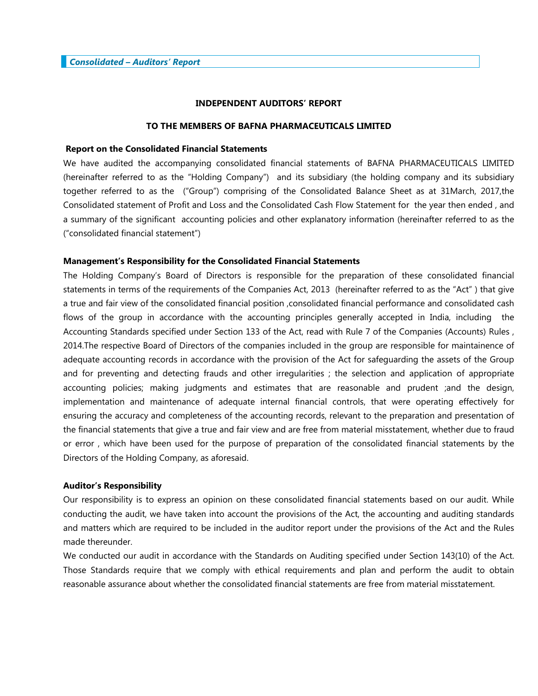# **INDEPENDENT AUDITORS' REPORT**

# **TO THE MEMBERS OF BAFNA PHARMACEUTICALS LIMITED**

### **Report on the Consolidated Financial Statements**

We have audited the accompanying consolidated financial statements of BAFNA PHARMACEUTICALS LIMITED (hereinafter referred to as the "Holding Company") and its subsidiary (the holding company and its subsidiary together referred to as the ("Group") comprising of the Consolidated Balance Sheet as at 31March, 2017,the Consolidated statement of Profit and Loss and the Consolidated Cash Flow Statement for the year then ended , and a summary of the significant accounting policies and other explanatory information (hereinafter referred to as the ("consolidated financial statement")

### **Management's Responsibility for the Consolidated Financial Statements**

The Holding Company's Board of Directors is responsible for the preparation of these consolidated financial statements in terms of the requirements of the Companies Act, 2013 (hereinafter referred to as the "Act" ) that give a true and fair view of the consolidated financial position ,consolidated financial performance and consolidated cash flows of the group in accordance with the accounting principles generally accepted in India, including the Accounting Standards specified under Section 133 of the Act, read with Rule 7 of the Companies (Accounts) Rules , 2014.The respective Board of Directors of the companies included in the group are responsible for maintainence of adequate accounting records in accordance with the provision of the Act for safeguarding the assets of the Group and for preventing and detecting frauds and other irregularities ; the selection and application of appropriate accounting policies; making judgments and estimates that are reasonable and prudent ;and the design, implementation and maintenance of adequate internal financial controls, that were operating effectively for ensuring the accuracy and completeness of the accounting records, relevant to the preparation and presentation of the financial statements that give a true and fair view and are free from material misstatement, whether due to fraud or error , which have been used for the purpose of preparation of the consolidated financial statements by the Directors of the Holding Company, as aforesaid.

### **Auditor's Responsibility**

Our responsibility is to express an opinion on these consolidated financial statements based on our audit. While conducting the audit, we have taken into account the provisions of the Act, the accounting and auditing standards and matters which are required to be included in the auditor report under the provisions of the Act and the Rules made thereunder.

We conducted our audit in accordance with the Standards on Auditing specified under Section 143(10) of the Act. Those Standards require that we comply with ethical requirements and plan and perform the audit to obtain reasonable assurance about whether the consolidated financial statements are free from material misstatement.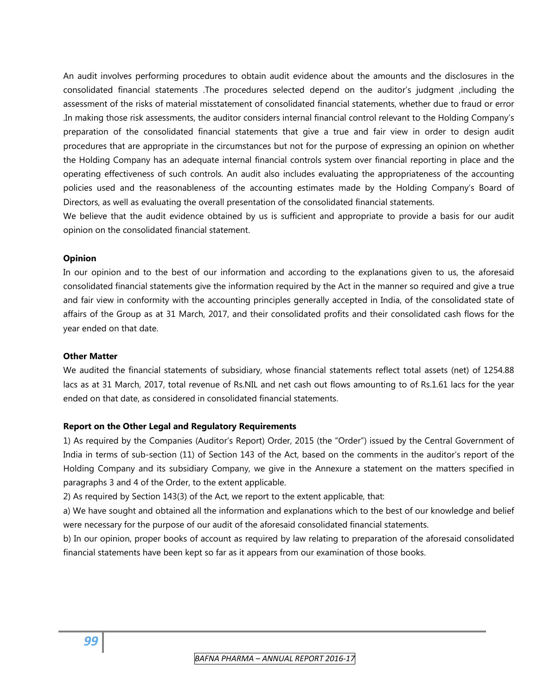An audit involves performing procedures to obtain audit evidence about the amounts and the disclosures in the consolidated financial statements .The procedures selected depend on the auditor's judgment ,including the assessment of the risks of material misstatement of consolidated financial statements, whether due to fraud or error .In making those risk assessments, the auditor considers internal financial control relevant to the Holding Company's preparation of the consolidated financial statements that give a true and fair view in order to design audit procedures that are appropriate in the circumstances but not for the purpose of expressing an opinion on whether the Holding Company has an adequate internal financial controls system over financial reporting in place and the operating effectiveness of such controls. An audit also includes evaluating the appropriateness of the accounting policies used and the reasonableness of the accounting estimates made by the Holding Company's Board of Directors, as well as evaluating the overall presentation of the consolidated financial statements.

We believe that the audit evidence obtained by us is sufficient and appropriate to provide a basis for our audit opinion on the consolidated financial statement.

# **Opinion**

In our opinion and to the best of our information and according to the explanations given to us, the aforesaid consolidated financial statements give the information required by the Act in the manner so required and give a true and fair view in conformity with the accounting principles generally accepted in India, of the consolidated state of affairs of the Group as at 31 March, 2017, and their consolidated profits and their consolidated cash flows for the year ended on that date.

# **Other Matter**

We audited the financial statements of subsidiary, whose financial statements reflect total assets (net) of 1254.88 lacs as at 31 March, 2017, total revenue of Rs.NIL and net cash out flows amounting to of Rs.1.61 lacs for the year ended on that date, as considered in consolidated financial statements.

# **Report on the Other Legal and Regulatory Requirements**

1) As required by the Companies (Auditor's Report) Order, 2015 (the "Order") issued by the Central Government of India in terms of sub-section (11) of Section 143 of the Act, based on the comments in the auditor's report of the Holding Company and its subsidiary Company, we give in the Annexure a statement on the matters specified in paragraphs 3 and 4 of the Order, to the extent applicable.

2) As required by Section 143(3) of the Act, we report to the extent applicable, that:

a) We have sought and obtained all the information and explanations which to the best of our knowledge and belief were necessary for the purpose of our audit of the aforesaid consolidated financial statements.

b) In our opinion, proper books of account as required by law relating to preparation of the aforesaid consolidated financial statements have been kept so far as it appears from our examination of those books.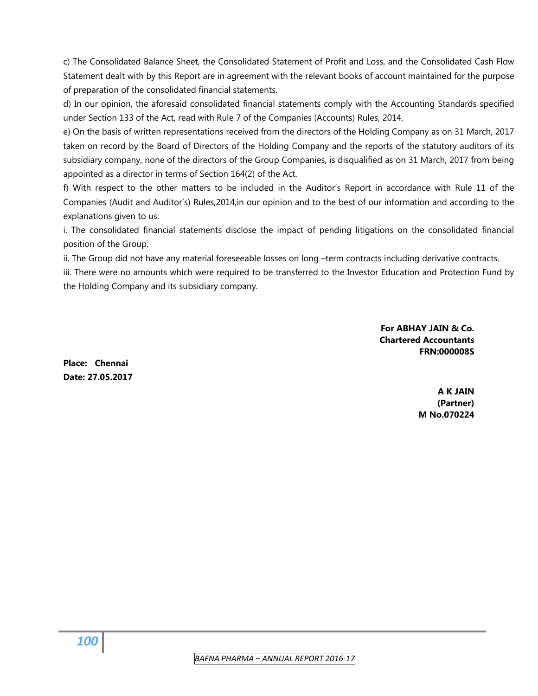c) The Consolidated Balance Sheet, the Consolidated Statement of Profit and Loss, and the Consolidated Cash Flow Statement dealt with by this Report are in agreement with the relevant books of account maintained for the purpose of preparation of the consolidated financial statements.

d) In our opinion, the aforesaid consolidated financial statements comply with the Accounting Standards specified under Section 133 of the Act, read with Rule 7 of the Companies (Accounts) Rules, 2014.

e) On the basis of written representations received from the directors of the Holding Company as on 31 March, 2017 taken on record by the Board of Directors of the Holding Company and the reports of the statutory auditors of its subsidiary company, none of the directors of the Group Companies, is disqualified as on 31 March, 2017 from being appointed as a director in terms of Section 164(2) of the Act.

f) With respect to the other matters to be included in the Auditor's Report in accordance with Rule 11 of the Companies (Audit and Auditor's) Rules,2014,in our opinion and to the best of our information and according to the explanations given to us:

i. The consolidated financial statements disclose the impact of pending litigations on the consolidated financial position of the Group.

ii. The Group did not have any material foreseeable losses on long –term contracts including derivative contracts.

iii. There were no amounts which were required to be transferred to the Investor Education and Protection Fund by the Holding Company and its subsidiary company.

> **For ABHAY JAIN & Co. Chartered Accountants FRN:000008S**

**Place: Chennai Date: 27.05.2017** 

> **A K JAIN (Partner) M No.070224**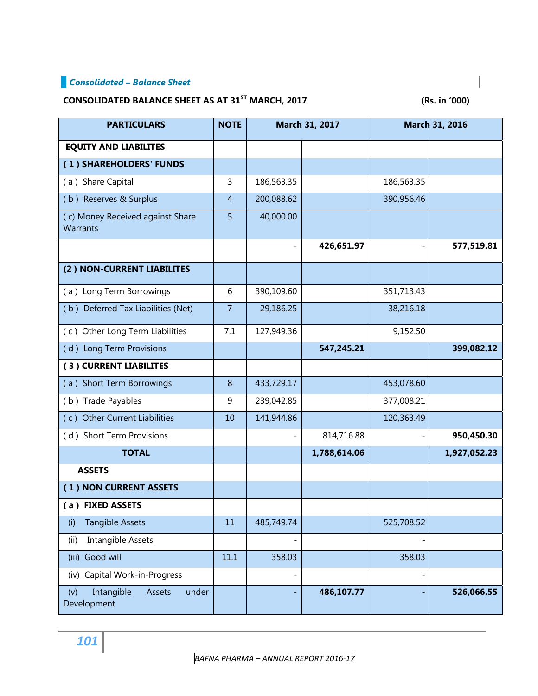# *Consolidated – Balance Sheet*

# CONSOLIDATED BALANCE SHEET AS AT 31<sup>ST</sup> MARCH, 2017 **(Rs. in '000)**

| <b>PARTICULARS</b>                                  | <b>NOTE</b>    |            | March 31, 2017 | March 31, 2016 |              |
|-----------------------------------------------------|----------------|------------|----------------|----------------|--------------|
| <b>EQUITY AND LIABILITES</b>                        |                |            |                |                |              |
| (1) SHAREHOLDERS' FUNDS                             |                |            |                |                |              |
| (a) Share Capital                                   | 3              | 186,563.35 |                | 186,563.35     |              |
| (b) Reserves & Surplus                              | $\overline{4}$ | 200,088.62 |                | 390,956.46     |              |
| (c) Money Received against Share<br><b>Warrants</b> | 5              | 40,000.00  |                |                |              |
|                                                     |                |            | 426,651.97     |                | 577,519.81   |
| (2) NON-CURRENT LIABILITES                          |                |            |                |                |              |
| (a) Long Term Borrowings                            | 6              | 390,109.60 |                | 351,713.43     |              |
| (b) Deferred Tax Liabilities (Net)                  | $\overline{7}$ | 29,186.25  |                | 38,216.18      |              |
| (c) Other Long Term Liabilities                     | 7.1            | 127,949.36 |                | 9,152.50       |              |
| (d) Long Term Provisions                            |                |            | 547,245.21     |                | 399,082.12   |
| (3) CURRENT LIABILITES                              |                |            |                |                |              |
| (a) Short Term Borrowings                           | 8              | 433,729.17 |                | 453,078.60     |              |
| (b) Trade Payables                                  | 9              | 239,042.85 |                | 377,008.21     |              |
| (c) Other Current Liabilities                       | 10             | 141,944.86 |                | 120,363.49     |              |
| (d) Short Term Provisions                           |                |            | 814,716.88     |                | 950,450.30   |
| <b>TOTAL</b>                                        |                |            | 1,788,614.06   |                | 1,927,052.23 |
| <b>ASSETS</b>                                       |                |            |                |                |              |
| (1) NON CURRENT ASSETS                              |                |            |                |                |              |
| (a) FIXED ASSETS                                    |                |            |                |                |              |
| <b>Tangible Assets</b><br>(i)                       | 11             | 485,749.74 |                | 525,708.52     |              |
| Intangible Assets<br>(ii)                           |                |            |                |                |              |
| Good will<br>(iii)                                  | 11.1           | 358.03     |                | 358.03         |              |
| Capital Work-in-Progress<br>(iv)                    |                |            |                |                |              |
| Intangible<br>Assets<br>under<br>(v)<br>Development |                |            | 486,107.77     |                | 526,066.55   |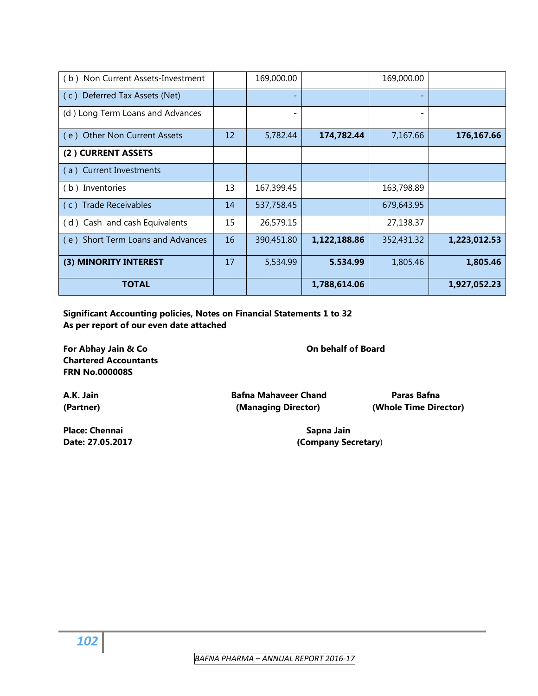| <b>TOTAL</b>                      |    |            | 1,788,614.06 |            | 1,927,052.23 |
|-----------------------------------|----|------------|--------------|------------|--------------|
| (3) MINORITY INTEREST             | 17 | 5,534.99   | 5.534.99     | 1,805.46   | 1,805.46     |
| (e) Short Term Loans and Advances | 16 | 390,451.80 | 1,122,188.86 | 352,431.32 | 1,223,012.53 |
| (d) Cash and cash Equivalents     | 15 | 26,579.15  |              | 27,138.37  |              |
| (c) Trade Receivables             | 14 | 537,758.45 |              | 679,643.95 |              |
| (b) Inventories                   | 13 | 167,399.45 |              | 163,798.89 |              |
| (a) Current Investments           |    |            |              |            |              |
| (2) CURRENT ASSETS                |    |            |              |            |              |
| (e) Other Non Current Assets      | 12 | 5,782.44   | 174,782.44   | 7,167.66   | 176,167.66   |
| (d) Long Term Loans and Advances  |    |            |              |            |              |
| (c) Deferred Tax Assets (Net)     |    |            |              |            |              |
| (b) Non Current Assets-Investment |    | 169,000.00 |              | 169,000.00 |              |

**Significant Accounting policies, Notes on Financial Statements 1 to 32 As per report of our even date attached** 

For Abhay Jain & Co **Construction Construction Construction Construction Construction Construction Construction Construction Construction Construction Construction Construction Construction Construction Construction Constr Chartered Accountants FRN No.000008S** 

**A.K. Jain Bafna Mahaveer Chand Paras Bafna (Partner) (Managing Director) (Whole Time Director)** 

**Place: Chennai Sapna Jain** Sapna Jain **Sapna Jain Date: 27.05.2017 (Company Secretary**)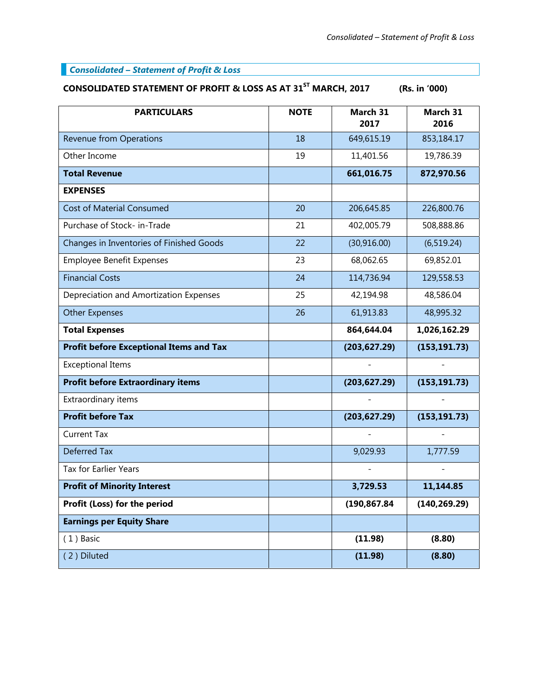# *Consolidated – Statement of Profit & Loss*

# CONSOLIDATED STATEMENT OF PROFIT & LOSS AS AT 31<sup>ST</sup> MARCH, 2017 (Rs. in '000)

| <b>PARTICULARS</b>                             | <b>NOTE</b> | March 31<br>2017 | March 31<br>2016 |
|------------------------------------------------|-------------|------------------|------------------|
| <b>Revenue from Operations</b>                 | 18          | 649,615.19       | 853,184.17       |
| Other Income                                   | 19          | 11,401.56        | 19,786.39        |
| <b>Total Revenue</b>                           |             | 661,016.75       | 872,970.56       |
| <b>EXPENSES</b>                                |             |                  |                  |
| <b>Cost of Material Consumed</b>               | 20          | 206,645.85       | 226,800.76       |
| Purchase of Stock- in-Trade                    | 21          | 402,005.79       | 508,888.86       |
| Changes in Inventories of Finished Goods       | 22          | (30, 916.00)     | (6, 519.24)      |
| <b>Employee Benefit Expenses</b>               | 23          | 68,062.65        | 69,852.01        |
| <b>Financial Costs</b>                         | 24          | 114,736.94       | 129,558.53       |
| Depreciation and Amortization Expenses         | 25          | 42,194.98        | 48,586.04        |
| <b>Other Expenses</b>                          | 26          | 61,913.83        | 48,995.32        |
| <b>Total Expenses</b>                          |             | 864,644.04       | 1,026,162.29     |
| <b>Profit before Exceptional Items and Tax</b> |             | (203, 627.29)    | (153, 191.73)    |
| <b>Exceptional Items</b>                       |             |                  |                  |
| <b>Profit before Extraordinary items</b>       |             | (203, 627.29)    | (153, 191.73)    |
| Extraordinary items                            |             |                  |                  |
| <b>Profit before Tax</b>                       |             | (203, 627.29)    | (153, 191.73)    |
| <b>Current Tax</b>                             |             |                  |                  |
| <b>Deferred Tax</b>                            |             | 9,029.93         | 1,777.59         |
| <b>Tax for Earlier Years</b>                   |             |                  |                  |
| <b>Profit of Minority Interest</b>             |             | 3,729.53         | 11,144.85        |
| Profit (Loss) for the period                   |             | (190,867.84      | (140, 269.29)    |
| <b>Earnings per Equity Share</b>               |             |                  |                  |
| $(1)$ Basic                                    |             | (11.98)          | (8.80)           |
| (2) Diluted                                    |             | (11.98)          | (8.80)           |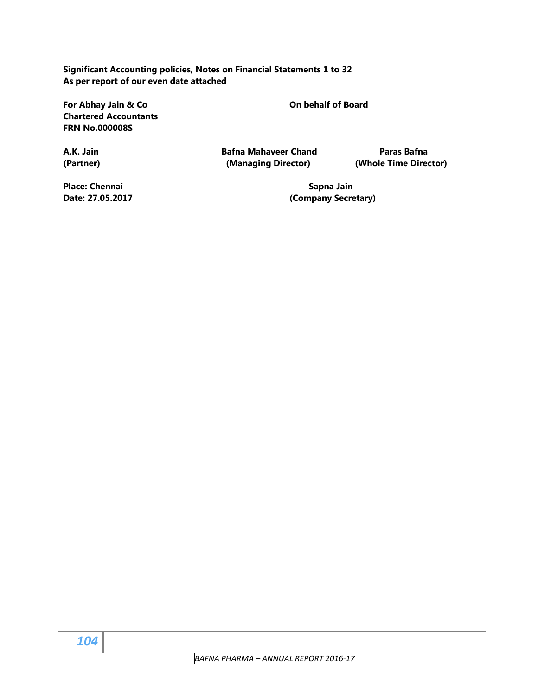**Significant Accounting policies, Notes on Financial Statements 1 to 32 As per report of our even date attached** 

For Abhay Jain & Co **Construction Construction Construction Construction Construction Construction Construction Construction Construction Construction Construction Construction Construction Construction Construction Constr Chartered Accountants FRN No.000008S** 

**A.K. Jain Bafna Mahaveer Chand Paras Bafna (Partner) (Managing Director) (Whole Time Director)** 

Place: Chennai **Sapna Jain** Sapna Jain **Sapna Jain** 

**Date: 27.05.2017 (Company Secretary)**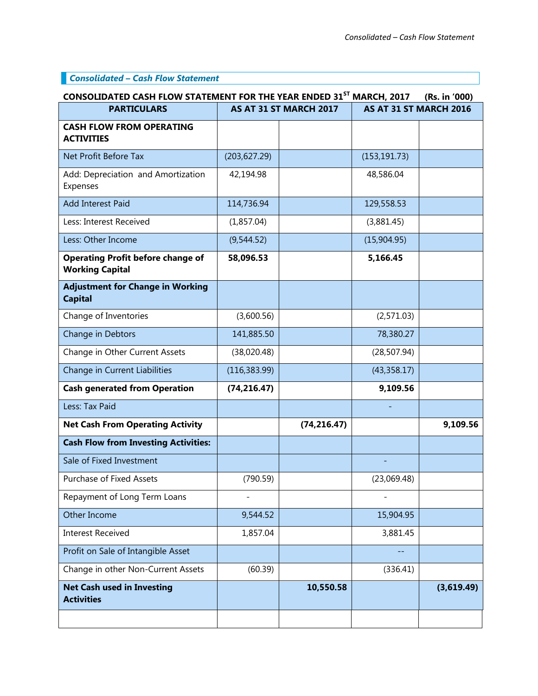# *Consolidated – Cash Flow Statement*

| CONSOLIDATED CASH FLOW STATEMENT FOR THE YEAR ENDED 31 <sup>ST</sup> MARCH, 2017<br>(Rs. in '000) |                        |              |                        |            |  |
|---------------------------------------------------------------------------------------------------|------------------------|--------------|------------------------|------------|--|
| <b>PARTICULARS</b>                                                                                | AS AT 31 ST MARCH 2017 |              | AS AT 31 ST MARCH 2016 |            |  |
| <b>CASH FLOW FROM OPERATING</b><br><b>ACTIVITIES</b>                                              |                        |              |                        |            |  |
| Net Profit Before Tax                                                                             | (203, 627.29)          |              | (153, 191.73)          |            |  |
| Add: Depreciation and Amortization<br>Expenses                                                    | 42,194.98              |              | 48,586.04              |            |  |
| <b>Add Interest Paid</b>                                                                          | 114,736.94             |              | 129,558.53             |            |  |
| Less: Interest Received                                                                           | (1,857.04)             |              | (3,881.45)             |            |  |
| Less: Other Income                                                                                | (9,544.52)             |              | (15,904.95)            |            |  |
| <b>Operating Profit before change of</b><br><b>Working Capital</b>                                | 58,096.53              |              | 5,166.45               |            |  |
| <b>Adjustment for Change in Working</b><br><b>Capital</b>                                         |                        |              |                        |            |  |
| Change of Inventories                                                                             | (3,600.56)             |              | (2,571.03)             |            |  |
| Change in Debtors                                                                                 | 141,885.50             |              | 78,380.27              |            |  |
| Change in Other Current Assets                                                                    | (38,020.48)            |              | (28, 507.94)           |            |  |
| Change in Current Liabilities                                                                     | (116, 383.99)          |              | (43,358.17)            |            |  |
| <b>Cash generated from Operation</b>                                                              | (74, 216.47)           |              | 9,109.56               |            |  |
| Less: Tax Paid                                                                                    |                        |              |                        |            |  |
| <b>Net Cash From Operating Activity</b>                                                           |                        | (74, 216.47) |                        | 9,109.56   |  |
| <b>Cash Flow from Investing Activities:</b>                                                       |                        |              |                        |            |  |
| Sale of Fixed Investment                                                                          |                        |              |                        |            |  |
| Purchase of Fixed Assets                                                                          | (790.59)               |              | (23,069.48)            |            |  |
| Repayment of Long Term Loans                                                                      |                        |              |                        |            |  |
| Other Income                                                                                      | 9,544.52               |              | 15,904.95              |            |  |
| <b>Interest Received</b>                                                                          | 1,857.04               |              | 3,881.45               |            |  |
| Profit on Sale of Intangible Asset                                                                |                        |              |                        |            |  |
| Change in other Non-Current Assets                                                                | (60.39)                |              | (336.41)               |            |  |
| <b>Net Cash used in Investing</b><br><b>Activities</b>                                            |                        | 10,550.58    |                        | (3,619.49) |  |
|                                                                                                   |                        |              |                        |            |  |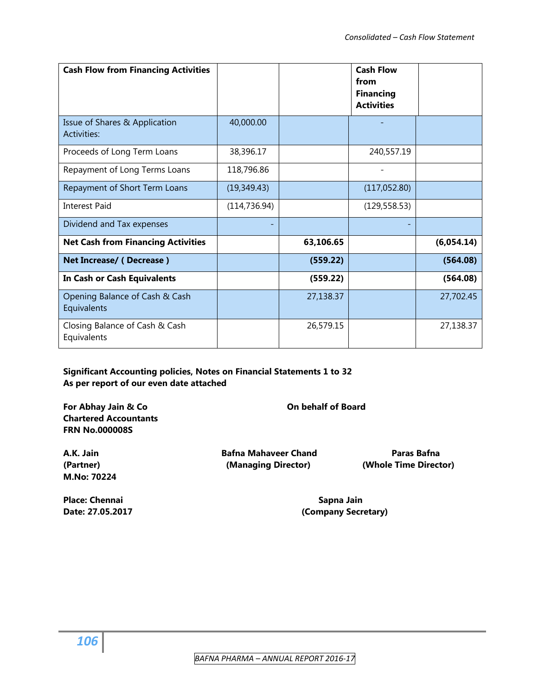| <b>Cash Flow from Financing Activities</b>    |               |           | <b>Cash Flow</b><br>from<br><b>Financing</b><br><b>Activities</b> |            |
|-----------------------------------------------|---------------|-----------|-------------------------------------------------------------------|------------|
| Issue of Shares & Application<br>Activities:  | 40,000.00     |           |                                                                   |            |
| Proceeds of Long Term Loans                   | 38,396.17     |           | 240,557.19                                                        |            |
| Repayment of Long Terms Loans                 | 118,796.86    |           |                                                                   |            |
| Repayment of Short Term Loans                 | (19,349.43)   |           | (117,052.80)                                                      |            |
| <b>Interest Paid</b>                          | (114, 736.94) |           | (129, 558.53)                                                     |            |
| Dividend and Tax expenses                     |               |           |                                                                   |            |
| <b>Net Cash from Financing Activities</b>     |               | 63,106.65 |                                                                   | (6,054.14) |
| Net Increase/ (Decrease)                      |               | (559.22)  |                                                                   | (564.08)   |
| In Cash or Cash Equivalents                   |               | (559.22)  |                                                                   | (564.08)   |
| Opening Balance of Cash & Cash<br>Equivalents |               | 27,138.37 |                                                                   | 27,702.45  |
| Closing Balance of Cash & Cash<br>Equivalents |               | 26,579.15 |                                                                   | 27,138.37  |

# **Significant Accounting policies, Notes on Financial Statements 1 to 32 As per report of our even date attached**

For Abhay Jain & Co **Constanting the Constanting Constanting Constanting Constanting Constanting Constanting Constanting Constanting Constanting Constanting Constanting Constanting Constanting Constanting Constanting Const Chartered Accountants FRN No.000008S** 

**A.K. Jain Bafna Mahaveer Chand Paras Bafna** 

**(Partner) (Managing Director) (Whole Time Director)** 

**Place: Chennai Sapna Jain** Sapna Jain **Sapna Jain** 

**M.No: 70224** 

Date: 27.05.2017 **Date: 27.05.2017 Company Secretary**)

 *BAFNA PHARMA – ANNUAL REPORT 2016‐17*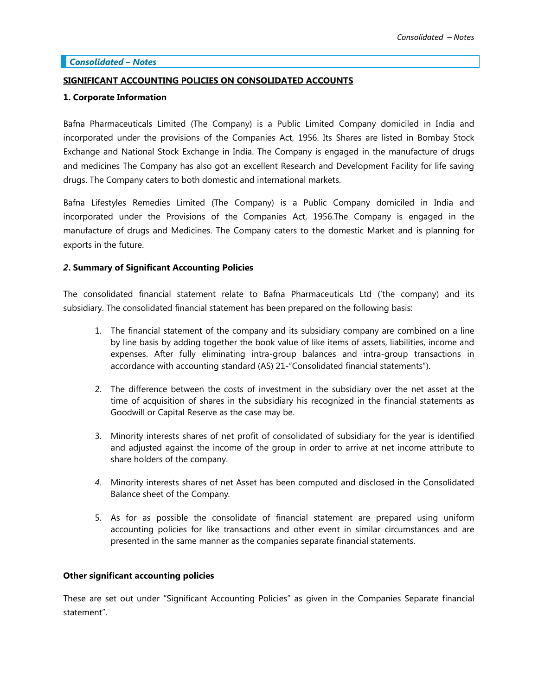### *Consolidated – Notes*

### **SIGNIFICANT ACCOUNTING POLICIES ON CONSOLIDATED ACCOUNTS**

### **1. Corporate Information**

Bafna Pharmaceuticals Limited (The Company) is a Public Limited Company domiciled in India and incorporated under the provisions of the Companies Act, 1956. Its Shares are listed in Bombay Stock Exchange and National Stock Exchange in India. The Company is engaged in the manufacture of drugs and medicines The Company has also got an excellent Research and Development Facility for life saving drugs. The Company caters to both domestic and international markets.

Bafna Lifestyles Remedies Limited (The Company) is a Public Company domiciled in India and incorporated under the Provisions of the Companies Act, 1956.The Company is engaged in the manufacture of drugs and Medicines. The Company caters to the domestic Market and is planning for exports in the future.

### *2***. Summary of Significant Accounting Policies**

The consolidated financial statement relate to Bafna Pharmaceuticals Ltd ('the company) and its subsidiary. The consolidated financial statement has been prepared on the following basis:

- 1. The financial statement of the company and its subsidiary company are combined on a line by line basis by adding together the book value of like items of assets, liabilities, income and expenses. After fully eliminating intra-group balances and intra-group transactions in accordance with accounting standard (AS) 21-"Consolidated financial statements").
- 2. The difference between the costs of investment in the subsidiary over the net asset at the time of acquisition of shares in the subsidiary his recognized in the financial statements as Goodwill or Capital Reserve as the case may be.
- 3. Minority interests shares of net profit of consolidated of subsidiary for the year is identified and adjusted against the income of the group in order to arrive at net income attribute to share holders of the company.
- *4.* Minority interests shares of net Asset has been computed and disclosed in the Consolidated Balance sheet of the Company*.*
- 5. As for as possible the consolidate of financial statement are prepared using uniform accounting policies for like transactions and other event in similar circumstances and are presented in the same manner as the companies separate financial statements.

### **Other significant accounting policies**

These are set out under "Significant Accounting Policies" as given in the Companies Separate financial statement".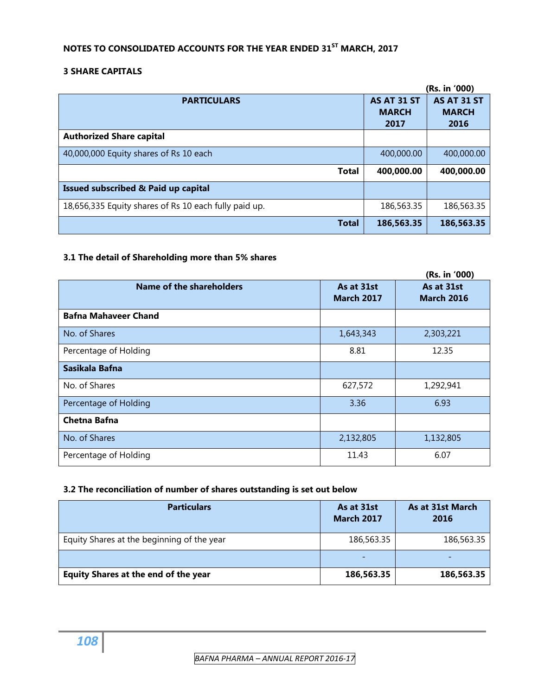# **NOTES TO CONSOLIDATED ACCOUNTS FOR THE YEAR ENDED 31ST MARCH, 2017**

# **3 SHARE CAPITALS**

|                                                       |                                            | (Rs. in '000)                       |
|-------------------------------------------------------|--------------------------------------------|-------------------------------------|
| <b>PARTICULARS</b>                                    | <b>AS AT 31 ST</b><br><b>MARCH</b><br>2017 | AS AT 31 ST<br><b>MARCH</b><br>2016 |
| <b>Authorized Share capital</b>                       |                                            |                                     |
| 40,000,000 Equity shares of Rs 10 each                | 400,000.00                                 | 400,000.00                          |
| <b>Total</b>                                          | 400,000.00                                 | 400,000.00                          |
| Issued subscribed & Paid up capital                   |                                            |                                     |
| 18,656,335 Equity shares of Rs 10 each fully paid up. | 186,563.35                                 | 186,563.35                          |
| <b>Total</b>                                          | 186,563.35                                 | 186,563.35                          |

# **3.1 The detail of Shareholding more than 5% shares**

|                             |                                 | (Rs. in '000)                   |
|-----------------------------|---------------------------------|---------------------------------|
| Name of the shareholders    | As at 31st<br><b>March 2017</b> | As at 31st<br><b>March 2016</b> |
| <b>Bafna Mahaveer Chand</b> |                                 |                                 |
| No. of Shares               | 1,643,343                       | 2,303,221                       |
| Percentage of Holding       | 8.81                            | 12.35                           |
| Sasikala Bafna              |                                 |                                 |
| No. of Shares               | 627,572                         | 1,292,941                       |
| Percentage of Holding       | 3.36                            | 6.93                            |
| <b>Chetna Bafna</b>         |                                 |                                 |
| No. of Shares               | 2,132,805                       | 1,132,805                       |
| Percentage of Holding       | 11.43                           | 6.07                            |

# **3.2 The reconciliation of number of shares outstanding is set out below**

| <b>Particulars</b>                          | As at 31st<br><b>March 2017</b> | As at 31st March<br>2016 |
|---------------------------------------------|---------------------------------|--------------------------|
| Equity Shares at the beginning of the year  | 186,563.35                      | 186,563.35               |
|                                             |                                 |                          |
| <b>Equity Shares at the end of the year</b> | 186,563.35                      | 186,563.35               |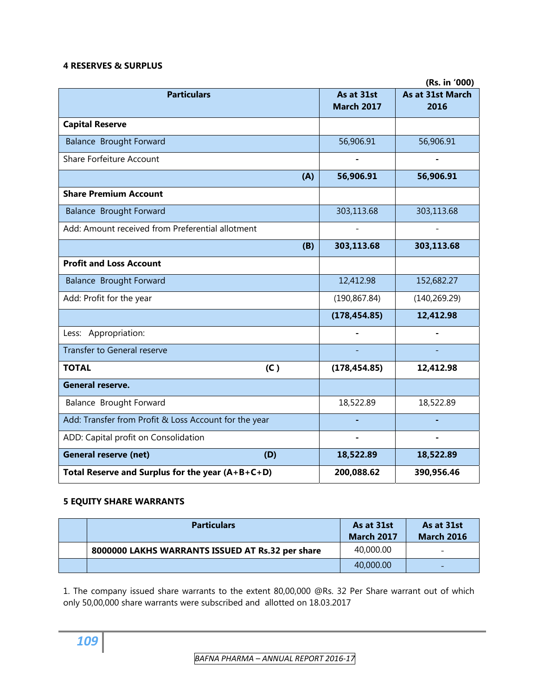#### **4 RESERVES & SURPLUS**

|                                                       |     |                                 | (Rs. in '000)            |
|-------------------------------------------------------|-----|---------------------------------|--------------------------|
| <b>Particulars</b>                                    |     | As at 31st<br><b>March 2017</b> | As at 31st March<br>2016 |
| <b>Capital Reserve</b>                                |     |                                 |                          |
| <b>Balance Brought Forward</b>                        |     | 56,906.91                       | 56,906.91                |
| <b>Share Forfeiture Account</b>                       |     |                                 |                          |
|                                                       | (A) | 56,906.91                       | 56,906.91                |
| <b>Share Premium Account</b>                          |     |                                 |                          |
| <b>Balance Brought Forward</b>                        |     | 303,113.68                      | 303,113.68               |
| Add: Amount received from Preferential allotment      |     |                                 |                          |
|                                                       | (B) | 303,113.68                      | 303,113.68               |
| <b>Profit and Loss Account</b>                        |     |                                 |                          |
| <b>Balance Brought Forward</b>                        |     | 12,412.98                       | 152,682.27               |
| Add: Profit for the year                              |     | (190, 867.84)                   | (140, 269.29)            |
|                                                       |     | (178, 454.85)                   | 12,412.98                |
| Less: Appropriation:                                  |     |                                 |                          |
| <b>Transfer to General reserve</b>                    |     |                                 |                          |
| <b>TOTAL</b><br>(C)                                   |     | (178, 454.85)                   | 12,412.98                |
| <b>General reserve.</b>                               |     |                                 |                          |
| Balance Brought Forward                               |     | 18,522.89                       | 18,522.89                |
| Add: Transfer from Profit & Loss Account for the year |     |                                 |                          |
| ADD: Capital profit on Consolidation                  |     | $\blacksquare$                  |                          |
| <b>General reserve (net)</b><br>(D)                   |     | 18,522.89                       | 18,522.89                |
| Total Reserve and Surplus for the year $(A+B+C+D)$    |     | 200,088.62                      | 390,956.46               |

# **5 EQUITY SHARE WARRANTS**

| <b>Particulars</b>                               | As at 31st<br><b>March 2017</b> | As at 31st<br><b>March 2016</b> |
|--------------------------------------------------|---------------------------------|---------------------------------|
| 8000000 LAKHS WARRANTS ISSUED AT Rs.32 per share | 40,000.00                       |                                 |
|                                                  | 40,000.00                       |                                 |

1. The company issued share warrants to the extent 80,00,000 @Rs. 32 Per Share warrant out of which only 50,00,000 share warrants were subscribed and allotted on 18.03.2017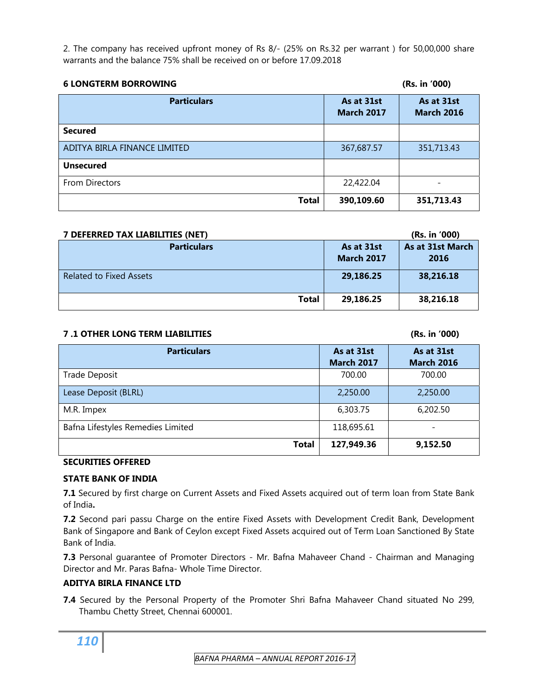2. The company has received upfront money of Rs 8/- (25% on Rs.32 per warrant ) for 50,00,000 share warrants and the balance 75% shall be received on or before 17.09.2018

| <b>6 LONGTERM BORROWING</b>  |                                 | (Rs. in '000)                   |
|------------------------------|---------------------------------|---------------------------------|
| <b>Particulars</b>           | As at 31st<br><b>March 2017</b> | As at 31st<br><b>March 2016</b> |
| <b>Secured</b>               |                                 |                                 |
| ADITYA BIRLA FINANCE LIMITED | 367,687.57                      | 351,713.43                      |
| <b>Unsecured</b>             |                                 |                                 |
| From Directors               | 22,422.04                       | ۰                               |
| <b>Total</b>                 | 390,109.60                      | 351,713.43                      |

| 7 DEFERRED TAX LIABILITIES (NET) |                                 | (Rs. in '000)            |
|----------------------------------|---------------------------------|--------------------------|
| <b>Particulars</b>               | As at 31st<br><b>March 2017</b> | As at 31st March<br>2016 |
| <b>Related to Fixed Assets</b>   | 29,186.25                       | 38,216.18                |
| <b>Total</b>                     | 29,186.25                       | 38,216.18                |

#### **7 .1 OTHER LONG TERM LIABILITIES (Rs. in '000)**

| <b>Particulars</b>                | As at 31st<br><b>March 2017</b> | As at 31st<br><b>March 2016</b> |
|-----------------------------------|---------------------------------|---------------------------------|
| Trade Deposit                     | 700.00                          | 700.00                          |
| Lease Deposit (BLRL)              | 2,250.00                        | 2,250.00                        |
| M.R. Impex                        | 6,303.75                        | 6,202.50                        |
| Bafna Lifestyles Remedies Limited | 118,695.61                      |                                 |
| <b>Total</b>                      | 127,949.36                      | 9,152.50                        |

#### **SECURITIES OFFERED**

#### **STATE BANK OF INDIA**

**7.1** Secured by first charge on Current Assets and Fixed Assets acquired out of term loan from State Bank of India**.**

**7.2** Second pari passu Charge on the entire Fixed Assets with Development Credit Bank, Development Bank of Singapore and Bank of Ceylon except Fixed Assets acquired out of Term Loan Sanctioned By State Bank of India.

**7.3** Personal guarantee of Promoter Directors - Mr. Bafna Mahaveer Chand - Chairman and Managing Director and Mr. Paras Bafna- Whole Time Director.

#### **ADITYA BIRLA FINANCE LTD**

**7.4** Secured by the Personal Property of the Promoter Shri Bafna Mahaveer Chand situated No 299, Thambu Chetty Street, Chennai 600001.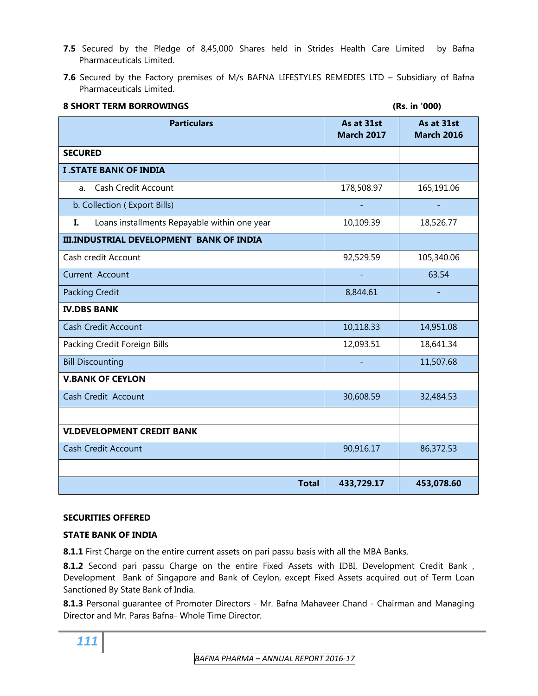- **7.5** Secured by the Pledge of 8,45,000 Shares held in Strides Health Care Limited by Bafna Pharmaceuticals Limited.
- **7.6** Secured by the Factory premises of M/s BAFNA LIFESTYLES REMEDIES LTD Subsidiary of Bafna Pharmaceuticals Limited.

| <b>8 SHORT TERM BORROWINGS</b>                     | (Rs. in '000)                   |                                 |  |  |  |
|----------------------------------------------------|---------------------------------|---------------------------------|--|--|--|
| <b>Particulars</b>                                 | As at 31st<br><b>March 2017</b> | As at 31st<br><b>March 2016</b> |  |  |  |
| <b>SECURED</b>                                     |                                 |                                 |  |  |  |
| <b>I .STATE BANK OF INDIA</b>                      |                                 |                                 |  |  |  |
| <b>Cash Credit Account</b><br>a.                   | 178,508.97                      | 165,191.06                      |  |  |  |
| b. Collection (Export Bills)                       |                                 |                                 |  |  |  |
| Loans installments Repayable within one year<br>I. | 10,109.39                       | 18,526.77                       |  |  |  |
| <b>III.INDUSTRIAL DEVELOPMENT BANK OF INDIA</b>    |                                 |                                 |  |  |  |
| Cash credit Account                                | 92,529.59                       | 105,340.06                      |  |  |  |
| Current Account                                    |                                 | 63.54                           |  |  |  |
| <b>Packing Credit</b>                              | 8,844.61                        |                                 |  |  |  |
| <b>IV.DBS BANK</b>                                 |                                 |                                 |  |  |  |
| <b>Cash Credit Account</b>                         | 10,118.33                       | 14,951.08                       |  |  |  |
| Packing Credit Foreign Bills                       | 12,093.51                       | 18,641.34                       |  |  |  |
| <b>Bill Discounting</b>                            |                                 | 11,507.68                       |  |  |  |
| <b>V.BANK OF CEYLON</b>                            |                                 |                                 |  |  |  |
| Cash Credit Account                                | 30,608.59                       | 32,484.53                       |  |  |  |
|                                                    |                                 |                                 |  |  |  |
| <b>VI.DEVELOPMENT CREDIT BANK</b>                  |                                 |                                 |  |  |  |
| <b>Cash Credit Account</b>                         | 90,916.17                       | 86,372.53                       |  |  |  |
|                                                    |                                 |                                 |  |  |  |
| <b>Total</b>                                       | 433,729.17                      | 453,078.60                      |  |  |  |

#### **SECURITIES OFFERED**

#### **STATE BANK OF INDIA**

**8.1.1** First Charge on the entire current assets on pari passu basis with all the MBA Banks.

**8.1.2** Second pari passu Charge on the entire Fixed Assets with IDBI, Development Credit Bank , Development Bank of Singapore and Bank of Ceylon, except Fixed Assets acquired out of Term Loan Sanctioned By State Bank of India.

8.1.3 Personal guarantee of Promoter Directors - Mr. Bafna Mahaveer Chand - Chairman and Managing Director and Mr. Paras Bafna- Whole Time Director.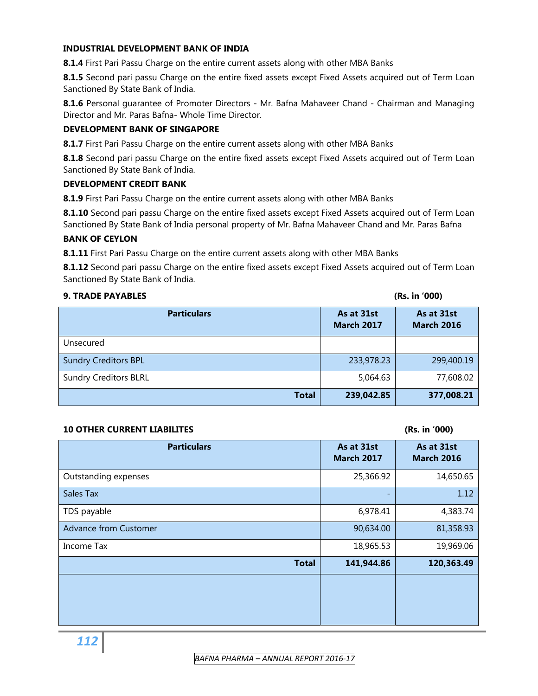#### **INDUSTRIAL DEVELOPMENT BANK OF INDIA**

**8.1.4** First Pari Passu Charge on the entire current assets along with other MBA Banks

8.1.5 Second pari passu Charge on the entire fixed assets except Fixed Assets acquired out of Term Loan Sanctioned By State Bank of India.

**8.1.6** Personal guarantee of Promoter Directors - Mr. Bafna Mahaveer Chand - Chairman and Managing Director and Mr. Paras Bafna- Whole Time Director.

#### **DEVELOPMENT BANK OF SINGAPORE**

**8.1.7** First Pari Passu Charge on the entire current assets along with other MBA Banks

8.1.8 Second pari passu Charge on the entire fixed assets except Fixed Assets acquired out of Term Loan Sanctioned By State Bank of India.

#### **DEVELOPMENT CREDIT BANK**

**8.1.9** First Pari Passu Charge on the entire current assets along with other MBA Banks

8.1.10 Second pari passu Charge on the entire fixed assets except Fixed Assets acquired out of Term Loan Sanctioned By State Bank of India personal property of Mr. Bafna Mahaveer Chand and Mr. Paras Bafna

#### **BANK OF CEYLON**

**8.1.11** First Pari Passu Charge on the entire current assets along with other MBA Banks

8.1.12 Second pari passu Charge on the entire fixed assets except Fixed Assets acquired out of Term Loan Sanctioned By State Bank of India.

#### **9. TRADE PAYABLES (Rs. in '000)**

| <b>Particulars</b>           | As at 31st<br><b>March 2017</b> | As at 31st<br><b>March 2016</b> |
|------------------------------|---------------------------------|---------------------------------|
| Unsecured                    |                                 |                                 |
| <b>Sundry Creditors BPL</b>  | 233,978.23                      | 299,400.19                      |
| <b>Sundry Creditors BLRL</b> | 5,064.63                        | 77,608.02                       |
| <b>Total</b>                 | 239,042.85                      | 377,008.21                      |

#### **10 OTHER CURRENT LIABILITES (Rs. in '000)**

| <b>Particulars</b>           | As at 31st<br><b>March 2017</b> | As at 31st<br><b>March 2016</b> |
|------------------------------|---------------------------------|---------------------------------|
| Outstanding expenses         | 25,366.92                       | 14,650.65                       |
| Sales Tax                    |                                 | 1.12                            |
| TDS payable                  | 6,978.41                        | 4,383.74                        |
| <b>Advance from Customer</b> | 90,634.00                       | 81,358.93                       |
| Income Tax                   | 18,965.53                       | 19,969.06                       |
| <b>Total</b>                 | 141,944.86                      | 120,363.49                      |
|                              |                                 |                                 |
|                              |                                 |                                 |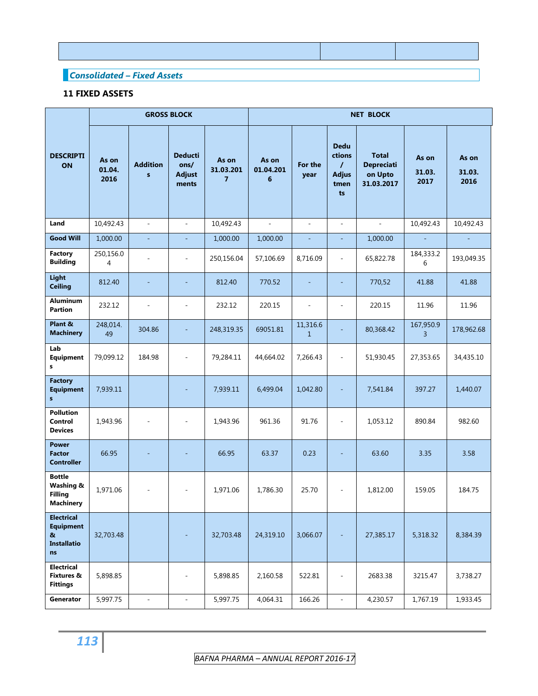# *Consolidated – Fixed Assets*

# **11 FIXED ASSETS**

|                                                                        |                         | <b>GROSS BLOCK</b><br><b>NET BLOCK</b> |                                                  |                                      |                         |                          |                                                          |                                                            |                         |                         |
|------------------------------------------------------------------------|-------------------------|----------------------------------------|--------------------------------------------------|--------------------------------------|-------------------------|--------------------------|----------------------------------------------------------|------------------------------------------------------------|-------------------------|-------------------------|
| <b>DESCRIPTI</b><br>ON                                                 | As on<br>01.04.<br>2016 | <b>Addition</b><br>$\mathbf{s}$        | <b>Deducti</b><br>ons/<br><b>Adjust</b><br>ments | As on<br>31.03.201<br>$\overline{7}$ | As on<br>01.04.201<br>6 | For the<br>year          | <b>Dedu</b><br>ctions<br>T<br><b>Adjus</b><br>tmen<br>ts | <b>Total</b><br><b>Depreciati</b><br>on Upto<br>31.03.2017 | As on<br>31.03.<br>2017 | As on<br>31.03.<br>2016 |
| Land                                                                   | 10,492.43               | $\sim$                                 | ä,                                               | 10,492.43                            | L.                      | $\sim$                   | $\sim$                                                   | ä,                                                         | 10,492.43               | 10,492.43               |
| <b>Good Will</b>                                                       | 1,000.00                | ä,                                     | ä,                                               | 1,000.00                             | 1,000.00                | $\equiv$                 | ÷,                                                       | 1,000.00                                                   |                         |                         |
| Factory<br><b>Building</b>                                             | 250,156.0<br>4          | $\overline{a}$                         | $\overline{a}$                                   | 250,156.04                           | 57,106.69               | 8,716.09                 | $\overline{a}$                                           | 65,822.78                                                  | 184,333.2<br>6          | 193,049.35              |
| Light<br><b>Ceiling</b>                                                | 812.40                  | ٠                                      | ÷                                                | 812.40                               | 770.52                  | ٠                        | ٠                                                        | 770,52                                                     | 41.88                   | 41.88                   |
| <b>Aluminum</b><br><b>Partion</b>                                      | 232.12                  | $\overline{\phantom{a}}$               | ä,                                               | 232.12                               | 220.15                  | $\overline{\phantom{a}}$ | ä,                                                       | 220.15                                                     | 11.96                   | 11.96                   |
| Plant &<br><b>Machinery</b>                                            | 248,014.<br>49          | 304.86                                 |                                                  | 248,319.35                           | 69051.81                | 11,316.6<br>$\mathbf{1}$ |                                                          | 80,368.42                                                  | 167,950.9<br>3          | 178,962.68              |
| Lab<br><b>Equipment</b><br>s                                           | 79,099.12               | 184.98                                 | ÷,                                               | 79,284.11                            | 44,664.02               | 7,266.43                 | ÷,                                                       | 51,930.45                                                  | 27,353.65               | 34,435.10               |
| <b>Factory</b><br><b>Equipment</b><br>$\mathbf{s}$                     | 7,939.11                |                                        |                                                  | 7,939.11                             | 6,499.04                | 1,042.80                 |                                                          | 7,541.84                                                   | 397.27                  | 1,440.07                |
| <b>Pollution</b><br>Control<br><b>Devices</b>                          | 1,943.96                | $\overline{a}$                         | $\overline{a}$                                   | 1,943.96                             | 961.36                  | 91.76                    | ÷                                                        | 1,053.12                                                   | 890.84                  | 982.60                  |
| <b>Power</b><br><b>Factor</b><br><b>Controller</b>                     | 66.95                   | ٠                                      | ٠                                                | 66.95                                | 63.37                   | 0.23                     | ÷,                                                       | 63.60                                                      | 3.35                    | 3.58                    |
| <b>Bottle</b><br>Washing &<br><b>Filling</b><br><b>Machinery</b>       | 1,971.06                | ÷,                                     | $\overline{\phantom{m}}$                         | 1,971.06                             | 1,786.30                | 25.70                    | $\overline{\phantom{a}}$                                 | 1,812.00                                                   | 159.05                  | 184.75                  |
| <b>Electrical</b><br><b>Equipment</b><br>&<br><b>Installatio</b><br>ns | 32,703.48               |                                        |                                                  | 32,703.48                            | 24,319.10               | 3,066.07                 |                                                          | 27,385.17                                                  | 5,318.32                | 8,384.39                |
| <b>Electrical</b><br>Fixtures &<br><b>Fittings</b>                     | 5,898.85                |                                        | $\qquad \qquad \blacksquare$                     | 5,898.85                             | 2,160.58                | 522.81                   | $\overline{\phantom{a}}$                                 | 2683.38                                                    | 3215.47                 | 3,738.27                |
| Generator                                                              | 5,997.75                | $\overline{\phantom{a}}$               | $\blacksquare$                                   | 5,997.75                             | 4,064.31                | 166.26                   | $\overline{\phantom{a}}$                                 | 4,230.57                                                   | 1,767.19                | 1,933.45                |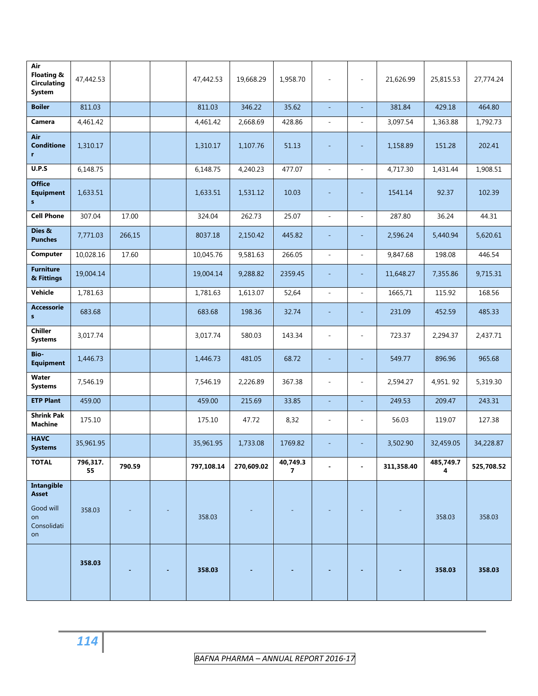| Air<br>Floating &<br><b>Circulating</b><br><b>System</b> | 47,442.53      |        | 47,442.53  | 19,668.29  | 1,958.70      | $\overline{a}$           | ä,                       | 21,626.99  | 25,815.53      | 27,774.24  |
|----------------------------------------------------------|----------------|--------|------------|------------|---------------|--------------------------|--------------------------|------------|----------------|------------|
| <b>Boiler</b>                                            | 811.03         |        | 811.03     | 346.22     | 35.62         | ÷,                       |                          | 381.84     | 429.18         | 464.80     |
| Camera                                                   | 4,461.42       |        | 4,461.42   | 2,668.69   | 428.86        | $\overline{\phantom{a}}$ | L.                       | 3,097.54   | 1,363.88       | 1,792.73   |
| Air<br><b>Conditione</b><br>r                            | 1,310.17       |        | 1,310.17   | 1,107.76   | 51.13         |                          |                          | 1,158.89   | 151.28         | 202.41     |
| U.P.S                                                    | 6,148.75       |        | 6,148.75   | 4,240.23   | 477.07        | $\overline{\phantom{a}}$ | $\bar{a}$                | 4,717.30   | 1,431.44       | 1,908.51   |
| <b>Office</b><br><b>Equipment</b><br>${\bf s}$           | 1,633.51       |        | 1,633.51   | 1,531.12   | 10.03         |                          |                          | 1541.14    | 92.37          | 102.39     |
| <b>Cell Phone</b>                                        | 307.04         | 17.00  | 324.04     | 262.73     | 25.07         | $\blacksquare$           | ä,                       | 287.80     | 36.24          | 44.31      |
| Dies &<br><b>Punches</b>                                 | 7,771.03       | 266,15 | 8037.18    | 2,150.42   | 445.82        |                          |                          | 2,596.24   | 5,440.94       | 5,620.61   |
| Computer                                                 | 10,028.16      | 17.60  | 10,045.76  | 9,581.63   | 266.05        | $\overline{a}$           |                          | 9,847.68   | 198.08         | 446.54     |
| <b>Furniture</b><br>& Fittings                           | 19,004.14      |        | 19,004.14  | 9,288.82   | 2359.45       | $\overline{\phantom{a}}$ |                          | 11,648.27  | 7,355.86       | 9,715.31   |
| Vehicle                                                  | 1,781.63       |        | 1,781.63   | 1,613.07   | 52,64         | $\overline{\phantom{a}}$ | $\overline{\phantom{a}}$ | 1665,71    | 115.92         | 168.56     |
| <b>Accessorie</b><br>s                                   | 683.68         |        | 683.68     | 198.36     | 32.74         |                          | ٠                        | 231.09     | 452.59         | 485.33     |
| <b>Chiller</b><br><b>Systems</b>                         | 3,017.74       |        | 3,017.74   | 580.03     | 143.34        |                          |                          | 723.37     | 2,294.37       | 2,437.71   |
| Bio-<br><b>Equipment</b>                                 | 1,446.73       |        | 1,446.73   | 481.05     | 68.72         |                          |                          | 549.77     | 896.96         | 965.68     |
| Water<br><b>Systems</b>                                  | 7,546.19       |        | 7,546.19   | 2,226.89   | 367.38        | $\overline{\phantom{a}}$ |                          | 2,594.27   | 4,951.92       | 5,319.30   |
| <b>ETP Plant</b>                                         | 459.00         |        | 459.00     | 215.69     | 33.85         | $\blacksquare$           | ÷,                       | 249.53     | 209.47         | 243.31     |
| <b>Shrink Pak</b><br><b>Machine</b>                      | 175.10         |        | 175.10     | 47.72      | 8,32          | $\overline{\phantom{m}}$ |                          | 56.03      | 119.07         | 127.38     |
| <b>HAVC</b><br><b>Systems</b>                            | 35,961.95      |        | 35,961.95  | 1,733.08   | 1769.82       |                          |                          | 3,502.90   | 32,459.05      | 34,228.87  |
| <b>TOTAL</b>                                             | 796,317.<br>55 | 790.59 | 797,108.14 | 270,609.02 | 40,749.3<br>7 |                          |                          | 311,358.40 | 485,749.7<br>4 | 525,708.52 |
| <b>Intangible</b><br><b>Asset</b>                        |                |        |            |            |               |                          |                          |            |                |            |
| Good will<br>on<br>Consolidati<br>on                     | 358.03         |        | 358.03     |            |               |                          |                          |            | 358.03         | 358.03     |
|                                                          | 358.03         |        | 358.03     |            |               |                          |                          |            | 358.03         | 358.03     |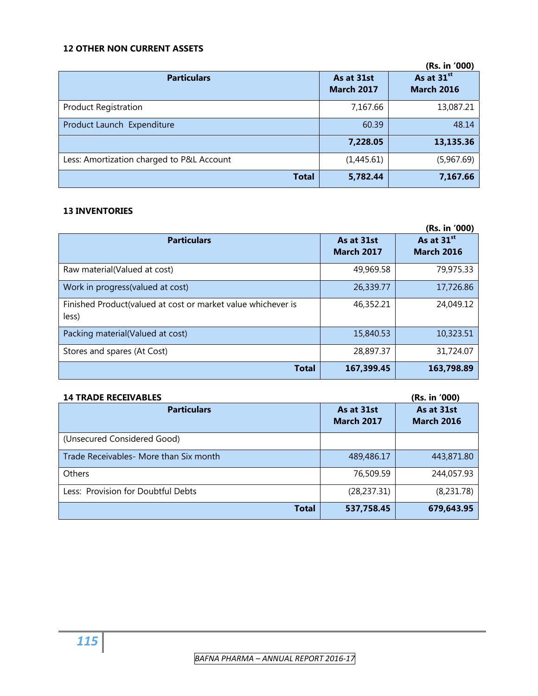# **12 OTHER NON CURRENT ASSETS**

|                                           |                                 | (Rs. in '000)                               |
|-------------------------------------------|---------------------------------|---------------------------------------------|
| <b>Particulars</b>                        | As at 31st<br><b>March 2017</b> | As at 31 <sup>st</sup><br><b>March 2016</b> |
| <b>Product Registration</b>               | 7,167.66                        | 13,087.21                                   |
| Product Launch Expenditure                | 60.39                           | 48.14                                       |
|                                           | 7,228.05                        | 13,135.36                                   |
| Less: Amortization charged to P&L Account | (1,445.61)                      | (5,967.69)                                  |
| <b>Total</b>                              | 5,782.44                        | 7,167.66                                    |

#### **13 INVENTORIES**

|                                                                       |                                 | (Rs. in '000)                               |
|-----------------------------------------------------------------------|---------------------------------|---------------------------------------------|
| <b>Particulars</b>                                                    | As at 31st<br><b>March 2017</b> | As at 31 <sup>st</sup><br><b>March 2016</b> |
| Raw material(Valued at cost)                                          | 49,969.58                       | 79,975.33                                   |
| Work in progress (valued at cost)                                     | 26,339.77                       | 17,726.86                                   |
| Finished Product(valued at cost or market value whichever is<br>less) | 46,352.21                       | 24,049.12                                   |
| Packing material(Valued at cost)                                      | 15,840.53                       | 10,323.51                                   |
| Stores and spares (At Cost)                                           | 28,897.37                       | 31,724.07                                   |
| <b>Total</b>                                                          | 167,399.45                      | 163,798.89                                  |

| <b>14 TRADE RECEIVABLES</b>            |                                 | (Rs. in '000)                   |
|----------------------------------------|---------------------------------|---------------------------------|
| <b>Particulars</b>                     | As at 31st<br><b>March 2017</b> | As at 31st<br><b>March 2016</b> |
| (Unsecured Considered Good)            |                                 |                                 |
| Trade Receivables- More than Six month | 489,486.17                      | 443,871.80                      |
| Others                                 | 76,509.59                       | 244,057.93                      |
| Less: Provision for Doubtful Debts     | (28, 237.31)                    | (8,231.78)                      |
| Total                                  | 537,758.45                      | 679,643.95                      |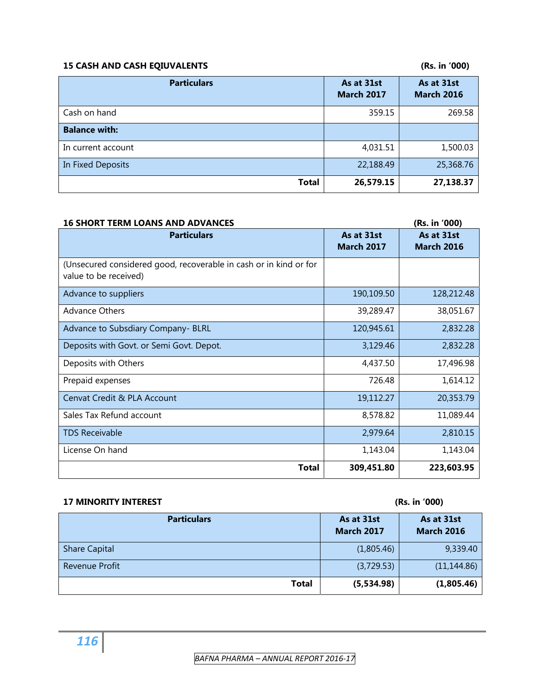# **15 CASH AND CASH EQIUVALENTS (Rs. in '000)**

| <b>Particulars</b>   | As at 31st<br><b>March 2017</b> | As at 31st<br><b>March 2016</b> |
|----------------------|---------------------------------|---------------------------------|
| Cash on hand         | 359.15                          | 269.58                          |
| <b>Balance with:</b> |                                 |                                 |
| In current account   | 4,031.51                        | 1,500.03                        |
| In Fixed Deposits    | 22,188.49                       | 25,368.76                       |
| <b>Total</b>         | 26,579.15                       | 27,138.37                       |

| <b>16 SHORT TERM LOANS AND ADVANCES</b>                                                    |                                 | (Rs. in '000)                   |
|--------------------------------------------------------------------------------------------|---------------------------------|---------------------------------|
| <b>Particulars</b>                                                                         | As at 31st<br><b>March 2017</b> | As at 31st<br><b>March 2016</b> |
| (Unsecured considered good, recoverable in cash or in kind or for<br>value to be received) |                                 |                                 |
| Advance to suppliers                                                                       | 190,109.50                      | 128,212.48                      |
| <b>Advance Others</b>                                                                      | 39,289.47                       | 38,051.67                       |
| Advance to Subsdiary Company- BLRL                                                         | 120,945.61                      | 2,832.28                        |
| Deposits with Govt. or Semi Govt. Depot.                                                   | 3,129.46                        | 2,832.28                        |
| Deposits with Others                                                                       | 4,437.50                        | 17,496.98                       |
| Prepaid expenses                                                                           | 726.48                          | 1,614.12                        |
| Cenvat Credit & PLA Account                                                                | 19,112.27                       | 20,353.79                       |
| Sales Tax Refund account                                                                   | 8,578.82                        | 11,089.44                       |
| <b>TDS Receivable</b>                                                                      | 2,979.64                        | 2,810.15                        |
| License On hand                                                                            | 1,143.04                        | 1,143.04                        |
| Total                                                                                      | 309,451.80                      | 223,603.95                      |

# **17 MINORITY INTEREST (Rs. in '000)**

| <b>Particulars</b>    | As at 31st<br><b>March 2017</b> | As at 31st<br><b>March 2016</b> |
|-----------------------|---------------------------------|---------------------------------|
| <b>Share Capital</b>  | (1,805.46)                      | 9,339.40                        |
| <b>Revenue Profit</b> | (3,729.53)                      | (11, 144.86)                    |
| <b>Total</b>          | (5,534.98)                      | (1,805.46)                      |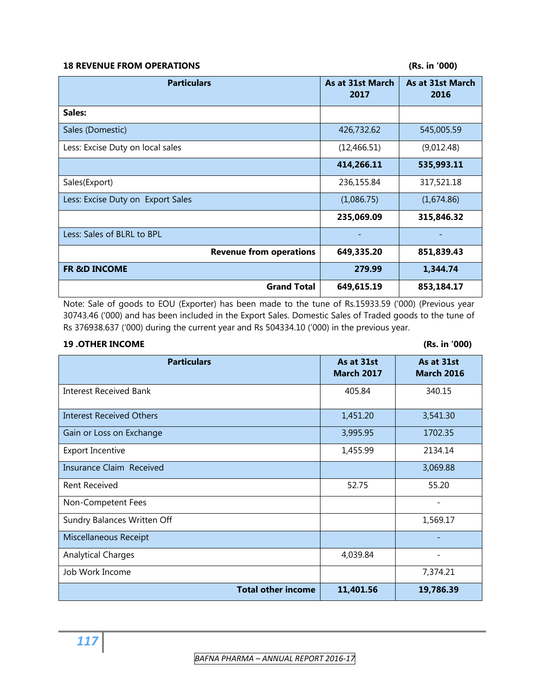#### **18 REVENUE FROM OPERATIONS (Rs. in '000)**

| <b>Particulars</b>                | As at 31st March<br>2017 | As at 31st March<br>2016 |
|-----------------------------------|--------------------------|--------------------------|
| Sales:                            |                          |                          |
| Sales (Domestic)                  | 426,732.62               | 545,005.59               |
| Less: Excise Duty on local sales  | (12, 466.51)             | (9,012.48)               |
|                                   | 414,266.11               | 535,993.11               |
| Sales(Export)                     | 236,155.84               | 317,521.18               |
| Less: Excise Duty on Export Sales | (1,086.75)               | (1,674.86)               |
|                                   | 235,069.09               | 315,846.32               |
| Less: Sales of BLRL to BPL        |                          |                          |
| <b>Revenue from operations</b>    | 649,335.20               | 851,839.43               |
| <b>FR &amp;D INCOME</b>           | 279.99                   | 1,344.74                 |
| <b>Grand Total</b>                | 649,615.19               | 853,184.17               |

Note: Sale of goods to EOU (Exporter) has been made to the tune of Rs.15933.59 ('000) (Previous year 30743.46 ('000) and has been included in the Export Sales. Domestic Sales of Traded goods to the tune of Rs 376938.637 ('000) during the current year and Rs 504334.10 ('000) in the previous year.

#### **19 .OTHER INCOME (Rs. in '000)**

| <b>Particulars</b>              | As at 31st<br><b>March 2017</b> | As at 31st<br><b>March 2016</b> |
|---------------------------------|---------------------------------|---------------------------------|
| <b>Interest Received Bank</b>   | 405.84                          | 340.15                          |
| <b>Interest Received Others</b> | 1,451.20                        | 3,541.30                        |
| Gain or Loss on Exchange        | 3,995.95                        | 1702.35                         |
| <b>Export Incentive</b>         | 1,455.99                        | 2134.14                         |
| Insurance Claim Received        |                                 | 3,069.88                        |
| <b>Rent Received</b>            | 52.75                           | 55.20                           |
| Non-Competent Fees              |                                 |                                 |
| Sundry Balances Written Off     |                                 | 1,569.17                        |
| Miscellaneous Receipt           |                                 |                                 |
| <b>Analytical Charges</b>       | 4,039.84                        |                                 |
| Job Work Income                 |                                 | 7,374.21                        |
| <b>Total other income</b>       | 11,401.56                       | 19,786.39                       |

 *BAFNA PHARMA – ANNUAL REPORT 2016‐17*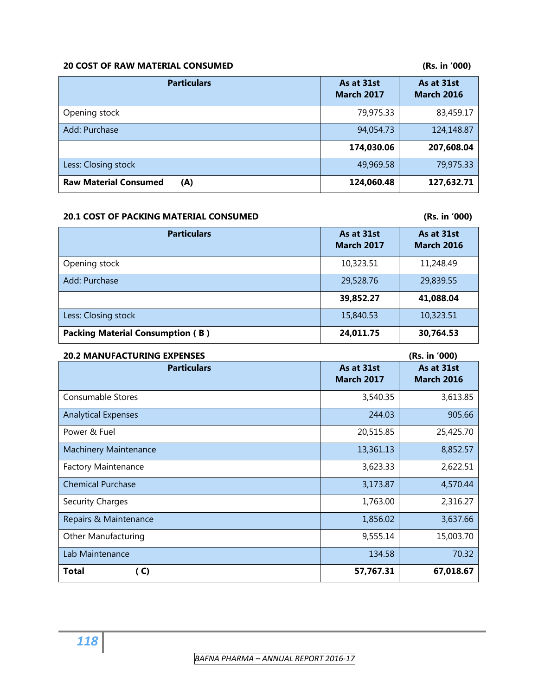# **20 COST OF RAW MATERIAL CONSUMED (Rs. in '000)**

| <b>Particulars</b>                  | As at 31st<br><b>March 2017</b> | As at 31st<br><b>March 2016</b> |
|-------------------------------------|---------------------------------|---------------------------------|
| Opening stock                       | 79,975.33                       | 83,459.17                       |
| Add: Purchase                       | 94,054.73                       | 124,148.87                      |
|                                     | 174,030.06                      | 207,608.04                      |
| Less: Closing stock                 | 49,969.58                       | 79,975.33                       |
| <b>Raw Material Consumed</b><br>(A) | 124,060.48                      | 127,632.71                      |

#### **20.1 COST OF PACKING MATERIAL CONSUMED (Rs. in '000)**

| <b>Particulars</b>                      | As at 31st<br><b>March 2017</b> | As at 31st<br><b>March 2016</b> |
|-----------------------------------------|---------------------------------|---------------------------------|
| Opening stock                           | 10,323.51                       | 11,248.49                       |
| Add: Purchase                           | 29,528.76                       | 29,839.55                       |
|                                         | 39,852.27                       | 41,088.04                       |
| Less: Closing stock                     | 15,840.53                       | 10,323.51                       |
| <b>Packing Material Consumption (B)</b> | 24,011.75                       | 30,764.53                       |

| <b>20.2 MANUFACTURING EXPENSES</b> |                                 | (Rs. in '000)                   |
|------------------------------------|---------------------------------|---------------------------------|
| <b>Particulars</b>                 | As at 31st<br><b>March 2017</b> | As at 31st<br><b>March 2016</b> |
| <b>Consumable Stores</b>           | 3,540.35                        | 3,613.85                        |
| <b>Analytical Expenses</b>         | 244.03                          | 905.66                          |
| Power & Fuel                       | 20,515.85                       | 25,425.70                       |
| <b>Machinery Maintenance</b>       | 13,361.13                       | 8,852.57                        |
| <b>Factory Maintenance</b>         | 3,623.33                        | 2,622.51                        |
| <b>Chemical Purchase</b>           | 3,173.87                        | 4,570.44                        |
| <b>Security Charges</b>            | 1,763.00                        | 2,316.27                        |
| Repairs & Maintenance              | 1,856.02                        | 3,637.66                        |
| <b>Other Manufacturing</b>         | 9,555.14                        | 15,003.70                       |
| Lab Maintenance                    | 134.58                          | 70.32                           |
| <b>Total</b><br>(C)                | 57,767.31                       | 67,018.67                       |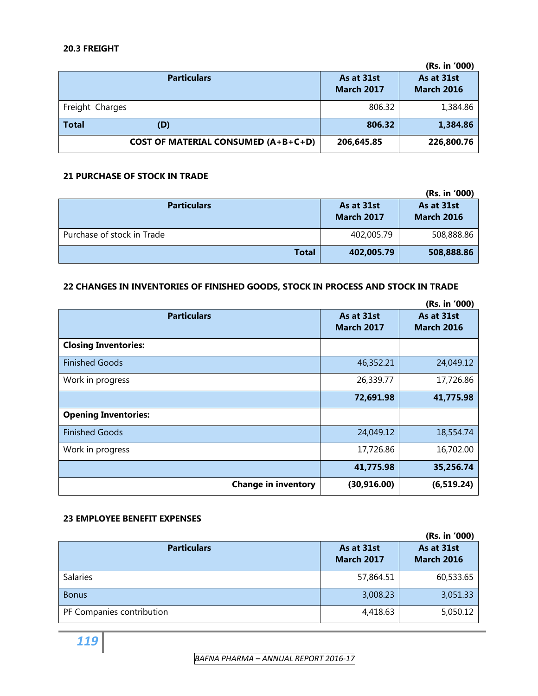#### **20.3 FREIGHT**

|                                            |                                 | (Rs. in '000)                   |
|--------------------------------------------|---------------------------------|---------------------------------|
| <b>Particulars</b>                         | As at 31st<br><b>March 2017</b> | As at 31st<br><b>March 2016</b> |
| Freight Charges                            | 806.32                          | 1,384.86                        |
| <b>Total</b><br>(D)                        | 806.32                          | 1,384.86                        |
| <b>COST OF MATERIAL CONSUMED (A+B+C+D)</b> | 206,645.85                      | 226,800.76                      |

#### **21 PURCHASE OF STOCK IN TRADE**

|                            |                                 | (Rs. in '000)                   |
|----------------------------|---------------------------------|---------------------------------|
| <b>Particulars</b>         | As at 31st<br><b>March 2017</b> | As at 31st<br><b>March 2016</b> |
| Purchase of stock in Trade | 402,005.79                      | 508,888.86                      |
| Total                      | 402,005.79                      | 508,888.86                      |

#### **22 CHANGES IN INVENTORIES OF FINISHED GOODS, STOCK IN PROCESS AND STOCK IN TRADE**

|                             |                                 | (Rs. in '000)                   |
|-----------------------------|---------------------------------|---------------------------------|
| <b>Particulars</b>          | As at 31st<br><b>March 2017</b> | As at 31st<br><b>March 2016</b> |
| <b>Closing Inventories:</b> |                                 |                                 |
| <b>Finished Goods</b>       | 46,352.21                       | 24,049.12                       |
| Work in progress            | 26,339.77                       | 17,726.86                       |
|                             | 72,691.98                       | 41,775.98                       |
| <b>Opening Inventories:</b> |                                 |                                 |
| <b>Finished Goods</b>       | 24,049.12                       | 18,554.74                       |
| Work in progress            | 17,726.86                       | 16,702.00                       |
|                             | 41,775.98                       | 35,256.74                       |
| <b>Change in inventory</b>  | (30, 916.00)                    | (6, 519.24)                     |

#### **23 EMPLOYEE BENEFIT EXPENSES**

|                           |                                 | (Rs. in '000)                   |
|---------------------------|---------------------------------|---------------------------------|
| <b>Particulars</b>        | As at 31st<br><b>March 2017</b> | As at 31st<br><b>March 2016</b> |
| <b>Salaries</b>           | 57,864.51                       | 60,533.65                       |
| <b>Bonus</b>              | 3,008.23                        | 3,051.33                        |
| PF Companies contribution | 4,418.63                        | 5,050.12                        |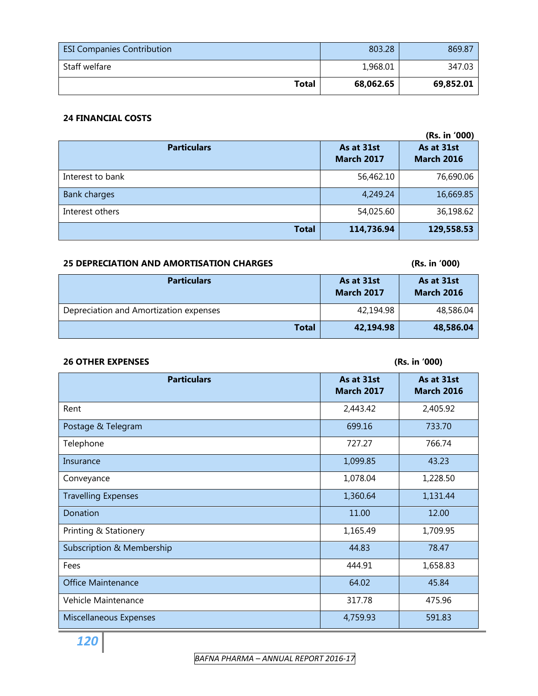| <b>ESI Companies Contribution</b> | 803.28    | 869.87    |
|-----------------------------------|-----------|-----------|
| Staff welfare                     | 1,968.01  | 347.03    |
| <b>Total</b>                      | 68.062.65 | 69,852.01 |

## **24 FINANCIAL COSTS**

|                     |                                 | (Rs. in '000)                   |
|---------------------|---------------------------------|---------------------------------|
| <b>Particulars</b>  | As at 31st<br><b>March 2017</b> | As at 31st<br><b>March 2016</b> |
| Interest to bank    | 56,462.10                       | 76,690.06                       |
| <b>Bank charges</b> | 4,249.24                        | 16,669.85                       |
| Interest others     | 54,025.60                       | 36,198.62                       |
| <b>Total</b>        | 114,736.94                      | 129,558.53                      |

# **25 DEPRECIATION AND AMORTISATION CHARGES (Rs. in '000)**

| <b>Particulars</b>                     | As at 31st<br><b>March 2017</b> | As at 31st<br><b>March 2016</b> |
|----------------------------------------|---------------------------------|---------------------------------|
| Depreciation and Amortization expenses | 42,194.98                       | 48,586.04                       |
| Total                                  | 42,194.98                       | 48,586.04                       |

# **26 OTHER EXPENSES (Rs. in '000)**

| <b>Particulars</b>         | As at 31st<br><b>March 2017</b> | As at 31st<br><b>March 2016</b> |
|----------------------------|---------------------------------|---------------------------------|
| Rent                       | 2,443.42                        | 2,405.92                        |
| Postage & Telegram         | 699.16                          | 733.70                          |
| Telephone                  | 727.27                          | 766.74                          |
| Insurance                  | 1,099.85                        | 43.23                           |
| Conveyance                 | 1,078.04                        | 1,228.50                        |
| <b>Travelling Expenses</b> | 1,360.64                        | 1,131.44                        |
| Donation                   | 11.00                           | 12.00                           |
| Printing & Stationery      | 1,165.49                        | 1,709.95                        |
| Subscription & Membership  | 44.83                           | 78.47                           |
| Fees                       | 444.91                          | 1,658.83                        |
| <b>Office Maintenance</b>  | 64.02                           | 45.84                           |
| Vehicle Maintenance        | 317.78                          | 475.96                          |
| Miscellaneous Expenses     | 4,759.93                        | 591.83                          |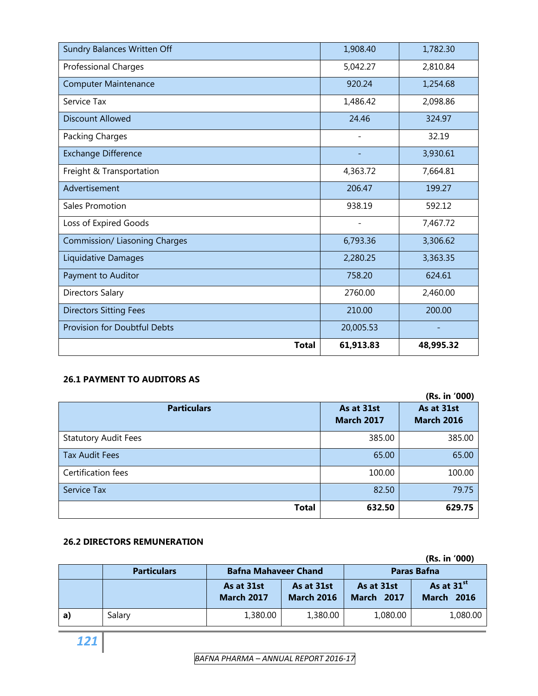| Sundry Balances Written Off          | 1,908.40                 | 1,782.30  |
|--------------------------------------|--------------------------|-----------|
| <b>Professional Charges</b>          | 5,042.27                 | 2,810.84  |
| <b>Computer Maintenance</b>          | 920.24                   | 1,254.68  |
| Service Tax                          | 1,486.42                 | 2,098.86  |
| <b>Discount Allowed</b>              | 24.46                    | 324.97    |
| Packing Charges                      | $\overline{\phantom{a}}$ | 32.19     |
| <b>Exchange Difference</b>           |                          | 3,930.61  |
| Freight & Transportation             | 4,363.72                 | 7,664.81  |
| Advertisement                        | 206.47                   | 199.27    |
| Sales Promotion                      | 938.19                   | 592.12    |
| Loss of Expired Goods                |                          | 7,467.72  |
| <b>Commission/ Liasoning Charges</b> | 6,793.36                 | 3,306.62  |
| Liquidative Damages                  | 2,280.25                 | 3,363.35  |
| Payment to Auditor                   | 758.20                   | 624.61    |
| <b>Directors Salary</b>              | 2760.00                  | 2,460.00  |
| <b>Directors Sitting Fees</b>        | 210.00                   | 200.00    |
| <b>Provision for Doubtful Debts</b>  | 20,005.53                |           |
| <b>Total</b>                         | 61,913.83                | 48,995.32 |

# **26.1 PAYMENT TO AUDITORS AS**

|                             |                                 | (Rs. in '000)                   |
|-----------------------------|---------------------------------|---------------------------------|
| <b>Particulars</b>          | As at 31st<br><b>March 2017</b> | As at 31st<br><b>March 2016</b> |
| <b>Statutory Audit Fees</b> | 385.00                          | 385.00                          |
| Tax Audit Fees              | 65.00                           | 65.00                           |
| Certification fees          | 100.00                          | 100.00                          |
| Service Tax                 | 82.50                           | 79.75                           |
| <b>Total</b>                | 632.50                          | 629.75                          |

### **26.2 DIRECTORS REMUNERATION**

|    |                    |                                 |                                 |                                 | (Rs. in '000)                               |
|----|--------------------|---------------------------------|---------------------------------|---------------------------------|---------------------------------------------|
|    | <b>Particulars</b> | <b>Bafna Mahaveer Chand</b>     |                                 |                                 | <b>Paras Bafna</b>                          |
|    |                    | As at 31st<br><b>March 2017</b> | As at 31st<br><b>March 2016</b> | As at 31st<br><b>March 2017</b> | As at 31 <sup>st</sup><br><b>March 2016</b> |
| a) | Salary             | 1,380.00                        | 1,380.00                        | 1,080.00                        | 1,080.00                                    |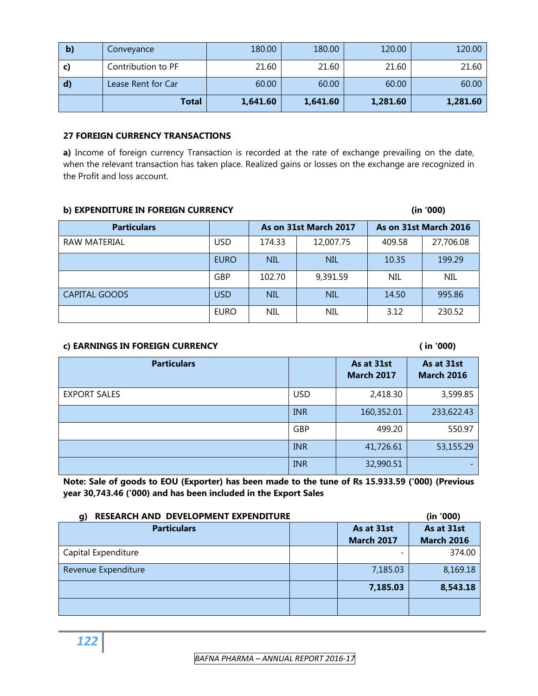| $\vert \mathbf{b} \rangle$ | Conveyance         | 180.00   | 180.00   | 120.00   | 120.00   |
|----------------------------|--------------------|----------|----------|----------|----------|
| C)                         | Contribution to PF | 21.60    | 21.60    | 21.60    | 21.60    |
| $\mathbf{d}$               | Lease Rent for Car | 60.00    | 60.00    | 60.00    | 60.00    |
|                            | <b>Total</b>       | 1,641.60 | 1,641.60 | 1,281.60 | 1,281.60 |

#### **27 FOREIGN CURRENCY TRANSACTIONS**

a) Income of foreign currency Transaction is recorded at the rate of exchange prevailing on the date, when the relevant transaction has taken place. Realized gains or losses on the exchange are recognized in the Profit and loss account.

#### **b) EXPENDITURE IN FOREIGN CURRENCY** (in '000)

| <b>Particulars</b>   |             |                     | As on 31st March 2017 | As on 31st March 2016 |            |
|----------------------|-------------|---------------------|-----------------------|-----------------------|------------|
| RAW MATERIAL         | <b>USD</b>  | 12,007.75<br>174.33 |                       | 409.58                | 27,706.08  |
|                      | <b>EURO</b> | <b>NIL</b>          | <b>NIL</b>            |                       | 199.29     |
|                      | GBP         | 102.70              | 9,391.59              | <b>NIL</b>            | <b>NIL</b> |
| <b>CAPITAL GOODS</b> | USD         | <b>NIL</b>          | <b>NIL</b>            | 14.50                 | 995.86     |
|                      | <b>EURO</b> | NIL<br><b>NIL</b>   |                       | 3.12                  | 230.52     |

#### **c) EARNINGS IN FOREIGN CURRENCY ( in '000)**

| <b>Particulars</b>  |            | As at 31st<br><b>March 2017</b> | As at 31st<br><b>March 2016</b> |
|---------------------|------------|---------------------------------|---------------------------------|
| <b>EXPORT SALES</b> | <b>USD</b> | 2,418.30                        | 3,599.85                        |
|                     | <b>INR</b> | 160,352.01                      | 233,622.43                      |
|                     | GBP        | 499.20                          | 550.97                          |
|                     | <b>INR</b> | 41,726.61                       | 53,155.29                       |
|                     | <b>INR</b> | 32,990.51                       |                                 |

**Note: Sale of goods to EOU (Exporter) has been made to the tune of Rs 15.933.59 ('000) (Previous year 30,743.46 ('000) and has been included in the Export Sales** 

| RESEARCH AND DEVELOPMENT EXPENDITURE<br>q) |  |                   | (in '000)         |
|--------------------------------------------|--|-------------------|-------------------|
| <b>Particulars</b>                         |  | As at 31st        | As at 31st        |
|                                            |  | <b>March 2017</b> | <b>March 2016</b> |
| Capital Expenditure                        |  |                   | 374.00            |
| Revenue Expenditure                        |  | 7,185.03          | 8,169.18          |
|                                            |  | 7,185.03          | 8,543.18          |
|                                            |  |                   |                   |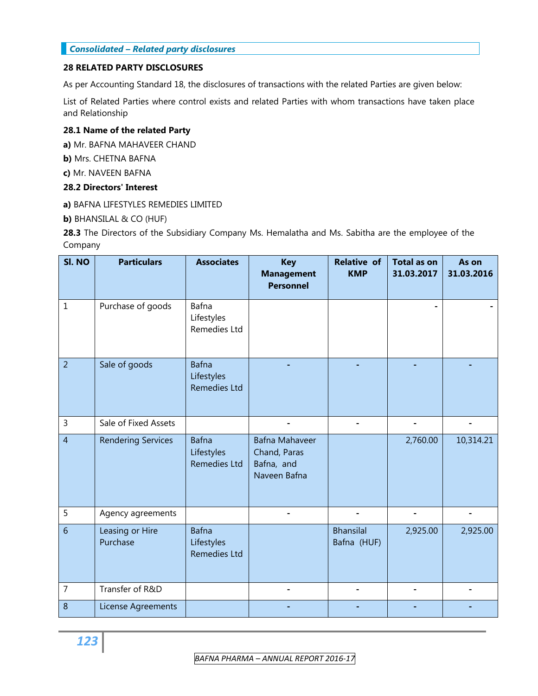#### *Consolidated – Related party disclosures*

#### **28 RELATED PARTY DISCLOSURES**

As per Accounting Standard 18, the disclosures of transactions with the related Parties are given below:

List of Related Parties where control exists and related Parties with whom transactions have taken place and Relationship

#### **28.1 Name of the related Party**

**a)** Mr. BAFNA MAHAVEER CHAND

**b)** Mrs. CHETNA BAFNA

**c)** Mr. NAVEEN BAFNA

#### **28.2 Directors' Interest**

**a)** BAFNA LIFESTYLES REMEDIES LIMITED

**b)** BHANSILAL & CO (HUF)

**28.3** The Directors of the Subsidiary Company Ms. Hemalatha and Ms. Sabitha are the employee of the Company

| SI. NO         | <b>Particulars</b>          | <b>Associates</b>                                 | <b>Key</b><br><b>Management</b><br><b>Personnel</b>                 | <b>Relative of</b><br><b>KMP</b> | <b>Total as on</b><br>31.03.2017 | As on<br>31.03.2016 |
|----------------|-----------------------------|---------------------------------------------------|---------------------------------------------------------------------|----------------------------------|----------------------------------|---------------------|
| $\mathbf{1}$   | Purchase of goods           | Bafna<br>Lifestyles<br>Remedies Ltd               |                                                                     |                                  |                                  |                     |
| $\overline{2}$ | Sale of goods               | <b>Bafna</b><br>Lifestyles<br><b>Remedies Ltd</b> |                                                                     |                                  |                                  |                     |
| 3              | Sale of Fixed Assets        |                                                   |                                                                     |                                  | ۰                                |                     |
| $\overline{4}$ | <b>Rendering Services</b>   | <b>Bafna</b><br>Lifestyles<br><b>Remedies Ltd</b> | <b>Bafna Mahaveer</b><br>Chand, Paras<br>Bafna, and<br>Naveen Bafna |                                  | 2,760.00                         | 10,314.21           |
| 5              | Agency agreements           |                                                   |                                                                     |                                  |                                  |                     |
| 6              | Leasing or Hire<br>Purchase | <b>Bafna</b><br>Lifestyles<br><b>Remedies Ltd</b> |                                                                     | <b>Bhansilal</b><br>Bafna (HUF)  | 2,925.00                         | 2,925.00            |
| $\overline{7}$ | Transfer of R&D             |                                                   |                                                                     |                                  |                                  |                     |
| $\,8\,$        | License Agreements          |                                                   |                                                                     |                                  |                                  |                     |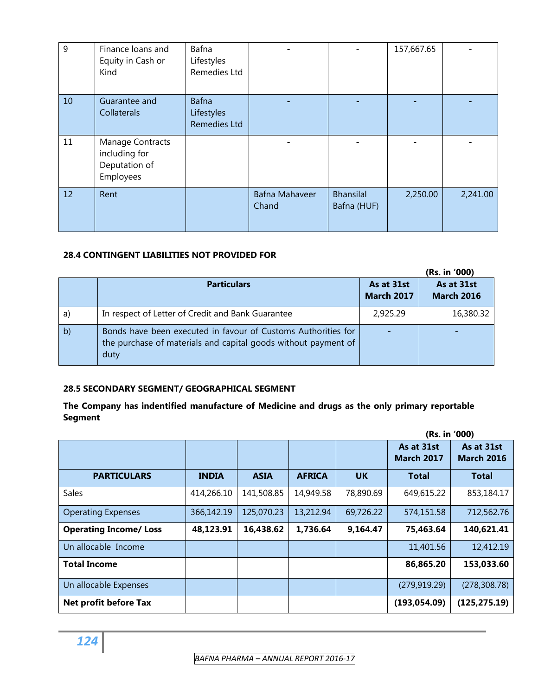| 9  | Finance loans and<br>Equity in Cash or<br>Kind                  | Bafna<br>Lifestyles<br>Remedies Ltd        |                                |                                 | 157,667.65 |          |
|----|-----------------------------------------------------------------|--------------------------------------------|--------------------------------|---------------------------------|------------|----------|
| 10 | Guarantee and<br>Collaterals                                    | <b>Bafna</b><br>Lifestyles<br>Remedies Ltd |                                |                                 |            |          |
| 11 | Manage Contracts<br>including for<br>Deputation of<br>Employees |                                            |                                |                                 |            |          |
| 12 | Rent                                                            |                                            | <b>Bafna Mahaveer</b><br>Chand | <b>Bhansilal</b><br>Bafna (HUF) | 2,250.00   | 2,241.00 |

### **28.4 CONTINGENT LIABILITIES NOT PROVIDED FOR**

|    |                                                                                                                                         |                                 | (Rs. in '000)                   |
|----|-----------------------------------------------------------------------------------------------------------------------------------------|---------------------------------|---------------------------------|
|    | <b>Particulars</b>                                                                                                                      | As at 31st<br><b>March 2017</b> | As at 31st<br><b>March 2016</b> |
| a) | In respect of Letter of Credit and Bank Guarantee                                                                                       | 2,925.29                        | 16,380.32                       |
| b) | Bonds have been executed in favour of Customs Authorities for<br>the purchase of materials and capital goods without payment of<br>duty |                                 |                                 |

#### **28.5 SECONDARY SEGMENT/ GEOGRAPHICAL SEGMENT**

### **The Company has indentified manufacture of Medicine and drugs as the only primary reportable Segment**

|                               |              |             |               |           | (Rs. in '000)                   |                                 |
|-------------------------------|--------------|-------------|---------------|-----------|---------------------------------|---------------------------------|
|                               |              |             |               |           | As at 31st<br><b>March 2017</b> | As at 31st<br><b>March 2016</b> |
| <b>PARTICULARS</b>            | <b>INDIA</b> | <b>ASIA</b> | <b>AFRICA</b> | <b>UK</b> | <b>Total</b>                    | <b>Total</b>                    |
| <b>Sales</b>                  | 414,266.10   | 141,508.85  | 14,949.58     | 78,890.69 | 649,615.22                      | 853,184.17                      |
| <b>Operating Expenses</b>     | 366,142.19   | 125,070.23  | 13,212.94     | 69,726.22 | 574,151.58                      | 712,562.76                      |
| <b>Operating Income/ Loss</b> | 48,123.91    | 16,438.62   | 1,736.64      | 9,164.47  | 75,463.64                       | 140,621.41                      |
| Un allocable Income           |              |             |               |           | 11,401.56                       | 12,412.19                       |
| <b>Total Income</b>           |              |             |               |           | 86,865.20                       | 153,033.60                      |
| Un allocable Expenses         |              |             |               |           | (279, 919.29)                   | (278, 308.78)                   |
| Net profit before Tax         |              |             |               |           | (193, 054.09)                   | (125, 275.19)                   |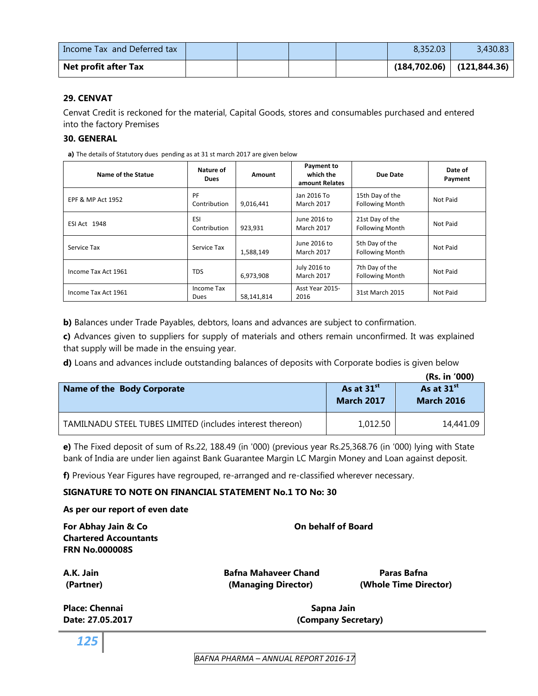| Income Tax and Deferred tax |  |  | 8.352.03 | 3,430.83                        |
|-----------------------------|--|--|----------|---------------------------------|
| Net profit after Tax        |  |  |          | $(184, 702.06)$ $(121, 844.36)$ |

#### **29. CENVAT**

Cenvat Credit is reckoned for the material, Capital Goods, stores and consumables purchased and entered into the factory Premises

#### **30. GENERAL**

**a)** The details of Statutory dues pending as at 31 st march 2017 are given below

| Name of the Statue  | Nature of<br><b>Dues</b>   | Amount     | Payment to<br>which the<br>amount Relates | Due Date                                  | Date of<br>Payment |
|---------------------|----------------------------|------------|-------------------------------------------|-------------------------------------------|--------------------|
| EPF & MP Act 1952   | PF<br>Contribution         | 9,016,441  | Jan 2016 To<br><b>March 2017</b>          | 15th Day of the<br><b>Following Month</b> | Not Paid           |
| ESI Act 1948        | <b>ESI</b><br>Contribution | 923,931    | June 2016 to<br><b>March 2017</b>         | 21st Day of the<br><b>Following Month</b> | Not Paid           |
| Service Tax         | Service Tax                | 1.588.149  | June 2016 to<br>March 2017                | 5th Day of the<br><b>Following Month</b>  | Not Paid           |
| Income Tax Act 1961 | <b>TDS</b>                 | 6,973,908  | July 2016 to<br><b>March 2017</b>         | 7th Day of the<br><b>Following Month</b>  | Not Paid           |
| Income Tax Act 1961 | Income Tax<br>Dues         | 58,141,814 | Asst Year 2015-<br>2016                   | 31st March 2015                           | Not Paid           |

**b)** Balances under Trade Payables, debtors, loans and advances are subject to confirmation.

**c)** Advances given to suppliers for supply of materials and others remain unconfirmed. It was explained that supply will be made in the ensuing year.

**d)** Loans and advances include outstanding balances of deposits with Corporate bodies is given below

|                                                           |                                             | (Rs. in '000)                               |
|-----------------------------------------------------------|---------------------------------------------|---------------------------------------------|
| Name of the Body Corporate                                | As at 31 <sup>st</sup><br><b>March 2017</b> | As at 31 <sup>st</sup><br><b>March 2016</b> |
| TAMILNADU STEEL TUBES LIMITED (includes interest thereon) | 1,012.50                                    | 14,441.09                                   |

**e)** The Fixed deposit of sum of Rs.22, 188.49 (in '000) (previous year Rs.25,368.76 (in '000) lying with State bank of India are under lien against Bank Guarantee Margin LC Margin Money and Loan against deposit.

**f)** Previous Year Figures have regrouped, re-arranged and re-classified wherever necessary.

#### **SIGNATURE TO NOTE ON FINANCIAL STATEMENT No.1 TO No: 30**

# **As per our report of even date**

| For Abhay Jain & Co          | <b>On behalf of Board</b>   |                       |  |  |  |
|------------------------------|-----------------------------|-----------------------|--|--|--|
| <b>Chartered Accountants</b> |                             |                       |  |  |  |
| <b>FRN No.000008S</b>        |                             |                       |  |  |  |
| A.K. Jain                    | <b>Bafna Mahaveer Chand</b> | Paras Bafna           |  |  |  |
| (Partner)                    | (Managing Director)         | (Whole Time Director) |  |  |  |
| <b>Place: Chennai</b>        | Sapna Jain                  |                       |  |  |  |
| Date: 27.05.2017             | (Company Secretary)         |                       |  |  |  |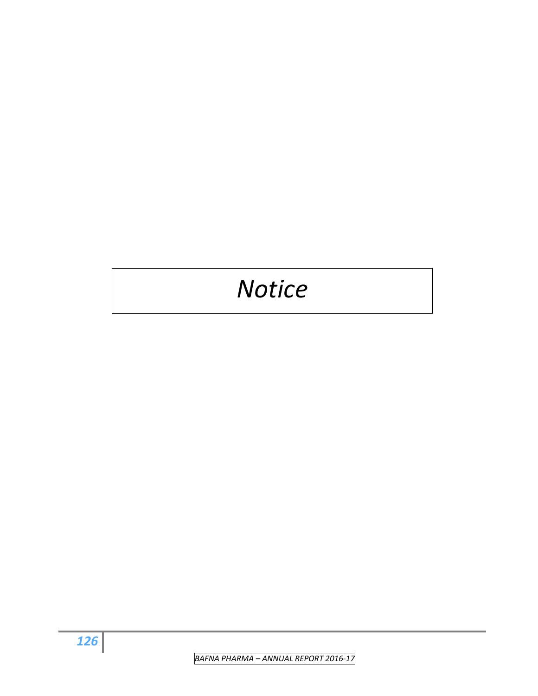# *Notice*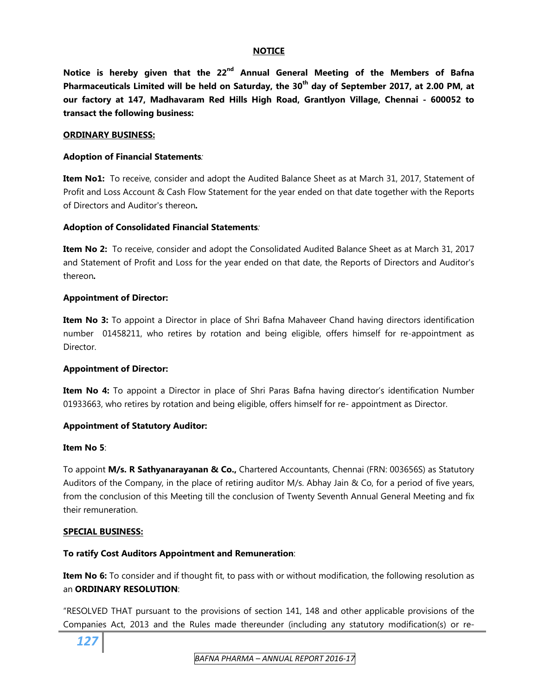#### **NOTICE**

**Notice is hereby given that the 22nd Annual General Meeting of the Members of Bafna Pharmaceuticals Limited will be held on Saturday, the 30th day of September 2017, at 2.00 PM, at our factory at 147, Madhavaram Red Hills High Road, Grantlyon Village, Chennai - 600052 to transact the following business:** 

#### **ORDINARY BUSINESS:**

#### **Adoption of Financial Statements***:*

**Item No1:** To receive, consider and adopt the Audited Balance Sheet as at March 31, 2017, Statement of Profit and Loss Account & Cash Flow Statement for the year ended on that date together with the Reports of Directors and Auditor's thereon*.* 

#### **Adoption of Consolidated Financial Statements***:*

**Item No 2:** To receive, consider and adopt the Consolidated Audited Balance Sheet as at March 31, 2017 and Statement of Profit and Loss for the year ended on that date, the Reports of Directors and Auditor's thereon*.* 

#### **Appointment of Director:**

**Item No 3:** To appoint a Director in place of Shri Bafna Mahaveer Chand having directors identification number 01458211, who retires by rotation and being eligible, offers himself for re-appointment as Director.

#### **Appointment of Director:**

**Item No 4:** To appoint a Director in place of Shri Paras Bafna having director's identification Number 01933663, who retires by rotation and being eligible, offers himself for re- appointment as Director.

#### **Appointment of Statutory Auditor:**

#### **Item No 5**:

To appoint **M/s. R Sathyanarayanan & Co.,** Chartered Accountants, Chennai (FRN: 003656S) as Statutory Auditors of the Company, in the place of retiring auditor M/s. Abhay Jain & Co, for a period of five years, from the conclusion of this Meeting till the conclusion of Twenty Seventh Annual General Meeting and fix their remuneration.

#### **SPECIAL BUSINESS:**

#### **To ratify Cost Auditors Appointment and Remuneration**:

**Item No 6:** To consider and if thought fit, to pass with or without modification, the following resolution as an **ORDINARY RESOLUTION**:

"RESOLVED THAT pursuant to the provisions of section 141, 148 and other applicable provisions of the Companies Act, 2013 and the Rules made thereunder (including any statutory modification(s) or re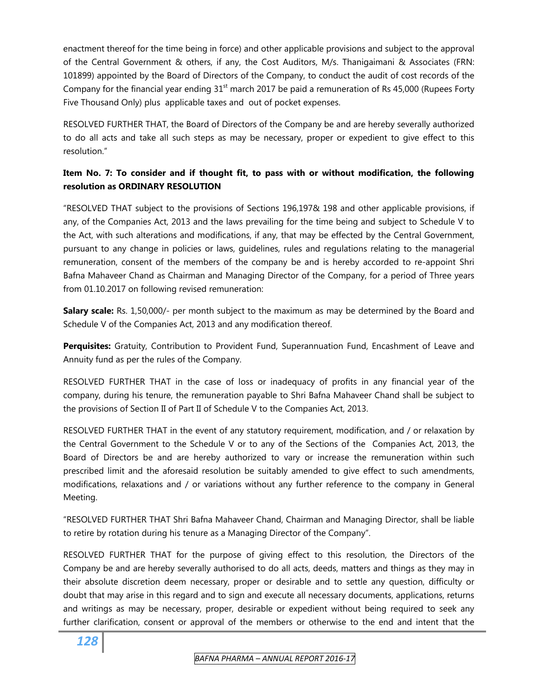enactment thereof for the time being in force) and other applicable provisions and subject to the approval of the Central Government & others, if any, the Cost Auditors, M/s. Thanigaimani & Associates (FRN: 101899) appointed by the Board of Directors of the Company, to conduct the audit of cost records of the Company for the financial year ending  $31<sup>st</sup>$  march 2017 be paid a remuneration of Rs 45,000 (Rupees Forty Five Thousand Only) plus applicable taxes and out of pocket expenses.

RESOLVED FURTHER THAT, the Board of Directors of the Company be and are hereby severally authorized to do all acts and take all such steps as may be necessary, proper or expedient to give effect to this resolution."

# **Item No. 7: To consider and if thought fit, to pass with or without modification, the following resolution as ORDINARY RESOLUTION**

"RESOLVED THAT subject to the provisions of Sections 196,197& 198 and other applicable provisions, if any, of the Companies Act, 2013 and the laws prevailing for the time being and subject to Schedule V to the Act, with such alterations and modifications, if any, that may be effected by the Central Government, pursuant to any change in policies or laws, guidelines, rules and regulations relating to the managerial remuneration, consent of the members of the company be and is hereby accorded to re-appoint Shri Bafna Mahaveer Chand as Chairman and Managing Director of the Company, for a period of Three years from 01.10.2017 on following revised remuneration:

**Salary scale:** Rs. 1,50,000/- per month subject to the maximum as may be determined by the Board and Schedule V of the Companies Act, 2013 and any modification thereof.

**Perquisites:** Gratuity, Contribution to Provident Fund, Superannuation Fund, Encashment of Leave and Annuity fund as per the rules of the Company.

RESOLVED FURTHER THAT in the case of loss or inadequacy of profits in any financial year of the company, during his tenure, the remuneration payable to Shri Bafna Mahaveer Chand shall be subject to the provisions of Section II of Part II of Schedule V to the Companies Act, 2013.

RESOLVED FURTHER THAT in the event of any statutory requirement, modification, and / or relaxation by the Central Government to the Schedule V or to any of the Sections of the Companies Act, 2013, the Board of Directors be and are hereby authorized to vary or increase the remuneration within such prescribed limit and the aforesaid resolution be suitably amended to give effect to such amendments, modifications, relaxations and / or variations without any further reference to the company in General Meeting.

"RESOLVED FURTHER THAT Shri Bafna Mahaveer Chand, Chairman and Managing Director, shall be liable to retire by rotation during his tenure as a Managing Director of the Company".

RESOLVED FURTHER THAT for the purpose of giving effect to this resolution, the Directors of the Company be and are hereby severally authorised to do all acts, deeds, matters and things as they may in their absolute discretion deem necessary, proper or desirable and to settle any question, difficulty or doubt that may arise in this regard and to sign and execute all necessary documents, applications, returns and writings as may be necessary, proper, desirable or expedient without being required to seek any further clarification, consent or approval of the members or otherwise to the end and intent that the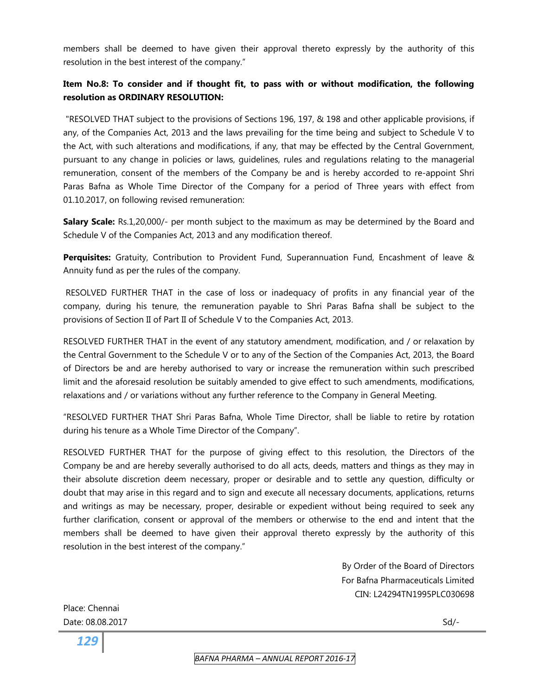members shall be deemed to have given their approval thereto expressly by the authority of this resolution in the best interest of the company."

# **Item No.8: To consider and if thought fit, to pass with or without modification, the following resolution as ORDINARY RESOLUTION:**

 "RESOLVED THAT subject to the provisions of Sections 196, 197, & 198 and other applicable provisions, if any, of the Companies Act, 2013 and the laws prevailing for the time being and subject to Schedule V to the Act, with such alterations and modifications, if any, that may be effected by the Central Government, pursuant to any change in policies or laws, guidelines, rules and regulations relating to the managerial remuneration, consent of the members of the Company be and is hereby accorded to re-appoint Shri Paras Bafna as Whole Time Director of the Company for a period of Three years with effect from 01.10.2017, on following revised remuneration:

**Salary Scale:** Rs.1,20,000/- per month subject to the maximum as may be determined by the Board and Schedule V of the Companies Act, 2013 and any modification thereof.

**Perquisites:** Gratuity, Contribution to Provident Fund, Superannuation Fund, Encashment of leave & Annuity fund as per the rules of the company.

 RESOLVED FURTHER THAT in the case of loss or inadequacy of profits in any financial year of the company, during his tenure, the remuneration payable to Shri Paras Bafna shall be subject to the provisions of Section II of Part II of Schedule V to the Companies Act, 2013.

RESOLVED FURTHER THAT in the event of any statutory amendment, modification, and / or relaxation by the Central Government to the Schedule V or to any of the Section of the Companies Act, 2013, the Board of Directors be and are hereby authorised to vary or increase the remuneration within such prescribed limit and the aforesaid resolution be suitably amended to give effect to such amendments, modifications, relaxations and / or variations without any further reference to the Company in General Meeting.

"RESOLVED FURTHER THAT Shri Paras Bafna, Whole Time Director, shall be liable to retire by rotation during his tenure as a Whole Time Director of the Company".

RESOLVED FURTHER THAT for the purpose of giving effect to this resolution, the Directors of the Company be and are hereby severally authorised to do all acts, deeds, matters and things as they may in their absolute discretion deem necessary, proper or desirable and to settle any question, difficulty or doubt that may arise in this regard and to sign and execute all necessary documents, applications, returns and writings as may be necessary, proper, desirable or expedient without being required to seek any further clarification, consent or approval of the members or otherwise to the end and intent that the members shall be deemed to have given their approval thereto expressly by the authority of this resolution in the best interest of the company."

> By Order of the Board of Directors For Bafna Pharmaceuticals Limited CIN: L24294TN1995PLC030698

Place: Chennai Date: 08.08.2017 Sd/-

*129*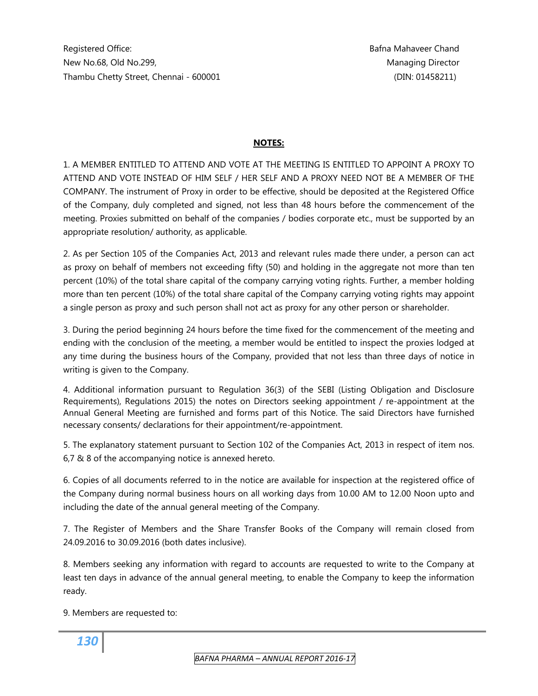### **NOTES:**

1. A MEMBER ENTITLED TO ATTEND AND VOTE AT THE MEETING IS ENTITLED TO APPOINT A PROXY TO ATTEND AND VOTE INSTEAD OF HIM SELF / HER SELF AND A PROXY NEED NOT BE A MEMBER OF THE COMPANY. The instrument of Proxy in order to be effective, should be deposited at the Registered Office of the Company, duly completed and signed, not less than 48 hours before the commencement of the meeting. Proxies submitted on behalf of the companies / bodies corporate etc., must be supported by an appropriate resolution/ authority, as applicable.

2. As per Section 105 of the Companies Act, 2013 and relevant rules made there under, a person can act as proxy on behalf of members not exceeding fifty (50) and holding in the aggregate not more than ten percent (10%) of the total share capital of the company carrying voting rights. Further, a member holding more than ten percent (10%) of the total share capital of the Company carrying voting rights may appoint a single person as proxy and such person shall not act as proxy for any other person or shareholder.

3. During the period beginning 24 hours before the time fixed for the commencement of the meeting and ending with the conclusion of the meeting, a member would be entitled to inspect the proxies lodged at any time during the business hours of the Company, provided that not less than three days of notice in writing is given to the Company.

4. Additional information pursuant to Regulation 36(3) of the SEBI (Listing Obligation and Disclosure Requirements), Regulations 2015) the notes on Directors seeking appointment / re-appointment at the Annual General Meeting are furnished and forms part of this Notice. The said Directors have furnished necessary consents/ declarations for their appointment/re-appointment.

5. The explanatory statement pursuant to Section 102 of the Companies Act, 2013 in respect of item nos. 6,7 & 8 of the accompanying notice is annexed hereto.

6. Copies of all documents referred to in the notice are available for inspection at the registered office of the Company during normal business hours on all working days from 10.00 AM to 12.00 Noon upto and including the date of the annual general meeting of the Company.

7. The Register of Members and the Share Transfer Books of the Company will remain closed from 24.09.2016 to 30.09.2016 (both dates inclusive).

8. Members seeking any information with regard to accounts are requested to write to the Company at least ten days in advance of the annual general meeting, to enable the Company to keep the information ready.

9. Members are requested to: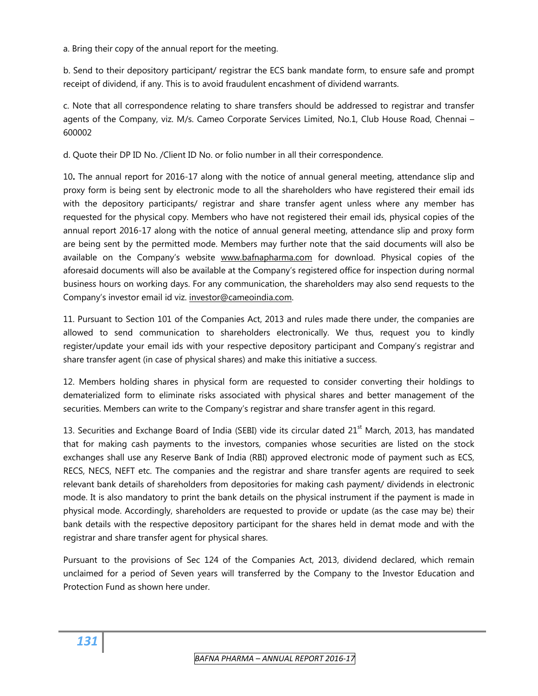a. Bring their copy of the annual report for the meeting.

b. Send to their depository participant/ registrar the ECS bank mandate form, to ensure safe and prompt receipt of dividend, if any. This is to avoid fraudulent encashment of dividend warrants.

c. Note that all correspondence relating to share transfers should be addressed to registrar and transfer agents of the Company, viz. M/s. Cameo Corporate Services Limited, No.1, Club House Road, Chennai – 600002

d. Quote their DP ID No. /Client ID No. or folio number in all their correspondence.

10**.** The annual report for 2016-17 along with the notice of annual general meeting, attendance slip and proxy form is being sent by electronic mode to all the shareholders who have registered their email ids with the depository participants/ registrar and share transfer agent unless where any member has requested for the physical copy. Members who have not registered their email ids, physical copies of the annual report 2016-17 along with the notice of annual general meeting, attendance slip and proxy form are being sent by the permitted mode. Members may further note that the said documents will also be available on the Company's website [www.bafnapharma.com](http://www.bafnapharma.com/) for download. Physical copies of the aforesaid documents will also be available at the Company's registered office for inspection during normal business hours on working days. For any communication, the shareholders may also send requests to the Company's investor email id viz. [investor@cameoindia.com](mailto:investor@cameoindia.com).

11. Pursuant to Section 101 of the Companies Act, 2013 and rules made there under, the companies are allowed to send communication to shareholders electronically. We thus, request you to kindly register/update your email ids with your respective depository participant and Company's registrar and share transfer agent (in case of physical shares) and make this initiative a success.

12. Members holding shares in physical form are requested to consider converting their holdings to dematerialized form to eliminate risks associated with physical shares and better management of the securities. Members can write to the Company's registrar and share transfer agent in this regard.

13. Securities and Exchange Board of India (SEBI) vide its circular dated 21<sup>st</sup> March, 2013, has mandated that for making cash payments to the investors, companies whose securities are listed on the stock exchanges shall use any Reserve Bank of India (RBI) approved electronic mode of payment such as ECS, RECS, NECS, NEFT etc. The companies and the registrar and share transfer agents are required to seek relevant bank details of shareholders from depositories for making cash payment/ dividends in electronic mode. It is also mandatory to print the bank details on the physical instrument if the payment is made in physical mode. Accordingly, shareholders are requested to provide or update (as the case may be) their bank details with the respective depository participant for the shares held in demat mode and with the registrar and share transfer agent for physical shares.

Pursuant to the provisions of Sec 124 of the Companies Act, 2013, dividend declared, which remain unclaimed for a period of Seven years will transferred by the Company to the Investor Education and Protection Fund as shown here under.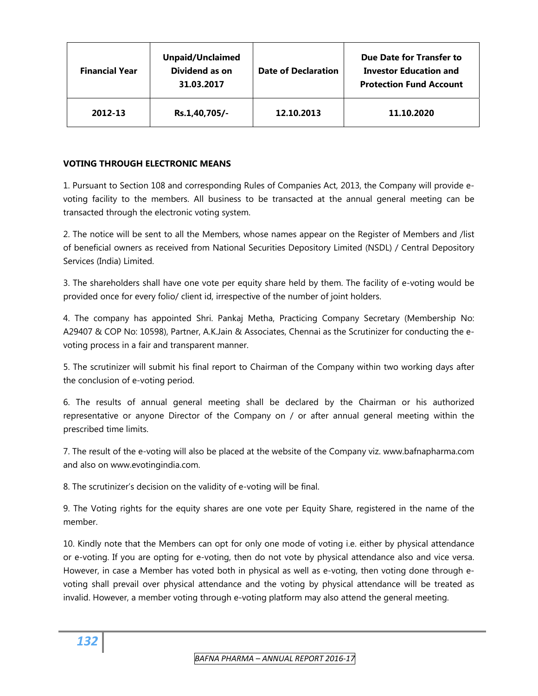| <b>Financial Year</b> | <b>Unpaid/Unclaimed</b><br>Dividend as on<br>31.03.2017 | <b>Date of Declaration</b> | Due Date for Transfer to<br><b>Investor Education and</b><br><b>Protection Fund Account</b> |
|-----------------------|---------------------------------------------------------|----------------------------|---------------------------------------------------------------------------------------------|
| 2012-13               | Rs.1,40,705/-                                           | 12.10.2013                 | 11.10.2020                                                                                  |

### **VOTING THROUGH ELECTRONIC MEANS**

1. Pursuant to Section 108 and corresponding Rules of Companies Act, 2013, the Company will provide evoting facility to the members. All business to be transacted at the annual general meeting can be transacted through the electronic voting system.

2. The notice will be sent to all the Members, whose names appear on the Register of Members and /list of beneficial owners as received from National Securities Depository Limited (NSDL) / Central Depository Services (India) Limited.

3. The shareholders shall have one vote per equity share held by them. The facility of e-voting would be provided once for every folio/ client id, irrespective of the number of joint holders.

4. The company has appointed Shri. Pankaj Metha, Practicing Company Secretary (Membership No: A29407 & COP No: 10598), Partner, A.K.Jain & Associates, Chennai as the Scrutinizer for conducting the evoting process in a fair and transparent manner.

5. The scrutinizer will submit his final report to Chairman of the Company within two working days after the conclusion of e-voting period.

6. The results of annual general meeting shall be declared by the Chairman or his authorized representative or anyone Director of the Company on / or after annual general meeting within the prescribed time limits.

7. The result of the e-voting will also be placed at the website of the Company viz. www.bafnapharma.com and also on www.evotingindia.com.

8. The scrutinizer's decision on the validity of e-voting will be final.

9. The Voting rights for the equity shares are one vote per Equity Share, registered in the name of the member.

10. Kindly note that the Members can opt for only one mode of voting i.e. either by physical attendance or e-voting. If you are opting for e-voting, then do not vote by physical attendance also and vice versa. However, in case a Member has voted both in physical as well as e-voting, then voting done through evoting shall prevail over physical attendance and the voting by physical attendance will be treated as invalid. However, a member voting through e-voting platform may also attend the general meeting.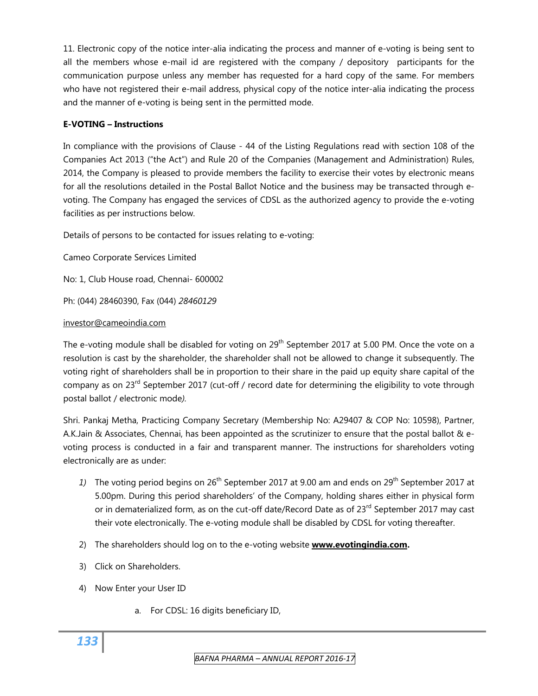11. Electronic copy of the notice inter-alia indicating the process and manner of e-voting is being sent to all the members whose e-mail id are registered with the company / depository participants for the communication purpose unless any member has requested for a hard copy of the same. For members who have not registered their e-mail address, physical copy of the notice inter-alia indicating the process and the manner of e-voting is being sent in the permitted mode.

### **E-VOTING – Instructions**

In compliance with the provisions of Clause - 44 of the Listing Regulations read with section 108 of the Companies Act 2013 ("the Act") and Rule 20 of the Companies (Management and Administration) Rules, 2014, the Company is pleased to provide members the facility to exercise their votes by electronic means for all the resolutions detailed in the Postal Ballot Notice and the business may be transacted through evoting. The Company has engaged the services of CDSL as the authorized agency to provide the e-voting facilities as per instructions below.

Details of persons to be contacted for issues relating to e-voting:

Cameo Corporate Services Limited

No: 1, Club House road, Chennai- 600002

Ph: (044) 28460390, Fax (044) *28460129* 

### [investor@cameoindia.com](mailto:investor@cameoindia.com)

The e-voting module shall be disabled for voting on  $29<sup>th</sup>$  September 2017 at 5.00 PM. Once the vote on a resolution is cast by the shareholder, the shareholder shall not be allowed to change it subsequently. The voting right of shareholders shall be in proportion to their share in the paid up equity share capital of the company as on 23<sup>rd</sup> September 2017 (cut-off / record date for determining the eligibility to vote through postal ballot / electronic mode*).* 

Shri. Pankaj Metha, Practicing Company Secretary (Membership No: A29407 & COP No: 10598), Partner, A.K.Jain & Associates, Chennai, has been appointed as the scrutinizer to ensure that the postal ballot & evoting process is conducted in a fair and transparent manner. The instructions for shareholders voting electronically are as under:

- 1) The voting period begins on 26<sup>th</sup> September 2017 at 9.00 am and ends on 29<sup>th</sup> September 2017 at 5.00pm. During this period shareholders' of the Company, holding shares either in physical form or in dematerialized form, as on the cut-off date/Record Date as of 23<sup>rd</sup> September 2017 may cast their vote electronically. The e-voting module shall be disabled by CDSL for voting thereafter.
- 2) The shareholders should log on to the e-voting website **[www.evotingindia.com.](http://www.evotingindia.com/)**
- 3) Click on Shareholders.
- 4) Now Enter your User ID
	- a. For CDSL: 16 digits beneficiary ID,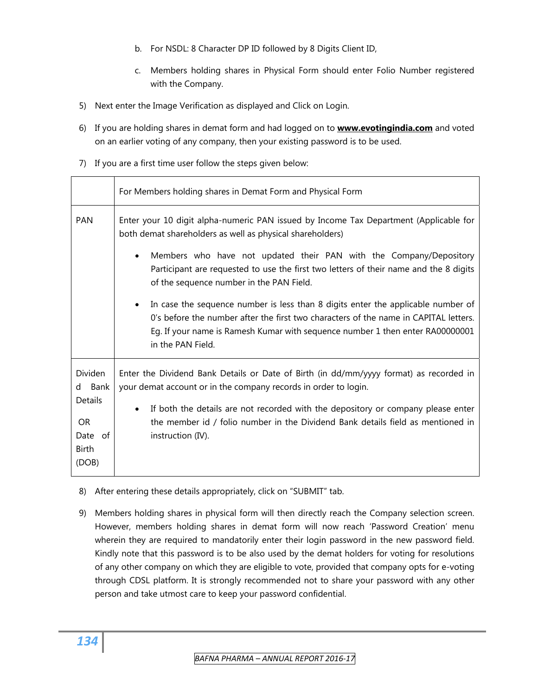- b. For NSDL: 8 Character DP ID followed by 8 Digits Client ID,
- c. Members holding shares in Physical Form should enter Folio Number registered with the Company.
- 5) Next enter the Image Verification as displayed and Click on Login.
- 6) If you are holding shares in demat form and had logged on to **[www.evotingindia.com](http://www.evotingindia.com/)** and voted on an earlier voting of any company, then your existing password is to be used.
- 7) If you are a first time user follow the steps given below:

|                                                             | For Members holding shares in Demat Form and Physical Form                                                                                                                                                                                                                     |
|-------------------------------------------------------------|--------------------------------------------------------------------------------------------------------------------------------------------------------------------------------------------------------------------------------------------------------------------------------|
| <b>PAN</b>                                                  | Enter your 10 digit alpha-numeric PAN issued by Income Tax Department (Applicable for<br>both demat shareholders as well as physical shareholders)                                                                                                                             |
|                                                             | Members who have not updated their PAN with the Company/Depository<br>Participant are requested to use the first two letters of their name and the 8 digits<br>of the sequence number in the PAN Field.                                                                        |
|                                                             | In case the sequence number is less than 8 digits enter the applicable number of<br>O's before the number after the first two characters of the name in CAPITAL letters.<br>Eg. If your name is Ramesh Kumar with sequence number 1 then enter RA00000001<br>in the PAN Field. |
| Dividen<br>Bank<br>d                                        | Enter the Dividend Bank Details or Date of Birth (in dd/mm/yyyy format) as recorded in<br>your demat account or in the company records in order to login.                                                                                                                      |
| Details<br><b>OR</b><br>Date<br>of<br><b>Birth</b><br>(DOB) | If both the details are not recorded with the depository or company please enter<br>the member id / folio number in the Dividend Bank details field as mentioned in<br>instruction (IV).                                                                                       |

- 8) After entering these details appropriately, click on "SUBMIT" tab.
- 9) Members holding shares in physical form will then directly reach the Company selection screen. However, members holding shares in demat form will now reach 'Password Creation' menu wherein they are required to mandatorily enter their login password in the new password field. Kindly note that this password is to be also used by the demat holders for voting for resolutions of any other company on which they are eligible to vote, provided that company opts for e-voting through CDSL platform. It is strongly recommended not to share your password with any other person and take utmost care to keep your password confidential.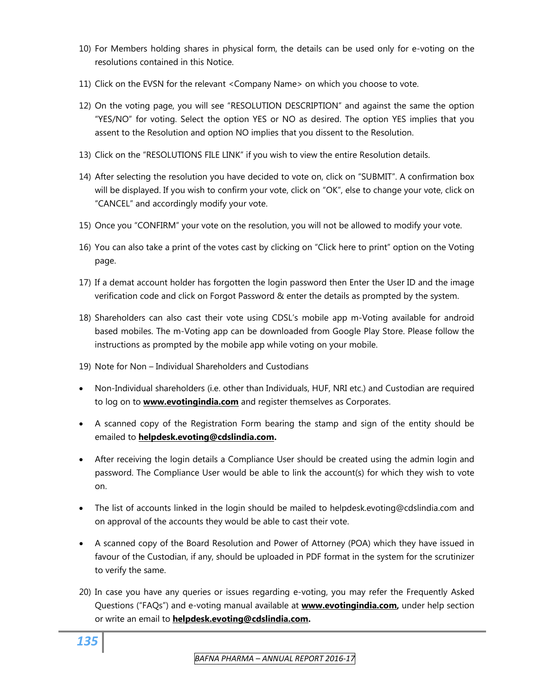- 10) For Members holding shares in physical form, the details can be used only for e-voting on the resolutions contained in this Notice.
- 11) Click on the EVSN for the relevant <Company Name> on which you choose to vote.
- 12) On the voting page, you will see "RESOLUTION DESCRIPTION" and against the same the option "YES/NO" for voting. Select the option YES or NO as desired. The option YES implies that you assent to the Resolution and option NO implies that you dissent to the Resolution.
- 13) Click on the "RESOLUTIONS FILE LINK" if you wish to view the entire Resolution details.
- 14) After selecting the resolution you have decided to vote on, click on "SUBMIT". A confirmation box will be displayed. If you wish to confirm your vote, click on "OK", else to change your vote, click on "CANCEL" and accordingly modify your vote.
- 15) Once you "CONFIRM" your vote on the resolution, you will not be allowed to modify your vote.
- 16) You can also take a print of the votes cast by clicking on "Click here to print" option on the Voting page.
- 17) If a demat account holder has forgotten the login password then Enter the User ID and the image verification code and click on Forgot Password & enter the details as prompted by the system.
- 18) Shareholders can also cast their vote using CDSL's mobile app m-Voting available for android based mobiles. The m-Voting app can be downloaded from Google Play Store. Please follow the instructions as prompted by the mobile app while voting on your mobile.
- 19) Note for Non Individual Shareholders and Custodians
- Non-Individual shareholders (i.e. other than Individuals, HUF, NRI etc.) and Custodian are required to log on to **[www.evotingindia.com](http://www.evotingindia.com/)** and register themselves as Corporates.
- A scanned copy of the Registration Form bearing the stamp and sign of the entity should be emailed to **[helpdesk.evoting@cdslindia.com](mailto:helpdesk.evoting@cdslindia.com).**
- After receiving the login details a Compliance User should be created using the admin login and password. The Compliance User would be able to link the account(s) for which they wish to vote on.
- The list of accounts linked in the login should be mailed to helpdesk.evoting@cdslindia.com and on approval of the accounts they would be able to cast their vote.
- A scanned copy of the Board Resolution and Power of Attorney (POA) which they have issued in favour of the Custodian, if any, should be uploaded in PDF format in the system for the scrutinizer to verify the same.
- 20) In case you have any queries or issues regarding e-voting, you may refer the Frequently Asked Questions ("FAQs") and e-voting manual available at **[www.evotingindia.com,](http://www.evotingindia.com/)** under help section or write an email to **[helpdesk.evoting@cdslindia.com](mailto:helpdesk.evoting@cdslindia.com).**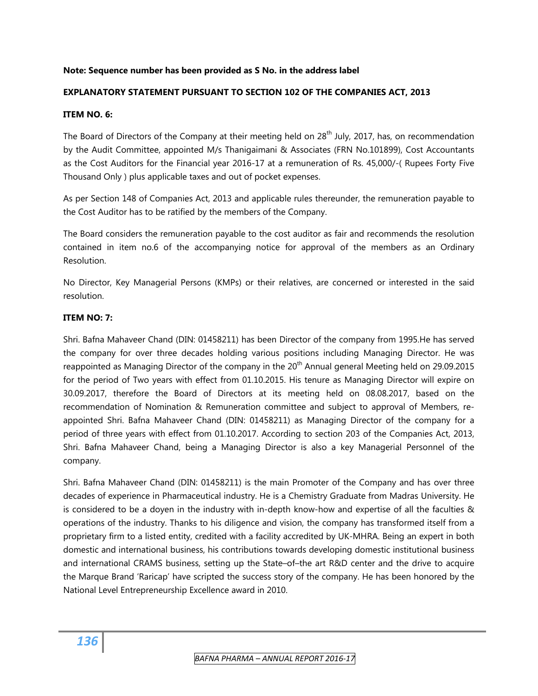#### **Note: Sequence number has been provided as S No. in the address label**

#### **EXPLANATORY STATEMENT PURSUANT TO SECTION 102 OF THE COMPANIES ACT, 2013**

#### **ITEM NO. 6:**

The Board of Directors of the Company at their meeting held on  $28<sup>th</sup>$  July, 2017, has, on recommendation by the Audit Committee, appointed M/s Thanigaimani & Associates (FRN No.101899), Cost Accountants as the Cost Auditors for the Financial year 2016-17 at a remuneration of Rs. 45,000/-( Rupees Forty Five Thousand Only ) plus applicable taxes and out of pocket expenses.

As per Section 148 of Companies Act, 2013 and applicable rules thereunder, the remuneration payable to the Cost Auditor has to be ratified by the members of the Company.

The Board considers the remuneration payable to the cost auditor as fair and recommends the resolution contained in item no.6 of the accompanying notice for approval of the members as an Ordinary Resolution.

No Director, Key Managerial Persons (KMPs) or their relatives, are concerned or interested in the said resolution.

#### **ITEM NO: 7:**

Shri. Bafna Mahaveer Chand (DIN: 01458211) has been Director of the company from 1995.He has served the company for over three decades holding various positions including Managing Director. He was reappointed as Managing Director of the company in the  $20<sup>th</sup>$  Annual general Meeting held on 29.09.2015 for the period of Two years with effect from 01.10.2015. His tenure as Managing Director will expire on 30.09.2017, therefore the Board of Directors at its meeting held on 08.08.2017, based on the recommendation of Nomination & Remuneration committee and subject to approval of Members, reappointed Shri. Bafna Mahaveer Chand (DIN: 01458211) as Managing Director of the company for a period of three years with effect from 01.10.2017. According to section 203 of the Companies Act, 2013, Shri. Bafna Mahaveer Chand, being a Managing Director is also a key Managerial Personnel of the company.

Shri. Bafna Mahaveer Chand (DIN: 01458211) is the main Promoter of the Company and has over three decades of experience in Pharmaceutical industry. He is a Chemistry Graduate from Madras University. He is considered to be a doyen in the industry with in-depth know-how and expertise of all the faculties & operations of the industry. Thanks to his diligence and vision, the company has transformed itself from a proprietary firm to a listed entity, credited with a facility accredited by UK-MHRA. Being an expert in both domestic and international business, his contributions towards developing domestic institutional business and international CRAMS business, setting up the State–of–the art R&D center and the drive to acquire the Marque Brand 'Raricap' have scripted the success story of the company. He has been honored by the National Level Entrepreneurship Excellence award in 2010.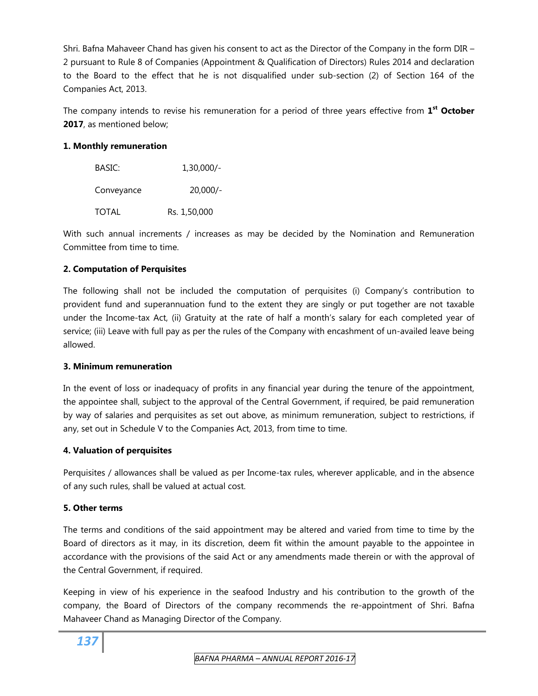Shri. Bafna Mahaveer Chand has given his consent to act as the Director of the Company in the form DIR – 2 pursuant to Rule 8 of Companies (Appointment & Qualification of Directors) Rules 2014 and declaration to the Board to the effect that he is not disqualified under sub-section (2) of Section 164 of the Companies Act, 2013.

The company intends to revise his remuneration for a period of three years effective from **1st October 2017**, as mentioned below;

# **1. Monthly remuneration**

| BASIC:       | $1,30,000/-$ |
|--------------|--------------|
| Conveyance   | $20,000/-$   |
| <b>TOTAL</b> | Rs. 1,50,000 |

With such annual increments / increases as may be decided by the Nomination and Remuneration Committee from time to time.

# **2. Computation of Perquisites**

The following shall not be included the computation of perquisites (i) Company's contribution to provident fund and superannuation fund to the extent they are singly or put together are not taxable under the Income-tax Act, (ii) Gratuity at the rate of half a month's salary for each completed year of service; (iii) Leave with full pay as per the rules of the Company with encashment of un-availed leave being allowed.

### **3. Minimum remuneration**

In the event of loss or inadequacy of profits in any financial year during the tenure of the appointment, the appointee shall, subject to the approval of the Central Government, if required, be paid remuneration by way of salaries and perquisites as set out above, as minimum remuneration, subject to restrictions, if any, set out in Schedule V to the Companies Act, 2013, from time to time.

### **4. Valuation of perquisites**

Perquisites / allowances shall be valued as per Income-tax rules, wherever applicable, and in the absence of any such rules, shall be valued at actual cost.

# **5. Other terms**

The terms and conditions of the said appointment may be altered and varied from time to time by the Board of directors as it may, in its discretion, deem fit within the amount payable to the appointee in accordance with the provisions of the said Act or any amendments made therein or with the approval of the Central Government, if required.

Keeping in view of his experience in the seafood Industry and his contribution to the growth of the company, the Board of Directors of the company recommends the re-appointment of Shri. Bafna Mahaveer Chand as Managing Director of the Company.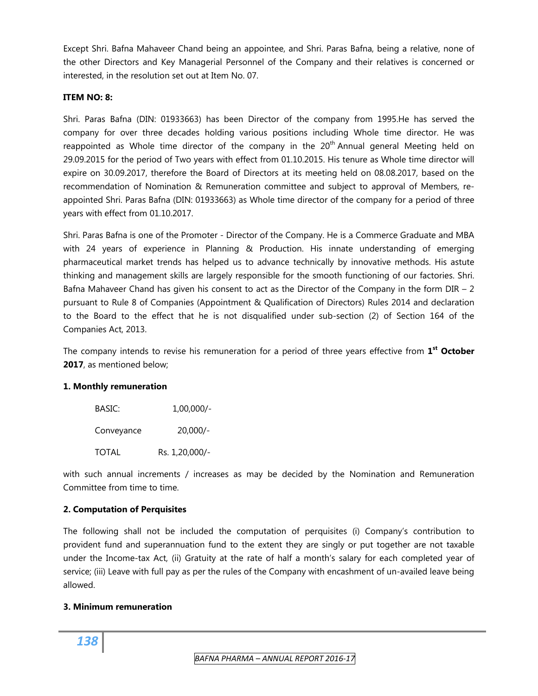Except Shri. Bafna Mahaveer Chand being an appointee, and Shri. Paras Bafna, being a relative, none of the other Directors and Key Managerial Personnel of the Company and their relatives is concerned or interested, in the resolution set out at Item No. 07.

#### **ITEM NO: 8:**

Shri. Paras Bafna (DIN: 01933663) has been Director of the company from 1995.He has served the company for over three decades holding various positions including Whole time director. He was reappointed as Whole time director of the company in the  $20<sup>th</sup>$  Annual general Meeting held on 29.09.2015 for the period of Two years with effect from 01.10.2015. His tenure as Whole time director will expire on 30.09.2017, therefore the Board of Directors at its meeting held on 08.08.2017, based on the recommendation of Nomination & Remuneration committee and subject to approval of Members, reappointed Shri. Paras Bafna (DIN: 01933663) as Whole time director of the company for a period of three years with effect from 01.10.2017.

Shri. Paras Bafna is one of the Promoter - Director of the Company. He is a Commerce Graduate and MBA with 24 years of experience in Planning & Production. His innate understanding of emerging pharmaceutical market trends has helped us to advance technically by innovative methods. His astute thinking and management skills are largely responsible for the smooth functioning of our factories. Shri. Bafna Mahaveer Chand has given his consent to act as the Director of the Company in the form  $DIR - 2$ pursuant to Rule 8 of Companies (Appointment & Qualification of Directors) Rules 2014 and declaration to the Board to the effect that he is not disqualified under sub-section (2) of Section 164 of the Companies Act, 2013.

The company intends to revise his remuneration for a period of three years effective from **1st October 2017**, as mentioned below;

### **1. Monthly remuneration**

| BASIC:     | $1,00,000/-$   |
|------------|----------------|
| Conveyance | $20.000/-$     |
| TOTAL      | Rs. 1,20,000/- |

with such annual increments / increases as may be decided by the Nomination and Remuneration Committee from time to time.

### **2. Computation of Perquisites**

The following shall not be included the computation of perquisites (i) Company's contribution to provident fund and superannuation fund to the extent they are singly or put together are not taxable under the Income-tax Act, (ii) Gratuity at the rate of half a month's salary for each completed year of service; (iii) Leave with full pay as per the rules of the Company with encashment of un-availed leave being allowed.

### **3. Minimum remuneration**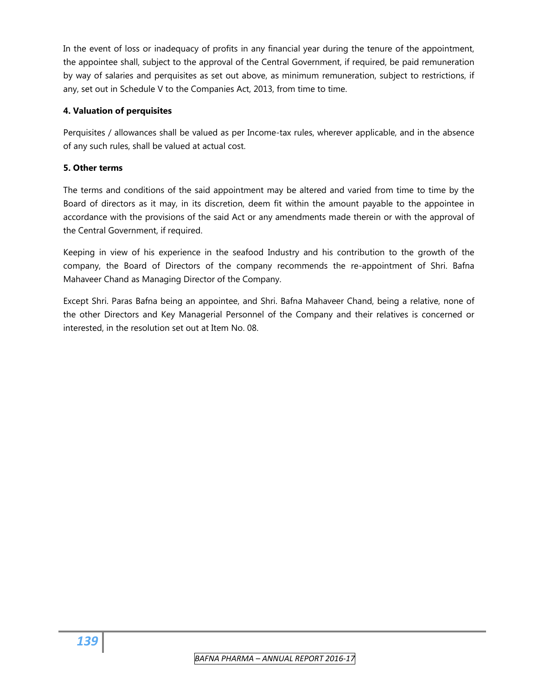In the event of loss or inadequacy of profits in any financial year during the tenure of the appointment, the appointee shall, subject to the approval of the Central Government, if required, be paid remuneration by way of salaries and perquisites as set out above, as minimum remuneration, subject to restrictions, if any, set out in Schedule V to the Companies Act, 2013, from time to time.

# **4. Valuation of perquisites**

Perquisites / allowances shall be valued as per Income-tax rules, wherever applicable, and in the absence of any such rules, shall be valued at actual cost.

# **5. Other terms**

The terms and conditions of the said appointment may be altered and varied from time to time by the Board of directors as it may, in its discretion, deem fit within the amount payable to the appointee in accordance with the provisions of the said Act or any amendments made therein or with the approval of the Central Government, if required.

Keeping in view of his experience in the seafood Industry and his contribution to the growth of the company, the Board of Directors of the company recommends the re-appointment of Shri. Bafna Mahaveer Chand as Managing Director of the Company.

Except Shri. Paras Bafna being an appointee, and Shri. Bafna Mahaveer Chand, being a relative, none of the other Directors and Key Managerial Personnel of the Company and their relatives is concerned or interested, in the resolution set out at Item No. 08.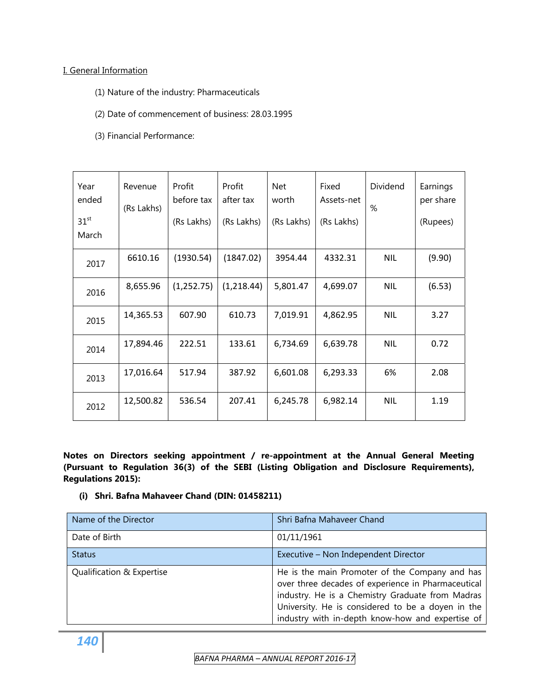### I. General Information

- (1) Nature of the industry: Pharmaceuticals
- (2) Date of commencement of business: 28.03.1995
- (3) Financial Performance:

| Year<br>ended<br>31 <sup>st</sup><br>March | Revenue<br>(Rs Lakhs) | Profit<br>before tax<br>(Rs Lakhs) | Profit<br>after tax<br>(Rs Lakhs) | Net<br>worth<br>(Rs Lakhs) | Fixed<br>Assets-net<br>(Rs Lakhs) | Dividend<br>% | Earnings<br>per share<br>(Rupees) |
|--------------------------------------------|-----------------------|------------------------------------|-----------------------------------|----------------------------|-----------------------------------|---------------|-----------------------------------|
| 2017                                       | 6610.16               | (1930.54)                          | (1847.02)                         | 3954.44                    | 4332.31                           | <b>NIL</b>    | (9.90)                            |
| 2016                                       | 8,655.96              | (1,252.75)                         | (1,218.44)                        | 5,801.47                   | 4,699.07                          | <b>NIL</b>    | (6.53)                            |
| 2015                                       | 14,365.53             | 607.90                             | 610.73                            | 7,019.91                   | 4,862.95                          | <b>NIL</b>    | 3.27                              |
| 2014                                       | 17,894.46             | 222.51                             | 133.61                            | 6,734.69                   | 6,639.78                          | <b>NIL</b>    | 0.72                              |
| 2013                                       | 17,016.64             | 517.94                             | 387.92                            | 6,601.08                   | 6,293.33                          | 6%            | 2.08                              |
| 2012                                       | 12,500.82             | 536.54                             | 207.41                            | 6,245.78                   | 6,982.14                          | <b>NIL</b>    | 1.19                              |

**Notes on Directors seeking appointment / re-appointment at the Annual General Meeting (Pursuant to Regulation 36(3) of the SEBI (Listing Obligation and Disclosure Requirements), Regulations 2015):** 

**(i) Shri. Bafna Mahaveer Chand (DIN: 01458211)** 

| Name of the Director      | Shri Bafna Mahaveer Chand                                                                                                                                                                                                                                         |
|---------------------------|-------------------------------------------------------------------------------------------------------------------------------------------------------------------------------------------------------------------------------------------------------------------|
| Date of Birth             | 01/11/1961                                                                                                                                                                                                                                                        |
| <b>Status</b>             | Executive - Non Independent Director                                                                                                                                                                                                                              |
| Qualification & Expertise | He is the main Promoter of the Company and has<br>over three decades of experience in Pharmaceutical<br>industry. He is a Chemistry Graduate from Madras<br>University. He is considered to be a doyen in the<br>industry with in-depth know-how and expertise of |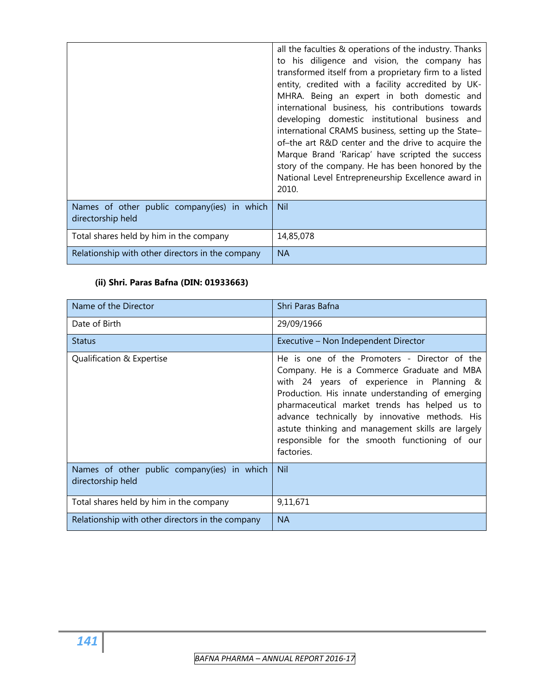|                                                                  | all the faculties & operations of the industry. Thanks<br>to his diligence and vision, the company has<br>transformed itself from a proprietary firm to a listed<br>entity, credited with a facility accredited by UK-<br>MHRA. Being an expert in both domestic and<br>international business, his contributions towards<br>developing domestic institutional business and<br>international CRAMS business, setting up the State-<br>of-the art R&D center and the drive to acquire the<br>Marque Brand 'Raricap' have scripted the success<br>story of the company. He has been honored by the<br>National Level Entrepreneurship Excellence award in<br>2010. |  |  |  |  |
|------------------------------------------------------------------|------------------------------------------------------------------------------------------------------------------------------------------------------------------------------------------------------------------------------------------------------------------------------------------------------------------------------------------------------------------------------------------------------------------------------------------------------------------------------------------------------------------------------------------------------------------------------------------------------------------------------------------------------------------|--|--|--|--|
| Names of other public company(ies) in which<br>directorship held | <b>Nil</b>                                                                                                                                                                                                                                                                                                                                                                                                                                                                                                                                                                                                                                                       |  |  |  |  |
| Total shares held by him in the company                          | 14,85,078                                                                                                                                                                                                                                                                                                                                                                                                                                                                                                                                                                                                                                                        |  |  |  |  |
| Relationship with other directors in the company                 | <b>NA</b>                                                                                                                                                                                                                                                                                                                                                                                                                                                                                                                                                                                                                                                        |  |  |  |  |

# **(ii) Shri. Paras Bafna (DIN: 01933663)**

| Name of the Director                                             | Shri Paras Bafna                                                                                                                                                                                                                                                                                                                                                                                                   |
|------------------------------------------------------------------|--------------------------------------------------------------------------------------------------------------------------------------------------------------------------------------------------------------------------------------------------------------------------------------------------------------------------------------------------------------------------------------------------------------------|
| Date of Birth                                                    | 29/09/1966                                                                                                                                                                                                                                                                                                                                                                                                         |
| <b>Status</b>                                                    | Executive - Non Independent Director                                                                                                                                                                                                                                                                                                                                                                               |
| Qualification & Expertise                                        | He is one of the Promoters - Director of the<br>Company. He is a Commerce Graduate and MBA<br>with 24 years of experience in Planning &<br>Production. His innate understanding of emerging<br>pharmaceutical market trends has helped us to<br>advance technically by innovative methods. His<br>astute thinking and management skills are largely<br>responsible for the smooth functioning of our<br>factories. |
| Names of other public company(ies) in which<br>directorship held | Nil                                                                                                                                                                                                                                                                                                                                                                                                                |
| Total shares held by him in the company                          | 9,11,671                                                                                                                                                                                                                                                                                                                                                                                                           |
| Relationship with other directors in the company                 | <b>NA</b>                                                                                                                                                                                                                                                                                                                                                                                                          |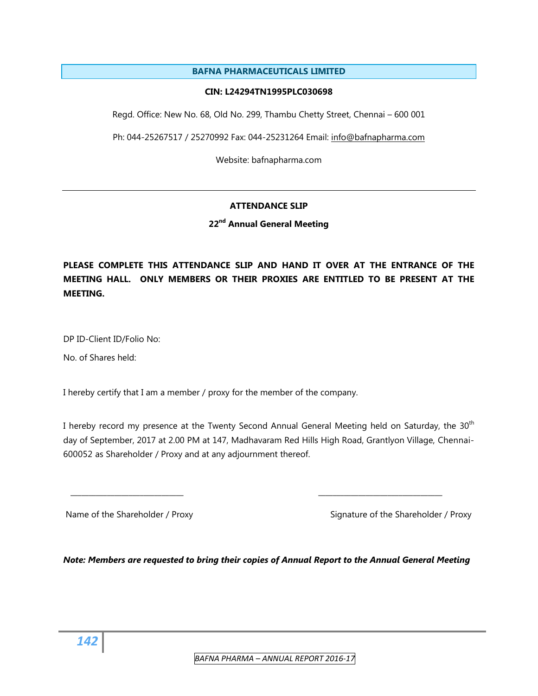#### **BAFNA PHARMACEUTICALS LIMITED**

#### **CIN: L24294TN1995PLC030698**

Regd. Office: New No. 68, Old No. 299, Thambu Chetty Street, Chennai – 600 001

Ph: 044-25267517 / 25270992 Fax: 044-25231264 Email: [info@bafnapharma.com](mailto:info@bafnapharma.com) 

Website: bafnapharma.com

#### **ATTENDANCE SLIP**

**22nd Annual General Meeting** 

**PLEASE COMPLETE THIS ATTENDANCE SLIP AND HAND IT OVER AT THE ENTRANCE OF THE MEETING HALL. ONLY MEMBERS OR THEIR PROXIES ARE ENTITLED TO BE PRESENT AT THE MEETING.** 

DP ID-Client ID/Folio No:

No. of Shares held:

I hereby certify that I am a member / proxy for the member of the company.

I hereby record my presence at the Twenty Second Annual General Meeting held on Saturday, the 30<sup>th</sup> day of September, 2017 at 2.00 PM at 147, Madhavaram Red Hills High Road, Grantlyon Village, Chennai-600052 as Shareholder / Proxy and at any adjournment thereof.

\_\_\_\_\_\_\_\_\_\_\_\_\_\_\_\_\_\_\_\_\_\_\_\_\_\_\_\_\_\_\_ \_\_\_\_\_\_\_\_\_\_\_\_\_\_\_\_\_\_\_\_\_\_\_\_\_\_\_\_\_\_\_\_\_\_

Name of the Shareholder / Proxy Signature of the Shareholder / Proxy

*Note: Members are requested to bring their copies of Annual Report to the Annual General Meeting*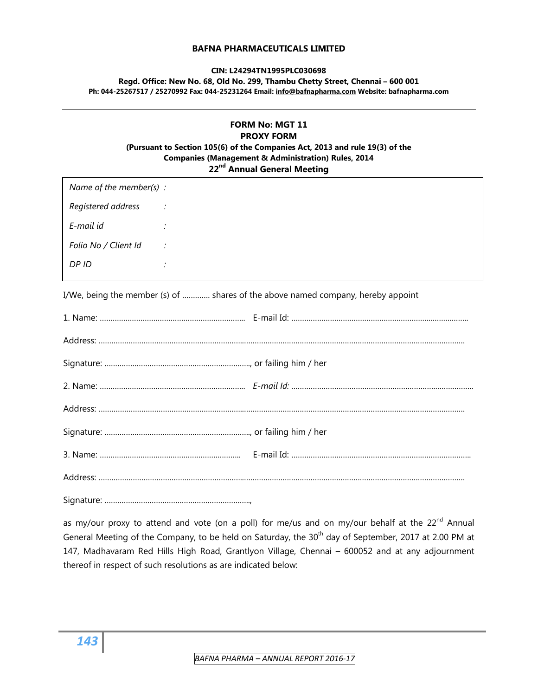#### **BAFNA PHARMACEUTICALS LIMITED**

#### **CIN: L24294TN1995PLC030698**

**Regd. Office: New No. 68, Old No. 299, Thambu Chetty Street, Chennai – 600 001 Ph: 044-25267517 / 25270992 Fax: 044-25231264 Email: [info@bafnapharma.com](mailto:info@bafnapharma.com) Website: bafnapharma.com** 

#### **FORM No: MGT 11 PROXY FORM (Pursuant to Section 105(6) of the Companies Act, 2013 and rule 19(3) of the Companies (Management & Administration) Rules, 2014 22nd Annual General Meeting**

| Name of the member(s) : |                |
|-------------------------|----------------|
| Registered address      | $\sim$ $\sim$  |
| E-mail id               | $\ddot{\cdot}$ |
| Folio No / Client Id    | $\therefore$   |
| DP ID                   | $\bullet$      |

I/We, being the member (s) of …………. shares of the above named company, hereby appoint

Signature: …………………………………………………………..,

as my/our proxy to attend and vote (on a poll) for me/us and on my/our behalf at the  $22^{nd}$  Annual General Meeting of the Company, to be held on Saturday, the 30<sup>th</sup> day of September, 2017 at 2.00 PM at 147, Madhavaram Red Hills High Road, Grantlyon Village, Chennai – 600052 and at any adjournment thereof in respect of such resolutions as are indicated below: